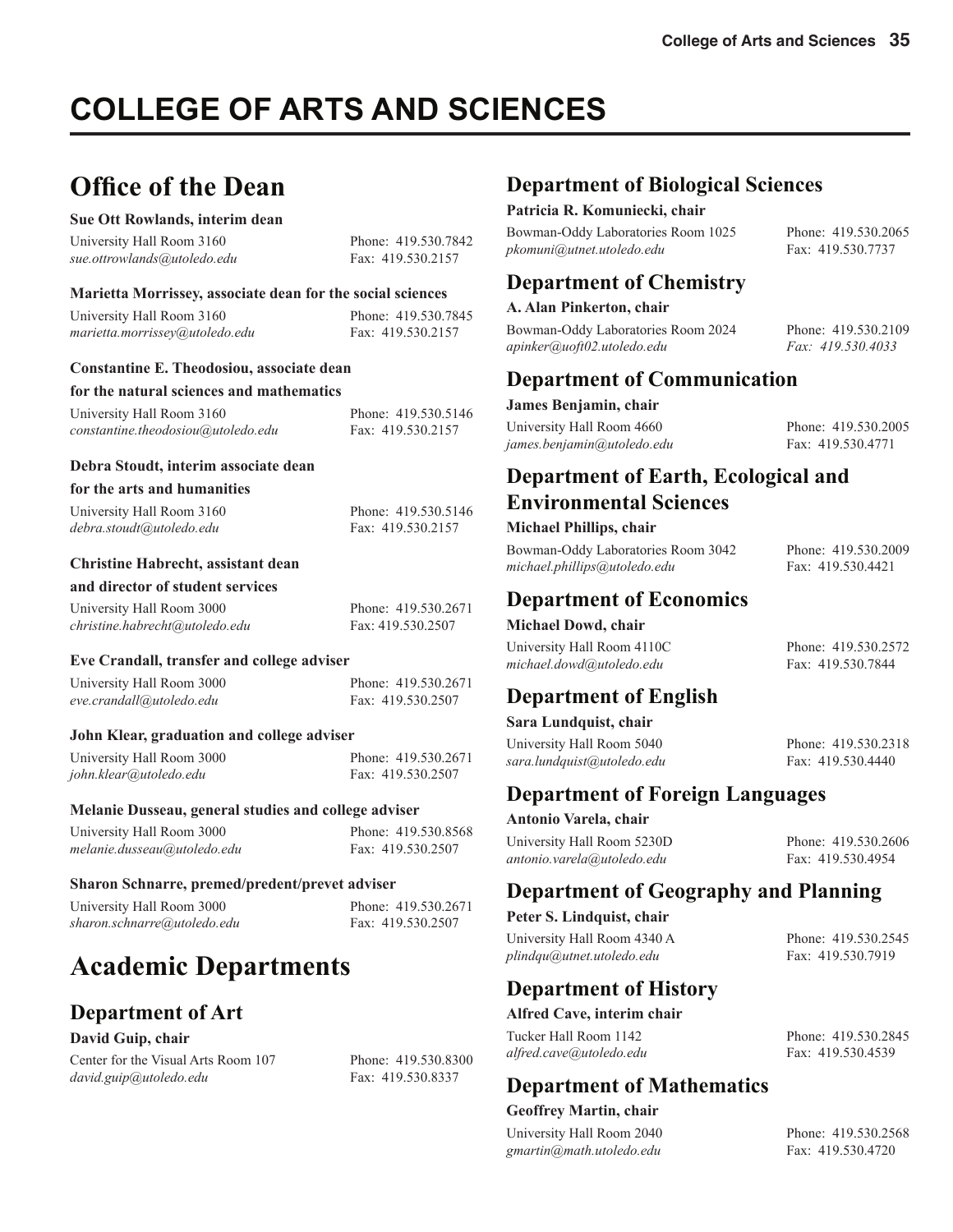# **COLLEGE OF ARTS AND SCIENCES**

## **Office of the Dean**

#### **Sue Ott Rowlands, interim dean**

University Hall Room 3160 Phone: 419.530.7842 *sue.ottrowlands@utoledo.edu* Fax: 419.530.2157

#### **Marietta Morrissey, associate dean for the social sciences**

| University Hall Room 3160      | Phone: 419.530.7845 |
|--------------------------------|---------------------|
| marietta.morrissey@utoledo.edu | Fax: 419.530.2157   |

#### **Constantine E. Theodosiou, associate dean**

#### **for the natural sciences and mathematics**

| University Hall Room 3160                | Phone: 419.530.5146 |
|------------------------------------------|---------------------|
| $constant in e. the odosiou@utoledo.edu$ | Fax: 419.530.2157   |

#### **Debra Stoudt, interim associate dean**

#### **for the arts and humanities**

| University Hall Room 3160 | Phone: 419.530.5146 |
|---------------------------|---------------------|
| debra.stoudt@utoledo.edu  | Fax: 419.530.2157   |

#### **Christine Habrecht, assistant dean**

#### **and director of student services**

| University Hall Room 3000      | Phone: 419.530.2671 |
|--------------------------------|---------------------|
| christine.habrecht@utoledo.edu | Fax: 419.530.2507   |

#### **Eve Crandall, transfer and college adviser**

| University Hall Room 3000 | Phone: 419.530.2671 |
|---------------------------|---------------------|
| eve.crandall@utoledo.edu  | Fax: 419.530.2507   |

#### **John Klear, graduation and college adviser**

| University Hall Room 3000 | Phone: 419.530.2671 |
|---------------------------|---------------------|
| john.klear@utoledo.edu    | Fax: 419.530.2507   |

#### **Melanie Dusseau, general studies and college adviser**

| University Hall Room 3000   | Phone: 419.530.8568 |
|-----------------------------|---------------------|
| melanie.dusseau@utoledo.edu | Fax: 419.530.2507   |

#### **Sharon Schnarre, premed/predent/prevet adviser**

| University Hall Room 3000   |
|-----------------------------|
| sharon.schnarre@utoledo.edu |

| University Hall Room 3000   | Phone: 419.530.2671 |
|-----------------------------|---------------------|
| sharon.schnarre@utoledo.edu | Fax: 419.530.2507   |

## **Academic Departments**

#### **Department of Art**

#### **David Guip, chair**

Center for the Visual Arts Room 107 Phone: 419,530,8300 *david.guip@utoledo.edu* Fax: 419.530.8337

#### **Department of Biological Sciences**

#### **Patricia R. Komuniecki, chair**

Bowman-Oddy Laboratories Room 1025 Phone: 419.530.2065 *pkomuni@utnet.utoledo.edu* Fax: 419.530.7737

#### **Department of Chemistry**

#### **A. Alan Pinkerton, chair**

Bowman-Oddy Laboratories Room 2024 Phone: 419.530.2109 *apinker@uoft02.utoledo.edu Fax: 419.530.4033*

#### **Department of Communication**

**James Benjamin, chair** 

| University Hall Room 4660  | Phone: 419.530.2005 |
|----------------------------|---------------------|
| james.benjamin@utoledo.edu | Fax: 419.530.4771   |

#### **Department of Earth, Ecological and Environmental Sciences**

#### **Michael Phillips, chair**

Bowman-Oddy Laboratories Room 3042 Phone: 419.530.2009 *michael.phillips@utoledo.edu* Fax: 419.530.4421

#### **Department of Economics**

#### **Michael Dowd, chair**

University Hall Room 4110C Phone: 419.530.2572 michael.dowd@utoledo.edu Fax: 419.530.7844

#### **Department of English**

#### **Sara Lundquist, chair**

University Hall Room 5040 Phone: 419.530.2318 *sara.lundquist@utoledo.edu* Fax: 419.530.4440

**Department of Foreign Languages**

#### **Antonio Varela, chair**

University Hall Room 5230D Phone: 419.530.2606 *antonio.varela@utoledo.edu* Fax: 419.530.4954

#### **Department of Geography and Planning**

**Peter S. Lindquist, chair**  University Hall Room 4340 A Phone: 419.530.2545

plindqu@utnet.utoledo.edu Fax: 419.530.7919

#### **Department of History**

**Alfred Cave, interim chair**

Tucker Hall Room 1142 Phone: 419.530.2845 *alfred.cave@utoledo.edu* Fax: 419.530.4539

#### **Department of Mathematics**

#### **Geoffrey Martin, chair**

University Hall Room 2040 Phone: 419.530.2568 *gmartin@math.utoledo.edu* Fax: 419.530.4720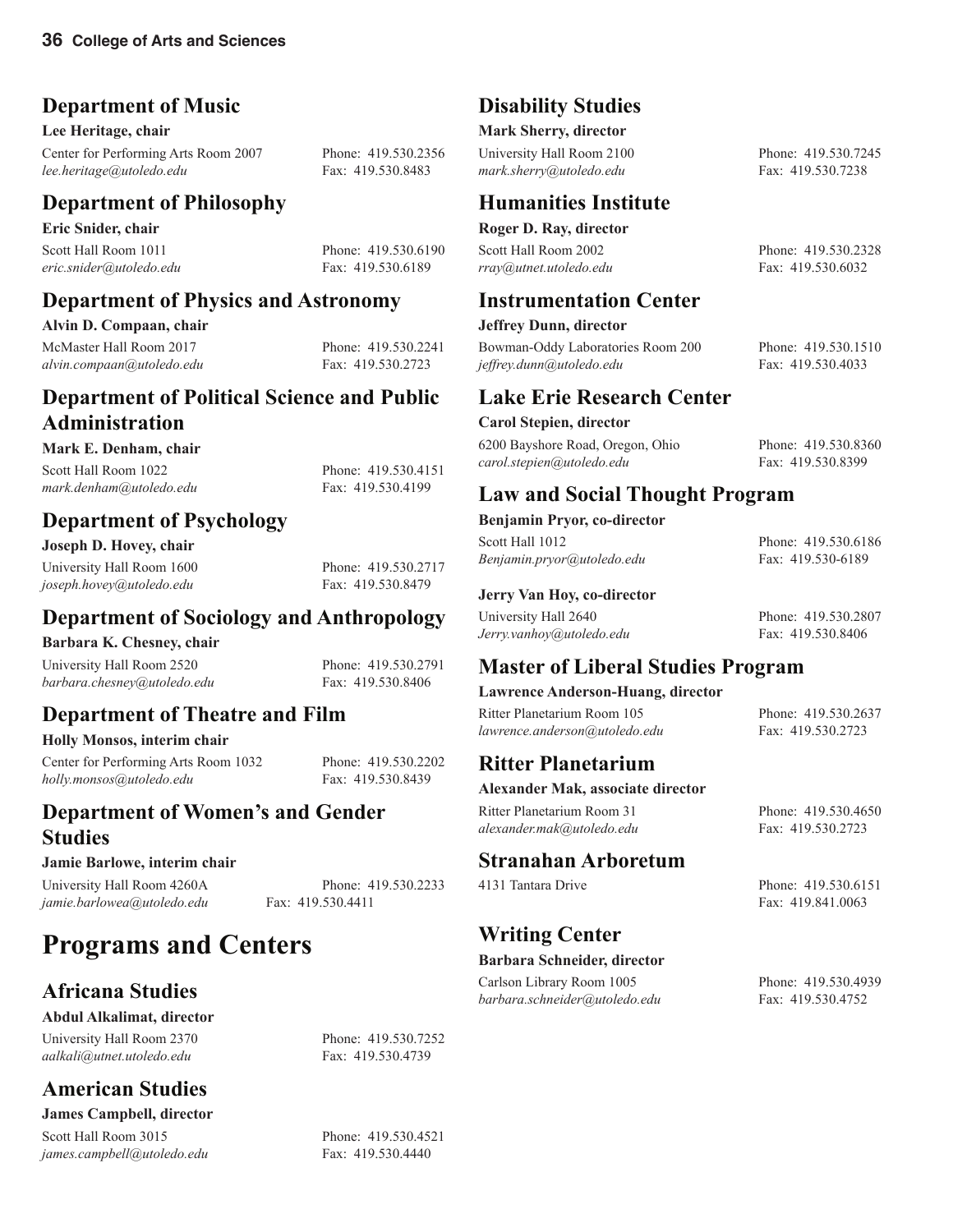### **Department of Music**

**Lee Heritage, chair**

Center for Performing Arts Room 2007 Phone: 419.530.2356 *lee.heritage@utoledo.edu* Fax: 419.530.8483

### **Department of Philosophy**

**Eric Snider, chair** Scott Hall Room 1011 Phone: 419.530.6190 *eric.snider@utoledo.edu* Fax: 419.530.6189

### **Department of Physics and Astronomy**

**Alvin D. Compaan, chair**

McMaster Hall Room 2017 Phone: 419.530.2241 *alvin.compaan@utoledo.edu* Fax: 419.530.2723

#### **Department of Political Science and Public Administration**

#### **Mark E. Denham, chair**

Scott Hall Room 1022 Phone: 419.530.4151 *mark.denham@utoledo.edu* Fax: 419.530.4199

### **Department of Psychology**

**Joseph D. Hovey, chair**

### **Department of Sociology and Anthropology**

#### **Barbara K. Chesney, chair**

University Hall Room 2520 Phone: 419.530.2791 *barbara.chesney@utoledo.edu* Fax: 419.530.8406

## **Department of Theatre and Film**

#### **Holly Monsos, interim chair**

Center for Performing Arts Room 1032 Phone: 419.530.2202 *holly.monsos@utoledo.edu* Fax: 419.530.8439

### **Department of Women's and Gender Studies**

#### **Jamie Barlowe, interim chair**

University Hall Room 4260A Phone: 419.530.2233 *jamie.barlowea@utoledo.edu* Fax: 419.530.4411

## **Programs and Centers**

### **Africana Studies**

#### **Abdul Alkalimat, director**

University Hall Room 2370 Phone: 419.530.7252 *aalkali@utnet.utoledo.edu* Fax: 419.530.4739

## **American Studies**

**James Campbell, director**

Scott Hall Room 3015 Phone: 419.530.4521 *james.campbell@utoledo.edu* Fax: 419.530.4440

### **Disability Studies**

#### **Mark Sherry, director**

University Hall Room 2100 Phone: 419.530.7245 mark.sherry@utoledo.edu Fax: 419.530.7238

### **Humanities Institute**

#### **Roger D. Ray, director**

*rray@utnet.utoledo.edu* Fax: 419.530.6032

#### **Instrumentation Center**

#### **Jeffrey Dunn, director**

Bowman-Oddy Laboratories Room 200 Phone: 419.530.1510 *jeffrey.dunn@utoledo.edu* Fax: 419.530.4033

#### **Lake Erie Research Center**

#### **Carol Stepien, director**

6200 Bayshore Road, Oregon, Ohio Phone: 419.530.8360 *carol.stepien@utoledo.edu* Fax: 419.530.8399

**Law and Social Thought Program**

#### **Benjamin Pryor, co-director**

Scott Hall 1012 Phone: 419.530.6186 *Benjamin.pryor@utoledo.edu* Fax: 419.530-6189

**Jerry Van Hoy, co-director** 

University Hall 2640 Phone: 419.530.2807

*Jerry.vanhoy@utoledo.edu* Fax: 419.530.8406

## **Master of Liberal Studies Program**

**Lawrence Anderson-Huang, director**

Ritter Planetarium Room 105 Phone: 419.530.2637 *lawrence.anderson@utoledo.edu* Fax: 419.530.2723

#### **Ritter Planetarium**

#### **Alexander Mak, associate director**

**Stranahan Arboretum**

**Writing Center**

**Barbara Schneider, director**

Ritter Planetarium Room 31 Phone: 419.530.4650 *alexander.mak@utoledo.edu* Fax: 419.530.2723

4131 Tantara Drive Phone: 419.530.6151 Fax: 419.841.0063

#### Carlson Library Room 1005 Phone: 419.530.4939 *barbara.schneider@utoledo.edu* Fax: 419.530.4752

Scott Hall Room 2002 Phone: 419.530.2328

*joseph.hovey@utoledo.edu* Fax: 419.530.8479

University Hall Room 1600 Phone: 419.530.2717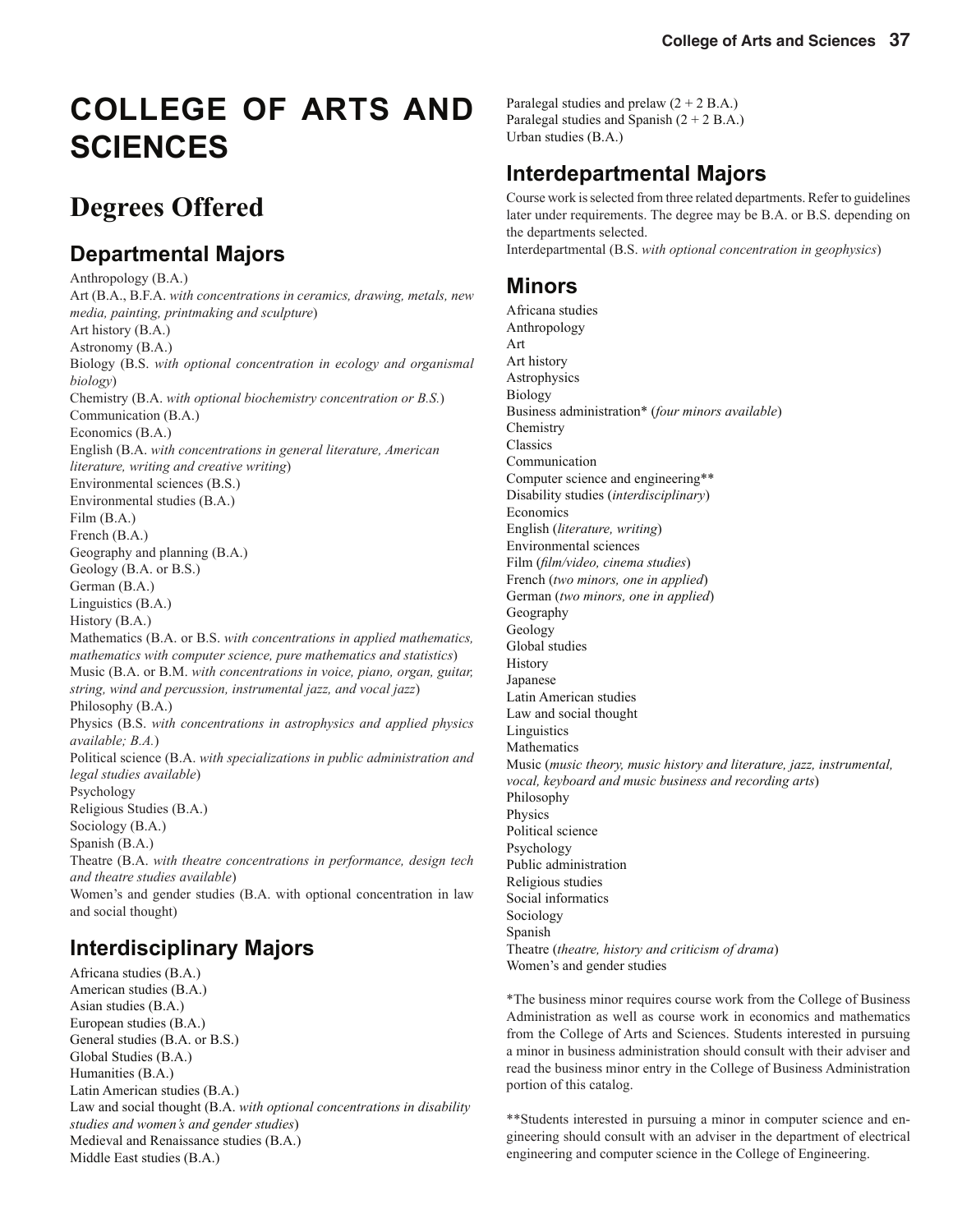# **COLLEGE OF ARTS AND SCIENCES**

## **Degrees Offered**

### **Departmental Majors**

Anthropology (B.A.) Art (B.A., B.F.A. *with concentrations in ceramics, drawing, metals, new media, painting, printmaking and sculpture*) Art history (B.A.) Astronomy (B.A.) Biology (B.S. *with optional concentration in ecology and organismal biology*) Chemistry (B.A. *with optional biochemistry concentration or B.S.*) Communication (B.A.) Economics (B.A.) English (B.A. *with concentrations in general literature, American literature, writing and creative writing*) Environmental sciences (B.S.) Environmental studies (B.A.) Film (B.A.) French (B.A.) Geography and planning (B.A.) Geology (B.A. or B.S.) German (B.A.) Linguistics (B.A.) History (B.A.) Mathematics (B.A. or B.S. *with concentrations in applied mathematics, mathematics with computer science, pure mathematics and statistics*) Music (B.A. or B.M. *with concentrations in voice, piano, organ, guitar, string, wind and percussion, instrumental jazz, and vocal jazz*) Philosophy (B.A.) Physics (B.S. *with concentrations in astrophysics and applied physics available; B.A.*) Political science (B.A. *with specializations in public administration and legal studies available*) Psychology Religious Studies (B.A.) Sociology (B.A.) Spanish (B.A.) Theatre (B.A. *with theatre concentrations in performance, design tech and theatre studies available*) Women's and gender studies (B.A. with optional concentration in law and social thought) **Interdisciplinary Majors**

Africana studies (B.A.) American studies (B.A.) Asian studies (B.A.) European studies (B.A.) General studies (B.A. or B.S.) Global Studies (B.A.) Humanities (B.A.) Latin American studies (B.A.) Law and social thought (B.A. *with optional concentrations in disability studies and women's and gender studies*) Medieval and Renaissance studies (B.A.) Middle East studies (B.A.)

Paralegal studies and prelaw  $(2 + 2 B.A.)$ Paralegal studies and Spanish  $(2 + 2 B.A.)$ Urban studies (B.A.)

## **Interdepartmental Majors**

Course work is selected from three related departments. Refer to guidelines later under requirements. The degree may be B.A. or B.S. depending on the departments selected. Interdepartmental (B.S. *with optional concentration in geophysics*)

### **Minors**

Africana studies Anthropology Art Art history Astrophysics Biology Business administration\* (*four minors available*) Chemistry Classics Communication Computer science and engineering\*\* Disability studies (*interdisciplinary*) Economics English (*literature, writing*) Environmental sciences Film (*film/video*, *cinema studies*) French (*two minors, one in applied*) German (*two minors, one in applied*) Geography Geology Global studies **History Japanese** Latin American studies Law and social thought Linguistics Mathematics Music (*music theory, music history and literature, jazz, instrumental, vocal, keyboard and music business and recording arts*) Philosophy Physics Political science Psychology Public administration Religious studies Social informatics Sociology Spanish Theatre (*theatre, history and criticism of drama*) Women's and gender studies

\*The business minor requires course work from the College of Business Administration as well as course work in economics and mathematics from the College of Arts and Sciences. Students interested in pursuing a minor in business administration should consult with their adviser and read the business minor entry in the College of Business Administration portion of this catalog.

\*\*Students interested in pursuing a minor in computer science and engineering should consult with an adviser in the department of electrical engineering and computer science in the College of Engineering.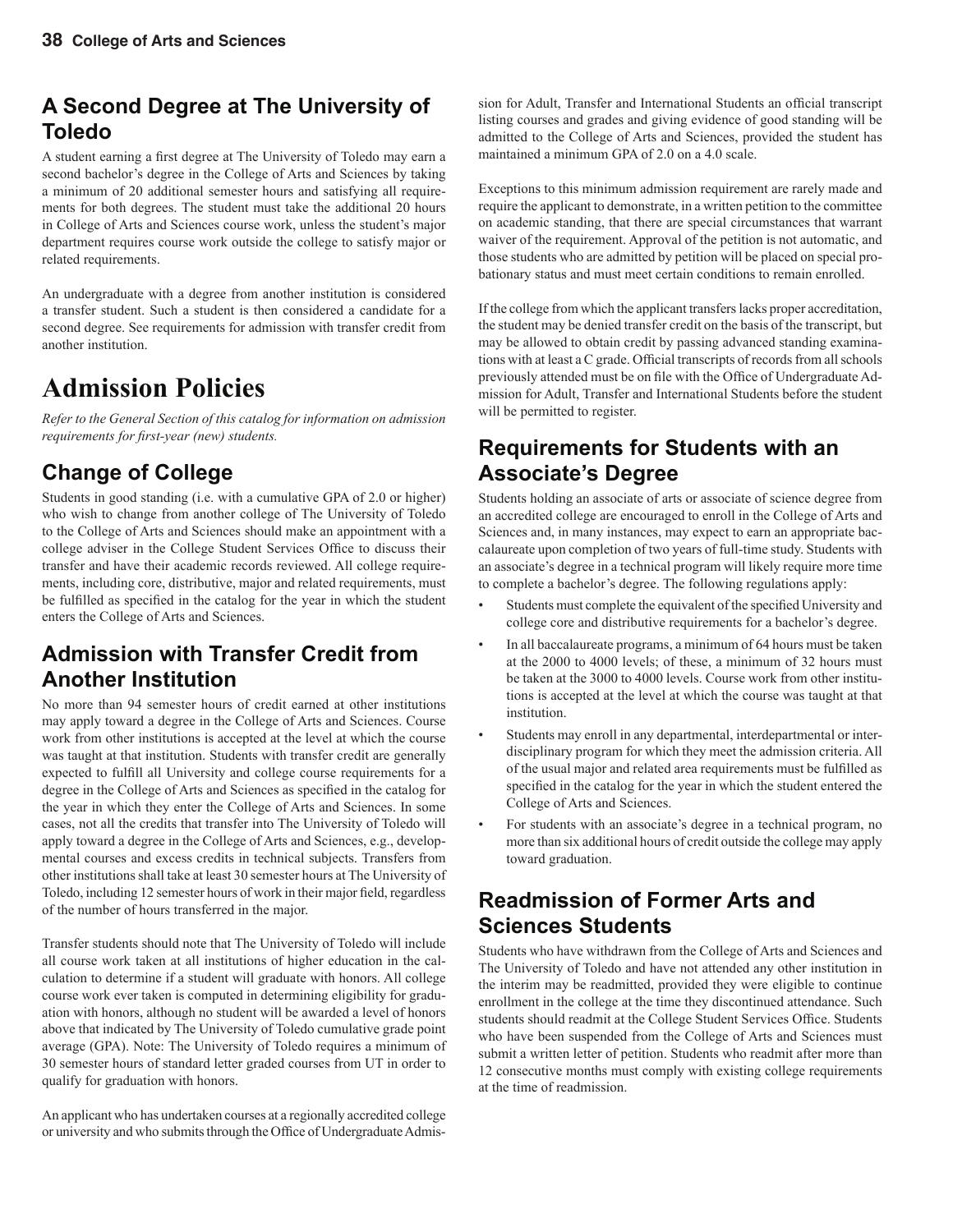### **A Second Degree at The University of Toledo**

A student earning a first degree at The University of Toledo may earn a second bachelor's degree in the College of Arts and Sciences by taking a minimum of 20 additional semester hours and satisfying all requirements for both degrees. The student must take the additional 20 hours in College of Arts and Sciences course work, unless the student's major department requires course work outside the college to satisfy major or related requirements.

An undergraduate with a degree from another institution is considered a transfer student. Such a student is then considered a candidate for a second degree. See requirements for admission with transfer credit from another institution.

## **Admission Policies**

*Refer to the General Section of this catalog for information on admission requirements for first-year (new) students.* 

### **Change of College**

Students in good standing (i.e. with a cumulative GPA of 2.0 or higher) who wish to change from another college of The University of Toledo to the College of Arts and Sciences should make an appointment with a college adviser in the College Student Services Office to discuss their transfer and have their academic records reviewed. All college requirements, including core, distributive, major and related requirements, must be fulfilled as specified in the catalog for the year in which the student enters the College of Arts and Sciences.

### **Admission with Transfer Credit from Another Institution**

No more than 94 semester hours of credit earned at other institutions may apply toward a degree in the College of Arts and Sciences. Course work from other institutions is accepted at the level at which the course was taught at that institution. Students with transfer credit are generally expected to fulfill all University and college course requirements for a degree in the College of Arts and Sciences as specified in the catalog for the year in which they enter the College of Arts and Sciences. In some cases, not all the credits that transfer into The University of Toledo will apply toward a degree in the College of Arts and Sciences, e.g., developmental courses and excess credits in technical subjects. Transfers from other institutions shall take at least 30 semester hours at The University of Toledo, including 12 semester hours of work in their major field, regardless of the number of hours transferred in the major.

Transfer students should note that The University of Toledo will include all course work taken at all institutions of higher education in the calculation to determine if a student will graduate with honors. All college course work ever taken is computed in determining eligibility for graduation with honors, although no student will be awarded a level of honors above that indicated by The University of Toledo cumulative grade point average (GPA). Note: The University of Toledo requires a minimum of 30 semester hours of standard letter graded courses from UT in order to qualify for graduation with honors.

An applicant who has undertaken courses at a regionally accredited college or university and who submits through the Office of Undergraduate Admis-

sion for Adult, Transfer and International Students an official transcript listing courses and grades and giving evidence of good standing will be admitted to the College of Arts and Sciences, provided the student has maintained a minimum GPA of 2.0 on a 4.0 scale.

Exceptions to this minimum admission requirement are rarely made and require the applicant to demonstrate, in a written petition to the committee on academic standing, that there are special circumstances that warrant waiver of the requirement. Approval of the petition is not automatic, and those students who are admitted by petition will be placed on special probationary status and must meet certain conditions to remain enrolled.

If the college from which the applicant transfers lacks proper accreditation, the student may be denied transfer credit on the basis of the transcript, but may be allowed to obtain credit by passing advanced standing examinations with at least a C grade. Official transcripts of records from all schools previously attended must be on file with the Office of Undergraduate Admission for Adult, Transfer and International Students before the student will be permitted to register.

### **Requirements for Students with an Associate's Degree**

Students holding an associate of arts or associate of science degree from an accredited college are encouraged to enroll in the College of Arts and Sciences and, in many instances, may expect to earn an appropriate baccalaureate upon completion of two years of full-time study. Students with an associate's degree in a technical program will likely require more time to complete a bachelor's degree. The following regulations apply:

- Students must complete the equivalent of the specified University and college core and distributive requirements for a bachelor's degree.
- In all baccalaureate programs, a minimum of 64 hours must be taken at the 2000 to 4000 levels; of these, a minimum of 32 hours must be taken at the 3000 to 4000 levels. Course work from other institutions is accepted at the level at which the course was taught at that institution.
- Students may enroll in any departmental, interdepartmental or interdisciplinary program for which they meet the admission criteria. All of the usual major and related area requirements must be fulfilled as specified in the catalog for the year in which the student entered the College of Arts and Sciences.
- For students with an associate's degree in a technical program, no more than six additional hours of credit outside the college may apply toward graduation.

### **Readmission of Former Arts and Sciences Students**

Students who have withdrawn from the College of Arts and Sciences and The University of Toledo and have not attended any other institution in the interim may be readmitted, provided they were eligible to continue enrollment in the college at the time they discontinued attendance. Such students should readmit at the College Student Services Office. Students who have been suspended from the College of Arts and Sciences must submit a written letter of petition. Students who readmit after more than 12 consecutive months must comply with existing college requirements at the time of readmission.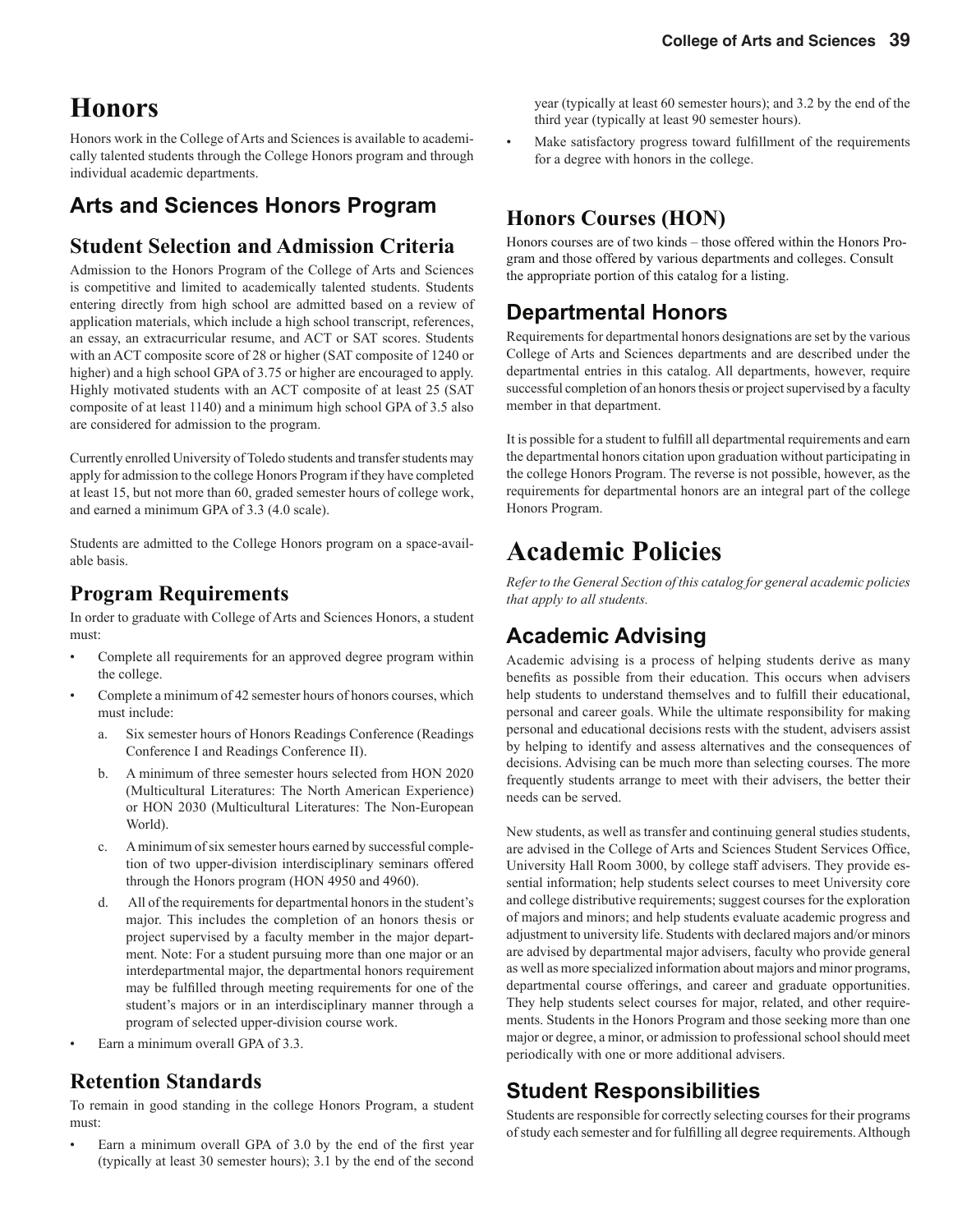## **Honors**

Honors work in the College of Arts and Sciences is available to academically talented students through the College Honors program and through individual academic departments.

### **Arts and Sciences Honors Program**

#### **Student Selection and Admission Criteria**

Admission to the Honors Program of the College of Arts and Sciences is competitive and limited to academically talented students. Students entering directly from high school are admitted based on a review of application materials, which include a high school transcript, references, an essay, an extracurricular resume, and ACT or SAT scores. Students with an ACT composite score of 28 or higher (SAT composite of 1240 or higher) and a high school GPA of 3.75 or higher are encouraged to apply. Highly motivated students with an ACT composite of at least 25 (SAT composite of at least 1140) and a minimum high school GPA of 3.5 also are considered for admission to the program.

Currently enrolled University of Toledo students and transfer students may apply for admission to the college Honors Program if they have completed at least 15, but not more than 60, graded semester hours of college work, and earned a minimum GPA of 3.3 (4.0 scale).

Students are admitted to the College Honors program on a space-available basis.

#### **Program Requirements**

In order to graduate with College of Arts and Sciences Honors, a student must:

- Complete all requirements for an approved degree program within the college.
- Complete a minimum of 42 semester hours of honors courses, which must include:
	- a. Six semester hours of Honors Readings Conference (Readings Conference I and Readings Conference II).
	- b. A minimum of three semester hours selected from HON 2020 (Multicultural Literatures: The North American Experience) or HON 2030 (Multicultural Literatures: The Non-European World).
	- c. A minimum of six semester hours earned by successful completion of two upper-division interdisciplinary seminars offered through the Honors program (HON 4950 and 4960).
	- d. All of the requirements for departmental honors in the student's major. This includes the completion of an honors thesis or project supervised by a faculty member in the major department. Note: For a student pursuing more than one major or an interdepartmental major, the departmental honors requirement may be fulfilled through meeting requirements for one of the student's majors or in an interdisciplinary manner through a program of selected upper-division course work.
- Earn a minimum overall GPA of 3.3.

#### **Retention Standards**

To remain in good standing in the college Honors Program, a student must:

Earn a minimum overall GPA of 3.0 by the end of the first year (typically at least 30 semester hours); 3.1 by the end of the second  year (typically at least 60 semester hours); and 3.2 by the end of the third year (typically at least 90 semester hours).

Make satisfactory progress toward fulfillment of the requirements for a degree with honors in the college.

#### **Honors Courses (HON)**

Honors courses are of two kinds – those offered within the Honors Program and those offered by various departments and colleges. Consult the appropriate portion of this catalog for a listing.

#### **Departmental Honors**

Requirements for departmental honors designations are set by the various College of Arts and Sciences departments and are described under the departmental entries in this catalog. All departments, however, require successful completion of an honors thesis or project supervised by a faculty member in that department.

It is possible for a student to fulfill all departmental requirements and earn the departmental honors citation upon graduation without participating in the college Honors Program. The reverse is not possible, however, as the requirements for departmental honors are an integral part of the college Honors Program.

## **Academic Policies**

*Refer to the General Section of this catalog for general academic policies that apply to all students.*

### **Academic Advising**

Academic advising is a process of helping students derive as many benefits as possible from their education. This occurs when advisers help students to understand themselves and to fulfill their educational, personal and career goals. While the ultimate responsibility for making personal and educational decisions rests with the student, advisers assist by helping to identify and assess alternatives and the consequences of decisions. Advising can be much more than selecting courses. The more frequently students arrange to meet with their advisers, the better their needs can be served.

New students, as well as transfer and continuing general studies students, are advised in the College of Arts and Sciences Student Services Office, University Hall Room 3000, by college staff advisers. They provide essential information; help students select courses to meet University core and college distributive requirements; suggest courses for the exploration of majors and minors; and help students evaluate academic progress and adjustment to university life. Students with declared majors and/or minors are advised by departmental major advisers, faculty who provide general as well as more specialized information about majors and minor programs, departmental course offerings, and career and graduate opportunities. They help students select courses for major, related, and other requirements. Students in the Honors Program and those seeking more than one major or degree, a minor, or admission to professional school should meet periodically with one or more additional advisers.

### **Student Responsibilities**

Students are responsible for correctly selecting courses for their programs of study each semester and for fulfilling all degree requirements. Although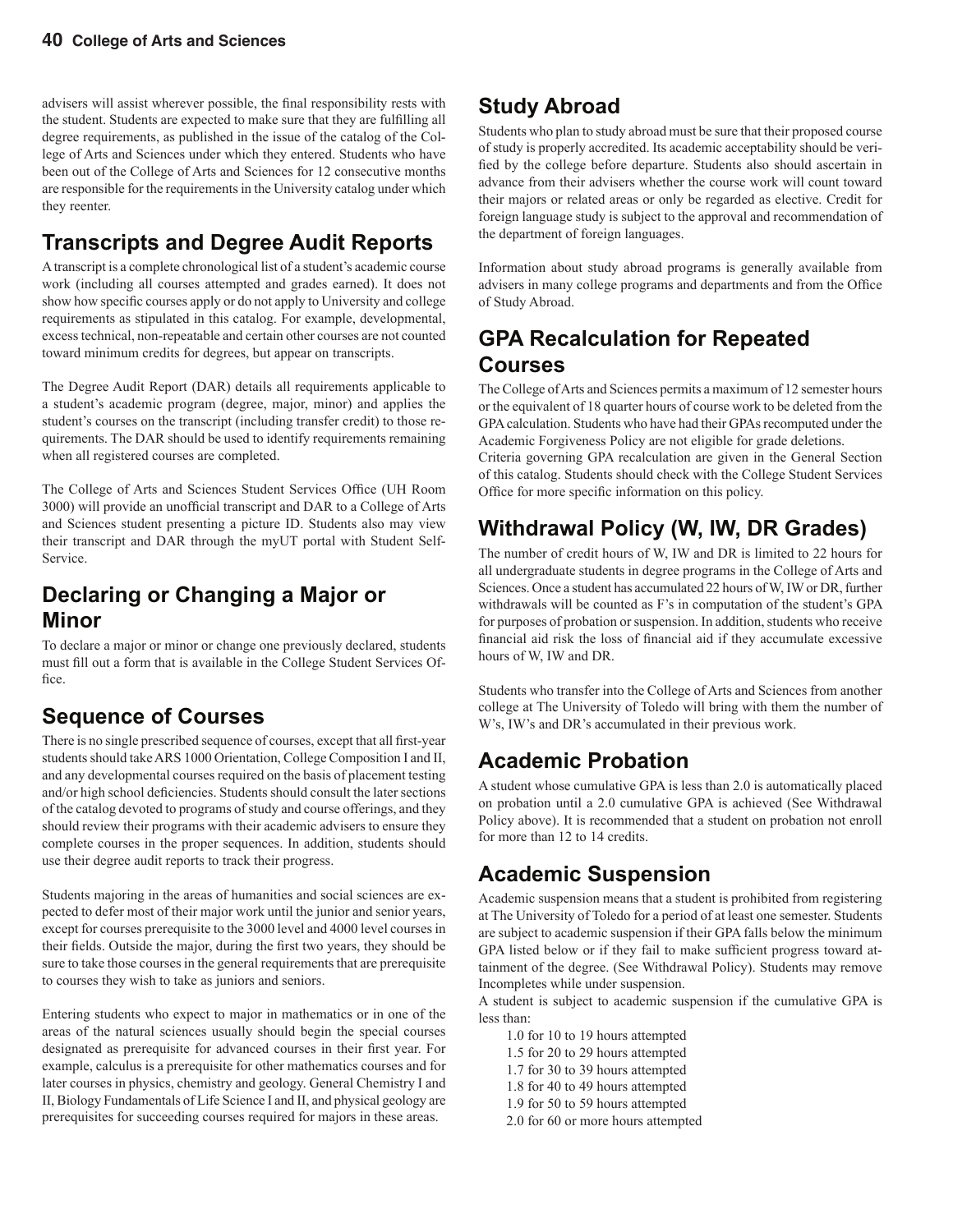advisers will assist wherever possible, the final responsibility rests with the student. Students are expected to make sure that they are fulfilling all degree requirements, as published in the issue of the catalog of the College of Arts and Sciences under which they entered. Students who have been out of the College of Arts and Sciences for 12 consecutive months are responsible for the requirements in the University catalog under which they reenter.

### **Transcripts and Degree Audit Reports**

A transcript is a complete chronological list of a student's academic course work (including all courses attempted and grades earned). It does not show how specific courses apply or do not apply to University and college requirements as stipulated in this catalog. For example, developmental, excess technical, non-repeatable and certain other courses are not counted toward minimum credits for degrees, but appear on transcripts.

The Degree Audit Report (DAR) details all requirements applicable to a student's academic program (degree, major, minor) and applies the student's courses on the transcript (including transfer credit) to those requirements. The DAR should be used to identify requirements remaining when all registered courses are completed.

The College of Arts and Sciences Student Services Office (UH Room 3000) will provide an unofficial transcript and DAR to a College of Arts and Sciences student presenting a picture ID. Students also may view their transcript and DAR through the myUT portal with Student Self-Service.

### **Declaring or Changing a Major or Minor**

To declare a major or minor or change one previously declared, students must fill out a form that is available in the College Student Services Office.

### **Sequence of Courses**

There is no single prescribed sequence of courses, except that all first-year students should take ARS 1000 Orientation, College Composition I and II, and any developmental courses required on the basis of placement testing and/or high school deficiencies. Students should consult the later sections of the catalog devoted to programs of study and course offerings, and they should review their programs with their academic advisers to ensure they complete courses in the proper sequences. In addition, students should use their degree audit reports to track their progress.

Students majoring in the areas of humanities and social sciences are expected to defer most of their major work until the junior and senior years, except for courses prerequisite to the 3000 level and 4000 level courses in their fields. Outside the major, during the first two years, they should be sure to take those courses in the general requirements that are prerequisite to courses they wish to take as juniors and seniors.

Entering students who expect to major in mathematics or in one of the areas of the natural sciences usually should begin the special courses designated as prerequisite for advanced courses in their first year. For example, calculus is a prerequisite for other mathematics courses and for later courses in physics, chemistry and geology. General Chemistry I and II, Biology Fundamentals of Life Science I and II, and physical geology are prerequisites for succeeding courses required for majors in these areas.

### **Study Abroad**

Students who plan to study abroad must be sure that their proposed course of study is properly accredited. Its academic acceptability should be verified by the college before departure. Students also should ascertain in advance from their advisers whether the course work will count toward their majors or related areas or only be regarded as elective. Credit for foreign language study is subject to the approval and recommendation of the department of foreign languages.

Information about study abroad programs is generally available from advisers in many college programs and departments and from the Office of Study Abroad.

### **GPA Recalculation for Repeated Courses**

The College of Arts and Sciences permits a maximum of 12 semester hours or the equivalent of 18 quarter hours of course work to be deleted from the GPA calculation. Students who have had their GPAs recomputed under the Academic Forgiveness Policy are not eligible for grade deletions.

Criteria governing GPA recalculation are given in the General Section of this catalog. Students should check with the College Student Services Office for more specific information on this policy.

## **Withdrawal Policy (W, IW, DR Grades)**

The number of credit hours of W, IW and DR is limited to 22 hours for all undergraduate students in degree programs in the College of Arts and Sciences. Once a student has accumulated 22 hours of W, IW or DR, further withdrawals will be counted as F's in computation of the student's GPA for purposes of probation or suspension. In addition, students who receive financial aid risk the loss of financial aid if they accumulate excessive hours of W, IW and DR.

Students who transfer into the College of Arts and Sciences from another college at The University of Toledo will bring with them the number of W's, IW's and DR's accumulated in their previous work.

### **Academic Probation**

A student whose cumulative GPA is less than 2.0 is automatically placed on probation until a 2.0 cumulative GPA is achieved (See Withdrawal Policy above). It is recommended that a student on probation not enroll for more than 12 to 14 credits.

### **Academic Suspension**

Academic suspension means that a student is prohibited from registering at The University of Toledo for a period of at least one semester. Students are subject to academic suspension if their GPA falls below the minimum GPA listed below or if they fail to make sufficient progress toward attainment of the degree. (See Withdrawal Policy). Students may remove Incompletes while under suspension.

A student is subject to academic suspension if the cumulative GPA is less than:

- 1.0 for 10 to 19 hours attempted 1.5 for 20 to 29 hours attempted 1.7 for 30 to 39 hours attempted 1.8 for 40 to 49 hours attempted 1.9 for 50 to 59 hours attempted
- 2.0 for 60 or more hours attempted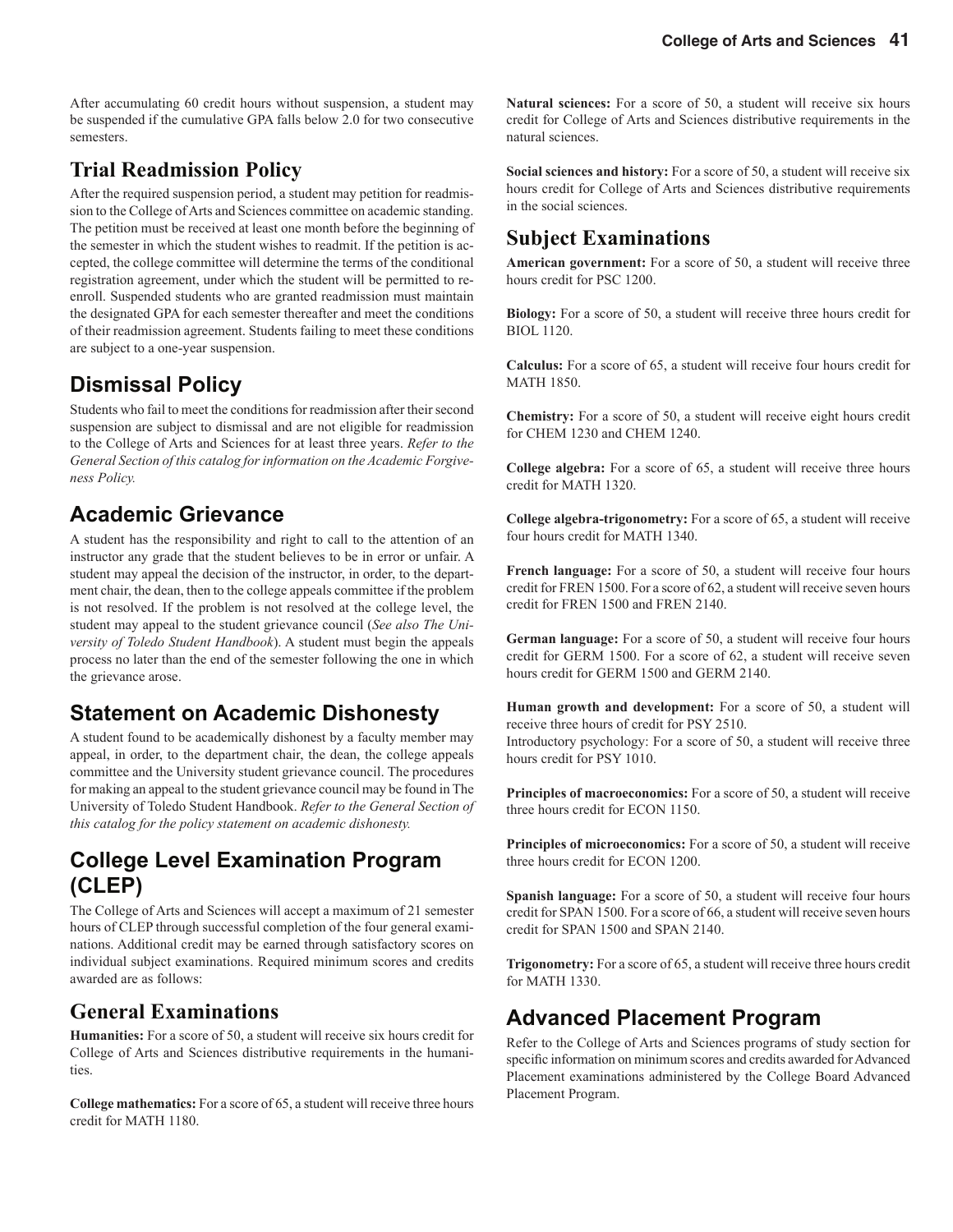After accumulating 60 credit hours without suspension, a student may be suspended if the cumulative GPA falls below 2.0 for two consecutive semesters.

### **Trial Readmission Policy**

After the required suspension period, a student may petition for readmission to the College of Arts and Sciences committee on academic standing. The petition must be received at least one month before the beginning of the semester in which the student wishes to readmit. If the petition is accepted, the college committee will determine the terms of the conditional registration agreement, under which the student will be permitted to reenroll. Suspended students who are granted readmission must maintain the designated GPA for each semester thereafter and meet the conditions of their readmission agreement. Students failing to meet these conditions are subject to a one-year suspension.

### **Dismissal Policy**

Students who fail to meet the conditions for readmission after their second suspension are subject to dismissal and are not eligible for readmission to the College of Arts and Sciences for at least three years. *Refer to the General Section of this catalog for information on the Academic Forgiveness Policy.*

### **Academic Grievance**

A student has the responsibility and right to call to the attention of an instructor any grade that the student believes to be in error or unfair. A student may appeal the decision of the instructor, in order, to the department chair, the dean, then to the college appeals committee if the problem is not resolved. If the problem is not resolved at the college level, the student may appeal to the student grievance council (*See also The University of Toledo Student Handbook*). A student must begin the appeals process no later than the end of the semester following the one in which the grievance arose.

### **Statement on Academic Dishonesty**

A student found to be academically dishonest by a faculty member may appeal, in order, to the department chair, the dean, the college appeals committee and the University student grievance council. The procedures for making an appeal to the student grievance council may be found in The University of Toledo Student Handbook. *Refer to the General Section of this catalog for the policy statement on academic dishonesty.*

### **College Level Examination Program (CLEP)**

The College of Arts and Sciences will accept a maximum of 21 semester hours of CLEP through successful completion of the four general examinations. Additional credit may be earned through satisfactory scores on individual subject examinations. Required minimum scores and credits awarded are as follows:

### **General Examinations**

**Humanities:** For a score of 50, a student will receive six hours credit for College of Arts and Sciences distributive requirements in the humanities.

**College mathematics:** For a score of 65, a student will receive three hours credit for MATH 1180.

**Natural sciences:** For a score of 50, a student will receive six hours credit for College of Arts and Sciences distributive requirements in the natural sciences.

**Social sciences and history:** For a score of 50, a student will receive six hours credit for College of Arts and Sciences distributive requirements in the social sciences.

### **Subject Examinations**

**American government:** For a score of 50, a student will receive three hours credit for PSC 1200.

**Biology:** For a score of 50, a student will receive three hours credit for BIOL 1120.

**Calculus:** For a score of 65, a student will receive four hours credit for MATH 1850.

**Chemistry:** For a score of 50, a student will receive eight hours credit for CHEM 1230 and CHEM 1240.

**College algebra:** For a score of 65, a student will receive three hours credit for MATH 1320.

**College algebra-trigonometry:** For a score of 65, a student will receive four hours credit for MATH 1340.

**French language:** For a score of 50, a student will receive four hours credit for FREN 1500. For a score of 62, a student will receive seven hours credit for FREN 1500 and FREN 2140.

**German language:** For a score of 50, a student will receive four hours credit for GERM 1500. For a score of 62, a student will receive seven hours credit for GERM 1500 and GERM 2140.

**Human growth and development:** For a score of 50, a student will receive three hours of credit for PSY 2510.

Introductory psychology: For a score of 50, a student will receive three hours credit for PSY 1010.

**Principles of macroeconomics:** For a score of 50, a student will receive three hours credit for ECON 1150.

**Principles of microeconomics:** For a score of 50, a student will receive three hours credit for ECON 1200.

**Spanish language:** For a score of 50, a student will receive four hours credit for SPAN 1500. For a score of 66, a student will receive seven hours credit for SPAN 1500 and SPAN 2140.

**Trigonometry:** For a score of 65, a student will receive three hours credit for MATH 1330.

### **Advanced Placement Program**

Refer to the College of Arts and Sciences programs of study section for specific information on minimum scores and credits awarded for Advanced Placement examinations administered by the College Board Advanced Placement Program.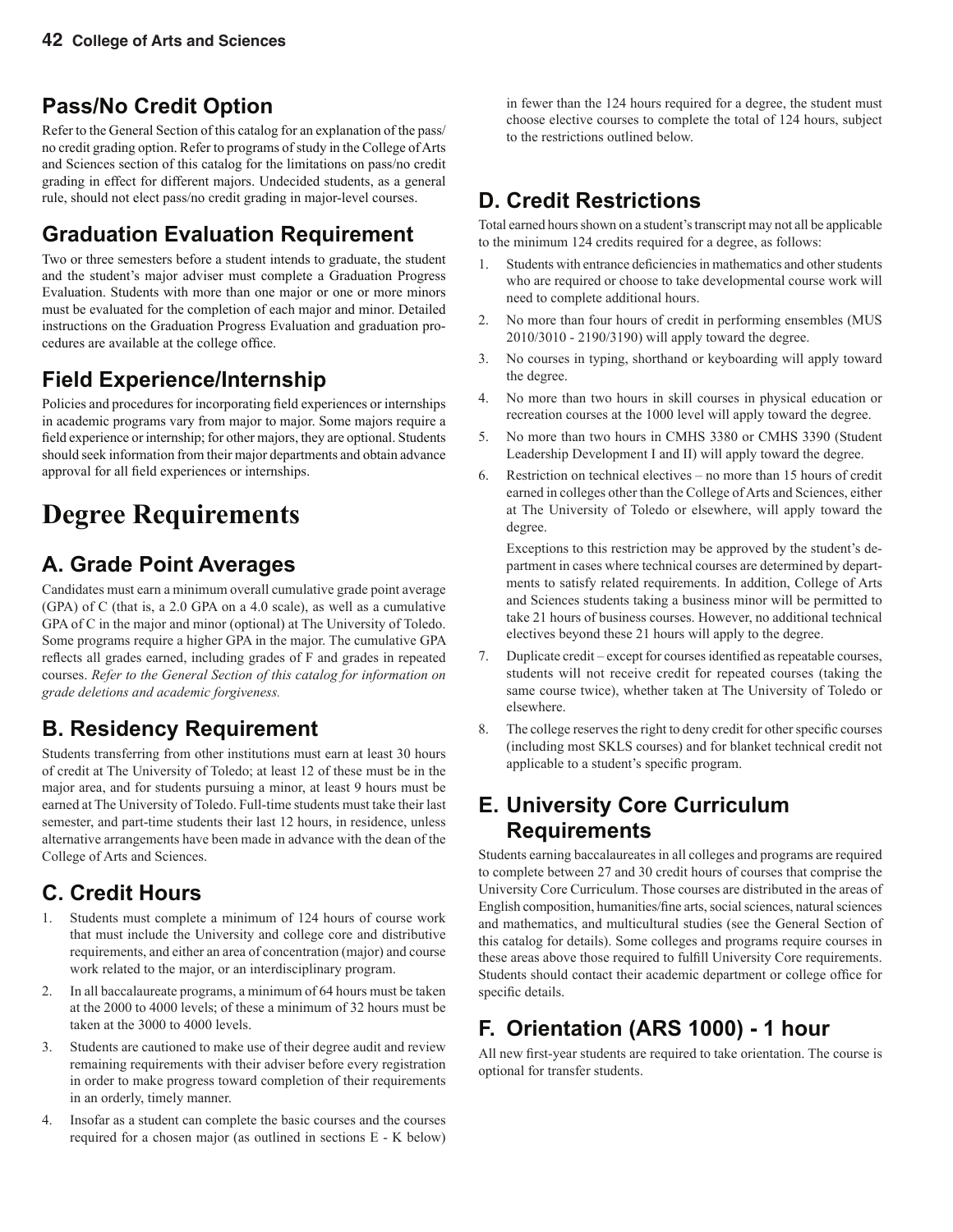### **Pass/No Credit Option**

Refer to the General Section of this catalog for an explanation of the pass/ no credit grading option. Refer to programs of study in the College of Arts and Sciences section of this catalog for the limitations on pass/no credit grading in effect for different majors. Undecided students, as a general rule, should not elect pass/no credit grading in major-level courses.

### **Graduation Evaluation Requirement**

Two or three semesters before a student intends to graduate, the student and the student's major adviser must complete a Graduation Progress Evaluation. Students with more than one major or one or more minors must be evaluated for the completion of each major and minor. Detailed instructions on the Graduation Progress Evaluation and graduation procedures are available at the college office.

### **Field Experience/Internship**

Policies and procedures for incorporating field experiences or internships in academic programs vary from major to major. Some majors require a field experience or internship; for other majors, they are optional. Students should seek information from their major departments and obtain advance approval for all field experiences or internships.

## **Degree Requirements**

### **A. Grade Point Averages**

Candidates must earn a minimum overall cumulative grade point average (GPA) of C (that is, a 2.0 GPA on a 4.0 scale), as well as a cumulative GPA of C in the major and minor (optional) at The University of Toledo. Some programs require a higher GPA in the major. The cumulative GPA reflects all grades earned, including grades of F and grades in repeated courses. *Refer to the General Section of this catalog for information on grade deletions and academic forgiveness.*

### **B. Residency Requirement**

Students transferring from other institutions must earn at least 30 hours of credit at The University of Toledo; at least 12 of these must be in the major area, and for students pursuing a minor, at least 9 hours must be earned at The University of Toledo. Full-time students must take their last semester, and part-time students their last 12 hours, in residence, unless alternative arrangements have been made in advance with the dean of the College of Arts and Sciences.

### **C. Credit Hours**

- 1. Students must complete a minimum of 124 hours of course work that must include the University and college core and distributive requirements, and either an area of concentration (major) and course work related to the major, or an interdisciplinary program.
- 2. In all baccalaureate programs, a minimum of 64 hours must be taken at the 2000 to 4000 levels; of these a minimum of 32 hours must be taken at the 3000 to 4000 levels.
- 3. Students are cautioned to make use of their degree audit and review remaining requirements with their adviser before every registration in order to make progress toward completion of their requirements in an orderly, timely manner.
- 4. Insofar as a student can complete the basic courses and the courses required for a chosen major (as outlined in sections E - K below)

in fewer than the 124 hours required for a degree, the student must choose elective courses to complete the total of 124 hours, subject to the restrictions outlined below.

### **D. Credit Restrictions**

Total earned hours shown on a student's transcript may not all be applicable to the minimum 124 credits required for a degree, as follows:

- 1. Students with entrance deficiencies in mathematics and other students who are required or choose to take developmental course work will need to complete additional hours.
- 2. No more than four hours of credit in performing ensembles (MUS 2010/3010 - 2190/3190) will apply toward the degree.
- 3. No courses in typing, shorthand or keyboarding will apply toward the degree.
- 4. No more than two hours in skill courses in physical education or recreation courses at the 1000 level will apply toward the degree.
- 5. No more than two hours in CMHS 3380 or CMHS 3390 (Student Leadership Development I and II) will apply toward the degree.
- 6. Restriction on technical electives no more than 15 hours of credit earned in colleges other than the College of Arts and Sciences, either at The University of Toledo or elsewhere, will apply toward the degree.

 Exceptions to this restriction may be approved by the student's department in cases where technical courses are determined by departments to satisfy related requirements. In addition, College of Arts and Sciences students taking a business minor will be permitted to take 21 hours of business courses. However, no additional technical electives beyond these 21 hours will apply to the degree.

- 7. Duplicate credit except for courses identified as repeatable courses, students will not receive credit for repeated courses (taking the same course twice), whether taken at The University of Toledo or elsewhere.
- 8. The college reserves the right to deny credit for other specific courses (including most SKLS courses) and for blanket technical credit not applicable to a student's specific program.

### **E. University Core Curriculum Requirements**

Students earning baccalaureates in all colleges and programs are required to complete between 27 and 30 credit hours of courses that comprise the University Core Curriculum. Those courses are distributed in the areas of English composition, humanities/fine arts, social sciences, natural sciences and mathematics, and multicultural studies (see the General Section of this catalog for details). Some colleges and programs require courses in these areas above those required to fulfill University Core requirements. Students should contact their academic department or college office for specific details.

### **F. Orientation (ARS 1000) - 1 hour**

All new first-year students are required to take orientation. The course is optional for transfer students.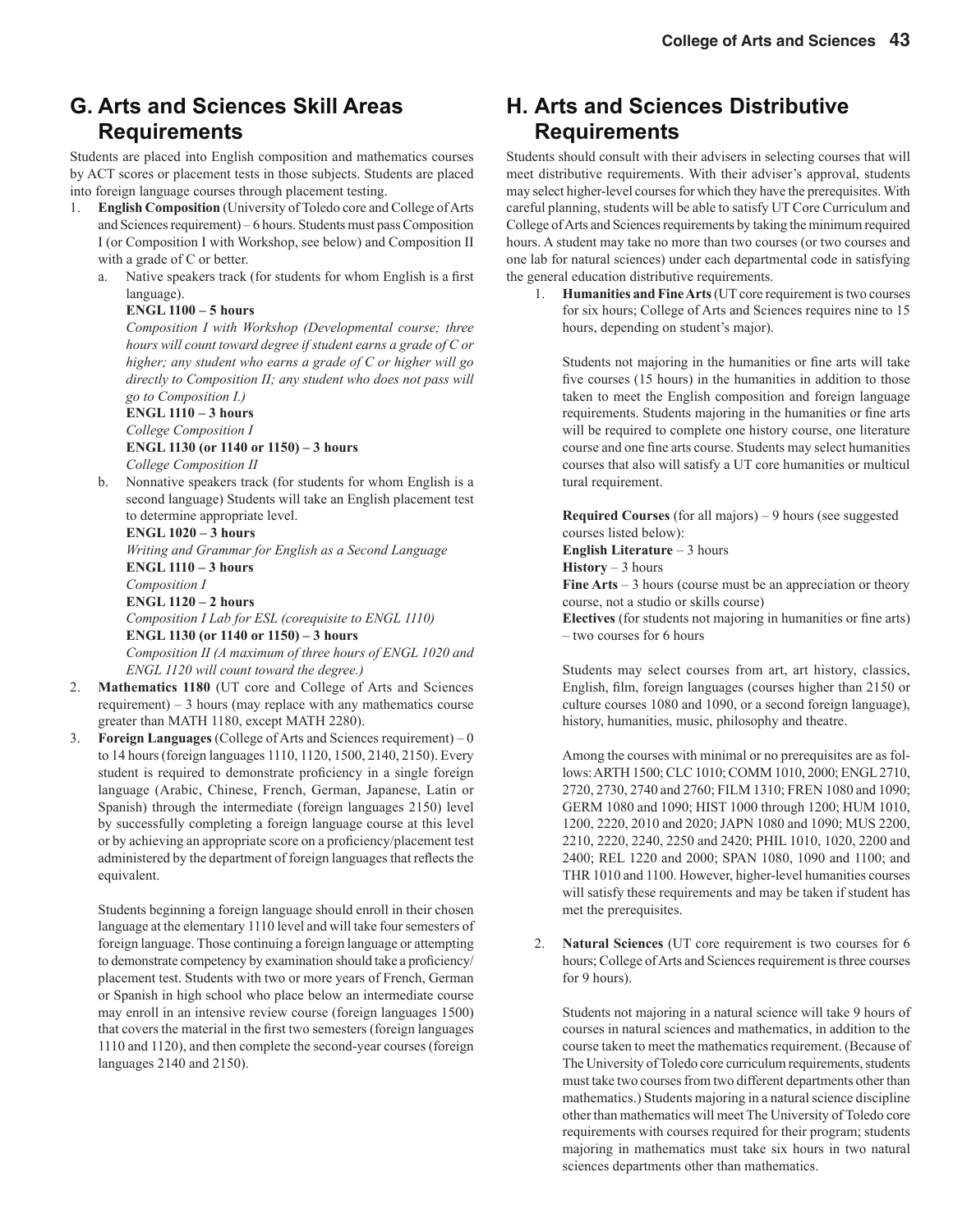### **G. Arts and Sciences Skill Areas Requirements**

Students are placed into English composition and mathematics courses by ACT scores or placement tests in those subjects. Students are placed into foreign language courses through placement testing.

- 1. **English Composition** (University of Toledo core and College of Arts and Sciences requirement) – 6 hours. Students must pass Composition I (or Composition I with Workshop, see below) and Composition II with a grade of C or better.
	- a. Native speakers track (for students for whom English is a first language).

#### **ENGL 1100 – 5 hours**

 *Composition I with Workshop (Developmental course; three hours will count toward degree if student earns a grade of C or higher; any student who earns a grade of C or higher will go directly to Composition II; any student who does not pass will go to Composition I.)*

 **ENGL 1110 – 3 hours**  *College Composition I*  **ENGL 1130 (or 1140 or 1150) – 3 hours** 

*College Composition II*

 b. Nonnative speakers track (for students for whom English is a second language) Students will take an English placement test to determine appropriate level.

#### **ENGL 1020 – 3 hours**

 *Writing and Grammar for English as a Second Language* **ENGL 1110 – 3 hours**  *Composition I* **ENGL 1120 – 2 hours** *Composition I Lab for ESL (corequisite to ENGL 1110)*  **ENGL 1130 (or 1140 or 1150) – 3 hours** *Composition II (A maximum of three hours of ENGL 1020 and ENGL 1120 will count toward the degree.)*

- 2. **Mathematics 1180** (UT core and College of Arts and Sciences requirement) – 3 hours (may replace with any mathematics course greater than MATH 1180, except MATH 2280).
- 3. **Foreign Languages** (College of Arts and Sciences requirement) 0 to 14 hours (foreign languages 1110, 1120, 1500, 2140, 2150). Every student is required to demonstrate proficiency in a single foreign language (Arabic, Chinese, French, German, Japanese, Latin or Spanish) through the intermediate (foreign languages 2150) level by successfully completing a foreign language course at this level or by achieving an appropriate score on a proficiency/placement test administered by the department of foreign languages that reflects the equivalent.

 Students beginning a foreign language should enroll in their chosen language at the elementary 1110 level and will take four semesters of foreign language. Those continuing a foreign language or attempting to demonstrate competency by examination should take a proficiency/ placement test. Students with two or more years of French, German or Spanish in high school who place below an intermediate course may enroll in an intensive review course (foreign languages 1500) that covers the material in the first two semesters (foreign languages 1110 and 1120), and then complete the second-year courses (foreign languages 2140 and 2150).

#### **H. Arts and Sciences Distributive Requirements**

Students should consult with their advisers in selecting courses that will meet distributive requirements. With their adviser's approval, students may select higher-level courses for which they have the prerequisites. With careful planning, students will be able to satisfy UT Core Curriculum and College of Arts and Sciences requirements by taking the minimum required hours. A student may take no more than two courses (or two courses and one lab for natural sciences) under each departmental code in satisfying the general education distributive requirements.

1. **Humanities and Fine Arts** (UT core requirement is two courses for six hours; College of Arts and Sciences requires nine to 15 hours, depending on student's major).

Students not majoring in the humanities or fine arts will take five courses (15 hours) in the humanities in addition to those taken to meet the English composition and foreign language requirements. Students majoring in the humanities or fine arts will be required to complete one history course, one literature course and one fine arts course. Students may select humanities courses that also will satisfy a UT core humanities or multicul tural requirement.

**Required Courses** (for all majors) – 9 hours (see suggested courses listed below):

**English Literature** – 3 hours

**History** – 3 hours

**Fine Arts** – 3 hours (course must be an appreciation or theory course, not a studio or skills course)

**Electives** (for students not majoring in humanities or fine arts) – two courses for 6 hours

Students may select courses from art, art history, classics, English, film, foreign languages (courses higher than 2150 or culture courses 1080 and 1090, or a second foreign language), history, humanities, music, philosophy and theatre.

Among the courses with minimal or no prerequisites are as follows: ARTH 1500; CLC 1010; COMM 1010, 2000; ENGL 2710, 2720, 2730, 2740 and 2760; FILM 1310; FREN 1080 and 1090; GERM 1080 and 1090; HIST 1000 through 1200; HUM 1010, 1200, 2220, 2010 and 2020; JAPN 1080 and 1090; MUS 2200, 2210, 2220, 2240, 2250 and 2420; PHIL 1010, 1020, 2200 and 2400; REL 1220 and 2000; SPAN 1080, 1090 and 1100; and THR 1010 and 1100. However, higher-level humanities courses will satisfy these requirements and may be taken if student has met the prerequisites.

2. **Natural Sciences** (UT core requirement is two courses for 6 hours; College of Arts and Sciences requirement is three courses for 9 hours).

Students not majoring in a natural science will take 9 hours of courses in natural sciences and mathematics, in addition to the course taken to meet the mathematics requirement. (Because of The University of Toledo core curriculum requirements, students must take two courses from two different departments other than mathematics.) Students majoring in a natural science discipline other than mathematics will meet The University of Toledo core requirements with courses required for their program; students majoring in mathematics must take six hours in two natural sciences departments other than mathematics.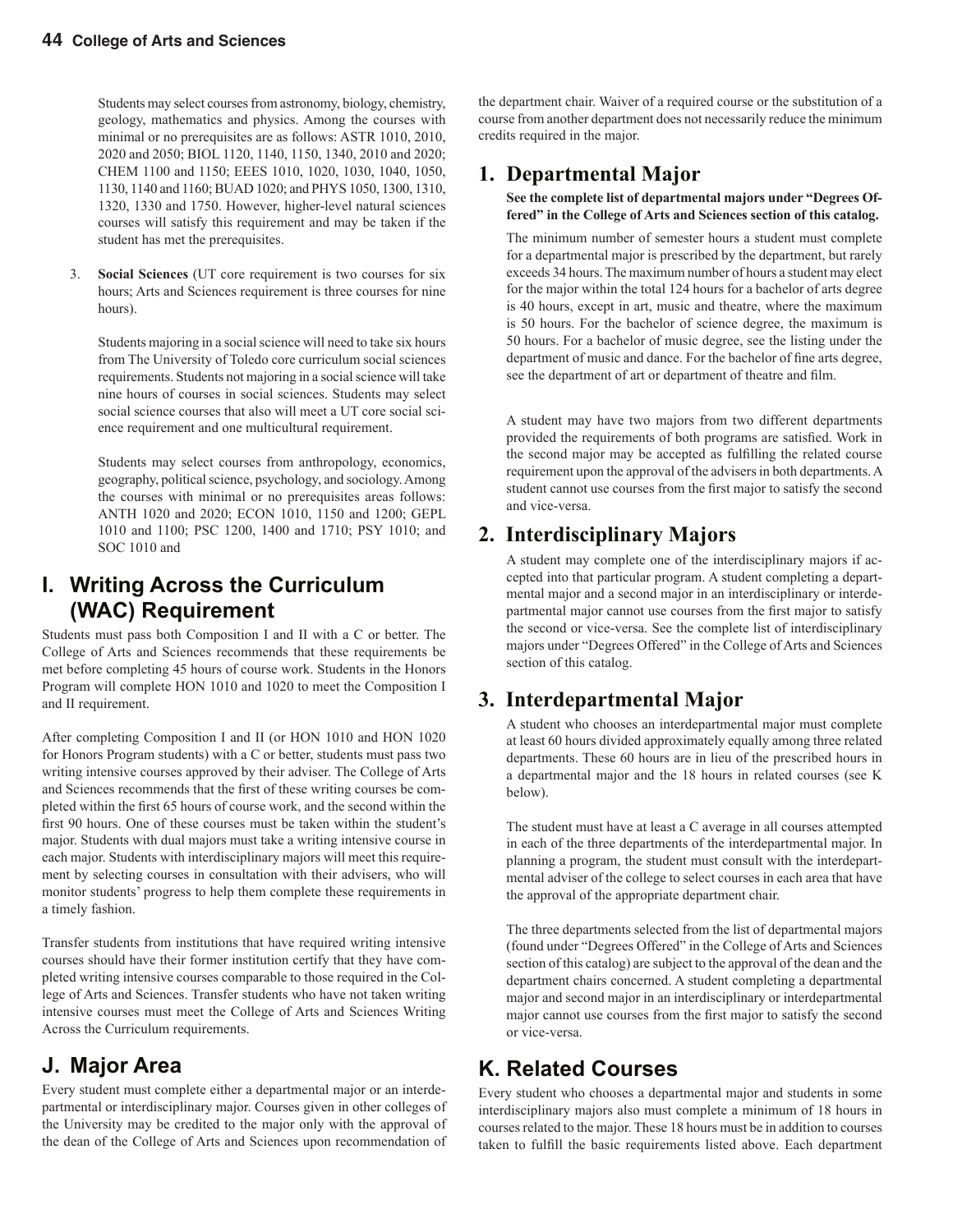Students may select courses from astronomy, biology, chemistry, geology, mathematics and physics. Among the courses with minimal or no prerequisites are as follows: ASTR 1010, 2010, 2020 and 2050; BIOL 1120, 1140, 1150, 1340, 2010 and 2020; CHEM 1100 and 1150; EEES 1010, 1020, 1030, 1040, 1050, 1130, 1140 and 1160; BUAD 1020; and PHYS 1050, 1300, 1310, 1320, 1330 and 1750. However, higher-level natural sciences courses will satisfy this requirement and may be taken if the student has met the prerequisites.

3. **Social Sciences** (UT core requirement is two courses for six hours; Arts and Sciences requirement is three courses for nine hours).

Students majoring in a social science will need to take six hours from The University of Toledo core curriculum social sciences requirements. Students not majoring in a social science will take nine hours of courses in social sciences. Students may select social science courses that also will meet a UT core social science requirement and one multicultural requirement.

Students may select courses from anthropology, economics, geography, political science, psychology, and sociology. Among the courses with minimal or no prerequisites areas follows: ANTH 1020 and 2020; ECON 1010, 1150 and 1200; GEPL 1010 and 1100; PSC 1200, 1400 and 1710; PSY 1010; and SOC 1010 and

### **I. Writing Across the Curriculum (WAC) Requirement**

Students must pass both Composition I and II with a C or better. The College of Arts and Sciences recommends that these requirements be met before completing 45 hours of course work. Students in the Honors Program will complete HON 1010 and 1020 to meet the Composition I and II requirement.

After completing Composition I and II (or HON 1010 and HON 1020 for Honors Program students) with a C or better, students must pass two writing intensive courses approved by their adviser. The College of Arts and Sciences recommends that the first of these writing courses be completed within the first 65 hours of course work, and the second within the first 90 hours. One of these courses must be taken within the student's major. Students with dual majors must take a writing intensive course in each major. Students with interdisciplinary majors will meet this requirement by selecting courses in consultation with their advisers, who will monitor students' progress to help them complete these requirements in a timely fashion.

Transfer students from institutions that have required writing intensive courses should have their former institution certify that they have completed writing intensive courses comparable to those required in the College of Arts and Sciences. Transfer students who have not taken writing intensive courses must meet the College of Arts and Sciences Writing Across the Curriculum requirements.

### **J. Major Area**

Every student must complete either a departmental major or an interdepartmental or interdisciplinary major. Courses given in other colleges of the University may be credited to the major only with the approval of the dean of the College of Arts and Sciences upon recommendation of

the department chair. Waiver of a required course or the substitution of a course from another department does not necessarily reduce the minimum credits required in the major.

#### **1. Departmental Major**

 **See the complete list of departmental majors under "Degrees Offered" in the College of Arts and Sciences section of this catalog.**

 The minimum number of semester hours a student must complete for a departmental major is prescribed by the department, but rarely exceeds 34 hours. The maximum number of hours a student may elect for the major within the total 124 hours for a bachelor of arts degree is 40 hours, except in art, music and theatre, where the maximum is 50 hours. For the bachelor of science degree, the maximum is 50 hours. For a bachelor of music degree, see the listing under the department of music and dance. For the bachelor of fine arts degree, see the department of art or department of theatre and film.

 A student may have two majors from two different departments provided the requirements of both programs are satisfied. Work in the second major may be accepted as fulfilling the related course requirement upon the approval of the advisers in both departments. A student cannot use courses from the first major to satisfy the second and vice-versa.

#### **2. Interdisciplinary Majors**

A student may complete one of the interdisciplinary majors if accepted into that particular program. A student completing a departmental major and a second major in an interdisciplinary or interdepartmental major cannot use courses from the first major to satisfy the second or vice-versa. See the complete list of interdisciplinary majors under "Degrees Offered" in the College of Arts and Sciences section of this catalog.

#### **3. Interdepartmental Major**

A student who chooses an interdepartmental major must complete at least 60 hours divided approximately equally among three related departments. These 60 hours are in lieu of the prescribed hours in a departmental major and the 18 hours in related courses (see K below).

The student must have at least a C average in all courses attempted in each of the three departments of the interdepartmental major. In planning a program, the student must consult with the interdepartmental adviser of the college to select courses in each area that have the approval of the appropriate department chair.

The three departments selected from the list of departmental majors (found under "Degrees Offered" in the College of Arts and Sciences section of this catalog) are subject to the approval of the dean and the department chairs concerned. A student completing a departmental major and second major in an interdisciplinary or interdepartmental major cannot use courses from the first major to satisfy the second or vice-versa.

### **K. Related Courses**

Every student who chooses a departmental major and students in some interdisciplinary majors also must complete a minimum of 18 hours in courses related to the major. These 18 hours must be in addition to courses taken to fulfill the basic requirements listed above. Each department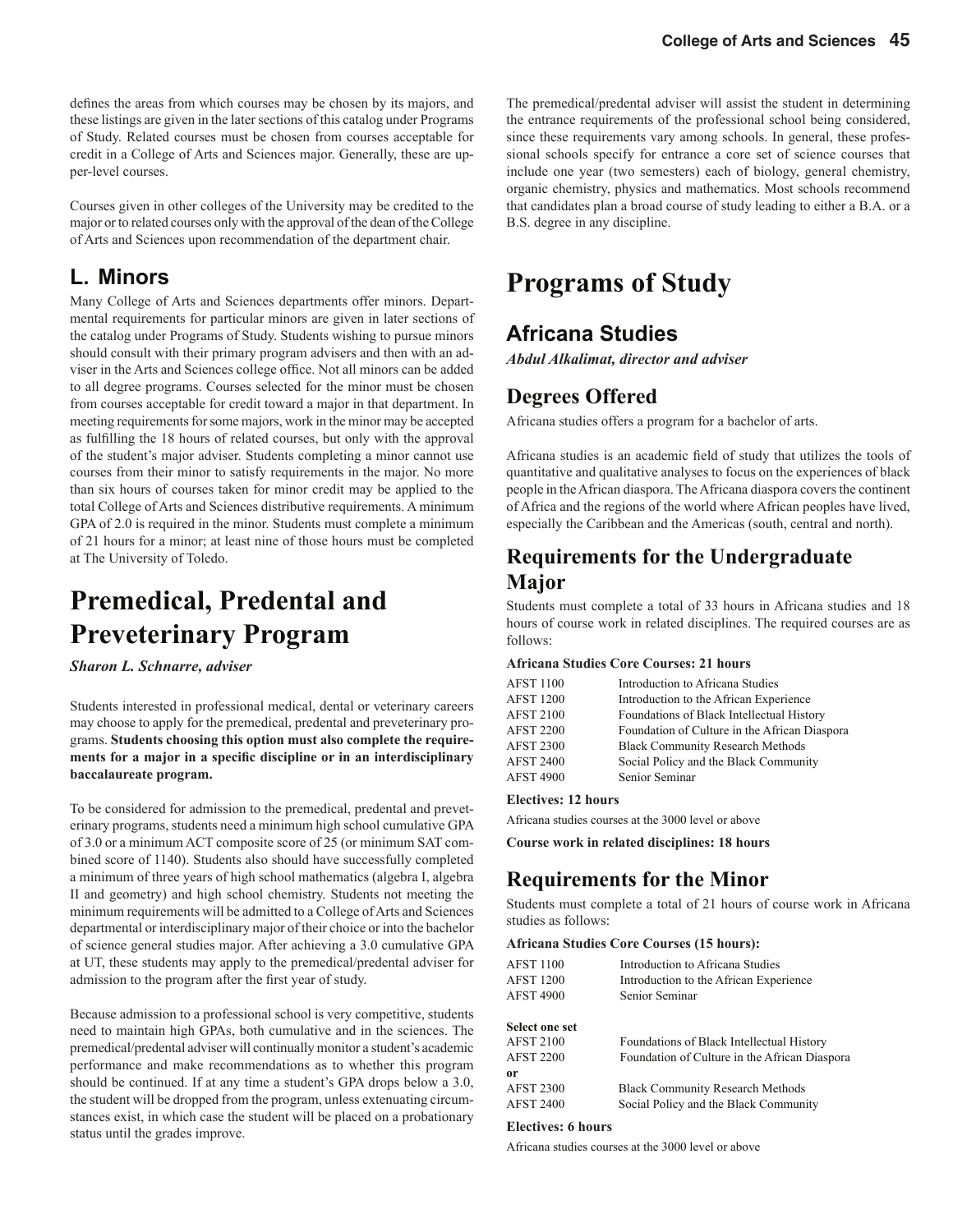defines the areas from which courses may be chosen by its majors, and these listings are given in the later sections of this catalog under Programs of Study. Related courses must be chosen from courses acceptable for credit in a College of Arts and Sciences major. Generally, these are upper-level courses.

Courses given in other colleges of the University may be credited to the major or to related courses only with the approval of the dean of the College of Arts and Sciences upon recommendation of the department chair.

#### **L. Minors**

Many College of Arts and Sciences departments offer minors. Departmental requirements for particular minors are given in later sections of the catalog under Programs of Study. Students wishing to pursue minors should consult with their primary program advisers and then with an adviser in the Arts and Sciences college office. Not all minors can be added to all degree programs. Courses selected for the minor must be chosen from courses acceptable for credit toward a major in that department. In meeting requirements for some majors, work in the minor may be accepted as fulfilling the 18 hours of related courses, but only with the approval of the student's major adviser. Students completing a minor cannot use courses from their minor to satisfy requirements in the major. No more than six hours of courses taken for minor credit may be applied to the total College of Arts and Sciences distributive requirements. A minimum GPA of 2.0 is required in the minor. Students must complete a minimum of 21 hours for a minor; at least nine of those hours must be completed at The University of Toledo.

## **Premedical, Predental and Preveterinary Program**

*Sharon L. Schnarre, adviser*

Students interested in professional medical, dental or veterinary careers may choose to apply for the premedical, predental and preveterinary programs. **Students choosing this option must also complete the require**ments for a major in a specific discipline or in an interdisciplinary **baccalaureate program.**

To be considered for admission to the premedical, predental and preveterinary programs, students need a minimum high school cumulative GPA of 3.0 or a minimum ACT composite score of 25 (or minimum SAT combined score of 1140). Students also should have successfully completed a minimum of three years of high school mathematics (algebra I, algebra II and geometry) and high school chemistry. Students not meeting the minimum requirements will be admitted to a College of Arts and Sciences departmental or interdisciplinary major of their choice or into the bachelor of science general studies major. After achieving a 3.0 cumulative GPA at UT, these students may apply to the premedical/predental adviser for admission to the program after the first year of study.

Because admission to a professional school is very competitive, students need to maintain high GPAs, both cumulative and in the sciences. The premedical/predental adviser will continually monitor a student's academic performance and make recommendations as to whether this program should be continued. If at any time a student's GPA drops below a 3.0, the student will be dropped from the program, unless extenuating circumstances exist, in which case the student will be placed on a probationary status until the grades improve.

The premedical/predental adviser will assist the student in determining the entrance requirements of the professional school being considered, since these requirements vary among schools. In general, these professional schools specify for entrance a core set of science courses that include one year (two semesters) each of biology, general chemistry, organic chemistry, physics and mathematics. Most schools recommend that candidates plan a broad course of study leading to either a B.A. or a B.S. degree in any discipline.

## **Programs of Study**

### **Africana Studies**

*Abdul Alkalimat, director and adviser*

#### **Degrees Offered**

Africana studies offers a program for a bachelor of arts.

Africana studies is an academic field of study that utilizes the tools of quantitative and qualitative analyses to focus on the experiences of black people in the African diaspora. The Africana diaspora covers the continent of Africa and the regions of the world where African peoples have lived, especially the Caribbean and the Americas (south, central and north).

#### **Requirements for the Undergraduate Major**

Students must complete a total of 33 hours in Africana studies and 18 hours of course work in related disciplines. The required courses are as follows:

#### **Africana Studies Core Courses: 21 hours**

| <b>AFST 1100</b> | Introduction to Africana Studies              |
|------------------|-----------------------------------------------|
| <b>AFST 1200</b> | Introduction to the African Experience        |
| <b>AFST 2100</b> | Foundations of Black Intellectual History     |
| <b>AFST 2200</b> | Foundation of Culture in the African Diaspora |
| <b>AFST 2300</b> | <b>Black Community Research Methods</b>       |
| <b>AFST 2400</b> | Social Policy and the Black Community         |
| <b>AFST 4900</b> | Senior Seminar                                |

#### **Electives: 12 hours**

Africana studies courses at the 3000 level or above

**Course work in related disciplines: 18 hours**

#### **Requirements for the Minor**

Students must complete a total of 21 hours of course work in Africana studies as follows:

#### **Africana Studies Core Courses (15 hours):**

| <b>AFST 1100</b><br><b>AFST 1200</b><br><b>AFST 4900</b> | Introduction to Africana Studies<br>Introduction to the African Experience<br>Senior Seminar |
|----------------------------------------------------------|----------------------------------------------------------------------------------------------|
| <b>Select one set</b>                                    |                                                                                              |
| <b>AFST 2100</b>                                         | Foundations of Black Intellectual History                                                    |
| <b>AFST 2200</b>                                         | Foundation of Culture in the African Diaspora                                                |
| 0r                                                       |                                                                                              |
| <b>AFST 2300</b>                                         | <b>Black Community Research Methods</b>                                                      |
| <b>AFST 2400</b>                                         | Social Policy and the Black Community                                                        |
|                                                          |                                                                                              |

#### **Electives: 6 hours**

Africana studies courses at the 3000 level or above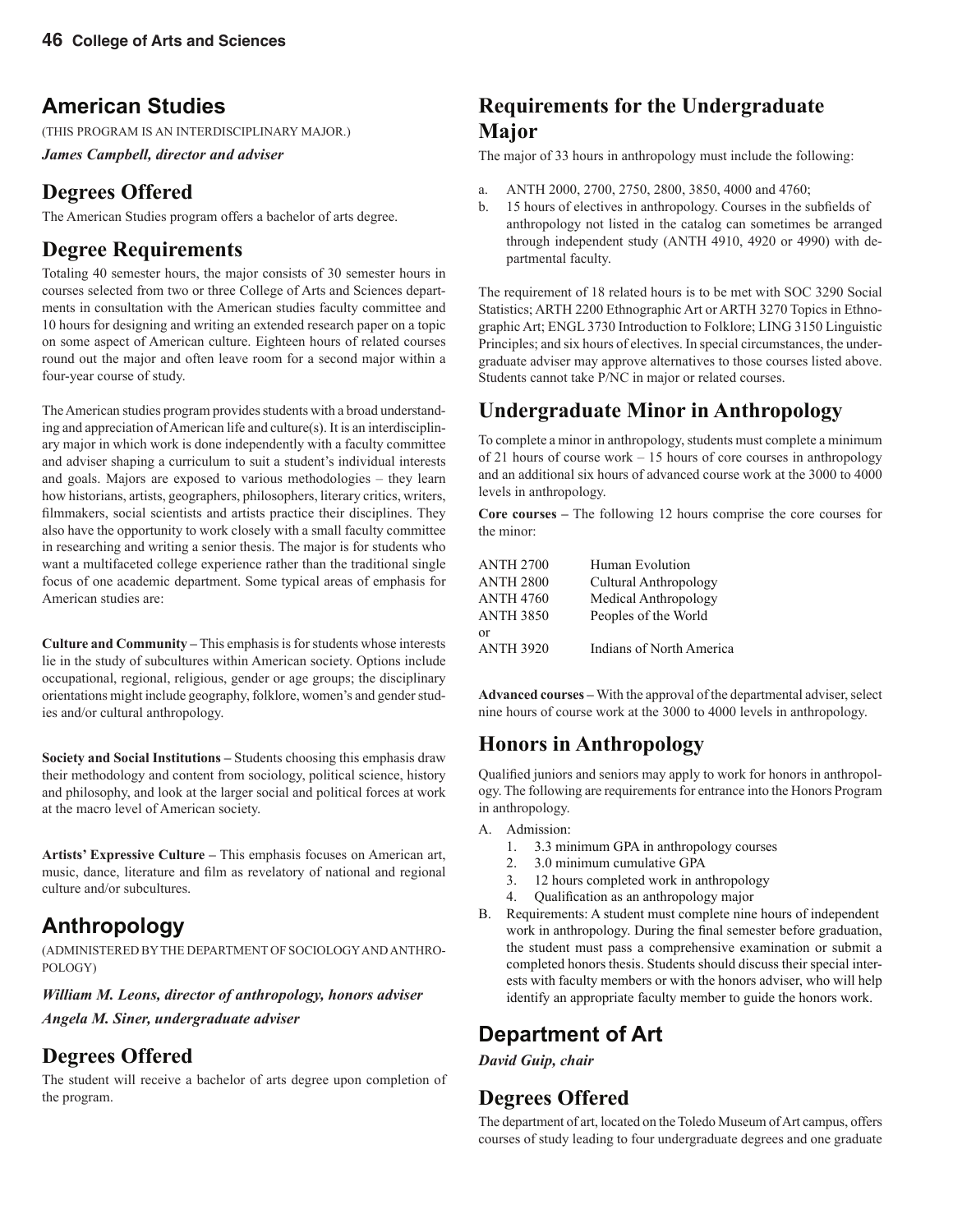### **American Studies**

(THIS PROGRAM IS AN INTERDISCIPLINARY MAJOR.)

*James Campbell, director and adviser*

### **Degrees Offered**

The American Studies program offers a bachelor of arts degree.

### **Degree Requirements**

Totaling 40 semester hours, the major consists of 30 semester hours in courses selected from two or three College of Arts and Sciences departments in consultation with the American studies faculty committee and 10 hours for designing and writing an extended research paper on a topic on some aspect of American culture. Eighteen hours of related courses round out the major and often leave room for a second major within a four-year course of study.

The American studies program provides students with a broad understanding and appreciation of American life and culture(s). It is an interdisciplinary major in which work is done independently with a faculty committee and adviser shaping a curriculum to suit a student's individual interests and goals. Majors are exposed to various methodologies – they learn how historians, artists, geographers, philosophers, literary critics, writers, filmmakers, social scientists and artists practice their disciplines. They also have the opportunity to work closely with a small faculty committee in researching and writing a senior thesis. The major is for students who want a multifaceted college experience rather than the traditional single focus of one academic department. Some typical areas of emphasis for American studies are:

**Culture and Community –** This emphasis is for students whose interests lie in the study of subcultures within American society. Options include occupational, regional, religious, gender or age groups; the disciplinary orientations might include geography, folklore, women's and gender studies and/or cultural anthropology.

**Society and Social Institutions –** Students choosing this emphasis draw their methodology and content from sociology, political science, history and philosophy, and look at the larger social and political forces at work at the macro level of American society.

**Artists' Expressive Culture –** This emphasis focuses on American art, music, dance, literature and film as revelatory of national and regional culture and/or subcultures.

## **Anthropology**

(ADMINISTERED BY THE DEPARTMENT OF SOCIOLOGY AND ANTHRO-POLOGY)

#### *William M. Leons, director of anthropology, honors adviser*

*Angela M. Siner, undergraduate adviser*

### **Degrees Offered**

The student will receive a bachelor of arts degree upon completion of the program.

### **Requirements for the Undergraduate Major**

The major of 33 hours in anthropology must include the following:

- a. ANTH 2000, 2700, 2750, 2800, 3850, 4000 and 4760;
- b. 15 hours of electives in anthropology. Courses in the subfields of anthropology not listed in the catalog can sometimes be arranged through independent study (ANTH 4910, 4920 or 4990) with departmental faculty.

The requirement of 18 related hours is to be met with SOC 3290 Social Statistics; ARTH 2200 Ethnographic Art or ARTH 3270 Topics in Ethnographic Art; ENGL 3730 Introduction to Folklore; LING 3150 Linguistic Principles; and six hours of electives. In special circumstances, the undergraduate adviser may approve alternatives to those courses listed above. Students cannot take P/NC in major or related courses.

### **Undergraduate Minor in Anthropology**

To complete a minor in anthropology, students must complete a minimum of 21 hours of course work – 15 hours of core courses in anthropology and an additional six hours of advanced course work at the 3000 to 4000 levels in anthropology.

**Core courses –** The following 12 hours comprise the core courses for the minor:

| <b>ANTH 2700</b> | Human Evolution                 |
|------------------|---------------------------------|
| <b>ANTH 2800</b> | Cultural Anthropology           |
| <b>ANTH 4760</b> | Medical Anthropology            |
| <b>ANTH 3850</b> | Peoples of the World            |
| or               |                                 |
| <b>ANTH 3920</b> | <b>Indians of North America</b> |

**Advanced courses –** With the approval of the departmental adviser, select nine hours of course work at the 3000 to 4000 levels in anthropology.

### **Honors in Anthropology**

Qualified juniors and seniors may apply to work for honors in anthropology. The following are requirements for entrance into the Honors Program in anthropology.

- A. Admission:
	- 1. 3.3 minimum GPA in anthropology courses
	- 2. 3.0 minimum cumulative GPA
	- 3. 12 hours completed work in anthropology
	- 4. Qualification as an anthropology major
- B. Requirements: A student must complete nine hours of independent work in anthropology. During the final semester before graduation, the student must pass a comprehensive examination or submit a completed honors thesis. Students should discuss their special interests with faculty members or with the honors adviser, who will help identify an appropriate faculty member to guide the honors work.

### **Department of Art**

*David Guip, chair*

### **Degrees Offered**

The department of art, located on the Toledo Museum of Art campus, offers courses of study leading to four undergraduate degrees and one graduate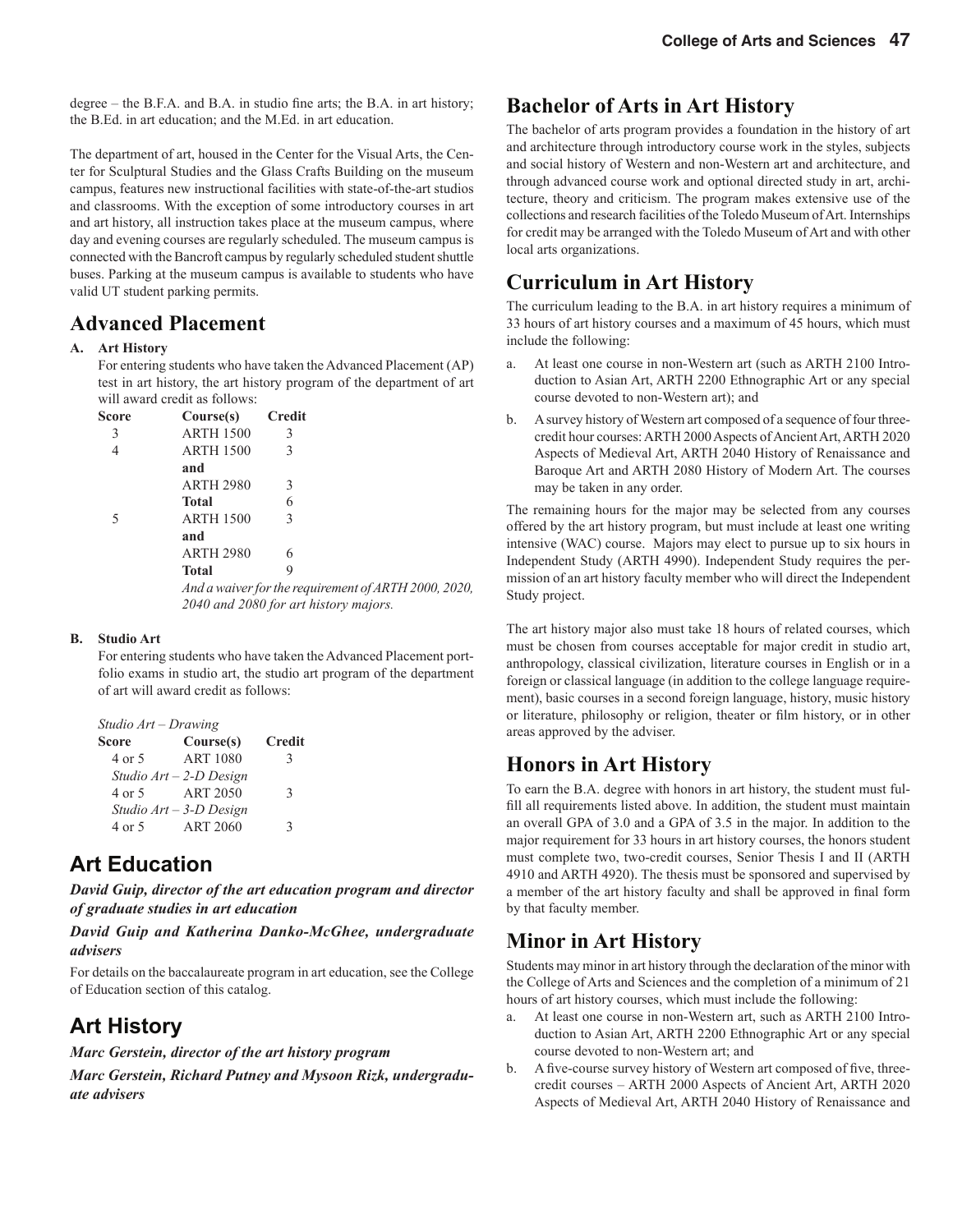degree – the B.F.A. and B.A. in studio fine arts; the B.A. in art history; the B.Ed. in art education; and the M.Ed. in art education.

The department of art, housed in the Center for the Visual Arts, the Center for Sculptural Studies and the Glass Crafts Building on the museum campus, features new instructional facilities with state-of-the-art studios and classrooms. With the exception of some introductory courses in art and art history, all instruction takes place at the museum campus, where day and evening courses are regularly scheduled. The museum campus is connected with the Bancroft campus by regularly scheduled student shuttle buses. Parking at the museum campus is available to students who have valid UT student parking permits.

#### **Advanced Placement**

#### **A. Art History**

For entering students who have taken the Advanced Placement (AP) test in art history, the art history program of the department of art will award credit as follows:

| <b>Score</b> | Course(s)        | <b>Credit</b> |                                                      |
|--------------|------------------|---------------|------------------------------------------------------|
| 3            | <b>ARTH 1500</b> | 3             |                                                      |
| 4            | <b>ARTH 1500</b> | 3             |                                                      |
|              | and              |               |                                                      |
|              | <b>ARTH 2980</b> | 3             |                                                      |
|              | <b>Total</b>     | 6             |                                                      |
| 5            | <b>ARTH 1500</b> | $\mathcal{E}$ |                                                      |
|              | and              |               |                                                      |
|              | <b>ARTH 2980</b> | 6             |                                                      |
|              | <b>Total</b>     | 9             |                                                      |
|              |                  |               | And a waiver for the requirement of ARTH 2000, 2020, |

 *2040 and 2080 for art history majors.*

#### **B. Studio Art**

For entering students who have taken the Advanced Placement portfolio exams in studio art, the studio art program of the department of art will award credit as follows:

|              | Studio Art – Drawing      |               |
|--------------|---------------------------|---------------|
| <b>Score</b> | Course(s)                 | <b>Credit</b> |
| 4 or 5       | <b>ART 1080</b>           | 3             |
|              | Studio $Art - 2-D$ Design |               |
| 4 or 5       | <b>ART 2050</b>           | $\mathbf{3}$  |
|              | Studio $Art - 3-D$ Design |               |
| 4 or 5       | <b>ART 2060</b>           | 2             |

### **Art Education**

*David Guip, director of the art education program and director of graduate studies in art education*

#### *David Guip and Katherina Danko-McGhee, undergraduate advisers*

For details on the baccalaureate program in art education, see the College of Education section of this catalog.

### **Art History**

*Marc Gerstein, director of the art history program*

*Marc Gerstein, Richard Putney and Mysoon Rizk, undergraduate advisers*

#### **Bachelor of Arts in Art History**

The bachelor of arts program provides a foundation in the history of art and architecture through introductory course work in the styles, subjects and social history of Western and non-Western art and architecture, and through advanced course work and optional directed study in art, architecture, theory and criticism. The program makes extensive use of the collections and research facilities of the Toledo Museum of Art. Internships for credit may be arranged with the Toledo Museum of Art and with other local arts organizations.

### **Curriculum in Art History**

The curriculum leading to the B.A. in art history requires a minimum of 33 hours of art history courses and a maximum of 45 hours, which must include the following:

- a. At least one course in non-Western art (such as ARTH 2100 Introduction to Asian Art, ARTH 2200 Ethnographic Art or any special course devoted to non-Western art); and
- b. A survey history of Western art composed of a sequence of four threecredit hour courses: ARTH 2000 Aspects of Ancient Art, ARTH 2020 Aspects of Medieval Art, ARTH 2040 History of Renaissance and Baroque Art and ARTH 2080 History of Modern Art. The courses may be taken in any order.

The remaining hours for the major may be selected from any courses offered by the art history program, but must include at least one writing intensive (WAC) course. Majors may elect to pursue up to six hours in Independent Study (ARTH 4990). Independent Study requires the permission of an art history faculty member who will direct the Independent Study project.

The art history major also must take 18 hours of related courses, which must be chosen from courses acceptable for major credit in studio art, anthropology, classical civilization, literature courses in English or in a foreign or classical language (in addition to the college language requirement), basic courses in a second foreign language, history, music history or literature, philosophy or religion, theater or film history, or in other areas approved by the adviser.

#### **Honors in Art History**

To earn the B.A. degree with honors in art history, the student must fulfill all requirements listed above. In addition, the student must maintain an overall GPA of 3.0 and a GPA of 3.5 in the major. In addition to the major requirement for 33 hours in art history courses, the honors student must complete two, two-credit courses, Senior Thesis I and II (ARTH 4910 and ARTH 4920). The thesis must be sponsored and supervised by a member of the art history faculty and shall be approved in final form by that faculty member.

#### **Minor in Art History**

Students may minor in art history through the declaration of the minor with the College of Arts and Sciences and the completion of a minimum of 21 hours of art history courses, which must include the following:

- a. At least one course in non-Western art, such as ARTH 2100 Intro duction to Asian Art, ARTH 2200 Ethnographic Art or any special course devoted to non-Western art; and
- b. A five-course survey history of Western art composed of five, three credit courses – ARTH 2000 Aspects of Ancient Art, ARTH 2020 Aspects of Medieval Art, ARTH 2040 History of Renaissance and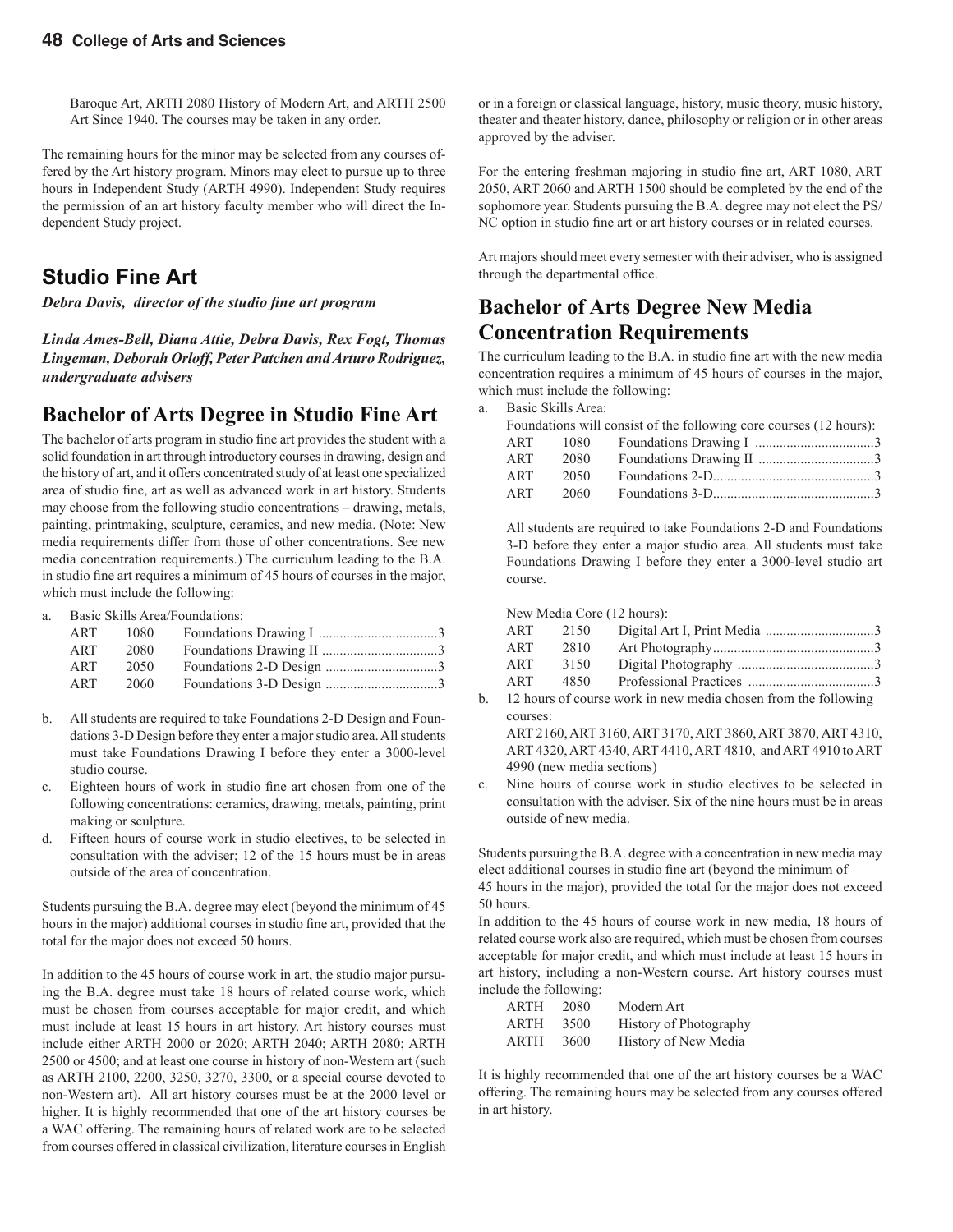Baroque Art, ARTH 2080 History of Modern Art, and ARTH 2500 Art Since 1940. The courses may be taken in any order.

The remaining hours for the minor may be selected from any courses offered by the Art history program. Minors may elect to pursue up to three hours in Independent Study (ARTH 4990). Independent Study requires the permission of an art history faculty member who will direct the Independent Study project.

#### **Studio Fine Art**

*Debra Davis, director of the studio fine art program* 

*Linda Ames-Bell, Diana Attie, Debra Davis, Rex Fogt, Thomas Lingeman, Deborah Orloff, Peter Patchen and Arturo Rodriguez, undergraduate advisers*

#### **Bachelor of Arts Degree in Studio Fine Art**

The bachelor of arts program in studio fine art provides the student with a solid foundation in art through introductory courses in drawing, design and the history of art, and it offers concentrated study of at least one specialized area of studio fine, art as well as advanced work in art history. Students may choose from the following studio concentrations – drawing, metals, painting, printmaking, sculpture, ceramics, and new media. (Note: New media requirements differ from those of other concentrations. See new media concentration requirements.) The curriculum leading to the B.A. in studio fine art requires a minimum of 45 hours of courses in the major, which must include the following:

a. Basic Skills Area/Foundations:

| ART | 1080 |  |
|-----|------|--|
| ART | 2080 |  |
| ART | 2050 |  |
| ART | 2060 |  |

- b. All students are required to take Foundations 2-D Design and Foun dations 3-D Design before they enter a major studio area. All students must take Foundations Drawing I before they enter a 3000-level studio course.
- c. Eighteen hours of work in studio fine art chosen from one of the following concentrations: ceramics, drawing, metals, painting, print making or sculpture.
- d. Fifteen hours of course work in studio electives, to be selected in consultation with the adviser; 12 of the 15 hours must be in areas outside of the area of concentration.

Students pursuing the B.A. degree may elect (beyond the minimum of 45 hours in the major) additional courses in studio fine art, provided that the total for the major does not exceed 50 hours.

In addition to the 45 hours of course work in art, the studio major pursuing the B.A. degree must take 18 hours of related course work, which must be chosen from courses acceptable for major credit, and which must include at least 15 hours in art history. Art history courses must include either ARTH 2000 or 2020; ARTH 2040; ARTH 2080; ARTH 2500 or 4500; and at least one course in history of non-Western art (such as ARTH 2100, 2200, 3250, 3270, 3300, or a special course devoted to non-Western art). All art history courses must be at the 2000 level or higher. It is highly recommended that one of the art history courses be a WAC offering. The remaining hours of related work are to be selected from courses offered in classical civilization, literature courses in English or in a foreign or classical language, history, music theory, music history, theater and theater history, dance, philosophy or religion or in other areas approved by the adviser.

For the entering freshman majoring in studio fine art, ART 1080, ART 2050, ART 2060 and ARTH 1500 should be completed by the end of the sophomore year. Students pursuing the B.A. degree may not elect the PS/ NC option in studio fine art or art history courses or in related courses.

Art majors should meet every semester with their adviser, who is assigned through the departmental office.

#### **Bachelor of Arts Degree New Media Concentration Requirements**

The curriculum leading to the B.A. in studio fine art with the new media concentration requires a minimum of 45 hours of courses in the major, which must include the following:

a. Basic Skills Area:

|     |      | Foundations will consist of the following core courses (12 hours): |  |
|-----|------|--------------------------------------------------------------------|--|
| ART | 1080 |                                                                    |  |
| ART | 2080 |                                                                    |  |
| ART | 2050 |                                                                    |  |
| ART | 2060 |                                                                    |  |

All students are required to take Foundations 2-D and Foundations 3-D before they enter a major studio area. All students must take Foundations Drawing I before they enter a 3000-level studio art course.

New Media Core (12 hours):

| ART | 2150 |  |
|-----|------|--|
| ART | 2810 |  |
| ART | 3150 |  |
| ART | 4850 |  |
|     |      |  |

b. 12 hours of course work in new media chosen from the following courses:

ART 2160, ART 3160, ART 3170, ART 3860, ART 3870, ART 4310, ART 4320, ART 4340, ART 4410, ART 4810, and ART 4910 to ART 4990 (new media sections)

c. Nine hours of course work in studio electives to be selected in consultation with the adviser. Six of the nine hours must be in areas outside of new media.

Students pursuing the B.A. degree with a concentration in new media may elect additional courses in studio fine art (beyond the minimum of

45 hours in the major), provided the total for the major does not exceed 50 hours.

In addition to the 45 hours of course work in new media, 18 hours of related course work also are required, which must be chosen from courses acceptable for major credit, and which must include at least 15 hours in art history, including a non-Western course. Art history courses must include the following:

| ARTH | 2080 | Modern Art             |
|------|------|------------------------|
| ARTH | 3500 | History of Photography |
| ARTH | 3600 | History of New Media   |

It is highly recommended that one of the art history courses be a WAC offering. The remaining hours may be selected from any courses offered in art history.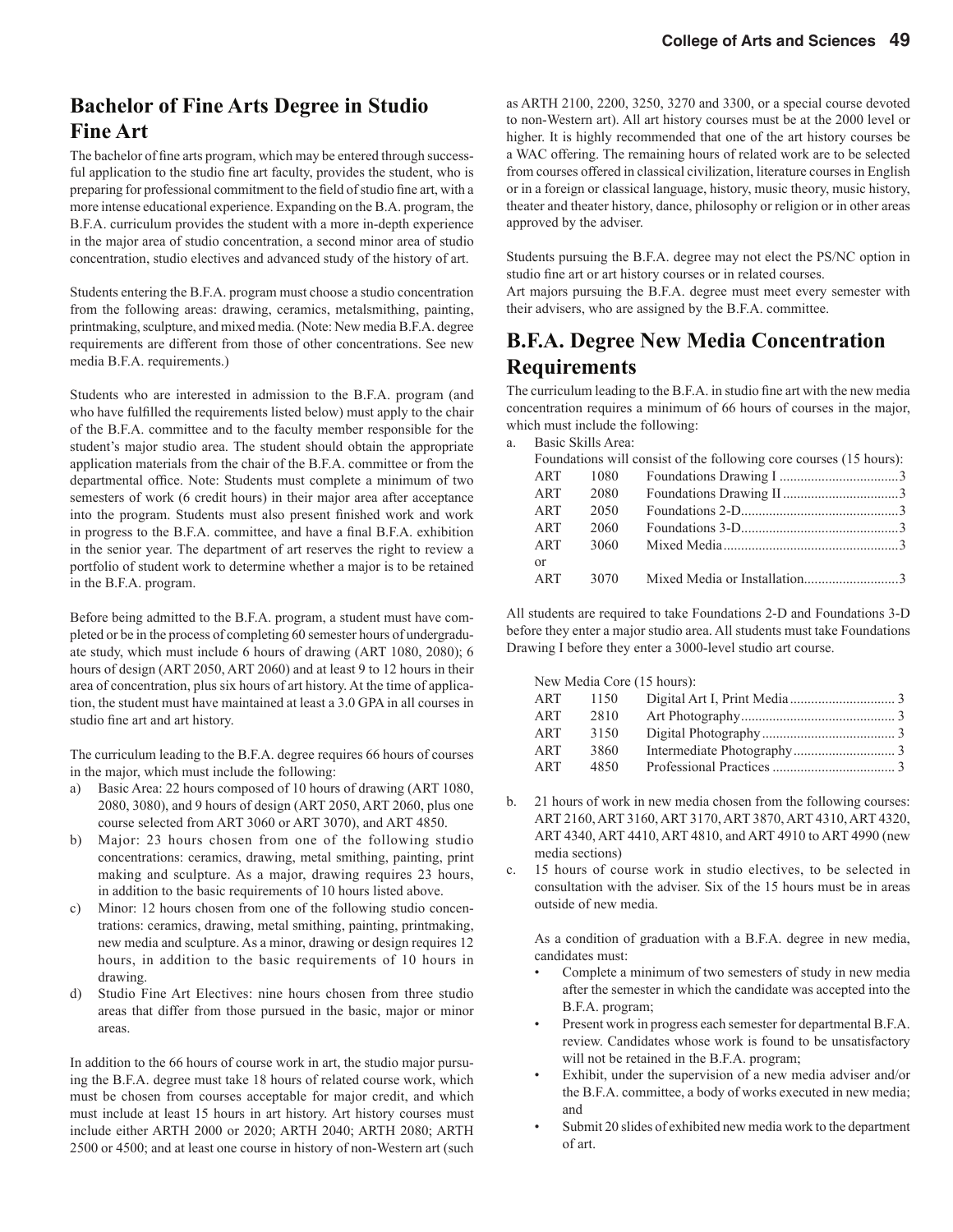### **Bachelor of Fine Arts Degree in Studio Fine Art**

The bachelor of fine arts program, which may be entered through successful application to the studio fine art faculty, provides the student, who is preparing for professional commitment to the field of studio fine art, with a more intense educational experience. Expanding on the B.A. program, the B.F.A. curriculum provides the student with a more in-depth experience in the major area of studio concentration, a second minor area of studio concentration, studio electives and advanced study of the history of art.

Students entering the B.F.A. program must choose a studio concentration from the following areas: drawing, ceramics, metalsmithing, painting, printmaking, sculpture, and mixed media. (Note: New media B.F.A. degree requirements are different from those of other concentrations. See new media B.F.A. requirements.)

Students who are interested in admission to the B.F.A. program (and who have fulfilled the requirements listed below) must apply to the chair of the B.F.A. committee and to the faculty member responsible for the student's major studio area. The student should obtain the appropriate application materials from the chair of the B.F.A. committee or from the departmental office. Note: Students must complete a minimum of two semesters of work (6 credit hours) in their major area after acceptance into the program. Students must also present finished work and work in progress to the B.F.A. committee, and have a final B.F.A. exhibition in the senior year. The department of art reserves the right to review a portfolio of student work to determine whether a major is to be retained in the B.F.A. program.

Before being admitted to the B.F.A. program, a student must have completed or be in the process of completing 60 semester hours of undergraduate study, which must include 6 hours of drawing (ART 1080, 2080); 6 hours of design (ART 2050, ART 2060) and at least 9 to 12 hours in their area of concentration, plus six hours of art history. At the time of application, the student must have maintained at least a 3.0 GPA in all courses in studio fine art and art history.

The curriculum leading to the B.F.A. degree requires 66 hours of courses in the major, which must include the following:

- a) Basic Area: 22 hours composed of 10 hours of drawing (ART 1080, 2080, 3080), and 9 hours of design (ART 2050, ART 2060, plus one course selected from ART 3060 or ART 3070), and ART 4850.
- b) Major: 23 hours chosen from one of the following studio concentrations: ceramics, drawing, metal smithing, painting, print making and sculpture. As a major, drawing requires 23 hours, in addition to the basic requirements of 10 hours listed above.
- c) Minor: 12 hours chosen from one of the following studio concen trations: ceramics, drawing, metal smithing, painting, printmaking, new media and sculpture. As a minor, drawing or design requires 12 hours, in addition to the basic requirements of 10 hours in drawing.
- d) Studio Fine Art Electives: nine hours chosen from three studio areas that differ from those pursued in the basic, major or minor areas.

In addition to the 66 hours of course work in art, the studio major pursuing the B.F.A. degree must take 18 hours of related course work, which must be chosen from courses acceptable for major credit, and which must include at least 15 hours in art history. Art history courses must include either ARTH 2000 or 2020; ARTH 2040; ARTH 2080; ARTH 2500 or 4500; and at least one course in history of non-Western art (such

as ARTH 2100, 2200, 3250, 3270 and 3300, or a special course devoted to non-Western art). All art history courses must be at the 2000 level or higher. It is highly recommended that one of the art history courses be a WAC offering. The remaining hours of related work are to be selected from courses offered in classical civilization, literature courses in English or in a foreign or classical language, history, music theory, music history, theater and theater history, dance, philosophy or religion or in other areas approved by the adviser.

Students pursuing the B.F.A. degree may not elect the PS/NC option in studio fine art or art history courses or in related courses.

Art majors pursuing the B.F.A. degree must meet every semester with their advisers, who are assigned by the B.F.A. committee.

#### **B.F.A. Degree New Media Concentration Requirements**

The curriculum leading to the B.F.A. in studio fine art with the new media concentration requires a minimum of 66 hours of courses in the major, which must include the following:

a. Basic Skills Area:

|            |      | Foundations will consist of the following core courses (15 hours):           |  |
|------------|------|------------------------------------------------------------------------------|--|
| ART        | 1080 |                                                                              |  |
| ART        | 2080 |                                                                              |  |
| ART        | 2050 |                                                                              |  |
| ART        | 2060 |                                                                              |  |
| ART        | 3060 | Mixed Media $\ldots$ $\ldots$ $\ldots$ $\ldots$ $\ldots$ $\ldots$ $\ldots$ 3 |  |
| $\alpha$   |      |                                                                              |  |
| <b>ART</b> | 3070 |                                                                              |  |

All students are required to take Foundations 2-D and Foundations 3-D before they enter a major studio area. All students must take Foundations Drawing I before they enter a 3000-level studio art course.

New Media Core (15 hours):

| ART | 1150 |  |
|-----|------|--|
| ART | 2810 |  |
| ART | 3150 |  |
| ART | 3860 |  |
| ART | 4850 |  |

- b. 21 hours of work in new media chosen from the following courses: ART 2160, ART 3160, ART 3170, ART 3870, ART 4310, ART 4320, ART 4340, ART 4410, ART 4810, and ART 4910 to ART 4990 (new media sections)
- c. 15 hours of course work in studio electives, to be selected in consultation with the adviser. Six of the 15 hours must be in areas outside of new media.

 As a condition of graduation with a B.F.A. degree in new media, candidates must:

- Complete a minimum of two semesters of study in new media after the semester in which the candidate was accepted into the B.F.A. program;
- Present work in progress each semester for departmental B.F.A. review. Candidates whose work is found to be unsatisfactory will not be retained in the B.F.A. program;
- Exhibit, under the supervision of a new media adviser and/or the B.F.A. committee, a body of works executed in new media; and
- Submit 20 slides of exhibited new media work to the department of art.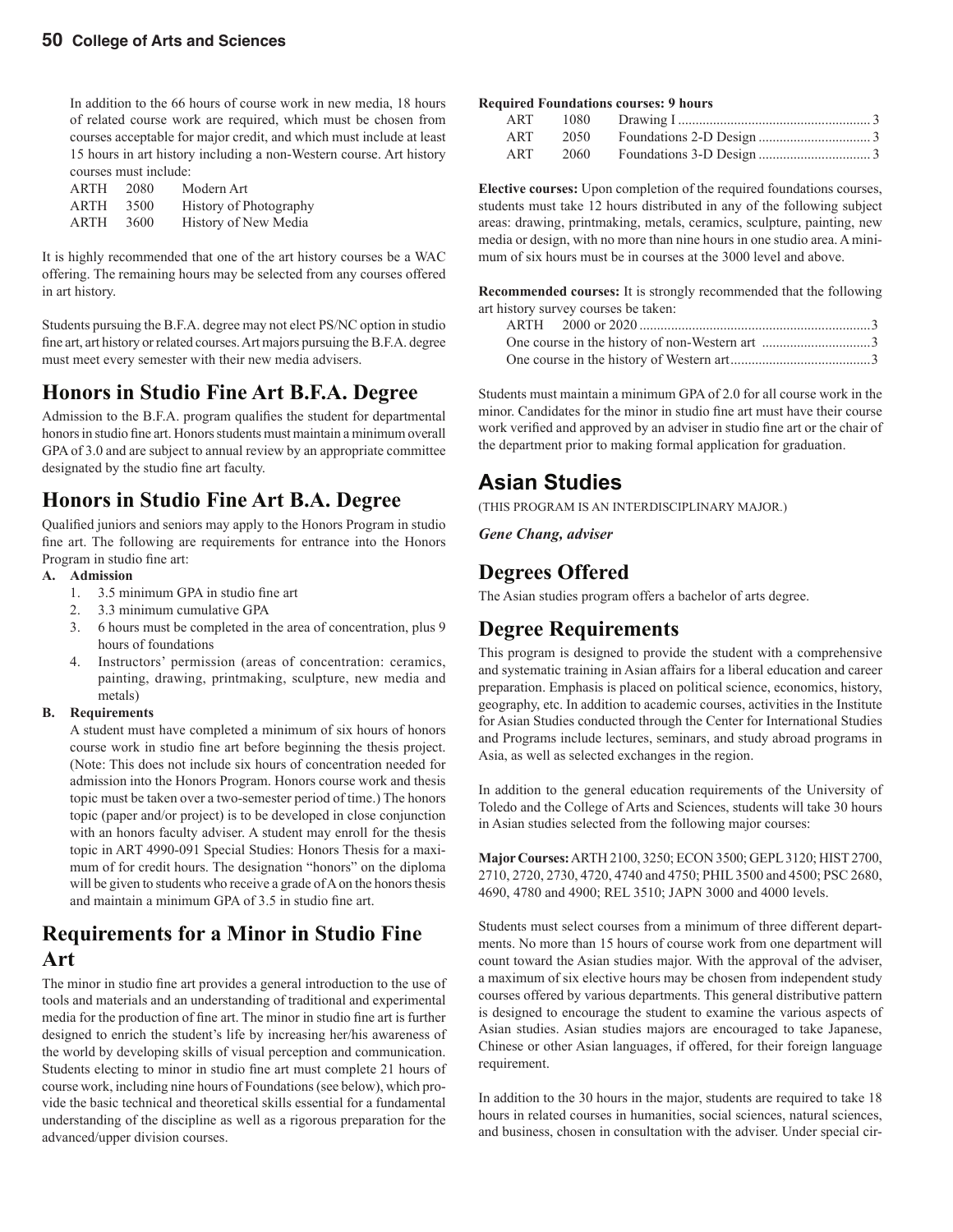In addition to the 66 hours of course work in new media, 18 hours of related course work are required, which must be chosen from courses acceptable for major credit, and which must include at least 15 hours in art history including a non-Western course. Art history courses must include:

| ARTH | 2080 | Modern Art             |
|------|------|------------------------|
| ARTH | 3500 | History of Photography |
| ARTH | 3600 | History of New Media   |

It is highly recommended that one of the art history courses be a WAC offering. The remaining hours may be selected from any courses offered in art history.

Students pursuing the B.F.A. degree may not elect PS/NC option in studio fine art, art history or related courses. Art majors pursuing the B.F.A. degree must meet every semester with their new media advisers.

#### **Honors in Studio Fine Art B.F.A. Degree**

Admission to the B.F.A. program qualifies the student for departmental honors in studio fine art. Honors students must maintain a minimum overall GPA of 3.0 and are subject to annual review by an appropriate committee designated by the studio fine art faculty.

#### **Honors in Studio Fine Art B.A. Degree**

Qualified juniors and seniors may apply to the Honors Program in studio fine art. The following are requirements for entrance into the Honors Program in studio fine art:

#### **A. Admission**

- 1.  $3.5$  minimum GPA in studio fine art
- 2. 3.3 minimum cumulative GPA
- 3. 6 hours must be completed in the area of concentration, plus 9 hours of foundations
- 4. Instructors' permission (areas of concentration: ceramics, painting, drawing, printmaking, sculpture, new media and metals)

#### **B. Requirements**

A student must have completed a minimum of six hours of honors course work in studio fine art before beginning the thesis project. (Note: This does not include six hours of concentration needed for admission into the Honors Program. Honors course work and thesis topic must be taken over a two-semester period of time.) The honors topic (paper and/or project) is to be developed in close conjunction with an honors faculty adviser. A student may enroll for the thesis topic in ART 4990-091 Special Studies: Honors Thesis for a maximum of for credit hours. The designation "honors" on the diploma will be given to students who receive a grade of A on the honors thesis and maintain a minimum GPA of 3.5 in studio fine art.

#### **Requirements for a Minor in Studio Fine Art**

The minor in studio fine art provides a general introduction to the use of tools and materials and an understanding of traditional and experimental media for the production of fine art. The minor in studio fine art is further designed to enrich the student's life by increasing her/his awareness of the world by developing skills of visual perception and communication. Students electing to minor in studio fine art must complete 21 hours of course work, including nine hours of Foundations (see below), which provide the basic technical and theoretical skills essential for a fundamental understanding of the discipline as well as a rigorous preparation for the advanced/upper division courses.

#### **Required Foundations courses: 9 hours**

|     | ART 1080 |  |
|-----|----------|--|
| ART | 2050     |  |
| ART | 2060     |  |

**Elective courses:** Upon completion of the required foundations courses, students must take 12 hours distributed in any of the following subject areas: drawing, printmaking, metals, ceramics, sculpture, painting, new media or design, with no more than nine hours in one studio area. A minimum of six hours must be in courses at the 3000 level and above.

**Recommended courses:** It is strongly recommended that the following art history survey courses be taken:

Students must maintain a minimum GPA of 2.0 for all course work in the minor. Candidates for the minor in studio fine art must have their course work verified and approved by an adviser in studio fine art or the chair of the department prior to making formal application for graduation.

#### **Asian Studies**

(THIS PROGRAM IS AN INTERDISCIPLINARY MAJOR.)

*Gene Chang, adviser*

### **Degrees Offered**

The Asian studies program offers a bachelor of arts degree.

#### **Degree Requirements**

This program is designed to provide the student with a comprehensive and systematic training in Asian affairs for a liberal education and career preparation. Emphasis is placed on political science, economics, history, geography, etc. In addition to academic courses, activities in the Institute for Asian Studies conducted through the Center for International Studies and Programs include lectures, seminars, and study abroad programs in Asia, as well as selected exchanges in the region.

In addition to the general education requirements of the University of Toledo and the College of Arts and Sciences, students will take 30 hours in Asian studies selected from the following major courses:

**Major Courses:** ARTH 2100, 3250; ECON 3500; GEPL 3120; HIST 2700, 2710, 2720, 2730, 4720, 4740 and 4750; PHIL 3500 and 4500; PSC 2680, 4690, 4780 and 4900; REL 3510; JAPN 3000 and 4000 levels.

Students must select courses from a minimum of three different departments. No more than 15 hours of course work from one department will count toward the Asian studies major. With the approval of the adviser, a maximum of six elective hours may be chosen from independent study courses offered by various departments. This general distributive pattern is designed to encourage the student to examine the various aspects of Asian studies. Asian studies majors are encouraged to take Japanese, Chinese or other Asian languages, if offered, for their foreign language requirement.

In addition to the 30 hours in the major, students are required to take 18 hours in related courses in humanities, social sciences, natural sciences, and business, chosen in consultation with the adviser. Under special cir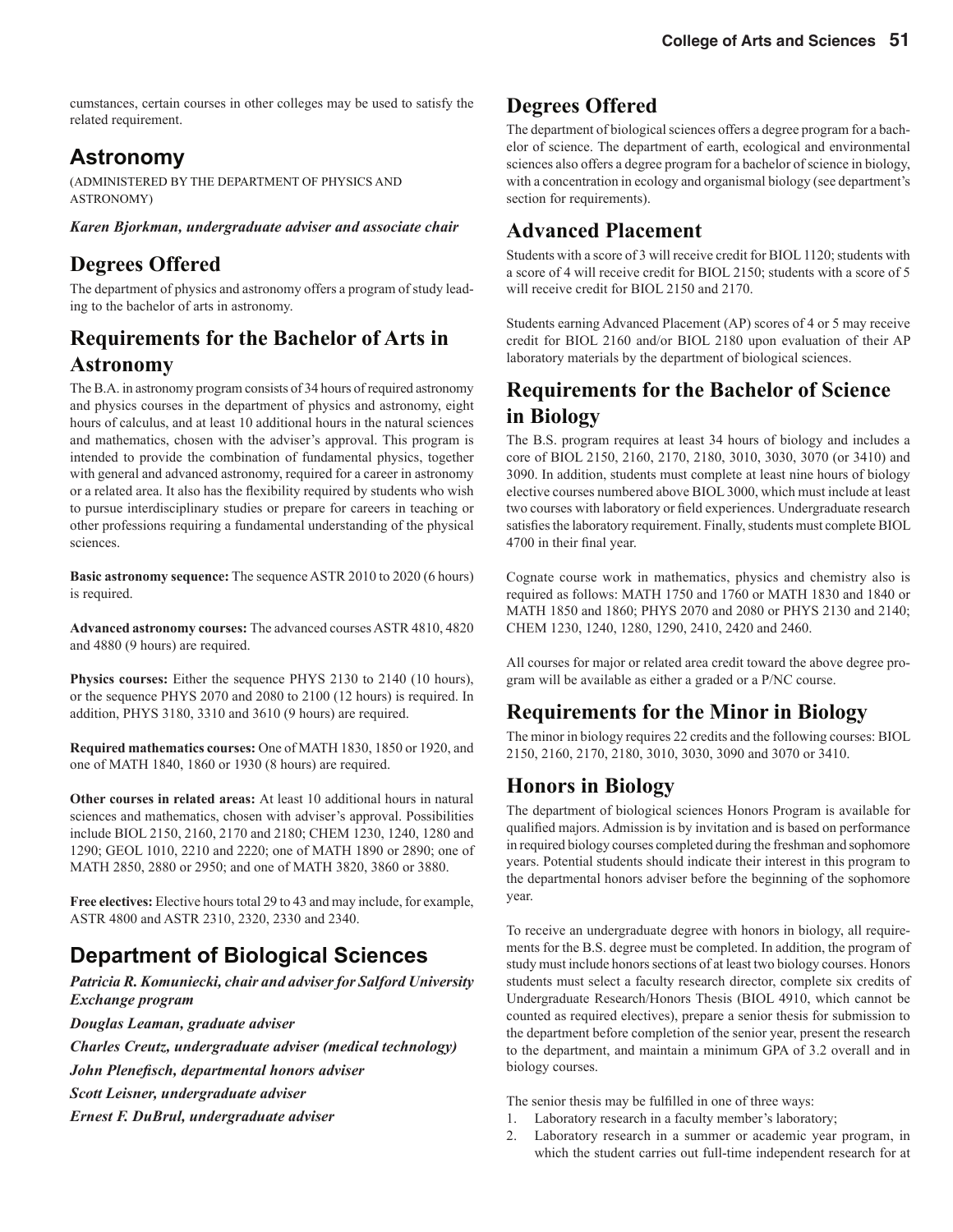cumstances, certain courses in other colleges may be used to satisfy the related requirement.

### **Astronomy**

(ADMINISTERED BY THE DEPARTMENT OF PHYSICS AND ASTRONOMY)

*Karen Bjorkman, undergraduate adviser and associate chair*

### **Degrees Offered**

The department of physics and astronomy offers a program of study leading to the bachelor of arts in astronomy.

### **Requirements for the Bachelor of Arts in Astronomy**

The B.A. in astronomy program consists of 34 hours of required astronomy and physics courses in the department of physics and astronomy, eight hours of calculus, and at least 10 additional hours in the natural sciences and mathematics, chosen with the adviser's approval. This program is intended to provide the combination of fundamental physics, together with general and advanced astronomy, required for a career in astronomy or a related area. It also has the flexibility required by students who wish to pursue interdisciplinary studies or prepare for careers in teaching or other professions requiring a fundamental understanding of the physical sciences.

**Basic astronomy sequence:** The sequence ASTR 2010 to 2020 (6 hours) is required.

**Advanced astronomy courses:** The advanced courses ASTR 4810, 4820 and 4880 (9 hours) are required.

**Physics courses:** Either the sequence PHYS 2130 to 2140 (10 hours), or the sequence PHYS 2070 and 2080 to 2100 (12 hours) is required. In addition, PHYS 3180, 3310 and 3610 (9 hours) are required.

**Required mathematics courses:** One of MATH 1830, 1850 or 1920, and one of MATH 1840, 1860 or 1930 (8 hours) are required.

**Other courses in related areas:** At least 10 additional hours in natural sciences and mathematics, chosen with adviser's approval. Possibilities include BIOL 2150, 2160, 2170 and 2180; CHEM 1230, 1240, 1280 and 1290; GEOL 1010, 2210 and 2220; one of MATH 1890 or 2890; one of MATH 2850, 2880 or 2950; and one of MATH 3820, 3860 or 3880.

**Free electives:** Elective hours total 29 to 43 and may include, for example, ASTR 4800 and ASTR 2310, 2320, 2330 and 2340.

### **Department of Biological Sciences**

*Patricia R. Komuniecki, chair and adviser for Salford University Exchange program*

*Douglas Leaman, graduate adviser*

*Charles Creutz, undergraduate adviser (medical technology)* 

*John Plenefi sch, departmental honors adviser*

*Scott Leisner, undergraduate adviser*

*Ernest F. DuBrul, undergraduate adviser*

#### **Degrees Offered**

The department of biological sciences offers a degree program for a bachelor of science. The department of earth, ecological and environmental sciences also offers a degree program for a bachelor of science in biology, with a concentration in ecology and organismal biology (see department's section for requirements).

#### **Advanced Placement**

Students with a score of 3 will receive credit for BIOL 1120; students with a score of 4 will receive credit for BIOL 2150; students with a score of 5 will receive credit for BIOL 2150 and 2170.

Students earning Advanced Placement (AP) scores of 4 or 5 may receive credit for BIOL 2160 and/or BIOL 2180 upon evaluation of their AP laboratory materials by the department of biological sciences.

### **Requirements for the Bachelor of Science in Biology**

The B.S. program requires at least 34 hours of biology and includes a core of BIOL 2150, 2160, 2170, 2180, 3010, 3030, 3070 (or 3410) and 3090. In addition, students must complete at least nine hours of biology elective courses numbered above BIOL 3000, which must include at least two courses with laboratory or field experiences. Undergraduate research satisfies the laboratory requirement. Finally, students must complete BIOL 4700 in their final year.

Cognate course work in mathematics, physics and chemistry also is required as follows: MATH 1750 and 1760 or MATH 1830 and 1840 or MATH 1850 and 1860; PHYS 2070 and 2080 or PHYS 2130 and 2140; CHEM 1230, 1240, 1280, 1290, 2410, 2420 and 2460.

All courses for major or related area credit toward the above degree program will be available as either a graded or a P/NC course.

### **Requirements for the Minor in Biology**

The minor in biology requires 22 credits and the following courses: BIOL 2150, 2160, 2170, 2180, 3010, 3030, 3090 and 3070 or 3410.

### **Honors in Biology**

The department of biological sciences Honors Program is available for qualified majors. Admission is by invitation and is based on performance in required biology courses completed during the freshman and sophomore years. Potential students should indicate their interest in this program to the departmental honors adviser before the beginning of the sophomore year.

To receive an undergraduate degree with honors in biology, all requirements for the B.S. degree must be completed. In addition, the program of study must include honors sections of at least two biology courses. Honors students must select a faculty research director, complete six credits of Undergraduate Research/Honors Thesis (BIOL 4910, which cannot be counted as required electives), prepare a senior thesis for submission to the department before completion of the senior year, present the research to the department, and maintain a minimum GPA of 3.2 overall and in biology courses.

The senior thesis may be fulfilled in one of three ways:

- 1. Laboratory research in a faculty member's laboratory;
- 2. Laboratory research in a summer or academic year program, in which the student carries out full-time independent research for at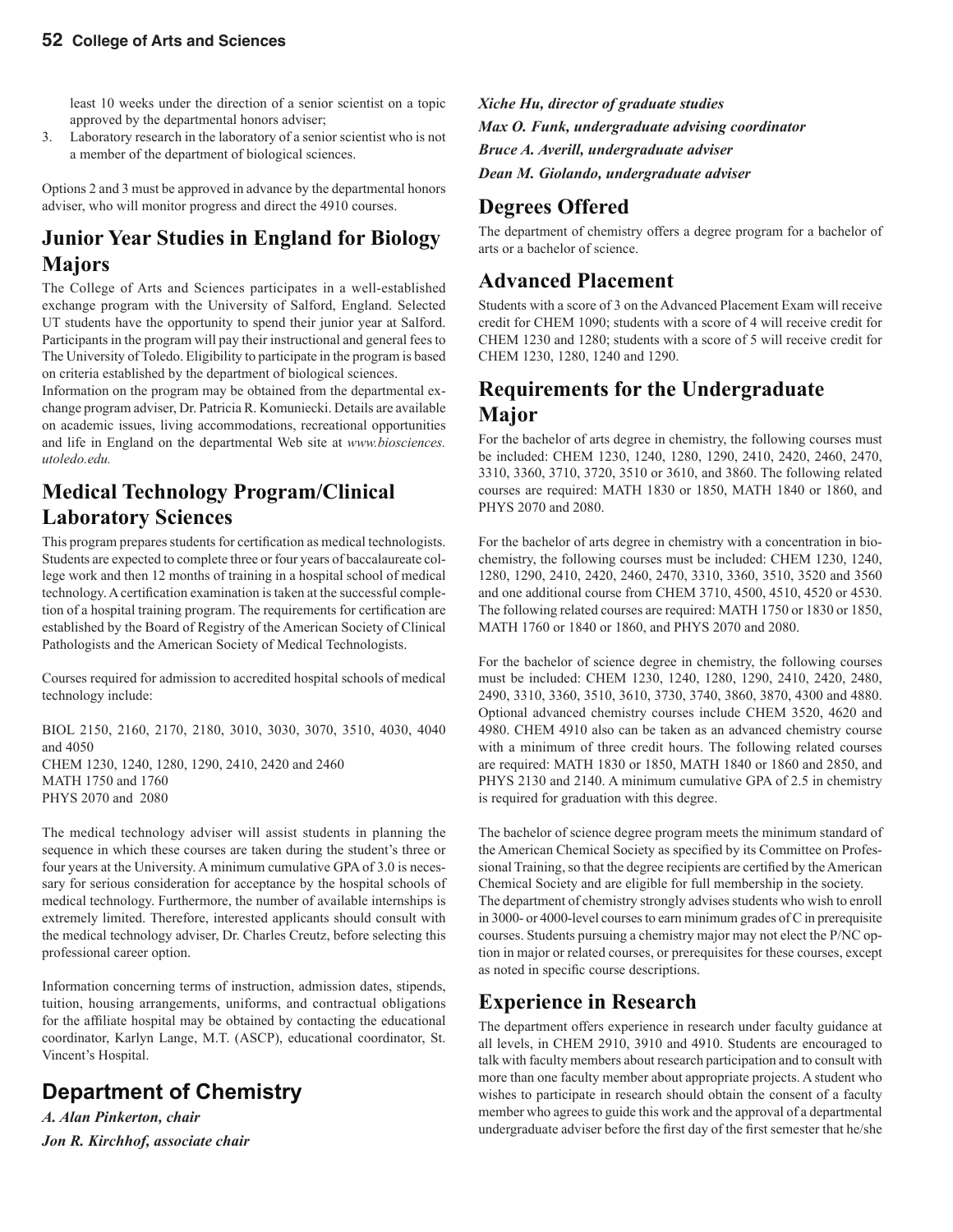least 10 weeks under the direction of a senior scientist on a topic approved by the departmental honors adviser;

3. Laboratory research in the laboratory of a senior scientist who is not a member of the department of biological sciences.

Options 2 and 3 must be approved in advance by the departmental honors adviser, who will monitor progress and direct the 4910 courses.

### **Junior Year Studies in England for Biology Majors**

The College of Arts and Sciences participates in a well-established exchange program with the University of Salford, England. Selected UT students have the opportunity to spend their junior year at Salford. Participants in the program will pay their instructional and general fees to The University of Toledo. Eligibility to participate in the program is based on criteria established by the department of biological sciences.

Information on the program may be obtained from the departmental exchange program adviser, Dr. Patricia R. Komuniecki. Details are available on academic issues, living accommodations, recreational opportunities and life in England on the departmental Web site at *www.biosciences. utoledo.edu.*

### **Medical Technology Program/Clinical Laboratory Sciences**

This program prepares students for certification as medical technologists. Students are expected to complete three or four years of baccalaureate college work and then 12 months of training in a hospital school of medical technology. A certification examination is taken at the successful completion of a hospital training program. The requirements for certification are established by the Board of Registry of the American Society of Clinical Pathologists and the American Society of Medical Technologists.

Courses required for admission to accredited hospital schools of medical technology include:

BIOL 2150, 2160, 2170, 2180, 3010, 3030, 3070, 3510, 4030, 4040 and 4050 CHEM 1230, 1240, 1280, 1290, 2410, 2420 and 2460 MATH 1750 and 1760 PHYS 2070 and 2080

The medical technology adviser will assist students in planning the sequence in which these courses are taken during the student's three or four years at the University. A minimum cumulative GPA of 3.0 is necessary for serious consideration for acceptance by the hospital schools of medical technology. Furthermore, the number of available internships is extremely limited. Therefore, interested applicants should consult with the medical technology adviser, Dr. Charles Creutz, before selecting this professional career option.

Information concerning terms of instruction, admission dates, stipends, tuition, housing arrangements, uniforms, and contractual obligations for the affiliate hospital may be obtained by contacting the educational coordinator, Karlyn Lange, M.T. (ASCP), educational coordinator, St. Vincent's Hospital.

### **Department of Chemistry**

*A. Alan Pinkerton, chair Jon R. Kirchhof, associate chair* *Xiche Hu, director of graduate studies Max O. Funk, undergraduate advising coordinator Bruce A. Averill, undergraduate adviser Dean M. Giolando, undergraduate adviser* 

## **Degrees Offered**

The department of chemistry offers a degree program for a bachelor of arts or a bachelor of science.

#### **Advanced Placement**

Students with a score of 3 on the Advanced Placement Exam will receive credit for CHEM 1090; students with a score of 4 will receive credit for CHEM 1230 and 1280; students with a score of 5 will receive credit for CHEM 1230, 1280, 1240 and 1290.

#### **Requirements for the Undergraduate Major**

For the bachelor of arts degree in chemistry, the following courses must be included: CHEM 1230, 1240, 1280, 1290, 2410, 2420, 2460, 2470, 3310, 3360, 3710, 3720, 3510 or 3610, and 3860. The following related courses are required: MATH 1830 or 1850, MATH 1840 or 1860, and PHYS 2070 and 2080.

For the bachelor of arts degree in chemistry with a concentration in biochemistry, the following courses must be included: CHEM 1230, 1240, 1280, 1290, 2410, 2420, 2460, 2470, 3310, 3360, 3510, 3520 and 3560 and one additional course from CHEM 3710, 4500, 4510, 4520 or 4530. The following related courses are required: MATH 1750 or 1830 or 1850, MATH 1760 or 1840 or 1860, and PHYS 2070 and 2080.

For the bachelor of science degree in chemistry, the following courses must be included: CHEM 1230, 1240, 1280, 1290, 2410, 2420, 2480, 2490, 3310, 3360, 3510, 3610, 3730, 3740, 3860, 3870, 4300 and 4880. Optional advanced chemistry courses include CHEM 3520, 4620 and 4980. CHEM 4910 also can be taken as an advanced chemistry course with a minimum of three credit hours. The following related courses are required: MATH 1830 or 1850, MATH 1840 or 1860 and 2850, and PHYS 2130 and 2140. A minimum cumulative GPA of 2.5 in chemistry is required for graduation with this degree.

The bachelor of science degree program meets the minimum standard of the American Chemical Society as specified by its Committee on Professional Training, so that the degree recipients are certified by the American Chemical Society and are eligible for full membership in the society. The department of chemistry strongly advises students who wish to enroll in 3000- or 4000-level courses to earn minimum grades of C in prerequisite courses. Students pursuing a chemistry major may not elect the P/NC option in major or related courses, or prerequisites for these courses, except as noted in specific course descriptions.

### **Experience in Research**

The department offers experience in research under faculty guidance at all levels, in CHEM 2910, 3910 and 4910. Students are encouraged to talk with faculty members about research participation and to consult with more than one faculty member about appropriate projects. A student who wishes to participate in research should obtain the consent of a faculty member who agrees to guide this work and the approval of a departmental undergraduate adviser before the first day of the first semester that he/she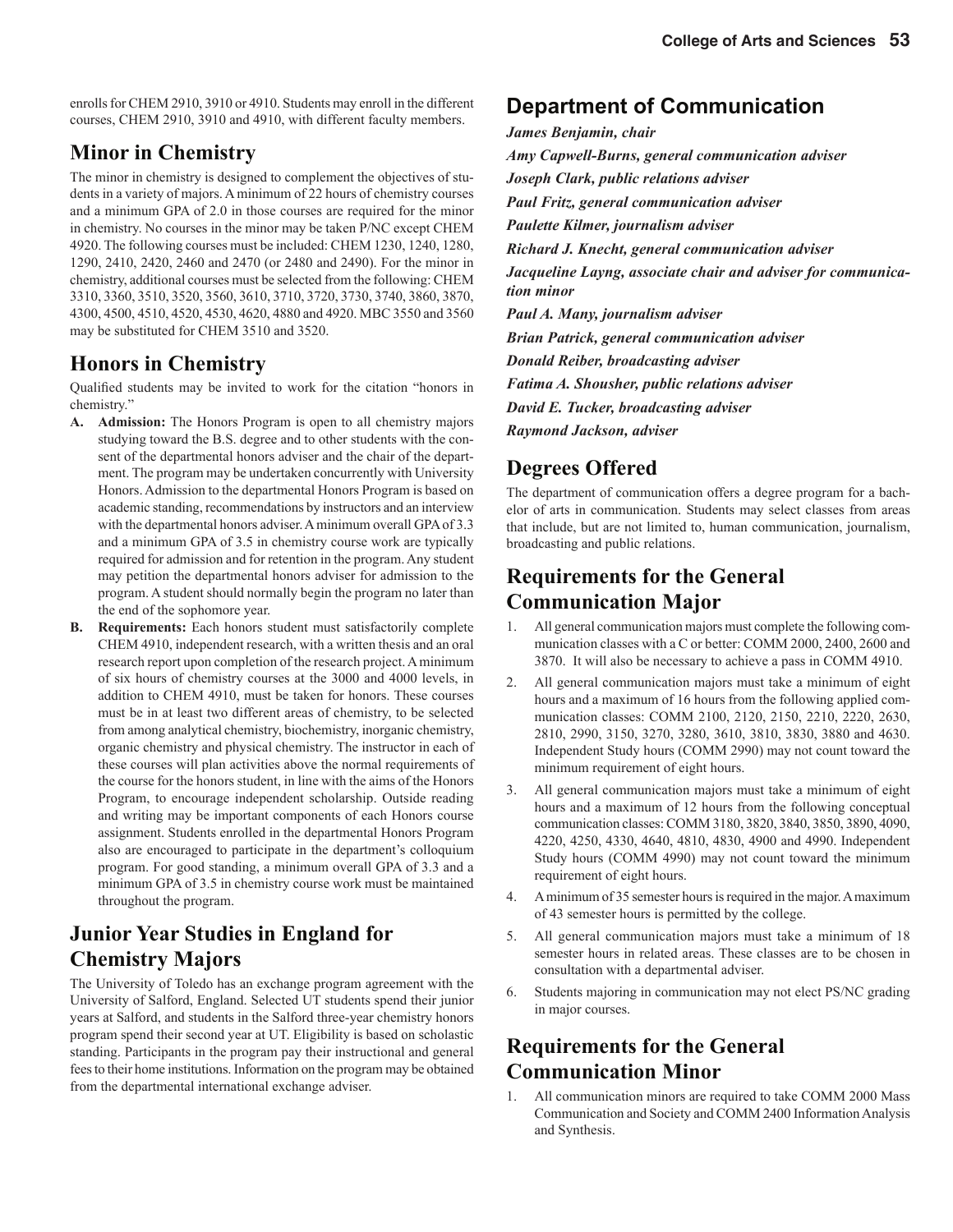enrolls for CHEM 2910, 3910 or 4910. Students may enroll in the different courses, CHEM 2910, 3910 and 4910, with different faculty members.

#### **Minor in Chemistry**

The minor in chemistry is designed to complement the objectives of students in a variety of majors. A minimum of 22 hours of chemistry courses and a minimum GPA of 2.0 in those courses are required for the minor in chemistry. No courses in the minor may be taken P/NC except CHEM 4920. The following courses must be included: CHEM 1230, 1240, 1280, 1290, 2410, 2420, 2460 and 2470 (or 2480 and 2490). For the minor in chemistry, additional courses must be selected from the following: CHEM 3310, 3360, 3510, 3520, 3560, 3610, 3710, 3720, 3730, 3740, 3860, 3870, 4300, 4500, 4510, 4520, 4530, 4620, 4880 and 4920. MBC 3550 and 3560 may be substituted for CHEM 3510 and 3520.

#### **Honors in Chemistry**

Qualified students may be invited to work for the citation "honors in chemistry."

- **A. Admission:** The Honors Program is open to all chemistry majors studying toward the B.S. degree and to other students with the consent of the departmental honors adviser and the chair of the department. The program may be undertaken concurrently with University Honors. Admission to the departmental Honors Program is based on academic standing, recommendations by instructors and an interview with the departmental honors adviser. A minimum overall GPA of 3.3 and a minimum GPA of 3.5 in chemistry course work are typically required for admission and for retention in the program. Any student may petition the departmental honors adviser for admission to the program. A student should normally begin the program no later than the end of the sophomore year.
- **B. Requirements:** Each honors student must satisfactorily complete CHEM 4910, independent research, with a written thesis and an oral research report upon completion of the research project. A minimum of six hours of chemistry courses at the 3000 and 4000 levels, in addition to CHEM 4910, must be taken for honors. These courses must be in at least two different areas of chemistry, to be selected from among analytical chemistry, biochemistry, inorganic chemistry, organic chemistry and physical chemistry. The instructor in each of these courses will plan activities above the normal requirements of the course for the honors student, in line with the aims of the Honors Program, to encourage independent scholarship. Outside reading and writing may be important components of each Honors course assignment. Students enrolled in the departmental Honors Program also are encouraged to participate in the department's colloquium program. For good standing, a minimum overall GPA of 3.3 and a minimum GPA of 3.5 in chemistry course work must be maintained throughout the program.

### **Junior Year Studies in England for Chemistry Majors**

The University of Toledo has an exchange program agreement with the University of Salford, England. Selected UT students spend their junior years at Salford, and students in the Salford three-year chemistry honors program spend their second year at UT. Eligibility is based on scholastic standing. Participants in the program pay their instructional and general fees to their home institutions. Information on the program may be obtained from the departmental international exchange adviser.

#### **Department of Communication**

*James Benjamin, chair Amy Capwell-Burns, general communication adviser Joseph Clark, public relations adviser Paul Fritz, general communication adviser Paulette Kilmer, journalism adviser Richard J. Knecht, general communication adviser Jacqueline Layng, associate chair and adviser for communication minor Paul A. Many, journalism adviser Brian Patrick, general communication adviser Donald Reiber, broadcasting adviser Fatima A. Shousher, public relations adviser David E. Tucker, broadcasting adviser Raymond Jackson, adviser*

### **Degrees Offered**

The department of communication offers a degree program for a bachelor of arts in communication. Students may select classes from areas that include, but are not limited to, human communication, journalism, broadcasting and public relations.

### **Requirements for the General Communication Major**

- 1. All general communication majors must complete the following communication classes with a C or better: COMM 2000, 2400, 2600 and 3870. It will also be necessary to achieve a pass in COMM 4910.
- 2. All general communication majors must take a minimum of eight hours and a maximum of 16 hours from the following applied communication classes: COMM 2100, 2120, 2150, 2210, 2220, 2630, 2810, 2990, 3150, 3270, 3280, 3610, 3810, 3830, 3880 and 4630. Independent Study hours (COMM 2990) may not count toward the minimum requirement of eight hours.
- 3. All general communication majors must take a minimum of eight hours and a maximum of 12 hours from the following conceptual communication classes: COMM 3180, 3820, 3840, 3850, 3890, 4090, 4220, 4250, 4330, 4640, 4810, 4830, 4900 and 4990. Independent Study hours (COMM 4990) may not count toward the minimum requirement of eight hours.
- 4. A minimum of 35 semester hours is required in the major. A maximum of 43 semester hours is permitted by the college.
- 5. All general communication majors must take a minimum of 18 semester hours in related areas. These classes are to be chosen in consultation with a departmental adviser.
- 6. Students majoring in communication may not elect PS/NC grading in major courses.

### **Requirements for the General Communication Minor**

All communication minors are required to take COMM 2000 Mass Communication and Society and COMM 2400 Information Analysis and Synthesis.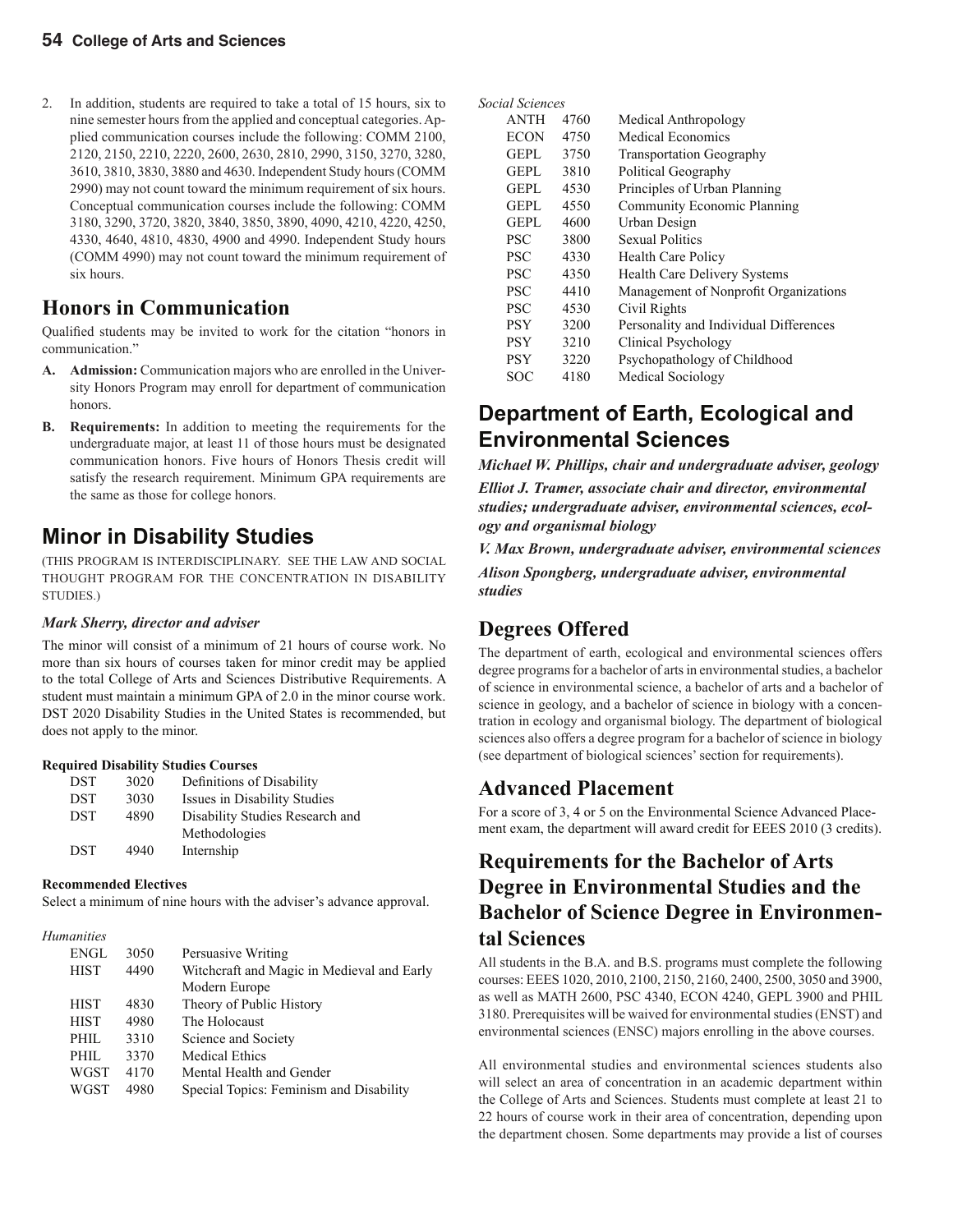2. In addition, students are required to take a total of 15 hours, six to nine semester hours from the applied and conceptual categories. Applied communication courses include the following: COMM 2100, 2120, 2150, 2210, 2220, 2600, 2630, 2810, 2990, 3150, 3270, 3280, 3610, 3810, 3830, 3880 and 4630. Independent Study hours (COMM 2990) may not count toward the minimum requirement of six hours. Conceptual communication courses include the following: COMM 3180, 3290, 3720, 3820, 3840, 3850, 3890, 4090, 4210, 4220, 4250, 4330, 4640, 4810, 4830, 4900 and 4990. Independent Study hours (COMM 4990) may not count toward the minimum requirement of six hours.

#### **Honors in Communication**

Qualified students may be invited to work for the citation "honors in communication."

- **A. Admission:** Communication majors who are enrolled in the University Honors Program may enroll for department of communication honors.
- **B. Requirements:** In addition to meeting the requirements for the undergraduate major, at least 11 of those hours must be designated communication honors. Five hours of Honors Thesis credit will satisfy the research requirement. Minimum GPA requirements are the same as those for college honors.

### **Minor in Disability Studies**

(THIS PROGRAM IS INTERDISCIPLINARY. SEE THE LAW AND SOCIAL THOUGHT PROGRAM FOR THE CONCENTRATION IN DISABILITY STUDIES.)

#### *Mark Sherry, director and adviser*

The minor will consist of a minimum of 21 hours of course work. No more than six hours of courses taken for minor credit may be applied to the total College of Arts and Sciences Distributive Requirements. A student must maintain a minimum GPA of 2.0 in the minor course work. DST 2020 Disability Studies in the United States is recommended, but does not apply to the minor.

#### **Required Disability Studies Courses**

| <b>DST</b> | 3020 | Definitions of Disability       |
|------------|------|---------------------------------|
| <b>DST</b> | 3030 | Issues in Disability Studies    |
| <b>DST</b> | 4890 | Disability Studies Research and |
|            |      | Methodologies                   |
| <b>DST</b> | 4940 | Internship                      |

#### **Recommended Electives**

Select a minimum of nine hours with the adviser's advance approval.

#### *Humanities*

| ENGL        | 3050 | Persuasive Writing                         |
|-------------|------|--------------------------------------------|
| <b>HIST</b> | 4490 | Witchcraft and Magic in Medieval and Early |
|             |      | Modern Europe                              |
| <b>HIST</b> | 4830 | Theory of Public History                   |
| <b>HIST</b> | 4980 | The Holocaust                              |
| PHIL        | 3310 | Science and Society                        |
| PHIL        | 3370 | <b>Medical Ethics</b>                      |
| <b>WGST</b> | 4170 | Mental Health and Gender                   |
| <b>WGST</b> | 4980 | Special Topics: Feminism and Disability    |
|             |      |                                            |

*Social Sciences*

| <b>ANTH</b> | 4760 | Medical Anthropology                   |
|-------------|------|----------------------------------------|
| <b>ECON</b> | 4750 | <b>Medical Economics</b>               |
| <b>GEPL</b> | 3750 | <b>Transportation Geography</b>        |
| <b>GEPL</b> | 3810 | Political Geography                    |
| <b>GEPL</b> | 4530 | Principles of Urban Planning           |
| <b>GEPL</b> | 4550 | Community Economic Planning            |
| <b>GEPL</b> | 4600 | Urban Design                           |
| <b>PSC</b>  | 3800 | <b>Sexual Politics</b>                 |
| <b>PSC</b>  | 4330 | <b>Health Care Policy</b>              |
| <b>PSC</b>  | 4350 | <b>Health Care Delivery Systems</b>    |
| <b>PSC</b>  | 4410 | Management of Nonprofit Organizations  |
| <b>PSC</b>  | 4530 | Civil Rights                           |
| <b>PSY</b>  | 3200 | Personality and Individual Differences |
| PSY         | 3210 | <b>Clinical Psychology</b>             |
| PSY         | 3220 | Psychopathology of Childhood           |
| SOC         | 4180 | <b>Medical Sociology</b>               |

### **Department of Earth, Ecological and Environmental Sciences**

*Michael W. Phillips, chair and undergraduate adviser, geology Elliot J. Tramer, associate chair and director, environmental studies; undergraduate adviser, environmental sciences, ecology and organismal biology*

*V. Max Brown, undergraduate adviser, environmental sciences*

*Alison Spongberg, undergraduate adviser, environmental studies*

#### **Degrees Offered**

The department of earth, ecological and environmental sciences offers degree programs for a bachelor of arts in environmental studies, a bachelor of science in environmental science, a bachelor of arts and a bachelor of science in geology, and a bachelor of science in biology with a concentration in ecology and organismal biology. The department of biological sciences also offers a degree program for a bachelor of science in biology (see department of biological sciences' section for requirements).

#### **Advanced Placement**

For a score of 3, 4 or 5 on the Environmental Science Advanced Placement exam, the department will award credit for EEES 2010 (3 credits).

#### **Requirements for the Bachelor of Arts Degree in Environmental Studies and the Bachelor of Science Degree in Environmental Sciences**

All students in the B.A. and B.S. programs must complete the following courses: EEES 1020, 2010, 2100, 2150, 2160, 2400, 2500, 3050 and 3900, as well as MATH 2600, PSC 4340, ECON 4240, GEPL 3900 and PHIL 3180. Prerequisites will be waived for environmental studies (ENST) and environmental sciences (ENSC) majors enrolling in the above courses.

All environmental studies and environmental sciences students also will select an area of concentration in an academic department within the College of Arts and Sciences. Students must complete at least 21 to 22 hours of course work in their area of concentration, depending upon the department chosen. Some departments may provide a list of courses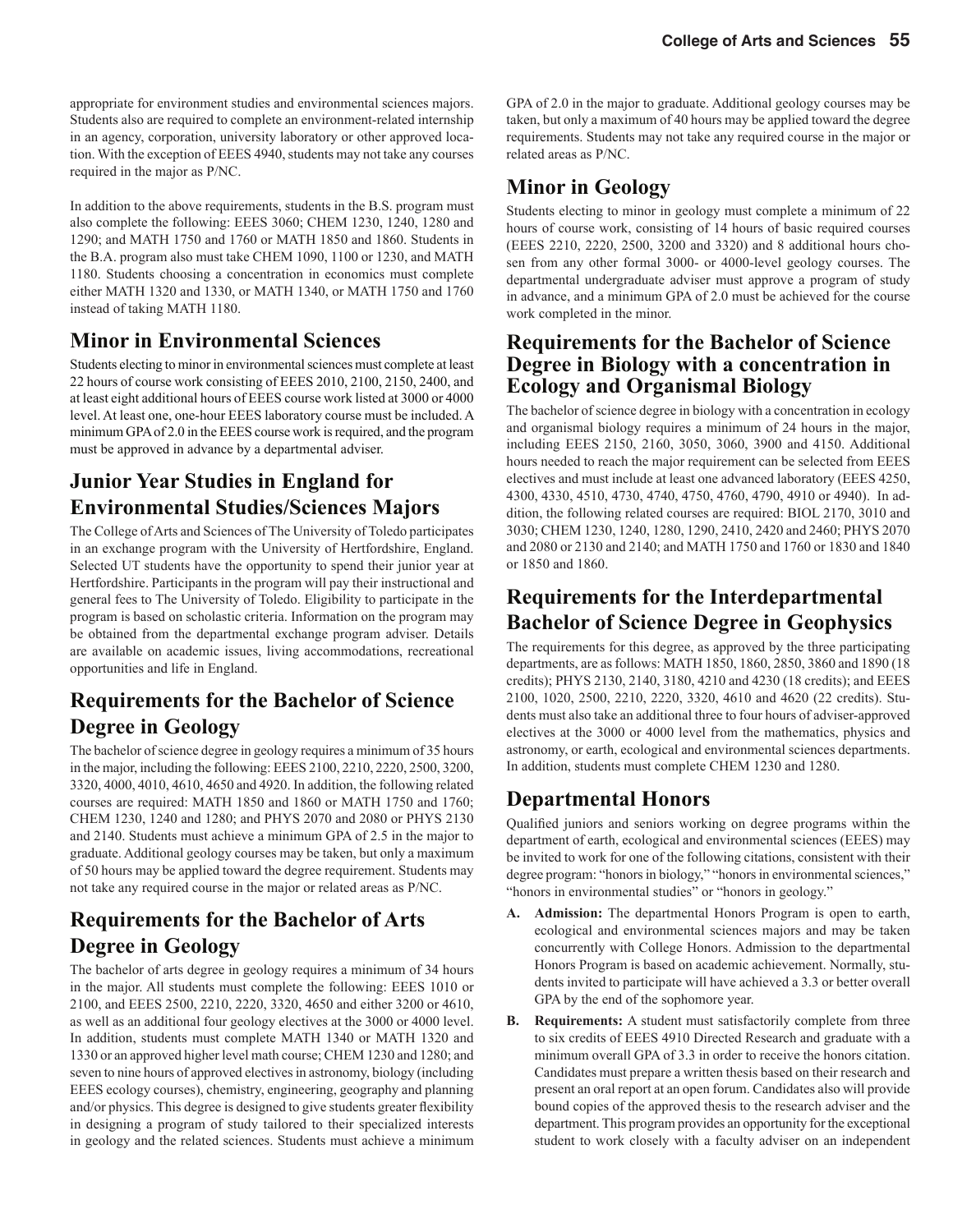appropriate for environment studies and environmental sciences majors. Students also are required to complete an environment-related internship in an agency, corporation, university laboratory or other approved location. With the exception of EEES 4940, students may not take any courses required in the major as P/NC.

In addition to the above requirements, students in the B.S. program must also complete the following: EEES 3060; CHEM 1230, 1240, 1280 and 1290; and MATH 1750 and 1760 or MATH 1850 and 1860. Students in the B.A. program also must take CHEM 1090, 1100 or 1230, and MATH 1180. Students choosing a concentration in economics must complete either MATH 1320 and 1330, or MATH 1340, or MATH 1750 and 1760 instead of taking MATH 1180.

### **Minor in Environmental Sciences**

Students electing to minor in environmental sciences must complete at least 22 hours of course work consisting of EEES 2010, 2100, 2150, 2400, and at least eight additional hours of EEES course work listed at 3000 or 4000 level. At least one, one-hour EEES laboratory course must be included. A minimum GPA of 2.0 in the EEES course work is required, and the program must be approved in advance by a departmental adviser.

### **Junior Year Studies in England for Environmental Studies/Sciences Majors**

The College of Arts and Sciences of The University of Toledo participates in an exchange program with the University of Hertfordshire, England. Selected UT students have the opportunity to spend their junior year at Hertfordshire. Participants in the program will pay their instructional and general fees to The University of Toledo. Eligibility to participate in the program is based on scholastic criteria. Information on the program may be obtained from the departmental exchange program adviser. Details are available on academic issues, living accommodations, recreational opportunities and life in England.

#### **Requirements for the Bachelor of Science Degree in Geology**

The bachelor of science degree in geology requires a minimum of 35 hours in the major, including the following: EEES 2100, 2210, 2220, 2500, 3200, 3320, 4000, 4010, 4610, 4650 and 4920. In addition, the following related courses are required: MATH 1850 and 1860 or MATH 1750 and 1760; CHEM 1230, 1240 and 1280; and PHYS 2070 and 2080 or PHYS 2130 and 2140. Students must achieve a minimum GPA of 2.5 in the major to graduate. Additional geology courses may be taken, but only a maximum of 50 hours may be applied toward the degree requirement. Students may not take any required course in the major or related areas as P/NC.

#### **Requirements for the Bachelor of Arts Degree in Geology**

The bachelor of arts degree in geology requires a minimum of 34 hours in the major. All students must complete the following: EEES 1010 or 2100, and EEES 2500, 2210, 2220, 3320, 4650 and either 3200 or 4610, as well as an additional four geology electives at the 3000 or 4000 level. In addition, students must complete MATH 1340 or MATH 1320 and 1330 or an approved higher level math course; CHEM 1230 and 1280; and seven to nine hours of approved electives in astronomy, biology (including EEES ecology courses), chemistry, engineering, geography and planning and/or physics. This degree is designed to give students greater flexibility in designing a program of study tailored to their specialized interests in geology and the related sciences. Students must achieve a minimum GPA of 2.0 in the major to graduate. Additional geology courses may be taken, but only a maximum of 40 hours may be applied toward the degree requirements. Students may not take any required course in the major or related areas as P/NC.

### **Minor in Geology**

Students electing to minor in geology must complete a minimum of 22 hours of course work, consisting of 14 hours of basic required courses (EEES 2210, 2220, 2500, 3200 and 3320) and 8 additional hours chosen from any other formal 3000- or 4000-level geology courses. The departmental undergraduate adviser must approve a program of study in advance, and a minimum GPA of 2.0 must be achieved for the course work completed in the minor.

#### **Requirements for the Bachelor of Science Degree in Biology with a concentration in Ecology and Organismal Biology**

The bachelor of science degree in biology with a concentration in ecology and organismal biology requires a minimum of 24 hours in the major, including EEES 2150, 2160, 3050, 3060, 3900 and 4150. Additional hours needed to reach the major requirement can be selected from EEES electives and must include at least one advanced laboratory (EEES 4250, 4300, 4330, 4510, 4730, 4740, 4750, 4760, 4790, 4910 or 4940). In addition, the following related courses are required: BIOL 2170, 3010 and 3030; CHEM 1230, 1240, 1280, 1290, 2410, 2420 and 2460; PHYS 2070 and 2080 or 2130 and 2140; and MATH 1750 and 1760 or 1830 and 1840 or 1850 and 1860.

### **Requirements for the Interdepartmental Bachelor of Science Degree in Geophysics**

The requirements for this degree, as approved by the three participating departments, are as follows: MATH 1850, 1860, 2850, 3860 and 1890 (18 credits); PHYS 2130, 2140, 3180, 4210 and 4230 (18 credits); and EEES 2100, 1020, 2500, 2210, 2220, 3320, 4610 and 4620 (22 credits). Students must also take an additional three to four hours of adviser-approved electives at the 3000 or 4000 level from the mathematics, physics and astronomy, or earth, ecological and environmental sciences departments. In addition, students must complete CHEM 1230 and 1280.

### **Departmental Honors**

Qualified juniors and seniors working on degree programs within the department of earth, ecological and environmental sciences (EEES) may be invited to work for one of the following citations, consistent with their degree program: "honors in biology," "honors in environmental sciences," "honors in environmental studies" or "honors in geology."

- **A. Admission:** The departmental Honors Program is open to earth, ecological and environmental sciences majors and may be taken concurrently with College Honors. Admission to the departmental Honors Program is based on academic achievement. Normally, students invited to participate will have achieved a 3.3 or better overall GPA by the end of the sophomore year.
- **B.** Requirements: A student must satisfactorily complete from three to six credits of EEES 4910 Directed Research and graduate with a minimum overall GPA of 3.3 in order to receive the honors citation. Candidates must prepare a written thesis based on their research and present an oral report at an open forum. Candidates also will provide bound copies of the approved thesis to the research adviser and the department. This program provides an opportunity for the exceptional student to work closely with a faculty adviser on an independent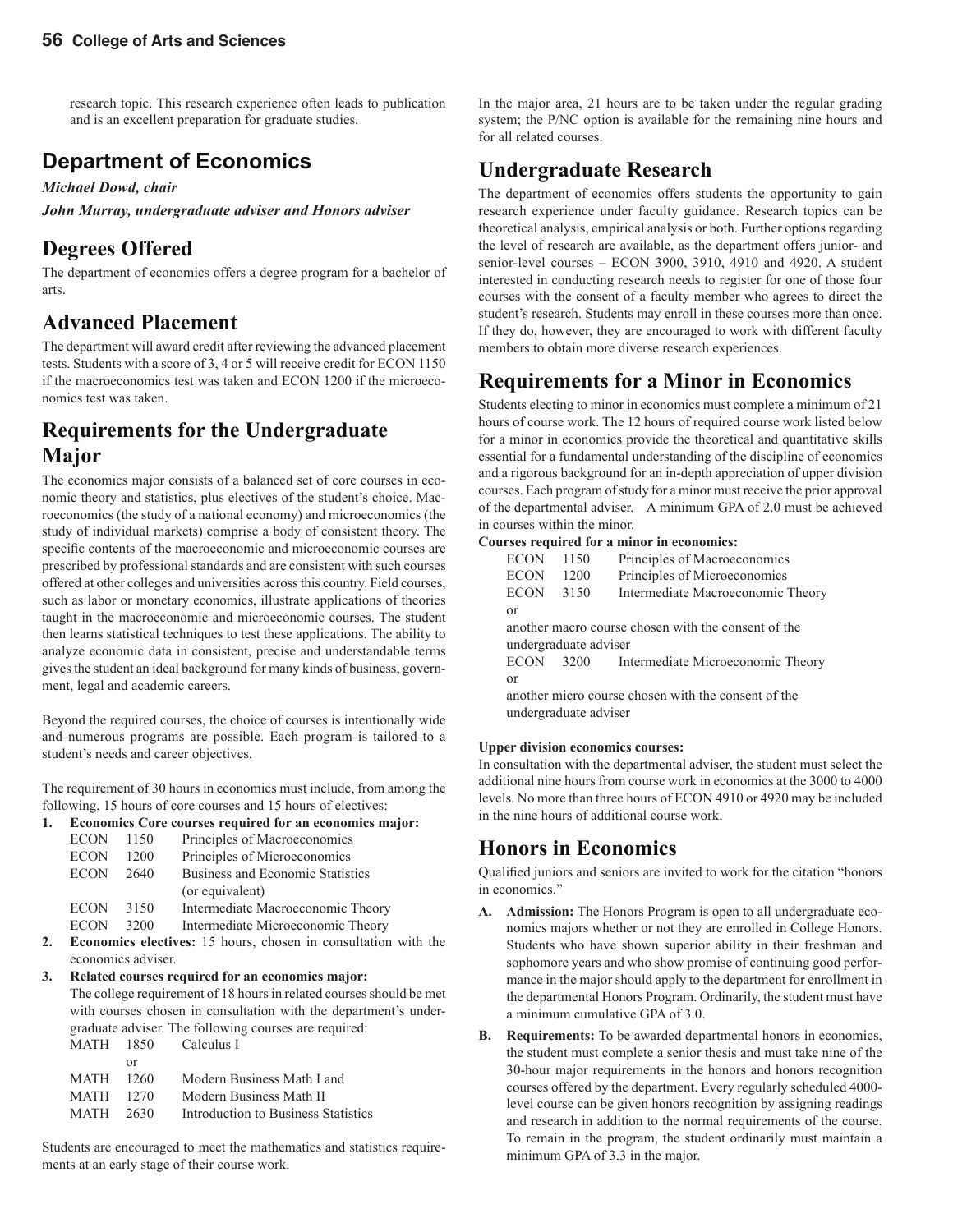research topic. This research experience often leads to publication and is an excellent preparation for graduate studies.

### **Department of Economics**

#### *Michael Dowd, chair*

*John Murray, undergraduate adviser and Honors adviser*

### **Degrees Offered**

The department of economics offers a degree program for a bachelor of arts.

### **Advanced Placement**

The department will award credit after reviewing the advanced placement tests. Students with a score of 3, 4 or 5 will receive credit for ECON 1150 if the macroeconomics test was taken and ECON 1200 if the microeconomics test was taken.

#### **Requirements for the Undergraduate Major**

The economics major consists of a balanced set of core courses in economic theory and statistics, plus electives of the student's choice. Macroeconomics (the study of a national economy) and microeconomics (the study of individual markets) comprise a body of consistent theory. The specific contents of the macroeconomic and microeconomic courses are prescribed by professional standards and are consistent with such courses offered at other colleges and universities across this country. Field courses, such as labor or monetary economics, illustrate applications of theories taught in the macroeconomic and microeconomic courses. The student then learns statistical techniques to test these applications. The ability to analyze economic data in consistent, precise and understandable terms gives the student an ideal background for many kinds of business, government, legal and academic careers.

Beyond the required courses, the choice of courses is intentionally wide and numerous programs are possible. Each program is tailored to a student's needs and career objectives.

The requirement of 30 hours in economics must include, from among the following, 15 hours of core courses and 15 hours of electives:

#### **1. Economics Core courses required for an economics major:**

| <b>ECON</b> | 1150 | Principles of Macroeconomics            |
|-------------|------|-----------------------------------------|
| <b>ECON</b> | 1200 | Principles of Microeconomics            |
| <b>ECON</b> | 2640 | <b>Business and Economic Statistics</b> |
|             |      | (or equivalent)                         |
| <b>ECON</b> | 3150 | Intermediate Macroeconomic Theory       |
| <b>ECON</b> | 3200 | Intermediate Microeconomic Theory       |

**2. Economics electives:** 15 hours, chosen in consultation with the economics adviser.

**3. Related courses required for an economics major:** The college requirement of 18 hours in related courses should be met with courses chosen in consultation with the department's under graduate adviser. The following courses are required:

| MATH 1850 | – Calculus I                        |
|-----------|-------------------------------------|
| or        |                                     |
| MATH 1260 | Modern Business Math I and          |
| MATH 1270 | Modern Business Math II             |
| MATH 2630 | Introduction to Business Statistics |
|           |                                     |

Students are encouraged to meet the mathematics and statistics requirements at an early stage of their course work.

In the major area, 21 hours are to be taken under the regular grading system; the P/NC option is available for the remaining nine hours and for all related courses.

#### **Undergraduate Research**

The department of economics offers students the opportunity to gain research experience under faculty guidance. Research topics can be theoretical analysis, empirical analysis or both. Further options regarding the level of research are available, as the department offers junior- and senior-level courses – ECON 3900, 3910, 4910 and 4920. A student interested in conducting research needs to register for one of those four courses with the consent of a faculty member who agrees to direct the student's research. Students may enroll in these courses more than once. If they do, however, they are encouraged to work with different faculty members to obtain more diverse research experiences.

### **Requirements for a Minor in Economics**

Students electing to minor in economics must complete a minimum of 21 hours of course work. The 12 hours of required course work listed below for a minor in economics provide the theoretical and quantitative skills essential for a fundamental understanding of the discipline of economics and a rigorous background for an in-depth appreciation of upper division courses. Each program of study for a minor must receive the prior approval of the departmental adviser. A minimum GPA of 2.0 must be achieved in courses within the minor.

#### **Courses required for a minor in economics:**

| <b>ECON</b> | 1150                  | Principles of Macroeconomics                        |
|-------------|-----------------------|-----------------------------------------------------|
| <b>ECON</b> | 1200                  | Principles of Microeconomics                        |
| <b>ECON</b> | 3150                  | Intermediate Macroeconomic Theory                   |
| $\alpha$    |                       |                                                     |
|             |                       | another macro course chosen with the consent of the |
|             | undergraduate adviser |                                                     |
| <b>ECON</b> | 3200                  | Intermediate Microeconomic Theory                   |
| $\alpha$    |                       |                                                     |
|             |                       | another micro course chosen with the consent of the |
|             | undergraduate adviser |                                                     |
|             |                       |                                                     |

#### **Upper division economics courses:**

In consultation with the departmental adviser, the student must select the additional nine hours from course work in economics at the 3000 to 4000 levels. No more than three hours of ECON 4910 or 4920 may be included in the nine hours of additional course work.

#### **Honors in Economics**

Qualified juniors and seniors are invited to work for the citation "honors" in economics."

- **A. Admission:** The Honors Program is open to all undergraduate economics majors whether or not they are enrolled in College Honors. Students who have shown superior ability in their freshman and sophomore years and who show promise of continuing good performance in the major should apply to the department for enrollment in the departmental Honors Program. Ordinarily, the student must have a minimum cumulative GPA of 3.0.
- **B. Requirements:** To be awarded departmental honors in economics, the student must complete a senior thesis and must take nine of the 30-hour major requirements in the honors and honors recognition courses offered by the department. Every regularly scheduled 4000 level course can be given honors recognition by assigning readings and research in addition to the normal requirements of the course. To remain in the program, the student ordinarily must maintain a minimum GPA of 3.3 in the major.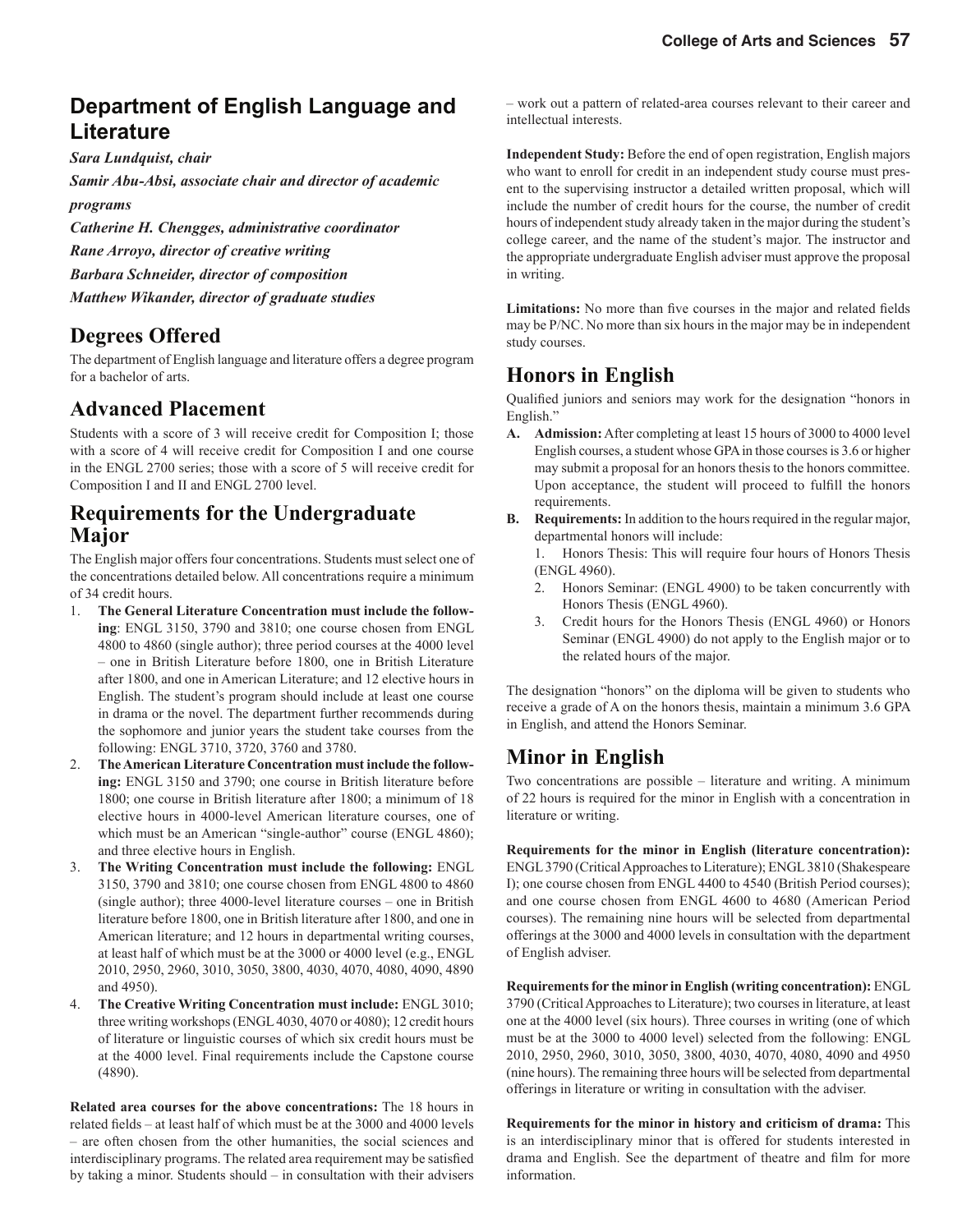### **Department of English Language and Literature**

*Sara Lundquist, chair*

*Samir Abu-Absi, associate chair and director of academic programs*

*Catherine H. Chengges, administrative coordinator Rane Arroyo, director of creative writing Barbara Schneider, director of composition* 

*Matthew Wikander, director of graduate studies*

#### **Degrees Offered**

The department of English language and literature offers a degree program for a bachelor of arts.

#### **Advanced Placement**

Students with a score of 3 will receive credit for Composition I; those with a score of 4 will receive credit for Composition I and one course in the ENGL 2700 series; those with a score of 5 will receive credit for Composition I and II and ENGL 2700 level.

#### **Requirements for the Undergraduate Major**

The English major offers four concentrations. Students must select one of the concentrations detailed below. All concentrations require a minimum of 34 credit hours.

- 1. **The General Literature Concentration must include the following**: ENGL 3150, 3790 and 3810; one course chosen from ENGL 4800 to 4860 (single author); three period courses at the 4000 level – one in British Literature before 1800, one in British Literature after 1800, and one in American Literature; and 12 elective hours in English. The student's program should include at least one course in drama or the novel. The department further recommends during the sophomore and junior years the student take courses from the following: ENGL 3710, 3720, 3760 and 3780.
- 2. **The American Literature Concentration must include the following:** ENGL 3150 and 3790; one course in British literature before 1800; one course in British literature after 1800; a minimum of 18 elective hours in 4000-level American literature courses, one of which must be an American "single-author" course (ENGL 4860); and three elective hours in English.
- 3. **The Writing Concentration must include the following:** ENGL 3150, 3790 and 3810; one course chosen from ENGL 4800 to 4860 (single author); three 4000-level literature courses – one in British literature before 1800, one in British literature after 1800, and one in American literature; and 12 hours in departmental writing courses, at least half of which must be at the 3000 or 4000 level (e.g., ENGL 2010, 2950, 2960, 3010, 3050, 3800, 4030, 4070, 4080, 4090, 4890 and 4950).
- 4. **The Creative Writing Concentration must include:** ENGL 3010; three writing workshops (ENGL 4030, 4070 or 4080); 12 credit hours of literature or linguistic courses of which six credit hours must be at the 4000 level. Final requirements include the Capstone course (4890).

**Related area courses for the above concentrations:** The 18 hours in related fields – at least half of which must be at the 3000 and 4000 levels – are often chosen from the other humanities, the social sciences and interdisciplinary programs. The related area requirement may be satisfied by taking a minor. Students should – in consultation with their advisers – work out a pattern of related-area courses relevant to their career and intellectual interests.

**Independent Study:** Before the end of open registration, English majors who want to enroll for credit in an independent study course must present to the supervising instructor a detailed written proposal, which will include the number of credit hours for the course, the number of credit hours of independent study already taken in the major during the student's college career, and the name of the student's major. The instructor and the appropriate undergraduate English adviser must approve the proposal in writing.

**Limitations:** No more than five courses in the major and related fields may be P/NC. No more than six hours in the major may be in independent study courses.

### **Honors in English**

Qualified juniors and seniors may work for the designation "honors in English."

- **A. Admission:** After completing at least 15 hours of 3000 to 4000 level English courses, a student whose GPA in those courses is 3.6 or higher may submit a proposal for an honors thesis to the honors committee. Upon acceptance, the student will proceed to fulfill the honors requirements.
- **B. Requirements:** In addition to the hours required in the regular major, departmental honors will include:

 1. Honors Thesis: This will require four hours of Honors Thesis (ENGL 4960).

- 2. Honors Seminar: (ENGL 4900) to be taken concurrently with Honors Thesis (ENGL 4960).
- 3. Credit hours for the Honors Thesis (ENGL 4960) or Honors Seminar (ENGL 4900) do not apply to the English major or to the related hours of the major.

The designation "honors" on the diploma will be given to students who receive a grade of A on the honors thesis, maintain a minimum 3.6 GPA in English, and attend the Honors Seminar.

### **Minor in English**

Two concentrations are possible – literature and writing. A minimum of 22 hours is required for the minor in English with a concentration in literature or writing.

**Requirements for the minor in English (literature concentration):** ENGL 3790 (Critical Approaches to Literature); ENGL 3810 (Shakespeare I); one course chosen from ENGL 4400 to 4540 (British Period courses); and one course chosen from ENGL 4600 to 4680 (American Period courses). The remaining nine hours will be selected from departmental offerings at the 3000 and 4000 levels in consultation with the department of English adviser.

**Requirements for the minor in English (writing concentration):** ENGL 3790 (Critical Approaches to Literature); two courses in literature, at least one at the 4000 level (six hours). Three courses in writing (one of which must be at the 3000 to 4000 level) selected from the following: ENGL 2010, 2950, 2960, 3010, 3050, 3800, 4030, 4070, 4080, 4090 and 4950 (nine hours). The remaining three hours will be selected from departmental offerings in literature or writing in consultation with the adviser.

**Requirements for the minor in history and criticism of drama:** This is an interdisciplinary minor that is offered for students interested in drama and English. See the department of theatre and film for more information.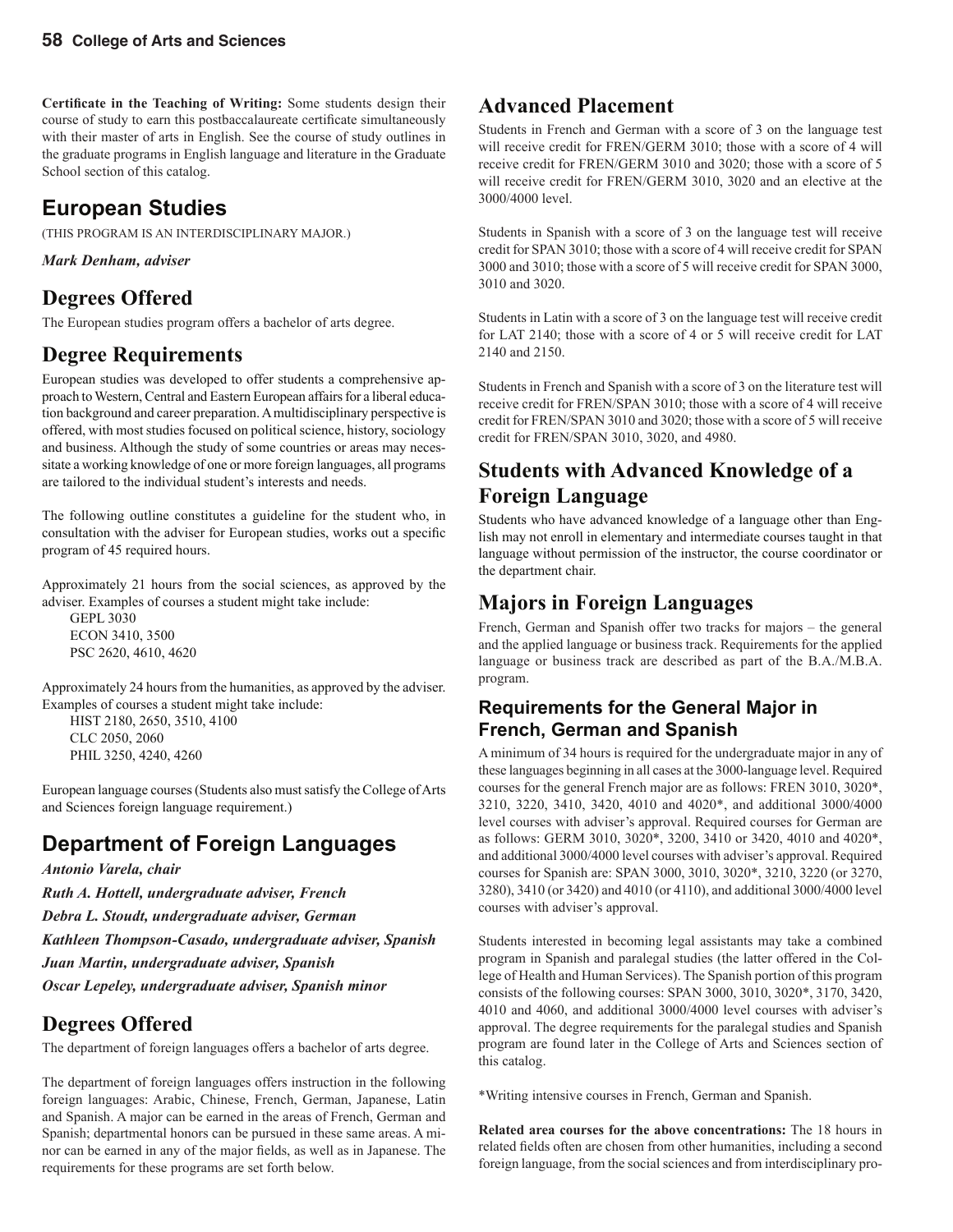Certificate in the Teaching of Writing: Some students design their course of study to earn this postbaccalaureate certificate simultaneously with their master of arts in English. See the course of study outlines in the graduate programs in English language and literature in the Graduate School section of this catalog.

### **European Studies**

(THIS PROGRAM IS AN INTERDISCIPLINARY MAJOR.)

*Mark Denham, adviser*

### **Degrees Offered**

The European studies program offers a bachelor of arts degree.

#### **Degree Requirements**

European studies was developed to offer students a comprehensive approach to Western, Central and Eastern European affairs for a liberal education background and career preparation. A multidisciplinary perspective is offered, with most studies focused on political science, history, sociology and business. Although the study of some countries or areas may necessitate a working knowledge of one or more foreign languages, all programs are tailored to the individual student's interests and needs.

The following outline constitutes a guideline for the student who, in consultation with the adviser for European studies, works out a specific program of 45 required hours.

Approximately 21 hours from the social sciences, as approved by the adviser. Examples of courses a student might take include:

 GEPL 3030 ECON 3410, 3500 PSC 2620, 4610, 4620

Approximately 24 hours from the humanities, as approved by the adviser. Examples of courses a student might take include:

 HIST 2180, 2650, 3510, 4100 CLC 2050, 2060 PHIL 3250, 4240, 4260

European language courses (Students also must satisfy the College of Arts and Sciences foreign language requirement.)

### **Department of Foreign Languages**

*Antonio Varela, chair Ruth A. Hottell, undergraduate adviser, French Debra L. Stoudt, undergraduate adviser, German Kathleen Thompson-Casado, undergraduate adviser, Spanish Juan Martin, undergraduate adviser, Spanish Oscar Lepeley, undergraduate adviser, Spanish minor*

### **Degrees Offered**

The department of foreign languages offers a bachelor of arts degree.

The department of foreign languages offers instruction in the following foreign languages: Arabic, Chinese, French, German, Japanese, Latin and Spanish. A major can be earned in the areas of French, German and Spanish; departmental honors can be pursued in these same areas. A minor can be earned in any of the major fields, as well as in Japanese. The requirements for these programs are set forth below.

### **Advanced Placement**

Students in French and German with a score of 3 on the language test will receive credit for FREN/GERM 3010; those with a score of 4 will receive credit for FREN/GERM 3010 and 3020; those with a score of 5 will receive credit for FREN/GERM 3010, 3020 and an elective at the 3000/4000 level.

Students in Spanish with a score of 3 on the language test will receive credit for SPAN 3010; those with a score of 4 will receive credit for SPAN 3000 and 3010; those with a score of 5 will receive credit for SPAN 3000, 3010 and 3020.

Students in Latin with a score of 3 on the language test will receive credit for LAT 2140; those with a score of 4 or 5 will receive credit for LAT 2140 and 2150.

Students in French and Spanish with a score of 3 on the literature test will receive credit for FREN/SPAN 3010; those with a score of 4 will receive credit for FREN/SPAN 3010 and 3020; those with a score of 5 will receive credit for FREN/SPAN 3010, 3020, and 4980.

### **Students with Advanced Knowledge of a Foreign Language**

Students who have advanced knowledge of a language other than English may not enroll in elementary and intermediate courses taught in that language without permission of the instructor, the course coordinator or the department chair.

### **Majors in Foreign Languages**

French, German and Spanish offer two tracks for majors – the general and the applied language or business track. Requirements for the applied language or business track are described as part of the B.A./M.B.A. program.

#### **Requirements for the General Major in French, German and Spanish**

A minimum of 34 hours is required for the undergraduate major in any of these languages beginning in all cases at the 3000-language level. Required courses for the general French major are as follows: FREN 3010, 3020\*, 3210, 3220, 3410, 3420, 4010 and 4020\*, and additional 3000/4000 level courses with adviser's approval. Required courses for German are as follows: GERM 3010, 3020\*, 3200, 3410 or 3420, 4010 and 4020\*, and additional 3000/4000 level courses with adviser's approval. Required courses for Spanish are: SPAN 3000, 3010, 3020\*, 3210, 3220 (or 3270, 3280), 3410 (or 3420) and 4010 (or 4110), and additional 3000/4000 level courses with adviser's approval.

Students interested in becoming legal assistants may take a combined program in Spanish and paralegal studies (the latter offered in the College of Health and Human Services). The Spanish portion of this program consists of the following courses: SPAN 3000, 3010, 3020\*, 3170, 3420, 4010 and 4060, and additional 3000/4000 level courses with adviser's approval. The degree requirements for the paralegal studies and Spanish program are found later in the College of Arts and Sciences section of this catalog.

\*Writing intensive courses in French, German and Spanish.

**Related area courses for the above concentrations:** The 18 hours in related fields often are chosen from other humanities, including a second foreign language, from the social sciences and from interdisciplinary pro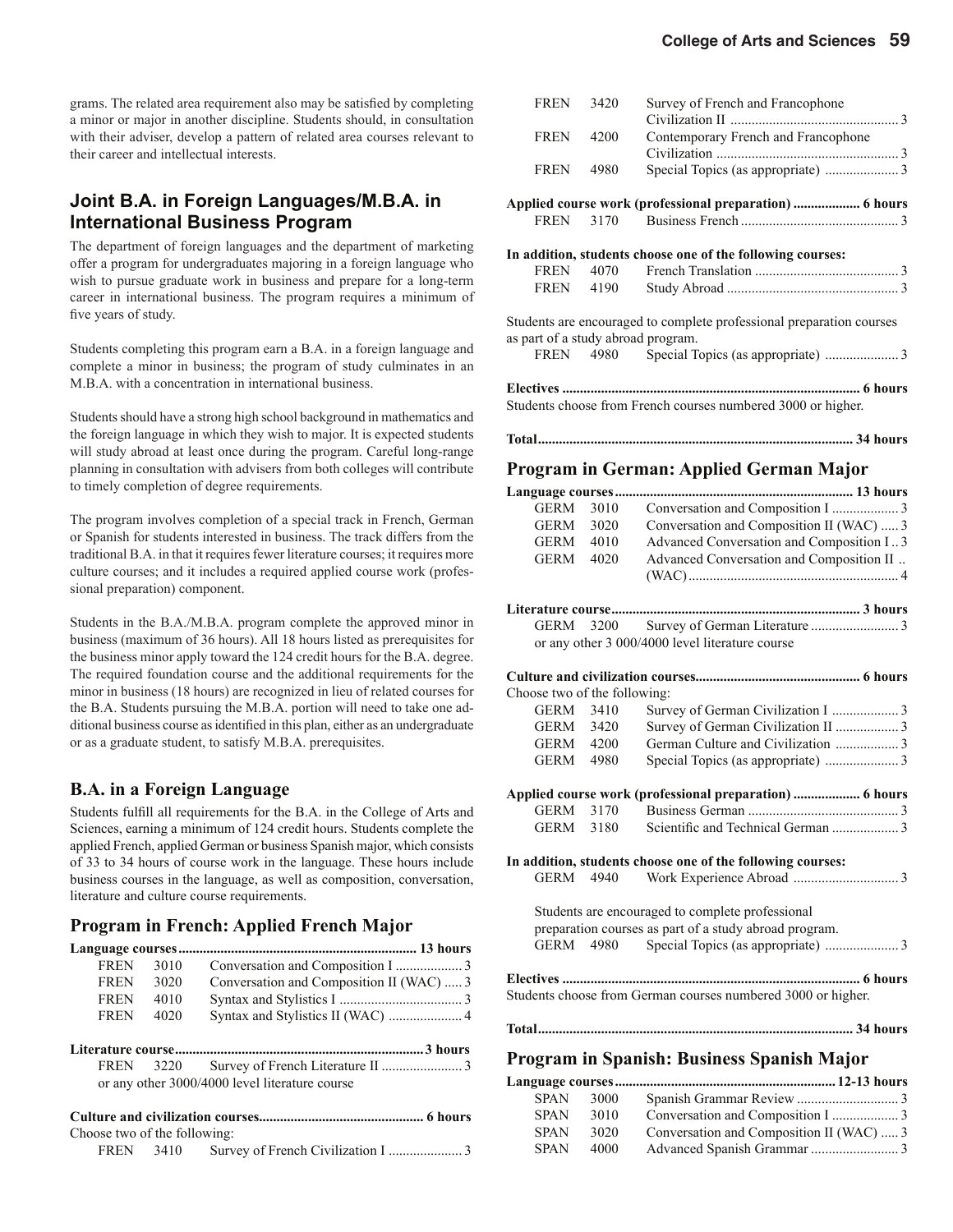grams. The related area requirement also may be satisfied by completing a minor or major in another discipline. Students should, in consultation with their adviser, develop a pattern of related area courses relevant to their career and intellectual interests.

#### **Joint B.A. in Foreign Languages/M.B.A. in International Business Program**

The department of foreign languages and the department of marketing offer a program for undergraduates majoring in a foreign language who wish to pursue graduate work in business and prepare for a long-term career in international business. The program requires a minimum of five years of study.

Students completing this program earn a B.A. in a foreign language and complete a minor in business; the program of study culminates in an M.B.A. with a concentration in international business.

Students should have a strong high school background in mathematics and the foreign language in which they wish to major. It is expected students will study abroad at least once during the program. Careful long-range planning in consultation with advisers from both colleges will contribute to timely completion of degree requirements.

The program involves completion of a special track in French, German or Spanish for students interested in business. The track differs from the traditional B.A. in that it requires fewer literature courses; it requires more culture courses; and it includes a required applied course work (professional preparation) component.

Students in the B.A./M.B.A. program complete the approved minor in business (maximum of 36 hours). All 18 hours listed as prerequisites for the business minor apply toward the 124 credit hours for the B.A. degree. The required foundation course and the additional requirements for the minor in business (18 hours) are recognized in lieu of related courses for the B.A. Students pursuing the M.B.A. portion will need to take one additional business course as identified in this plan, either as an undergraduate or as a graduate student, to satisfy M.B.A. prerequisites.

#### **B.A. in a Foreign Language**

Students fulfill all requirements for the B.A. in the College of Arts and Sciences, earning a minimum of 124 credit hours. Students complete the applied French, applied German or business Spanish major, which consists of 33 to 34 hours of course work in the language. These hours include business courses in the language, as well as composition, conversation, literature and culture course requirements.

#### **Program in French: Applied French Major**

| <b>FREN</b> | 3010 |                                          |  |
|-------------|------|------------------------------------------|--|
| <b>FREN</b> | 3020 | Conversation and Composition II (WAC)  3 |  |
| <b>FREN</b> | 4010 |                                          |  |
| <b>FREN</b> | 4020 |                                          |  |

**Literature course .......................................................................3 hours** FREN 3220 Survey of French Literature II ....................... 3 or any other 3000/4000 level literature course

| Choose two of the following: |  |  |
|------------------------------|--|--|
|                              |  |  |

| <b>FREN</b>                        | 3420      | Survey of French and Francophone                                     |
|------------------------------------|-----------|----------------------------------------------------------------------|
|                                    |           |                                                                      |
| <b>FREN</b>                        | 4200      | Contemporary French and Francophone                                  |
|                                    |           |                                                                      |
| <b>FREN</b>                        | 4980      |                                                                      |
|                                    |           | Applied course work (professional preparation)  6 hours              |
| FREN                               |           |                                                                      |
|                                    |           | In addition, students choose one of the following courses:           |
| FREN                               | 4070      |                                                                      |
| FREN                               | 4190      |                                                                      |
| as part of a study abroad program. |           | Students are encouraged to complete professional preparation courses |
|                                    | FREN 4980 |                                                                      |
|                                    |           |                                                                      |
|                                    |           | Students choose from French courses numbered 3000 or higher.         |
|                                    |           |                                                                      |

#### **Program in German: Applied German Major**

| Language courses             |           |                                                              |
|------------------------------|-----------|--------------------------------------------------------------|
| <b>GERM</b>                  | 3010      |                                                              |
| GERM                         | 3020      | Conversation and Composition II (WAC)  3                     |
|                              | GERM 4010 | Advanced Conversation and Composition I3                     |
| <b>GERM</b>                  | 4020      | Advanced Conversation and Composition II                     |
|                              |           |                                                              |
|                              |           |                                                              |
|                              |           |                                                              |
| GERM                         |           |                                                              |
|                              |           | or any other 3 000/4000 level literature course              |
|                              |           |                                                              |
| Choose two of the following: |           |                                                              |
| GERM                         | 3410      |                                                              |
|                              | GERM 3420 |                                                              |
|                              | GERM 4200 |                                                              |
|                              | GERM 4980 |                                                              |
|                              |           |                                                              |
|                              |           | Applied course work (professional preparation)  6 hours      |
|                              | GERM 3170 |                                                              |
| <b>GERM</b>                  | 3180      |                                                              |
|                              |           |                                                              |
|                              |           | In addition, students choose one of the following courses:   |
| <b>GERM</b>                  | 4940      |                                                              |
|                              |           | Students are encouraged to complete professional             |
|                              |           | preparation courses as part of a study abroad program.       |
|                              | GERM 4980 |                                                              |
|                              |           |                                                              |
|                              |           |                                                              |
|                              |           | Students choose from German courses numbered 3000 or higher. |
|                              |           |                                                              |
|                              |           |                                                              |
|                              |           |                                                              |

#### **Program in Spanish: Business Spanish Major**

| <b>SPAN</b> | 3000 |                                          |  |
|-------------|------|------------------------------------------|--|
| <b>SPAN</b> | 3010 |                                          |  |
| <b>SPAN</b> | 3020 | Conversation and Composition II (WAC)  3 |  |
| <b>SPAN</b> | 4000 |                                          |  |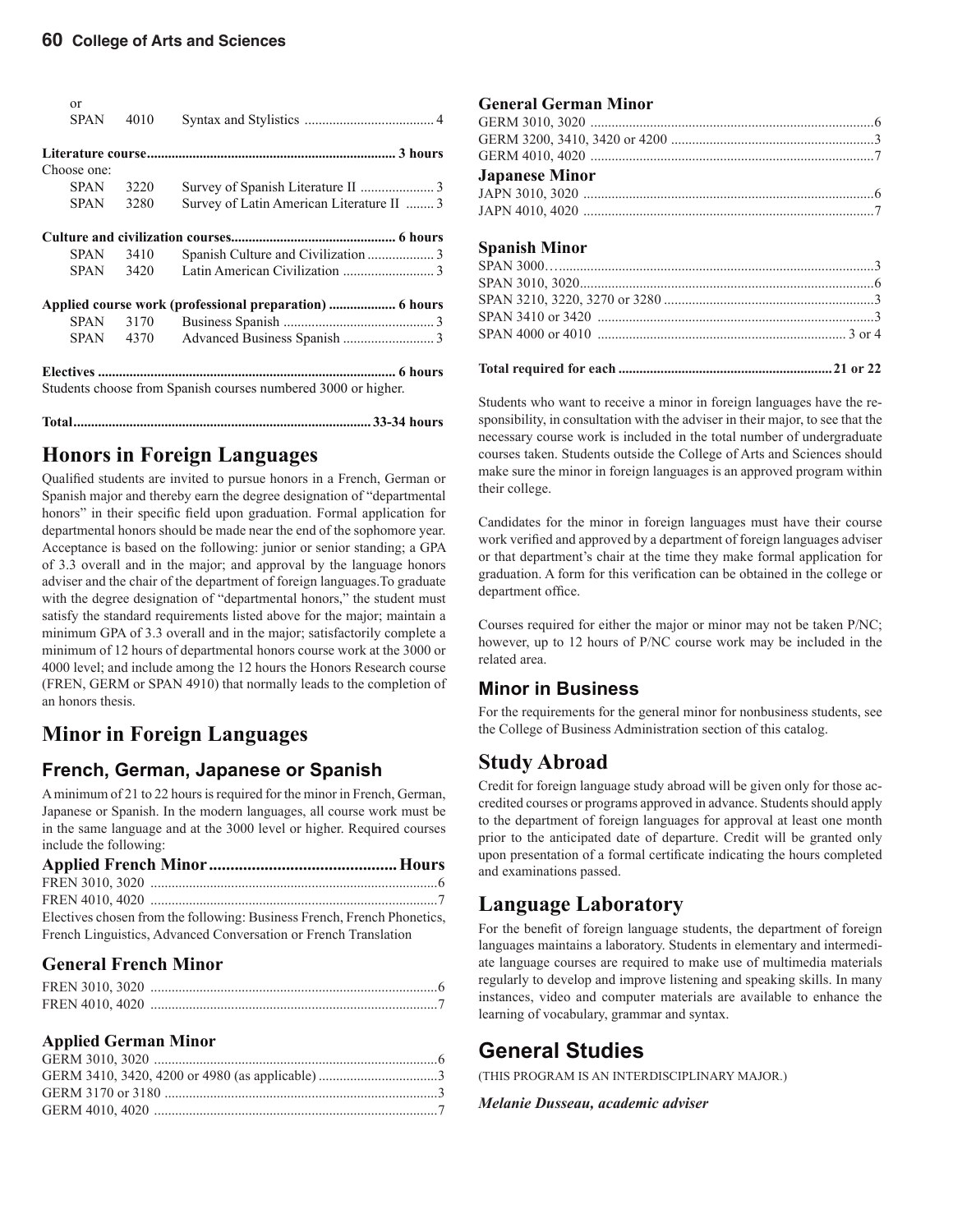| $\alpha$<br><b>SPAN</b> | 4010 |                                                               |
|-------------------------|------|---------------------------------------------------------------|
|                         |      |                                                               |
|                         |      |                                                               |
| Choose one:             |      |                                                               |
| SPAN                    | 3220 |                                                               |
| <b>SPAN</b>             | 3280 | Survey of Latin American Literature II  3                     |
|                         |      |                                                               |
| SPAN                    | 3410 |                                                               |
|                         |      |                                                               |
| SPAN                    | 3420 |                                                               |
|                         |      | Applied course work (professional preparation)  6 hours       |
| SPAN                    | 3170 |                                                               |
| SPAN                    | 4370 |                                                               |
|                         |      | Students choose from Spanish courses numbered 3000 or higher. |
|                         |      |                                                               |

#### **Honors in Foreign Languages**

Qualified students are invited to pursue honors in a French, German or Spanish major and thereby earn the degree designation of "departmental honors" in their specific field upon graduation. Formal application for departmental honors should be made near the end of the sophomore year. Acceptance is based on the following: junior or senior standing; a GPA of 3.3 overall and in the major; and approval by the language honors adviser and the chair of the department of foreign languages.To graduate with the degree designation of "departmental honors," the student must satisfy the standard requirements listed above for the major; maintain a minimum GPA of 3.3 overall and in the major; satisfactorily complete a minimum of 12 hours of departmental honors course work at the 3000 or 4000 level; and include among the 12 hours the Honors Research course (FREN, GERM or SPAN 4910) that normally leads to the completion of an honors thesis.

### **Minor in Foreign Languages**

#### **French, German, Japanese or Spanish**

A minimum of 21 to 22 hours is required for the minor in French, German, Japanese or Spanish. In the modern languages, all course work must be in the same language and at the 3000 level or higher. Required courses include the following:

| Electives chosen from the following: Business French, French Phonetics, |  |
|-------------------------------------------------------------------------|--|
| French Linguistics, Advanced Conversation or French Translation         |  |

#### **General French Minor**

#### **Applied German Minor**

#### **General German Minor**

| <b>Japanese Minor</b> |  |
|-----------------------|--|
|                       |  |

JAPN 4010, 4020 ...................................................................................7

#### **Spanish Minor**

Students who want to receive a minor in foreign languages have the responsibility, in consultation with the adviser in their major, to see that the necessary course work is included in the total number of undergraduate courses taken. Students outside the College of Arts and Sciences should make sure the minor in foreign languages is an approved program within their college.

Candidates for the minor in foreign languages must have their course work verified and approved by a department of foreign languages adviser or that department's chair at the time they make formal application for graduation. A form for this verification can be obtained in the college or department office.

Courses required for either the major or minor may not be taken P/NC; however, up to 12 hours of P/NC course work may be included in the related area.

#### **Minor in Business**

For the requirements for the general minor for nonbusiness students, see the College of Business Administration section of this catalog.

#### **Study Abroad**

Credit for foreign language study abroad will be given only for those accredited courses or programs approved in advance. Students should apply to the department of foreign languages for approval at least one month prior to the anticipated date of departure. Credit will be granted only upon presentation of a formal certificate indicating the hours completed and examinations passed.

#### **Language Laboratory**

For the benefit of foreign language students, the department of foreign languages maintains a laboratory. Students in elementary and intermediate language courses are required to make use of multimedia materials regularly to develop and improve listening and speaking skills. In many instances, video and computer materials are available to enhance the learning of vocabulary, grammar and syntax.

#### **General Studies**

(THIS PROGRAM IS AN INTERDISCIPLINARY MAJOR.)

*Melanie Dusseau, academic adviser*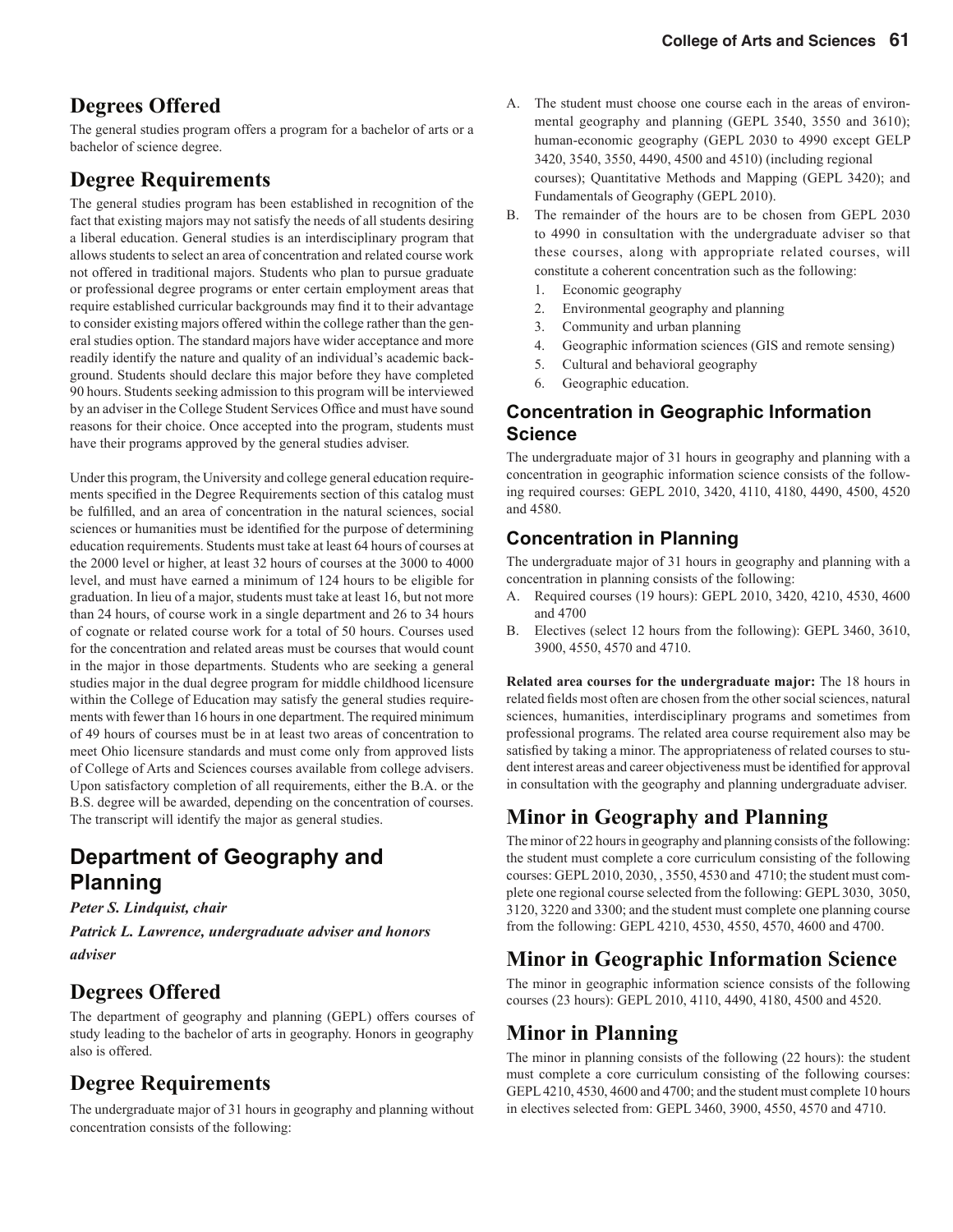### **Degrees Offered**

The general studies program offers a program for a bachelor of arts or a bachelor of science degree.

#### **Degree Requirements**

The general studies program has been established in recognition of the fact that existing majors may not satisfy the needs of all students desiring a liberal education. General studies is an interdisciplinary program that allows students to select an area of concentration and related course work not offered in traditional majors. Students who plan to pursue graduate or professional degree programs or enter certain employment areas that require established curricular backgrounds may find it to their advantage to consider existing majors offered within the college rather than the general studies option. The standard majors have wider acceptance and more readily identify the nature and quality of an individual's academic background. Students should declare this major before they have completed 90 hours. Students seeking admission to this program will be interviewed by an adviser in the College Student Services Office and must have sound reasons for their choice. Once accepted into the program, students must have their programs approved by the general studies adviser.

Under this program, the University and college general education requirements specified in the Degree Requirements section of this catalog must be fulfilled, and an area of concentration in the natural sciences, social sciences or humanities must be identified for the purpose of determining education requirements. Students must take at least 64 hours of courses at the 2000 level or higher, at least 32 hours of courses at the 3000 to 4000 level, and must have earned a minimum of 124 hours to be eligible for graduation. In lieu of a major, students must take at least 16, but not more than 24 hours, of course work in a single department and 26 to 34 hours of cognate or related course work for a total of 50 hours. Courses used for the concentration and related areas must be courses that would count in the major in those departments. Students who are seeking a general studies major in the dual degree program for middle childhood licensure within the College of Education may satisfy the general studies requirements with fewer than 16 hours in one department. The required minimum of 49 hours of courses must be in at least two areas of concentration to meet Ohio licensure standards and must come only from approved lists of College of Arts and Sciences courses available from college advisers. Upon satisfactory completion of all requirements, either the B.A. or the B.S. degree will be awarded, depending on the concentration of courses. The transcript will identify the major as general studies.

### **Department of Geography and Planning**

#### *Peter S. Lindquist, chair*

*Patrick L. Lawrence, undergraduate adviser and honors adviser*

#### **Degrees Offered**

The department of geography and planning (GEPL) offers courses of study leading to the bachelor of arts in geography. Honors in geography also is offered.

#### **Degree Requirements**

The undergraduate major of 31 hours in geography and planning without concentration consists of the following:

- A. The student must choose one course each in the areas of environ mental geography and planning (GEPL 3540, 3550 and 3610); human-economic geography (GEPL 2030 to 4990 except GELP 3420, 3540, 3550, 4490, 4500 and 4510) (including regional courses); Quantitative Methods and Mapping (GEPL 3420); and Fundamentals of Geography (GEPL 2010).
- B. The remainder of the hours are to be chosen from GEPL 2030 to 4990 in consultation with the undergraduate adviser so that these courses, along with appropriate related courses, will constitute a coherent concentration such as the following:
	- 1. Economic geography
	- 2. Environmental geography and planning
	- 3. Community and urban planning
	- 4. Geographic information sciences (GIS and remote sensing)
	- 5. Cultural and behavioral geography
	- 6. Geographic education.

#### **Concentration in Geographic Information Science**

The undergraduate major of 31 hours in geography and planning with a concentration in geographic information science consists of the following required courses: GEPL 2010, 3420, 4110, 4180, 4490, 4500, 4520 and 4580.

#### **Concentration in Planning**

The undergraduate major of 31 hours in geography and planning with a concentration in planning consists of the following:

- A. Required courses (19 hours): GEPL 2010, 3420, 4210, 4530, 4600 and 4700
- B. Electives (select 12 hours from the following): GEPL 3460, 3610, 3900, 4550, 4570 and 4710.

**Related area courses for the undergraduate major:** The 18 hours in related fields most often are chosen from the other social sciences, natural sciences, humanities, interdisciplinary programs and sometimes from professional programs. The related area course requirement also may be satisfied by taking a minor. The appropriateness of related courses to student interest areas and career objectiveness must be identified for approval in consultation with the geography and planning undergraduate adviser.

#### **Minor in Geography and Planning**

The minor of 22 hours in geography and planning consists of the following: the student must complete a core curriculum consisting of the following courses: GEPL 2010, 2030, , 3550, 4530 and 4710; the student must complete one regional course selected from the following: GEPL 3030, 3050, 3120, 3220 and 3300; and the student must complete one planning course from the following: GEPL 4210, 4530, 4550, 4570, 4600 and 4700.

### **Minor in Geographic Information Science**

The minor in geographic information science consists of the following courses (23 hours): GEPL 2010, 4110, 4490, 4180, 4500 and 4520.

#### **Minor in Planning**

The minor in planning consists of the following (22 hours): the student must complete a core curriculum consisting of the following courses: GEPL 4210, 4530, 4600 and 4700; and the student must complete 10 hours in electives selected from: GEPL 3460, 3900, 4550, 4570 and 4710.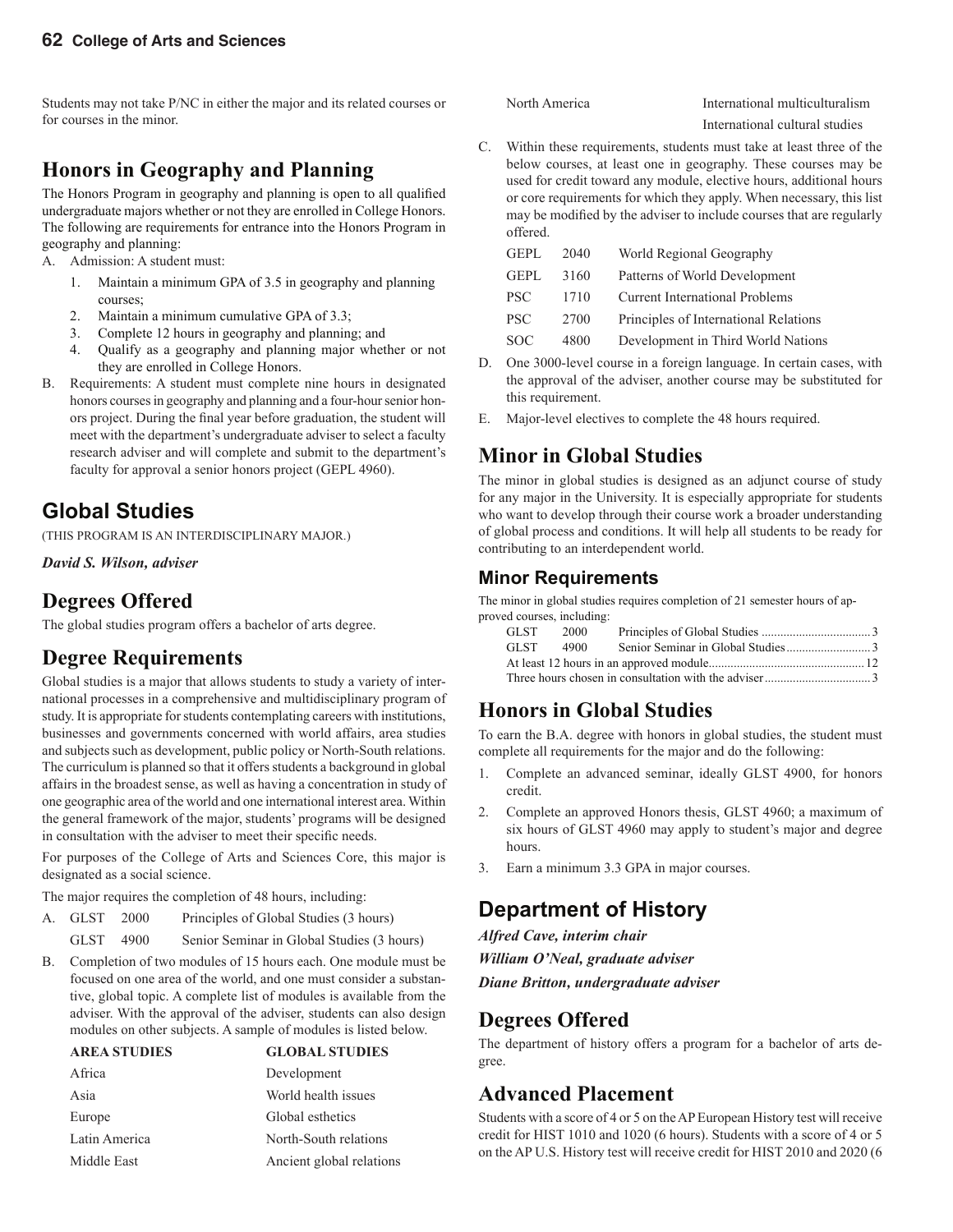Students may not take P/NC in either the major and its related courses or for courses in the minor.

### **Honors in Geography and Planning**

The Honors Program in geography and planning is open to all qualified undergraduate majors whether or not they are enrolled in College Honors. The following are requirements for entrance into the Honors Program in geography and planning:

- A. Admission: A student must:
	- 1. Maintain a minimum GPA of 3.5 in geography and planning courses;
	- 2. Maintain a minimum cumulative GPA of 3.3;
	- 3. Complete 12 hours in geography and planning; and
	- 4. Qualify as a geography and planning major whether or not they are enrolled in College Honors.
- B. Requirements: A student must complete nine hours in designated honors courses in geography and planning and a four-hour senior honors project. During the final year before graduation, the student will meet with the department's undergraduate adviser to select a faculty research adviser and will complete and submit to the department's faculty for approval a senior honors project (GEPL 4960).

### **Global Studies**

(THIS PROGRAM IS AN INTERDISCIPLINARY MAJOR.)

*David S. Wilson, adviser*

#### **Degrees Offered**

The global studies program offers a bachelor of arts degree.

#### **Degree Requirements**

Global studies is a major that allows students to study a variety of international processes in a comprehensive and multidisciplinary program of study. It is appropriate for students contemplating careers with institutions, businesses and governments concerned with world affairs, area studies and subjects such as development, public policy or North-South relations. The curriculum is planned so that it offers students a background in global affairs in the broadest sense, as well as having a concentration in study of one geographic area of the world and one international interest area. Within the general framework of the major, students' programs will be designed in consultation with the adviser to meet their specific needs.

For purposes of the College of Arts and Sciences Core, this major is designated as a social science.

The major requires the completion of 48 hours, including:

- A. GLST 2000 Principles of Global Studies (3 hours)
	- GLST 4900 Senior Seminar in Global Studies (3 hours)
- B. Completion of two modules of 15 hours each. One module must be focused on one area of the world, and one must consider a substantive, global topic. A complete list of modules is available from the adviser. With the approval of the adviser, students can also design modules on other subjects. A sample of modules is listed below.

| <b>AREA STUDIES</b> | <b>GLOBAL STUDIES</b>    |
|---------------------|--------------------------|
| Africa              | Development              |
| Asia                | World health issues      |
| Europe              | Global esthetics         |
| Latin America       | North-South relations    |
| Middle East         | Ancient global relations |

North America International multiculturalism

- International cultural studies
- C. Within these requirements, students must take at least three of the below courses, at least one in geography. These courses may be used for credit toward any module, elective hours, additional hours or core requirements for which they apply. When necessary, this list may be modified by the adviser to include courses that are regularly offered.

| <b>GEPL</b> | 2040 | World Regional Geography              |
|-------------|------|---------------------------------------|
| GEPL        | 3160 | Patterns of World Development         |
| PSC.        | 1710 | <b>Current International Problems</b> |
| PSC.        | 2700 | Principles of International Relations |
| SOC         | 4800 | Development in Third World Nations    |

- D. One 3000-level course in a foreign language. In certain cases, with the approval of the adviser, another course may be substituted for this requirement.
- E. Major-level electives to complete the 48 hours required.

#### **Minor in Global Studies**

The minor in global studies is designed as an adjunct course of study for any major in the University. It is especially appropriate for students who want to develop through their course work a broader understanding of global process and conditions. It will help all students to be ready for contributing to an interdependent world.

#### **Minor Requirements**

The minor in global studies requires completion of 21 semester hours of approved courses, including:

| GLST-  | 2000 |  |
|--------|------|--|
| GLST - | 4900 |  |
|        |      |  |
|        |      |  |

#### **Honors in Global Studies**

To earn the B.A. degree with honors in global studies, the student must complete all requirements for the major and do the following:

- 1. Complete an advanced seminar, ideally GLST 4900, for honors credit.
- 2. Complete an approved Honors thesis, GLST 4960; a maximum of six hours of GLST 4960 may apply to student's major and degree hours.
- 3. Earn a minimum 3.3 GPA in major courses.

### **Department of History**

*Alfred Cave, interim chair*

*William O'Neal, graduate adviser*

*Diane Britton, undergraduate adviser*

#### **Degrees Offered**

The department of history offers a program for a bachelor of arts degree.

#### **Advanced Placement**

Students with a score of 4 or 5 on the AP European History test will receive credit for HIST 1010 and 1020 (6 hours). Students with a score of 4 or 5 on the AP U.S. History test will receive credit for HIST 2010 and 2020 (6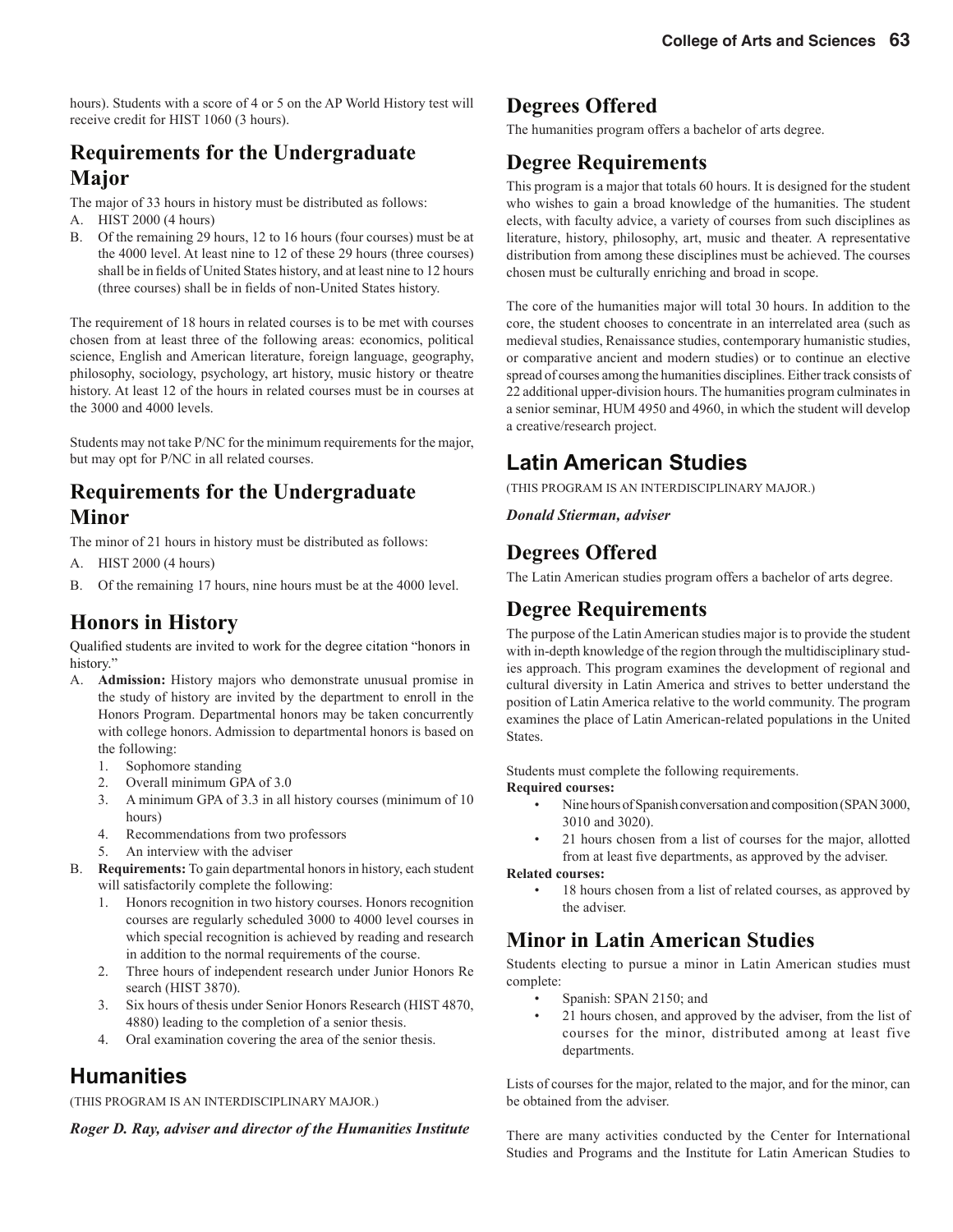hours). Students with a score of 4 or 5 on the AP World History test will receive credit for HIST 1060 (3 hours).

### **Requirements for the Undergraduate Major**

The major of 33 hours in history must be distributed as follows:

- A. HIST 2000 (4 hours)
- B. Of the remaining 29 hours, 12 to 16 hours (four courses) must be at the 4000 level. At least nine to 12 of these 29 hours (three courses) shall be in fields of United States history, and at least nine to 12 hours (three courses) shall be in fields of non-United States history.

The requirement of 18 hours in related courses is to be met with courses chosen from at least three of the following areas: economics, political science, English and American literature, foreign language, geography, philosophy, sociology, psychology, art history, music history or theatre history. At least 12 of the hours in related courses must be in courses at the 3000 and 4000 levels.

Students may not take P/NC for the minimum requirements for the major, but may opt for P/NC in all related courses.

#### **Requirements for the Undergraduate Minor**

The minor of 21 hours in history must be distributed as follows:

- A. HIST 2000 (4 hours)
- B. Of the remaining 17 hours, nine hours must be at the 4000 level.

### **Honors in History**

Qualified students are invited to work for the degree citation "honors in history."

- A. **Admission:** History majors who demonstrate unusual promise in the study of history are invited by the department to enroll in the Honors Program. Departmental honors may be taken concurrently with college honors. Admission to departmental honors is based on the following:
	- 1. Sophomore standing
	- 2. Overall minimum GPA of 3.0
	- 3. A minimum GPA of 3.3 in all history courses (minimum of 10 hours)
	- 4. Recommendations from two professors
	- 5. An interview with the adviser
- B. **Requirements:** To gain departmental honors in history, each student will satisfactorily complete the following:
	- 1. Honors recognition in two history courses. Honors recognition courses are regularly scheduled 3000 to 4000 level courses in which special recognition is achieved by reading and research
	- in addition to the normal requirements of the course.<br>2. Three hours of independent research under Junior H Three hours of independent research under Junior Honors Re search (HIST 3870).
	- 3. Six hours of thesis under Senior Honors Research (HIST 4870, 4880) leading to the completion of a senior thesis.
	- 4. Oral examination covering the area of the senior thesis.

### **Humanities**

(THIS PROGRAM IS AN INTERDISCIPLINARY MAJOR.)

*Roger D. Ray, adviser and director of the Humanities Institute*

### **Degrees Offered**

The humanities program offers a bachelor of arts degree.

### **Degree Requirements**

This program is a major that totals 60 hours. It is designed for the student who wishes to gain a broad knowledge of the humanities. The student elects, with faculty advice, a variety of courses from such disciplines as literature, history, philosophy, art, music and theater. A representative distribution from among these disciplines must be achieved. The courses chosen must be culturally enriching and broad in scope.

The core of the humanities major will total 30 hours. In addition to the core, the student chooses to concentrate in an interrelated area (such as medieval studies, Renaissance studies, contemporary humanistic studies, or comparative ancient and modern studies) or to continue an elective spread of courses among the humanities disciplines. Either track consists of 22 additional upper-division hours. The humanities program culminates in a senior seminar, HUM 4950 and 4960, in which the student will develop a creative/research project.

### **Latin American Studies**

(THIS PROGRAM IS AN INTERDISCIPLINARY MAJOR.)

*Donald Stierman, adviser*

### **Degrees Offered**

The Latin American studies program offers a bachelor of arts degree.

#### **Degree Requirements**

The purpose of the Latin American studies major is to provide the student with in-depth knowledge of the region through the multidisciplinary studies approach. This program examines the development of regional and cultural diversity in Latin America and strives to better understand the position of Latin America relative to the world community. The program examines the place of Latin American-related populations in the United States.

#### Students must complete the following requirements.

**Required courses:**

- Nine hours of Spanish conversation and composition (SPAN 3000, 3010 and 3020).
- 21 hours chosen from a list of courses for the major, allotted from at least five departments, as approved by the adviser.

#### **Related courses:**

 • 18 hours chosen from a list of related courses, as approved by the adviser.

### **Minor in Latin American Studies**

Students electing to pursue a minor in Latin American studies must complete:

- Spanish: SPAN 2150; and
- 21 hours chosen, and approved by the adviser, from the list of courses for the minor, distributed among at least five departments.

Lists of courses for the major, related to the major, and for the minor, can be obtained from the adviser.

There are many activities conducted by the Center for International Studies and Programs and the Institute for Latin American Studies to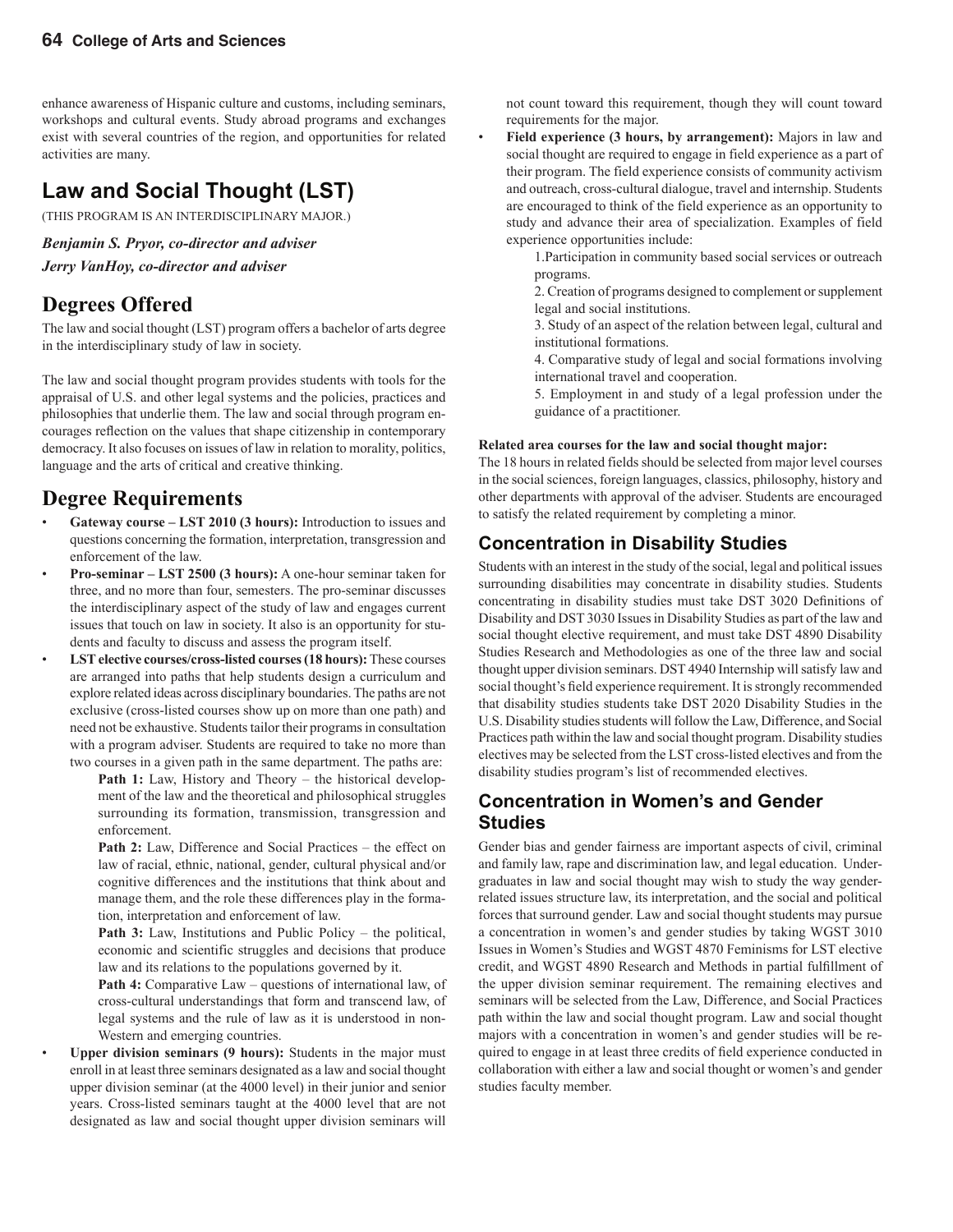enhance awareness of Hispanic culture and customs, including seminars, workshops and cultural events. Study abroad programs and exchanges exist with several countries of the region, and opportunities for related activities are many.

### **Law and Social Thought (LST)**

(THIS PROGRAM IS AN INTERDISCIPLINARY MAJOR.)

*Benjamin S. Pryor, co-director and adviser* 

*Jerry VanHoy, co-director and adviser*

#### **Degrees Offered**

The law and social thought (LST) program offers a bachelor of arts degree in the interdisciplinary study of law in society.

The law and social thought program provides students with tools for the appraisal of U.S. and other legal systems and the policies, practices and philosophies that underlie them. The law and social through program encourages reflection on the values that shape citizenship in contemporary democracy. It also focuses on issues of law in relation to morality, politics, language and the arts of critical and creative thinking.

#### **Degree Requirements**

- **Gateway course LST 2010 (3 hours):** Introduction to issues and questions concerning the formation, interpretation, transgression and enforcement of the law.
- **Pro-seminar LST 2500 (3 hours):** A one-hour seminar taken for three, and no more than four, semesters. The pro-seminar discusses the interdisciplinary aspect of the study of law and engages current issues that touch on law in society. It also is an opportunity for students and faculty to discuss and assess the program itself.
- **LST elective courses/cross-listed courses (18 hours):** These courses are arranged into paths that help students design a curriculum and explore related ideas across disciplinary boundaries. The paths are not exclusive (cross-listed courses show up on more than one path) and need not be exhaustive. Students tailor their programs in consultation with a program adviser. Students are required to take no more than two courses in a given path in the same department. The paths are:

**Path 1:** Law, History and Theory – the historical development of the law and the theoretical and philosophical struggles surrounding its formation, transmission, transgression and enforcement.

**Path 2:** Law, Difference and Social Practices – the effect on law of racial, ethnic, national, gender, cultural physical and/or cognitive differences and the institutions that think about and manage them, and the role these differences play in the formation, interpretation and enforcement of law.

Path 3: Law, Institutions and Public Policy – the political, economic and scientific struggles and decisions that produce law and its relations to the populations governed by it.

Path 4: Comparative Law – questions of international law, of cross-cultural understandings that form and transcend law, of legal systems and the rule of law as it is understood in non-Western and emerging countries.

• **Upper division seminars (9 hours):** Students in the major must enroll in at least three seminars designated as a law and social thought upper division seminar (at the 4000 level) in their junior and senior years. Cross-listed seminars taught at the 4000 level that are not designated as law and social thought upper division seminars will

not count toward this requirement, though they will count toward requirements for the major.

• **Field experience (3 hours, by arrangement):** Majors in law and social thought are required to engage in field experience as a part of their program. The field experience consists of community activism and outreach, cross-cultural dialogue, travel and internship. Students are encouraged to think of the field experience as an opportunity to study and advance their area of specialization. Examples of field experience opportunities include:

> 1.Participation in community based social services or outreach programs.

> 2. Creation of programs designed to complement or supplement legal and social institutions.

> 3. Study of an aspect of the relation between legal, cultural and institutional formations.

> 4. Comparative study of legal and social formations involving international travel and cooperation.

> 5. Employment in and study of a legal profession under the guidance of a practitioner.

#### **Related area courses for the law and social thought major:**

The 18 hours in related fields should be selected from major level courses in the social sciences, foreign languages, classics, philosophy, history and other departments with approval of the adviser. Students are encouraged to satisfy the related requirement by completing a minor.

#### **Concentration in Disability Studies**

Students with an interest in the study of the social, legal and political issues surrounding disabilities may concentrate in disability studies. Students concentrating in disability studies must take DST 3020 Definitions of Disability and DST 3030 Issues in Disability Studies as part of the law and social thought elective requirement, and must take DST 4890 Disability Studies Research and Methodologies as one of the three law and social thought upper division seminars. DST 4940 Internship will satisfy law and social thought's field experience requirement. It is strongly recommended that disability studies students take DST 2020 Disability Studies in the U.S. Disability studies students will follow the Law, Difference, and Social Practices path within the law and social thought program. Disability studies electives may be selected from the LST cross-listed electives and from the disability studies program's list of recommended electives.

#### **Concentration in Women's and Gender Studies**

Gender bias and gender fairness are important aspects of civil, criminal and family law, rape and discrimination law, and legal education. Undergraduates in law and social thought may wish to study the way genderrelated issues structure law, its interpretation, and the social and political forces that surround gender. Law and social thought students may pursue a concentration in women's and gender studies by taking WGST 3010 Issues in Women's Studies and WGST 4870 Feminisms for LST elective credit, and WGST 4890 Research and Methods in partial fulfillment of the upper division seminar requirement. The remaining electives and seminars will be selected from the Law, Difference, and Social Practices path within the law and social thought program. Law and social thought majors with a concentration in women's and gender studies will be required to engage in at least three credits of field experience conducted in collaboration with either a law and social thought or women's and gender studies faculty member.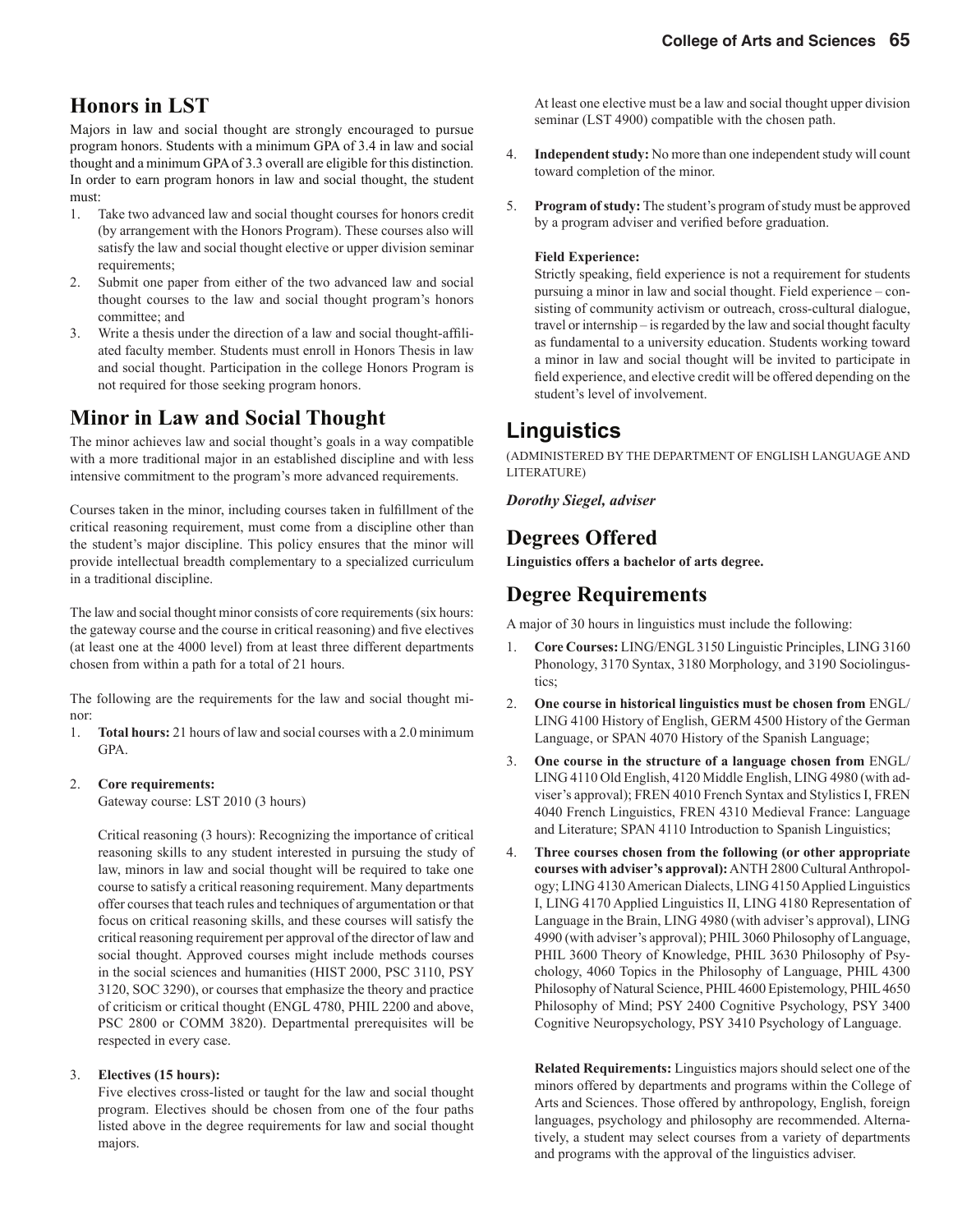### **Honors in LST**

Majors in law and social thought are strongly encouraged to pursue program honors. Students with a minimum GPA of 3.4 in law and social thought and a minimum GPA of 3.3 overall are eligible for this distinction. In order to earn program honors in law and social thought, the student must:

- 1. Take two advanced law and social thought courses for honors credit (by arrangement with the Honors Program). These courses also will satisfy the law and social thought elective or upper division seminar requirements;
- 2. Submit one paper from either of the two advanced law and social thought courses to the law and social thought program's honors committee; and
- 3. Write a thesis under the direction of a law and social thought-affiliated faculty member. Students must enroll in Honors Thesis in law and social thought. Participation in the college Honors Program is not required for those seeking program honors.

### **Minor in Law and Social Thought**

The minor achieves law and social thought's goals in a way compatible with a more traditional major in an established discipline and with less intensive commitment to the program's more advanced requirements.

Courses taken in the minor, including courses taken in fulfillment of the critical reasoning requirement, must come from a discipline other than the student's major discipline. This policy ensures that the minor will provide intellectual breadth complementary to a specialized curriculum in a traditional discipline.

The law and social thought minor consists of core requirements (six hours: the gateway course and the course in critical reasoning) and five electives (at least one at the 4000 level) from at least three different departments chosen from within a path for a total of 21 hours.

The following are the requirements for the law and social thought minor:

1. **Total hours:** 21 hours of law and social courses with a 2.0 minimum GPA.

#### 2. **Core requirements:**

Gateway course: LST 2010 (3 hours)

 Critical reasoning (3 hours): Recognizing the importance of critical reasoning skills to any student interested in pursuing the study of law, minors in law and social thought will be required to take one course to satisfy a critical reasoning requirement. Many departments offer courses that teach rules and techniques of argumentation or that focus on critical reasoning skills, and these courses will satisfy the critical reasoning requirement per approval of the director of law and social thought. Approved courses might include methods courses in the social sciences and humanities (HIST 2000, PSC 3110, PSY 3120, SOC 3290), or courses that emphasize the theory and practice of criticism or critical thought (ENGL 4780, PHIL 2200 and above, PSC 2800 or COMM 3820). Departmental prerequisites will be respected in every case.

#### 3. **Electives (15 hours):**

 Five electives cross-listed or taught for the law and social thought program. Electives should be chosen from one of the four paths listed above in the degree requirements for law and social thought majors.

 At least one elective must be a law and social thought upper division seminar (LST 4900) compatible with the chosen path.

- 4. **Independent study:** No more than one independent study will count toward completion of the minor.
- 5. **Program of study:** The student's program of study must be approved by a program adviser and verified before graduation.

#### **Field Experience:**

Strictly speaking, field experience is not a requirement for students pursuing a minor in law and social thought. Field experience – consisting of community activism or outreach, cross-cultural dialogue, travel or internship – is regarded by the law and social thought faculty as fundamental to a university education. Students working toward a minor in law and social thought will be invited to participate in field experience, and elective credit will be offered depending on the student's level of involvement.

#### **Linguistics**

(ADMINISTERED BY THE DEPARTMENT OF ENGLISH LANGUAGE AND LITERATURE)

*Dorothy Siegel, adviser*

#### **Degrees Offered**

**Linguistics offers a bachelor of arts degree.**

#### **Degree Requirements**

A major of 30 hours in linguistics must include the following:

- 1. **Core Courses:** LING/ENGL 3150 Linguistic Principles, LING 3160 Phonology, 3170 Syntax, 3180 Morphology, and 3190 Sociolingustics;
- 2. **One course in historical linguistics must be chosen from** ENGL/ LING 4100 History of English, GERM 4500 History of the German Language, or SPAN 4070 History of the Spanish Language;
- 3. **One course in the structure of a language chosen from** ENGL/ LING 4110 Old English, 4120 Middle English, LING 4980 (with adviser's approval); FREN 4010 French Syntax and Stylistics I, FREN 4040 French Linguistics, FREN 4310 Medieval France: Language and Literature; SPAN 4110 Introduction to Spanish Linguistics;
- 4. **Three courses chosen from the following (or other appropriate courses with adviser's approval):** ANTH 2800 Cultural Anthropology; LING 4130 American Dialects, LING 4150 Applied Linguistics I, LING 4170 Applied Linguistics II, LING 4180 Representation of Language in the Brain, LING 4980 (with adviser's approval), LING 4990 (with adviser's approval); PHIL 3060 Philosophy of Language, PHIL 3600 Theory of Knowledge, PHIL 3630 Philosophy of Psychology, 4060 Topics in the Philosophy of Language, PHIL 4300 Philosophy of Natural Science, PHIL 4600 Epistemology, PHIL 4650 Philosophy of Mind; PSY 2400 Cognitive Psychology, PSY 3400 Cognitive Neuropsychology, PSY 3410 Psychology of Language.

**Related Requirements:** Linguistics majors should select one of the minors offered by departments and programs within the College of Arts and Sciences. Those offered by anthropology, English, foreign languages, psychology and philosophy are recommended. Alternatively, a student may select courses from a variety of departments and programs with the approval of the linguistics adviser.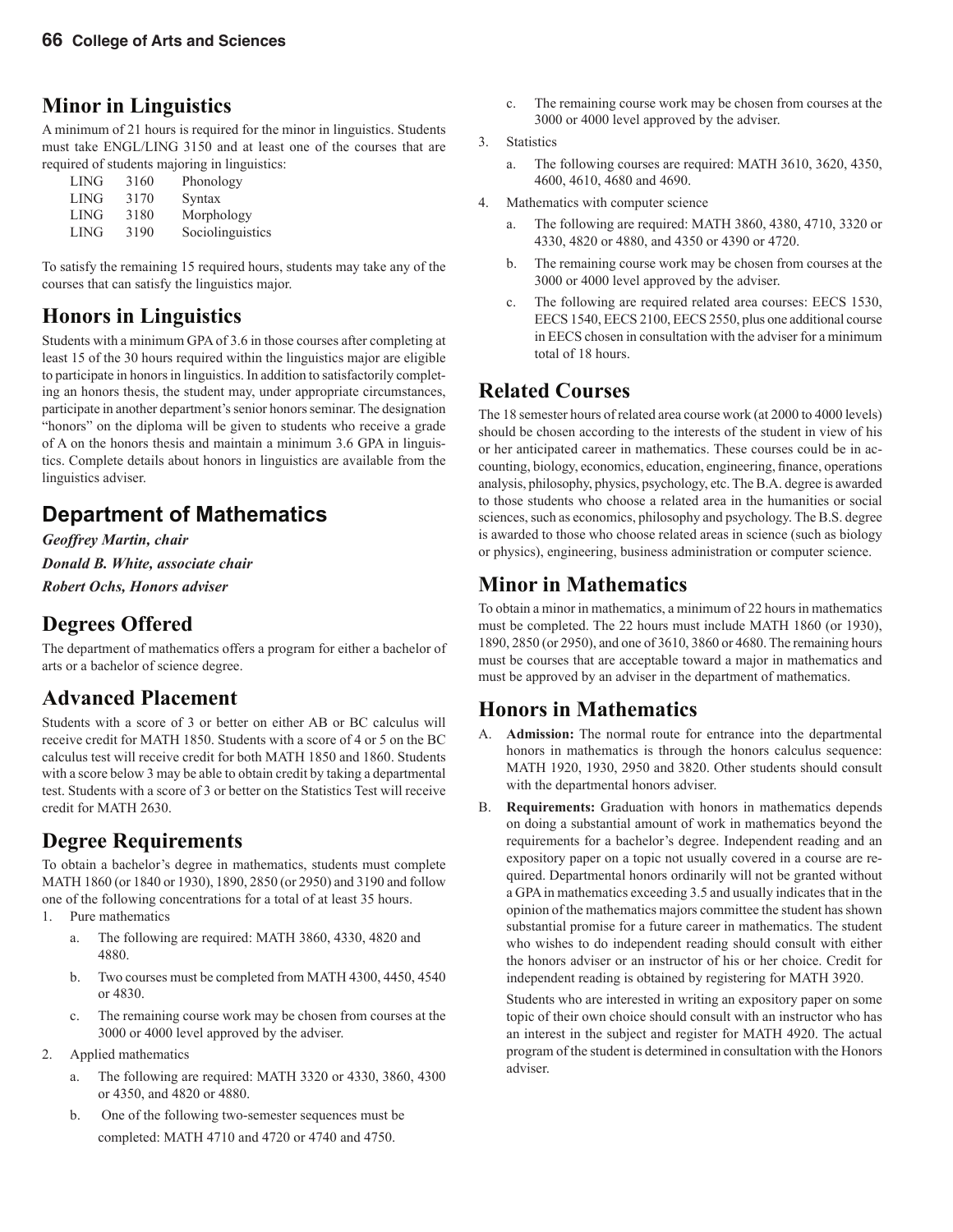### **Minor in Linguistics**

A minimum of 21 hours is required for the minor in linguistics. Students must take ENGL/LING 3150 and at least one of the courses that are required of students majoring in linguistics:

| <b>LING</b>       | 3160 | Phonology        |
|-------------------|------|------------------|
| <b>LING</b>       | 3170 | Syntax           |
| LING              | 3180 | Morphology       |
| LING <sup>1</sup> | 3190 | Sociolinguistics |
|                   |      |                  |

To satisfy the remaining 15 required hours, students may take any of the courses that can satisfy the linguistics major.

### **Honors in Linguistics**

Students with a minimum GPA of 3.6 in those courses after completing at least 15 of the 30 hours required within the linguistics major are eligible to participate in honors in linguistics. In addition to satisfactorily completing an honors thesis, the student may, under appropriate circumstances, participate in another department's senior honors seminar. The designation "honors" on the diploma will be given to students who receive a grade of A on the honors thesis and maintain a minimum 3.6 GPA in linguistics. Complete details about honors in linguistics are available from the linguistics adviser.

### **Department of Mathematics**

*Geoffrey Martin, chair Donald B. White, associate chair Robert Ochs, Honors adviser*

### **Degrees Offered**

The department of mathematics offers a program for either a bachelor of arts or a bachelor of science degree.

### **Advanced Placement**

Students with a score of 3 or better on either AB or BC calculus will receive credit for MATH 1850. Students with a score of 4 or 5 on the BC calculus test will receive credit for both MATH 1850 and 1860. Students with a score below 3 may be able to obtain credit by taking a departmental test. Students with a score of 3 or better on the Statistics Test will receive credit for MATH 2630.

### **Degree Requirements**

To obtain a bachelor's degree in mathematics, students must complete MATH 1860 (or 1840 or 1930), 1890, 2850 (or 2950) and 3190 and follow one of the following concentrations for a total of at least 35 hours.

- 1. Pure mathematics
	- a. The following are required: MATH 3860, 4330, 4820 and 4880.
	- b. Two courses must be completed from MATH 4300, 4450, 4540 or 4830.
	- c. The remaining course work may be chosen from courses at the 3000 or 4000 level approved by the adviser.
- 2. Applied mathematics
	- a. The following are required: MATH 3320 or 4330, 3860, 4300 or 4350, and 4820 or 4880.
	- b. One of the following two-semester sequences must be completed: MATH 4710 and 4720 or 4740 and 4750.
- c. The remaining course work may be chosen from courses at the 3000 or 4000 level approved by the adviser.
- 3. Statistics
	- a. The following courses are required: MATH 3610, 3620, 4350, 4600, 4610, 4680 and 4690.
- 4. Mathematics with computer science
	- a. The following are required: MATH 3860, 4380, 4710, 3320 or 4330, 4820 or 4880, and 4350 or 4390 or 4720.
	- b. The remaining course work may be chosen from courses at the 3000 or 4000 level approved by the adviser.
	- c. The following are required related area courses: EECS 1530, EECS 1540, EECS 2100, EECS 2550, plus one additional course in EECS chosen in consultation with the adviser for a minimum total of 18 hours.

#### **Related Courses**

The 18 semester hours of related area course work (at 2000 to 4000 levels) should be chosen according to the interests of the student in view of his or her anticipated career in mathematics. These courses could be in accounting, biology, economics, education, engineering, finance, operations analysis, philosophy, physics, psychology, etc. The B.A. degree is awarded to those students who choose a related area in the humanities or social sciences, such as economics, philosophy and psychology. The B.S. degree is awarded to those who choose related areas in science (such as biology or physics), engineering, business administration or computer science.

### **Minor in Mathematics**

To obtain a minor in mathematics, a minimum of 22 hours in mathematics must be completed. The 22 hours must include MATH 1860 (or 1930), 1890, 2850 (or 2950), and one of 3610, 3860 or 4680. The remaining hours must be courses that are acceptable toward a major in mathematics and must be approved by an adviser in the department of mathematics.

### **Honors in Mathematics**

- A. **Admission:** The normal route for entrance into the departmental honors in mathematics is through the honors calculus sequence: MATH 1920, 1930, 2950 and 3820. Other students should consult with the departmental honors adviser.
- B. **Requirements:** Graduation with honors in mathematics depends on doing a substantial amount of work in mathematics beyond the requirements for a bachelor's degree. Independent reading and an expository paper on a topic not usually covered in a course are required. Departmental honors ordinarily will not be granted without a GPA in mathematics exceeding 3.5 and usually indicates that in the opinion of the mathematics majors committee the student has shown substantial promise for a future career in mathematics. The student who wishes to do independent reading should consult with either the honors adviser or an instructor of his or her choice. Credit for independent reading is obtained by registering for MATH 3920.

 Students who are interested in writing an expository paper on some topic of their own choice should consult with an instructor who has an interest in the subject and register for MATH 4920. The actual program of the student is determined in consultation with the Honors adviser.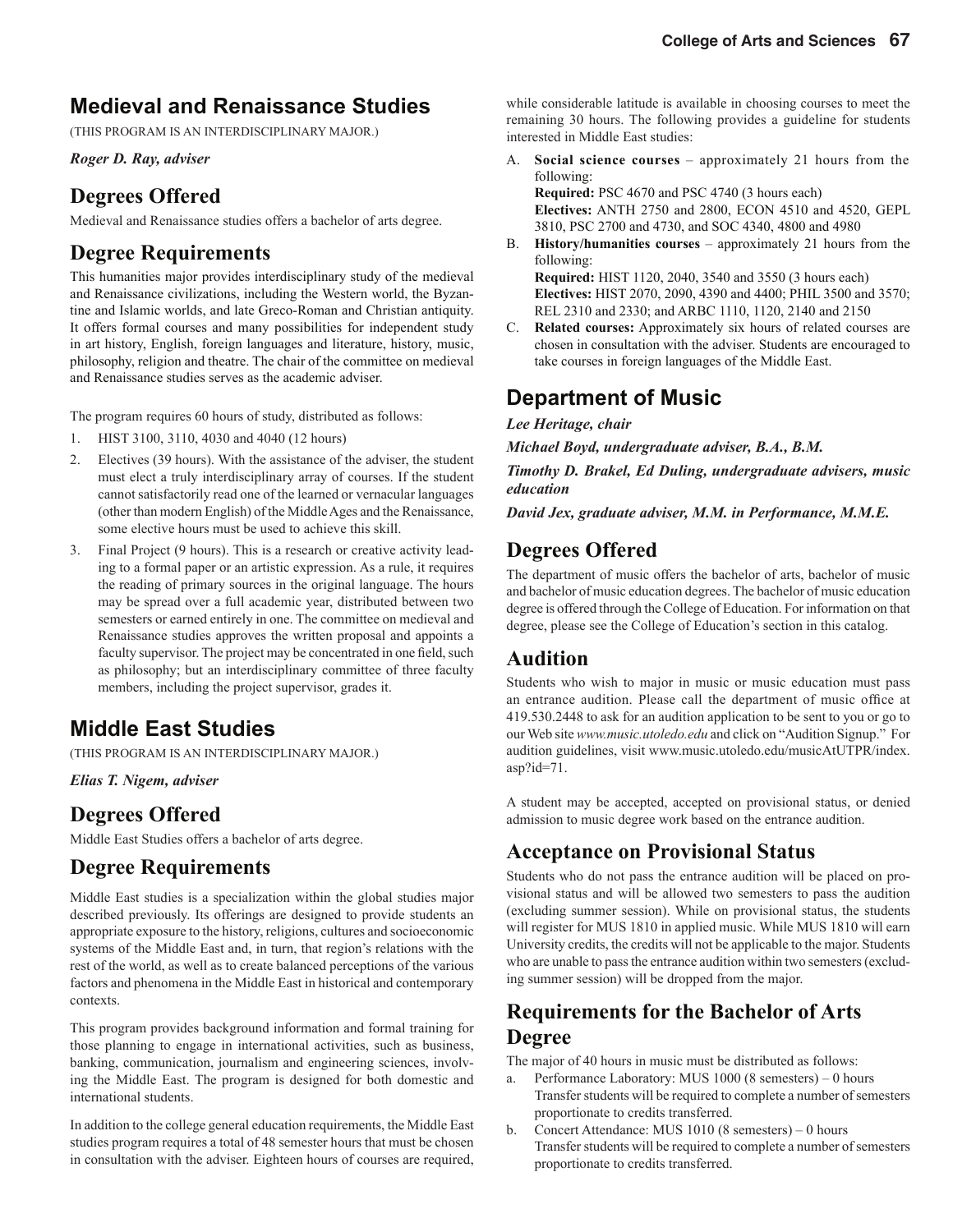### **Medieval and Renaissance Studies**

(THIS PROGRAM IS AN INTERDISCIPLINARY MAJOR.)

*Roger D. Ray, adviser*

### **Degrees Offered**

Medieval and Renaissance studies offers a bachelor of arts degree.

#### **Degree Requirements**

This humanities major provides interdisciplinary study of the medieval and Renaissance civilizations, including the Western world, the Byzantine and Islamic worlds, and late Greco-Roman and Christian antiquity. It offers formal courses and many possibilities for independent study in art history, English, foreign languages and literature, history, music, philosophy, religion and theatre. The chair of the committee on medieval and Renaissance studies serves as the academic adviser.

The program requires 60 hours of study, distributed as follows:

- 1. HIST 3100, 3110, 4030 and 4040 (12 hours)
- 2. Electives (39 hours). With the assistance of the adviser, the student must elect a truly interdisciplinary array of courses. If the student cannot satisfactorily read one of the learned or vernacular languages (other than modern English) of the Middle Ages and the Renaissance, some elective hours must be used to achieve this skill.
- 3. Final Project (9 hours). This is a research or creative activity leading to a formal paper or an artistic expression. As a rule, it requires the reading of primary sources in the original language. The hours may be spread over a full academic year, distributed between two semesters or earned entirely in one. The committee on medieval and Renaissance studies approves the written proposal and appoints a faculty supervisor. The project may be concentrated in one field, such as philosophy; but an interdisciplinary committee of three faculty members, including the project supervisor, grades it.

### **Middle East Studies**

(THIS PROGRAM IS AN INTERDISCIPLINARY MAJOR.)

*Elias T. Nigem, adviser*

### **Degrees Offered**

Middle East Studies offers a bachelor of arts degree.

#### **Degree Requirements**

Middle East studies is a specialization within the global studies major described previously. Its offerings are designed to provide students an appropriate exposure to the history, religions, cultures and socioeconomic systems of the Middle East and, in turn, that region's relations with the rest of the world, as well as to create balanced perceptions of the various factors and phenomena in the Middle East in historical and contemporary contexts.

This program provides background information and formal training for those planning to engage in international activities, such as business, banking, communication, journalism and engineering sciences, involving the Middle East. The program is designed for both domestic and international students.

In addition to the college general education requirements, the Middle East studies program requires a total of 48 semester hours that must be chosen in consultation with the adviser. Eighteen hours of courses are required,

while considerable latitude is available in choosing courses to meet the remaining 30 hours. The following provides a guideline for students interested in Middle East studies:

A. **Social science courses** – approximately 21 hours from the following:

**Required:** PSC 4670 and PSC 4740 (3 hours each) **Electives:** ANTH 2750 and 2800, ECON 4510 and 4520, GEPL 3810, PSC 2700 and 4730, and SOC 4340, 4800 and 4980

- B. **History/humanities courses** approximately 21 hours from the following: **Required:** HIST 1120, 2040, 3540 and 3550 (3 hours each) **Electives:** HIST 2070, 2090, 4390 and 4400; PHIL 3500 and 3570; REL 2310 and 2330; and ARBC 1110, 1120, 2140 and 2150
- C. **Related courses:** Approximately six hours of related courses are chosen in consultation with the adviser. Students are encouraged to take courses in foreign languages of the Middle East.

### **Department of Music**

*Lee Heritage, chair*

*Michael Boyd, undergraduate adviser, B.A., B.M.*

*Timothy D. Brakel, Ed Duling, undergraduate advisers, music education*

*David Jex, graduate adviser, M.M. in Performance, M.M.E.*

### **Degrees Offered**

The department of music offers the bachelor of arts, bachelor of music and bachelor of music education degrees. The bachelor of music education degree is offered through the College of Education. For information on that degree, please see the College of Education's section in this catalog.

#### **Audition**

Students who wish to major in music or music education must pass an entrance audition. Please call the department of music office at 419.530.2448 to ask for an audition application to be sent to you or go to our Web site *www.music.utoledo.edu* and click on "Audition Signup." For audition guidelines, visit www.music.utoledo.edu/musicAtUTPR/index. asp?id=71.

A student may be accepted, accepted on provisional status, or denied admission to music degree work based on the entrance audition.

#### **Acceptance on Provisional Status**

Students who do not pass the entrance audition will be placed on provisional status and will be allowed two semesters to pass the audition (excluding summer session). While on provisional status, the students will register for MUS 1810 in applied music. While MUS 1810 will earn University credits, the credits will not be applicable to the major. Students who are unable to pass the entrance audition within two semesters (excluding summer session) will be dropped from the major.

#### **Requirements for the Bachelor of Arts Degree**

The major of 40 hours in music must be distributed as follows:

- a. Performance Laboratory: MUS 1000 (8 semesters) 0 hours Transfer students will be required to complete a number of semesters proportionate to credits transferred.
- b. Concert Attendance: MUS 1010 (8 semesters) 0 hours Transfer students will be required to complete a number of semesters proportionate to credits transferred.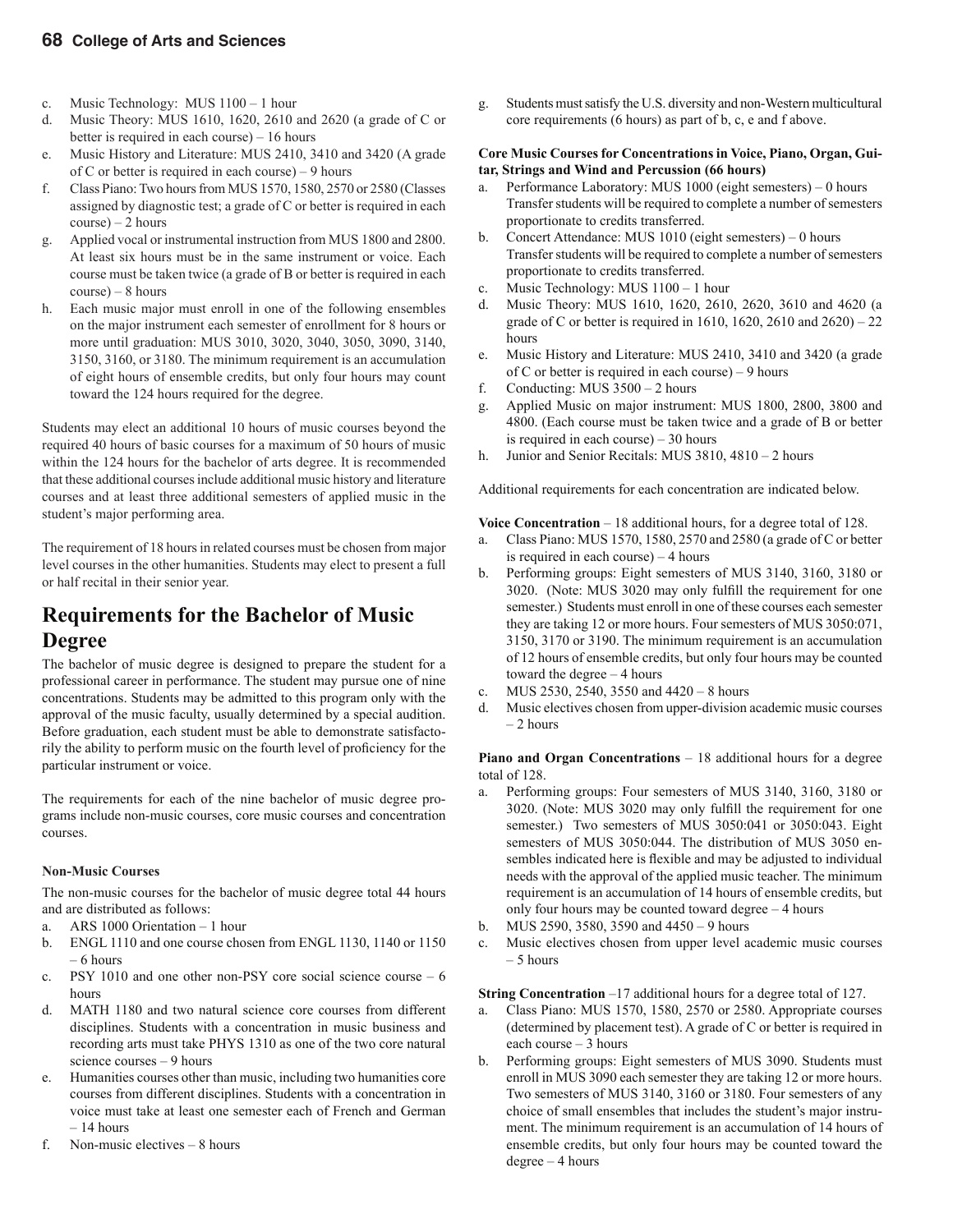- c. Music Technology: MUS 1100 1 hour
- d. Music Theory: MUS 1610, 1620, 2610 and 2620 (a grade of C or better is required in each course) – 16 hours
- e. Music History and Literature: MUS 2410, 3410 and 3420 (A grade of C or better is required in each course) – 9 hours
- f. Class Piano: Two hours from MUS 1570, 1580, 2570 or 2580 (Classes assigned by diagnostic test; a grade of C or better is required in each  $course$ ) – 2 hours
- g. Applied vocal or instrumental instruction from MUS 1800 and 2800. At least six hours must be in the same instrument or voice. Each course must be taken twice (a grade of B or better is required in each course) – 8 hours
- h. Each music major must enroll in one of the following ensembles on the major instrument each semester of enrollment for 8 hours or more until graduation: MUS 3010, 3020, 3040, 3050, 3090, 3140, 3150, 3160, or 3180. The minimum requirement is an accumulation of eight hours of ensemble credits, but only four hours may count toward the 124 hours required for the degree.

Students may elect an additional 10 hours of music courses beyond the required 40 hours of basic courses for a maximum of 50 hours of music within the 124 hours for the bachelor of arts degree. It is recommended that these additional courses include additional music history and literature courses and at least three additional semesters of applied music in the student's major performing area.

The requirement of 18 hours in related courses must be chosen from major level courses in the other humanities. Students may elect to present a full or half recital in their senior year.

#### **Requirements for the Bachelor of Music Degree**

The bachelor of music degree is designed to prepare the student for a professional career in performance. The student may pursue one of nine concentrations. Students may be admitted to this program only with the approval of the music faculty, usually determined by a special audition. Before graduation, each student must be able to demonstrate satisfactorily the ability to perform music on the fourth level of proficiency for the particular instrument or voice.

The requirements for each of the nine bachelor of music degree programs include non-music courses, core music courses and concentration courses.

#### **Non-Music Courses**

The non-music courses for the bachelor of music degree total 44 hours and are distributed as follows:

- a. ARS 1000 Orientation 1 hour
- b. ENGL 1110 and one course chosen from ENGL 1130, 1140 or 1150 – 6 hours
- c. PSY 1010 and one other non-PSY core social science course 6 hours
- d. MATH 1180 and two natural science core courses from different disciplines. Students with a concentration in music business and recording arts must take PHYS 1310 as one of the two core natural science courses – 9 hours
- e. Humanities courses other than music, including two humanities core courses from different disciplines. Students with a concentration in voice must take at least one semester each of French and German – 14 hours
- f. Non-music electives 8 hours

g. Students must satisfy the U.S. diversity and non-Western multicultural core requirements (6 hours) as part of b, c, e and f above.

#### **Core Music Courses for Concentrations in Voice, Piano, Organ, Guitar, Strings and Wind and Percussion (66 hours)**

- a. Performance Laboratory: MUS 1000 (eight semesters) 0 hours Transfer students will be required to complete a number of semesters proportionate to credits transferred.
- b. Concert Attendance: MUS 1010 (eight semesters) 0 hours Transfer students will be required to complete a number of semesters proportionate to credits transferred.
- c. Music Technology: MUS 1100 1 hour
- d. Music Theory: MUS 1610, 1620, 2610, 2620, 3610 and 4620 (a grade of C or better is required in 1610, 1620, 2610 and 2620) – 22 hours
- e. Music History and Literature: MUS 2410, 3410 and 3420 (a grade of C or better is required in each course) – 9 hours
- f. Conducting: MUS 3500 2 hours
- g. Applied Music on major instrument: MUS 1800, 2800, 3800 and 4800. (Each course must be taken twice and a grade of B or better is required in each course) – 30 hours
- h. Junior and Senior Recitals: MUS 3810, 4810 2 hours

Additional requirements for each concentration are indicated below.

**Voice Concentration** – 18 additional hours, for a degree total of 128.

- a. Class Piano: MUS 1570, 1580, 2570 and 2580 (a grade of C or better is required in each course) – 4 hours
- b. Performing groups: Eight semesters of MUS 3140, 3160, 3180 or 3020. (Note: MUS 3020 may only fulfill the requirement for one semester.) Students must enroll in one of these courses each semester they are taking 12 or more hours. Four semesters of MUS 3050:071, 3150, 3170 or 3190. The minimum requirement is an accumulation of 12 hours of ensemble credits, but only four hours may be counted toward the degree – 4 hours
- c. MUS 2530, 2540, 3550 and 4420 8 hours
- d. Music electives chosen from upper-division academic music courses  $-2$  hours

**Piano and Organ Concentrations** – 18 additional hours for a degree total of 128.

- a. Performing groups: Four semesters of MUS 3140, 3160, 3180 or 3020. (Note: MUS 3020 may only fulfill the requirement for one semester.) Two semesters of MUS 3050:041 or 3050:043. Eight semesters of MUS 3050:044. The distribution of MUS 3050 ensembles indicated here is flexible and may be adjusted to individual needs with the approval of the applied music teacher. The minimum requirement is an accumulation of 14 hours of ensemble credits, but only four hours may be counted toward degree – 4 hours
- b. MUS 2590, 3580, 3590 and 4450 9 hours
- c. Music electives chosen from upper level academic music courses – 5 hours

**String Concentration** –17 additional hours for a degree total of 127.

- a. Class Piano: MUS 1570, 1580, 2570 or 2580. Appropriate courses (determined by placement test). A grade of C or better is required in each course – 3 hours
- b. Performing groups: Eight semesters of MUS 3090. Students must enroll in MUS 3090 each semester they are taking 12 or more hours. Two semesters of MUS 3140, 3160 or 3180. Four semesters of any choice of small ensembles that includes the student's major instrument. The minimum requirement is an accumulation of 14 hours of ensemble credits, but only four hours may be counted toward the degree – 4 hours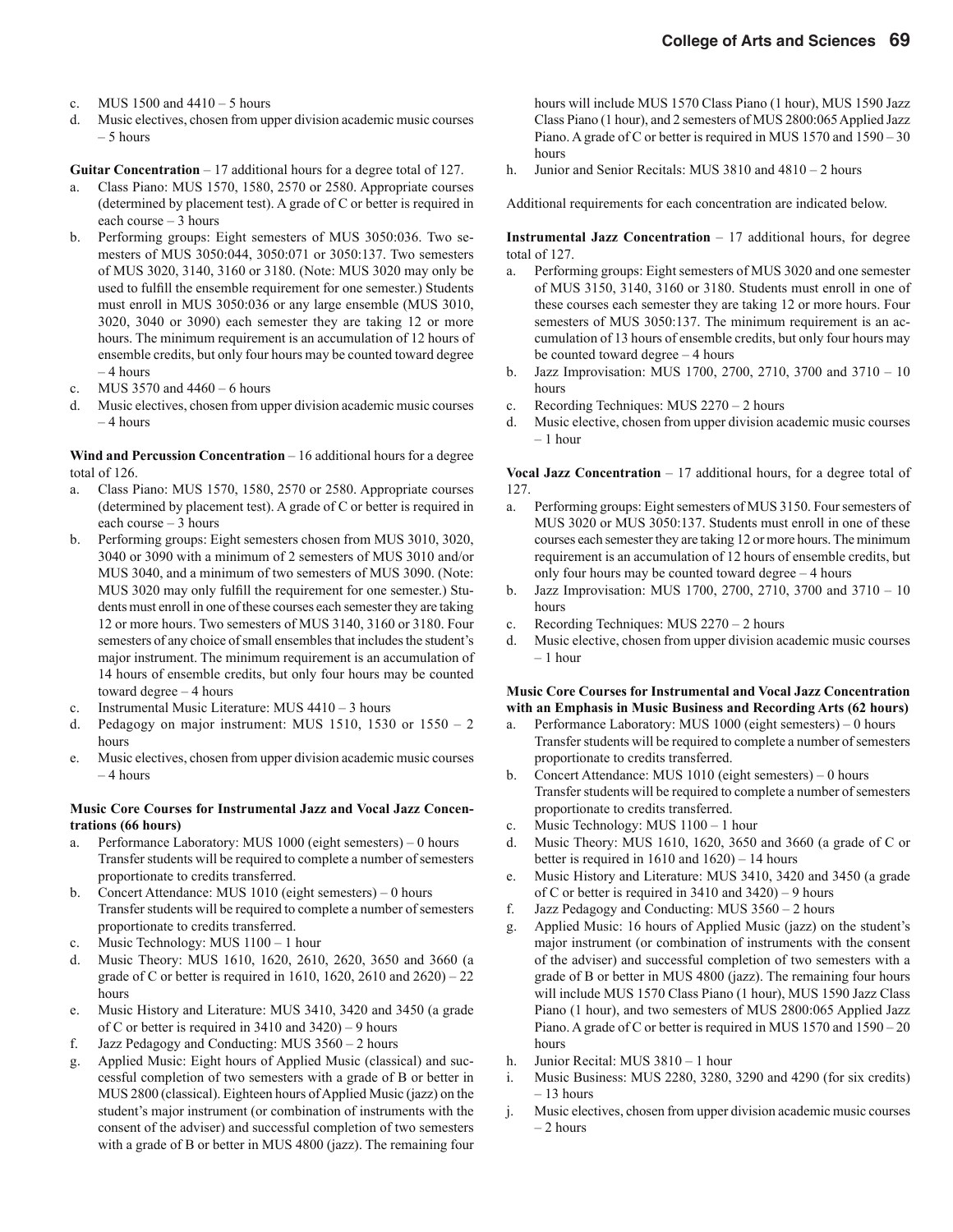- c. MUS 1500 and 4410 5 hours
- d. Music electives, chosen from upper division academic music courses – 5 hours

**Guitar Concentration** – 17 additional hours for a degree total of 127.

- a. Class Piano: MUS 1570, 1580, 2570 or 2580. Appropriate courses (determined by placement test). A grade of C or better is required in each course – 3 hours
- b. Performing groups: Eight semesters of MUS 3050:036. Two semesters of MUS 3050:044, 3050:071 or 3050:137. Two semesters of MUS 3020, 3140, 3160 or 3180. (Note: MUS 3020 may only be used to fulfill the ensemble requirement for one semester.) Students must enroll in MUS 3050:036 or any large ensemble (MUS 3010, 3020, 3040 or 3090) each semester they are taking 12 or more hours. The minimum requirement is an accumulation of 12 hours of ensemble credits, but only four hours may be counted toward degree – 4 hours
- c. MUS 3570 and 4460 6 hours
- d. Music electives, chosen from upper division academic music courses  $-4$  hours

**Wind and Percussion Concentration** – 16 additional hours for a degree total of 126.

- a. Class Piano: MUS 1570, 1580, 2570 or 2580. Appropriate courses (determined by placement test). A grade of C or better is required in each course – 3 hours
- b. Performing groups: Eight semesters chosen from MUS 3010, 3020, 3040 or 3090 with a minimum of 2 semesters of MUS 3010 and/or MUS 3040, and a minimum of two semesters of MUS 3090. (Note: MUS 3020 may only fulfill the requirement for one semester.) Students must enroll in one of these courses each semester they are taking 12 or more hours. Two semesters of MUS 3140, 3160 or 3180. Four semesters of any choice of small ensembles that includes the student's major instrument. The minimum requirement is an accumulation of 14 hours of ensemble credits, but only four hours may be counted toward degree – 4 hours
- c. Instrumental Music Literature: MUS 4410 3 hours
- d. Pedagogy on major instrument: MUS 1510, 1530 or  $1550 2$ hours
- e. Music electives, chosen from upper division academic music courses  $=$  4 hours

#### **Music Core Courses for Instrumental Jazz and Vocal Jazz Concentrations (66 hours)**

- a. Performance Laboratory: MUS 1000 (eight semesters) 0 hours Transfer students will be required to complete a number of semesters proportionate to credits transferred.
- b. Concert Attendance: MUS 1010 (eight semesters) 0 hours Transfer students will be required to complete a number of semesters proportionate to credits transferred.
- c. Music Technology: MUS 1100 1 hour
- d. Music Theory: MUS 1610, 1620, 2610, 2620, 3650 and 3660 (a grade of C or better is required in 1610, 1620, 2610 and  $2620 - 22$ hours
- e. Music History and Literature: MUS 3410, 3420 and 3450 (a grade of C or better is required in 3410 and 3420) – 9 hours
- f. Jazz Pedagogy and Conducting: MUS 3560 2 hours
- g. Applied Music: Eight hours of Applied Music (classical) and successful completion of two semesters with a grade of B or better in MUS 2800 (classical). Eighteen hours of Applied Music (jazz) on the student's major instrument (or combination of instruments with the consent of the adviser) and successful completion of two semesters with a grade of B or better in MUS 4800 (jazz). The remaining four

hours will include MUS 1570 Class Piano (1 hour), MUS 1590 Jazz Class Piano (1 hour), and 2 semesters of MUS 2800:065 Applied Jazz Piano. A grade of C or better is required in MUS 1570 and 1590 – 30 hours

h. Junior and Senior Recitals: MUS 3810 and 4810 – 2 hours

Additional requirements for each concentration are indicated below.

**Instrumental Jazz Concentration** – 17 additional hours, for degree total of 127.

- a. Performing groups: Eight semesters of MUS 3020 and one semester of MUS 3150, 3140, 3160 or 3180. Students must enroll in one of these courses each semester they are taking 12 or more hours. Four semesters of MUS 3050:137. The minimum requirement is an accumulation of 13 hours of ensemble credits, but only four hours may be counted toward degree – 4 hours
- b. Jazz Improvisation: MUS 1700, 2700, 2710, 3700 and 3710 10 hours
- c. Recording Techniques: MUS 2270 2 hours
- d. Music elective, chosen from upper division academic music courses – 1 hour

**Vocal Jazz Concentration**  $-17$  additional hours, for a degree total of 127.

- a. Performing groups: Eight semesters of MUS 3150. Four semesters of MUS 3020 or MUS 3050:137. Students must enroll in one of these courses each semester they are taking 12 or more hours. The minimum requirement is an accumulation of 12 hours of ensemble credits, but only four hours may be counted toward degree – 4 hours
- b. Jazz Improvisation: MUS 1700, 2700, 2710, 3700 and 3710 10 hours
- c. Recording Techniques: MUS 2270 2 hours
- d. Music elective, chosen from upper division academic music courses – 1 hour

#### **Music Core Courses for Instrumental and Vocal Jazz Concentration with an Emphasis in Music Business and Recording Arts (62 hours)**

- a. Performance Laboratory: MUS 1000 (eight semesters) 0 hours Transfer students will be required to complete a number of semesters proportionate to credits transferred.
- b. Concert Attendance: MUS 1010 (eight semesters) 0 hours Transfer students will be required to complete a number of semesters proportionate to credits transferred.
- c. Music Technology: MUS 1100 1 hour
- d. Music Theory: MUS 1610, 1620, 3650 and 3660 (a grade of C or better is required in 1610 and 1620) – 14 hours
- e. Music History and Literature: MUS 3410, 3420 and 3450 (a grade of C or better is required in 3410 and 3420) – 9 hours
- f. Jazz Pedagogy and Conducting: MUS 3560 2 hours
- g. Applied Music: 16 hours of Applied Music (jazz) on the student's major instrument (or combination of instruments with the consent of the adviser) and successful completion of two semesters with a grade of B or better in MUS 4800 (jazz). The remaining four hours will include MUS 1570 Class Piano (1 hour), MUS 1590 Jazz Class Piano (1 hour), and two semesters of MUS 2800:065 Applied Jazz Piano. A grade of C or better is required in MUS 1570 and 1590 – 20 hours
- h. Junior Recital: MUS 3810 1 hour
- i. Music Business: MUS 2280, 3280, 3290 and 4290 (for six credits)  $-13$  hours
- j. Music electives, chosen from upper division academic music courses  $-2$  hours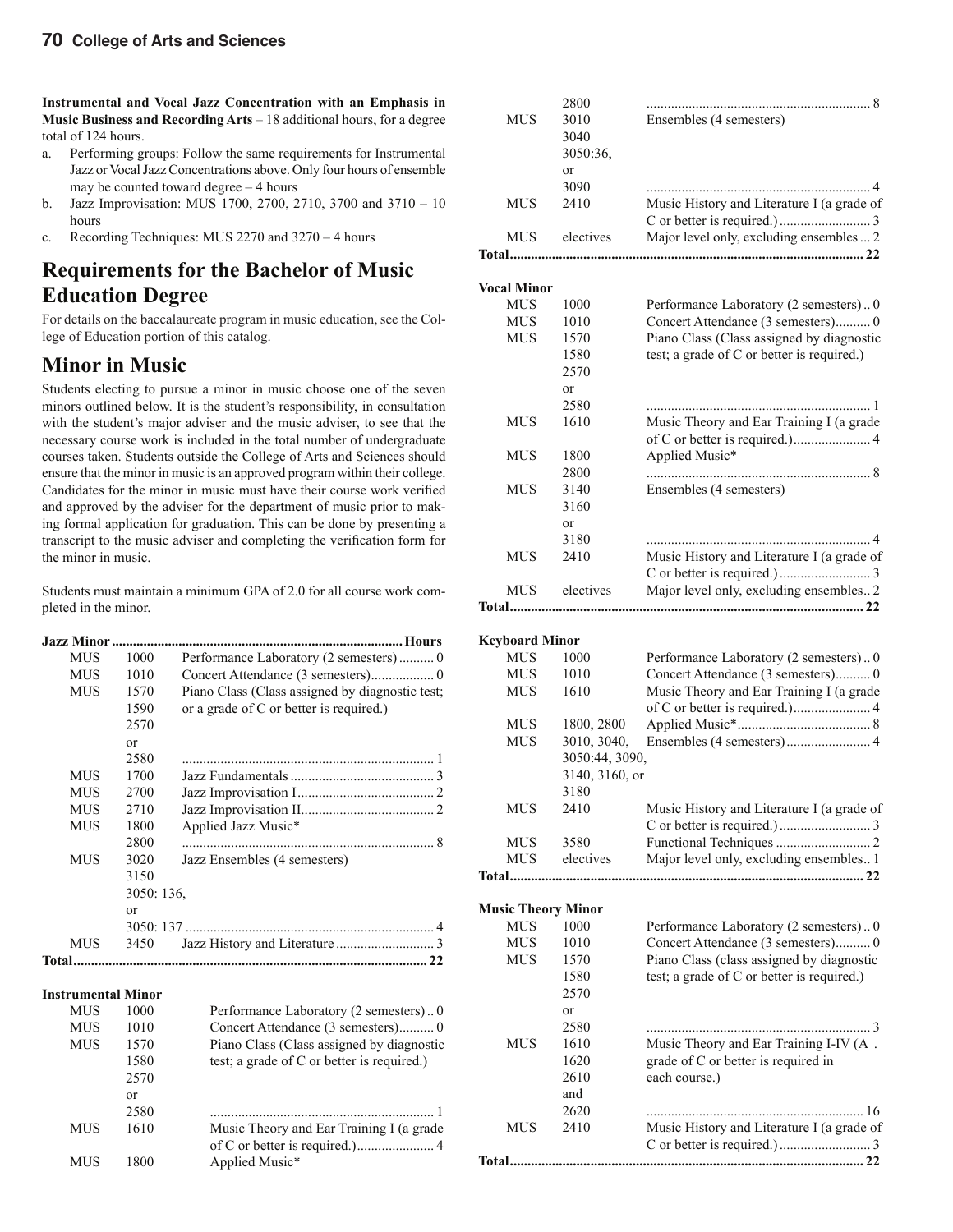**Instrumental and Vocal Jazz Concentration with an Emphasis in Music Business and Recording Arts** – 18 additional hours, for a degree total of 124 hours.

- a. Performing groups: Follow the same requirements for Instrumental Jazz or Vocal Jazz Concentrations above. Only four hours of ensemble may be counted toward degree – 4 hours
- b. Jazz Improvisation: MUS 1700, 2700, 2710, 3700 and 3710 10 hours
- c. Recording Techniques: MUS 2270 and 3270 4 hours

#### **Requirements for the Bachelor of Music Education Degree**

For details on the baccalaureate program in music education, see the College of Education portion of this catalog.

#### **Minor in Music**

Students electing to pursue a minor in music choose one of the seven minors outlined below. It is the student's responsibility, in consultation with the student's major adviser and the music adviser, to see that the necessary course work is included in the total number of undergraduate courses taken. Students outside the College of Arts and Sciences should ensure that the minor in music is an approved program within their college. Candidates for the minor in music must have their course work verified and approved by the adviser for the department of music prior to making formal application for graduation. This can be done by presenting a transcript to the music adviser and completing the verification form for the minor in music.

Students must maintain a minimum GPA of 2.0 for all course work completed in the minor.

| MUS          | 1000       |                                                 |
|--------------|------------|-------------------------------------------------|
| <b>MUS</b>   | 1010       |                                                 |
| <b>MUS</b>   | 1570       | Piano Class (Class assigned by diagnostic test; |
|              | 1590       | or a grade of C or better is required.)         |
|              | 2570       |                                                 |
|              | or         |                                                 |
|              | 2580       |                                                 |
| <b>MUS</b>   | 1700       |                                                 |
| <b>MUS</b>   | 2700       |                                                 |
| MUS          | 2710       |                                                 |
| MUS          | 1800       | Applied Jazz Music*                             |
|              | 2800       |                                                 |
| <b>MUS</b>   | 3020       | Jazz Ensembles (4 semesters)                    |
|              | 3150       |                                                 |
|              | 3050: 136, |                                                 |
|              | or         |                                                 |
|              |            |                                                 |
| MUS          | 3450       |                                                 |
| <b>Total</b> |            | 22                                              |
|              |            |                                                 |

#### **Instrumental Minor**

| <b>MUS</b> | 1000 | Performance Laboratory (2 semesters)0      |
|------------|------|--------------------------------------------|
| <b>MUS</b> | 1010 |                                            |
| <b>MUS</b> | 1570 | Piano Class (Class assigned by diagnostic  |
|            | 1580 | test; a grade of C or better is required.) |
|            | 2570 |                                            |
|            | or   |                                            |
|            | 2580 |                                            |
| <b>MUS</b> | 1610 | Music Theory and Ear Training I (a grade   |
|            |      |                                            |
| MUS        | 1800 | Applied Music*                             |

|                           | 2800           |                                            |
|---------------------------|----------------|--------------------------------------------|
| <b>MUS</b>                | 3010           | Ensembles (4 semesters)                    |
|                           | 3040           |                                            |
|                           | 3050:36,       |                                            |
|                           | or             |                                            |
|                           | 3090           |                                            |
| <b>MUS</b>                | 2410           | Music History and Literature I (a grade of |
|                           |                |                                            |
| <b>MUS</b>                | electives      | Major level only, excluding ensembles  2   |
| <b>Total</b>              |                |                                            |
|                           |                |                                            |
| <b>Vocal Minor</b>        |                |                                            |
| <b>MUS</b>                | 1000           | Performance Laboratory (2 semesters)0      |
| <b>MUS</b>                | 1010           | Concert Attendance (3 semesters) 0         |
| <b>MUS</b>                | 1570           | Piano Class (Class assigned by diagnostic  |
|                           | 1580           | test; a grade of C or better is required.) |
|                           | 2570           |                                            |
|                           | or             |                                            |
|                           | 2580           |                                            |
| <b>MUS</b>                | 1610           | Music Theory and Ear Training I (a grade   |
|                           |                |                                            |
| <b>MUS</b>                | 1800           | Applied Music*                             |
|                           | 2800           |                                            |
| MUS                       | 3140           | Ensembles (4 semesters)                    |
|                           | 3160           |                                            |
|                           | or             |                                            |
|                           | 3180           | 4                                          |
| <b>MUS</b>                | 2410           | Music History and Literature I (a grade of |
|                           |                |                                            |
| <b>MUS</b>                | electives      | Major level only, excluding ensembles 2    |
| <b>Total</b>              |                |                                            |
|                           |                |                                            |
| <b>Keyboard Minor</b>     |                |                                            |
| <b>MUS</b>                | 1000           | Performance Laboratory (2 semesters) 0     |
| <b>MUS</b>                | 1010           | Concert Attendance (3 semesters) 0         |
|                           |                |                                            |
| <b>MUS</b>                | 1610           | Music Theory and Ear Training I (a grade   |
|                           |                |                                            |
| MUS                       | 1800, 2800     |                                            |
| <b>MUS</b>                | 3010, 3040,    |                                            |
|                           | 3050:44, 3090, |                                            |
|                           | 3140, 3160, or |                                            |
|                           | 3180           |                                            |
| MUS                       | 2410           | Music History and Literature I (a grade of |
|                           |                |                                            |
| <b>MUS</b>                | 3580           |                                            |
| <b>MUS</b>                | electives      | Major level only, excluding ensembles 1    |
| Total                     |                |                                            |
|                           |                |                                            |
| <b>Music Theory Minor</b> |                |                                            |
| <b>MUS</b>                | 1000           | Performance Laboratory (2 semesters) 0     |
| <b>MUS</b>                | 1010           | Concert Attendance (3 semesters) 0         |
| <b>MUS</b>                | 1570           | Piano Class (class assigned by diagnostic  |
|                           | 1580           | test; a grade of C or better is required.) |
|                           | 2570           |                                            |
|                           | or             |                                            |
|                           | 2580           |                                            |
| <b>MUS</b>                | 1610           | Music Theory and Ear Training I-IV (A.     |
|                           | 1620           | grade of C or better is required in        |
|                           | 2610           | each course.)                              |
|                           | and            |                                            |
|                           | 2620           |                                            |
| <b>MUS</b>                | 2410           | Music History and Literature I (a grade of |
| Total                     |                |                                            |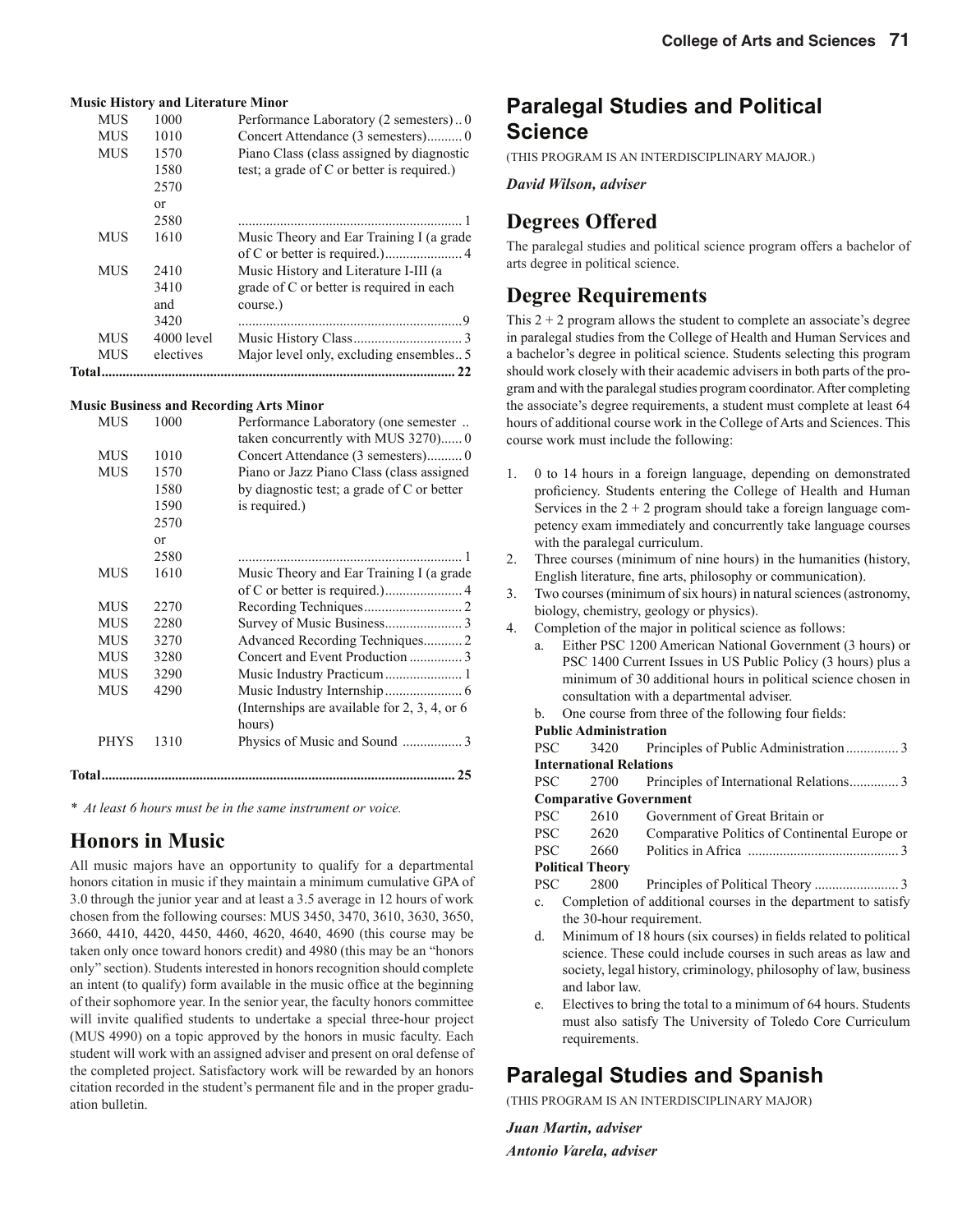|            | <b>Music History and Literature Minor</b> |                                            |
|------------|-------------------------------------------|--------------------------------------------|
| <b>MUS</b> | 1000                                      | Performance Laboratory (2 semesters)0      |
| <b>MUS</b> | 1010                                      |                                            |
| <b>MUS</b> | 1570                                      | Piano Class (class assigned by diagnostic  |
|            | 1580                                      | test; a grade of C or better is required.) |
|            | 2570                                      |                                            |
|            | $\alpha$                                  |                                            |
|            | 2580                                      |                                            |
| <b>MUS</b> | 1610                                      | Music Theory and Ear Training I (a grade   |
|            |                                           |                                            |
| <b>MUS</b> | 2410                                      | Music History and Literature I-III (a      |
|            | 3410                                      | grade of C or better is required in each   |
|            | and                                       | course.)                                   |
|            | 3420                                      |                                            |
| <b>MUS</b> | $4000$ level                              |                                            |
| <b>MUS</b> | electives                                 | Major level only, excluding ensembles5     |
| Total      |                                           | 22                                         |

#### **Music Business and Recording Arts Minor**

|        | <b>MUS</b>  | 1000     | Performance Laboratory (one semester          |
|--------|-------------|----------|-----------------------------------------------|
|        |             |          | taken concurrently with MUS 3270) 0           |
|        | <b>MUS</b>  | 1010     |                                               |
|        | <b>MUS</b>  | 1570     | Piano or Jazz Piano Class (class assigned     |
|        |             | 1580     | by diagnostic test; a grade of C or better    |
|        |             | 1590     | is required.)                                 |
|        |             | 2570     |                                               |
|        |             | $\alpha$ |                                               |
|        |             | 2580     |                                               |
|        | <b>MUS</b>  | 1610     | Music Theory and Ear Training I (a grade      |
|        |             |          |                                               |
|        | <b>MUS</b>  | 2270     |                                               |
|        | <b>MUS</b>  | 2280     |                                               |
|        | <b>MUS</b>  | 3270     | Advanced Recording Techniques 2               |
|        | <b>MUS</b>  | 3280     |                                               |
|        | <b>MUS</b>  | 3290     |                                               |
|        | <b>MUS</b>  | 4290     |                                               |
|        |             |          | (Internships are available for 2, 3, 4, or 6) |
|        |             |          | hours)                                        |
|        | <b>PHYS</b> | 1310     |                                               |
|        |             |          |                                               |
| Total. |             |          | 25                                            |

*\* At least 6 hours must be in the same instrument or voice.*

#### **Honors in Music**

All music majors have an opportunity to qualify for a departmental honors citation in music if they maintain a minimum cumulative GPA of 3.0 through the junior year and at least a 3.5 average in 12 hours of work chosen from the following courses: MUS 3450, 3470, 3610, 3630, 3650, 3660, 4410, 4420, 4450, 4460, 4620, 4640, 4690 (this course may be taken only once toward honors credit) and 4980 (this may be an "honors only" section). Students interested in honors recognition should complete an intent (to qualify) form available in the music office at the beginning of their sophomore year. In the senior year, the faculty honors committee will invite qualified students to undertake a special three-hour project (MUS 4990) on a topic approved by the honors in music faculty. Each student will work with an assigned adviser and present on oral defense of the completed project. Satisfactory work will be rewarded by an honors citation recorded in the student's permanent file and in the proper graduation bulletin.

### **Paralegal Studies and Political Science**

(THIS PROGRAM IS AN INTERDISCIPLINARY MAJOR.)

*David Wilson, adviser*

#### **Degrees Offered**

The paralegal studies and political science program offers a bachelor of arts degree in political science.

#### **Degree Requirements**

This  $2 + 2$  program allows the student to complete an associate's degree in paralegal studies from the College of Health and Human Services and a bachelor's degree in political science. Students selecting this program should work closely with their academic advisers in both parts of the program and with the paralegal studies program coordinator. After completing the associate's degree requirements, a student must complete at least 64 hours of additional course work in the College of Arts and Sciences. This course work must include the following:

- 1. 0 to 14 hours in a foreign language, depending on demonstrated proficiency. Students entering the College of Health and Human Services in the  $2 + 2$  program should take a foreign language competency exam immediately and concurrently take language courses with the paralegal curriculum.
- 2. Three courses (minimum of nine hours) in the humanities (history, English literature, fine arts, philosophy or communication).
- 3. Two courses (minimum of six hours) in natural sciences (astronomy, biology, chemistry, geology or physics).
- 4. Completion of the major in political science as follows:
	- a. Either PSC 1200 American National Government (3 hours) or PSC 1400 Current Issues in US Public Policy (3 hours) plus a minimum of 30 additional hours in political science chosen in consultation with a departmental adviser.
		- One course from three of the following four fields:

#### **Public Administration**

| <b>PSC</b>     |                                |                                                               |
|----------------|--------------------------------|---------------------------------------------------------------|
|                | <b>International Relations</b> |                                                               |
| <b>PSC</b>     |                                |                                                               |
|                | <b>Comparative Government</b>  |                                                               |
| <b>PSC</b>     | 2610                           | Government of Great Britain or                                |
|                | PSC 2620                       | Comparative Politics of Continental Europe or                 |
| PSC <b>SEC</b> | 2660                           |                                                               |
|                | <b>Political Theory</b>        |                                                               |
| <b>PSC</b>     | 2800                           |                                                               |
| $\mathbf{c}$ . | the 30-hour requirement.       | Completion of additional courses in the department to satisfy |

- d. Minimum of 18 hours (six courses) in fields related to political science. These could include courses in such areas as law and society, legal history, criminology, philosophy of law, business and labor law.
- e. Electives to bring the total to a minimum of 64 hours. Students must also satisfy The University of Toledo Core Curriculum requirements.

### **Paralegal Studies and Spanish**

(THIS PROGRAM IS AN INTERDISCIPLINARY MAJOR)

*Juan Martin, adviser Antonio Varela, adviser*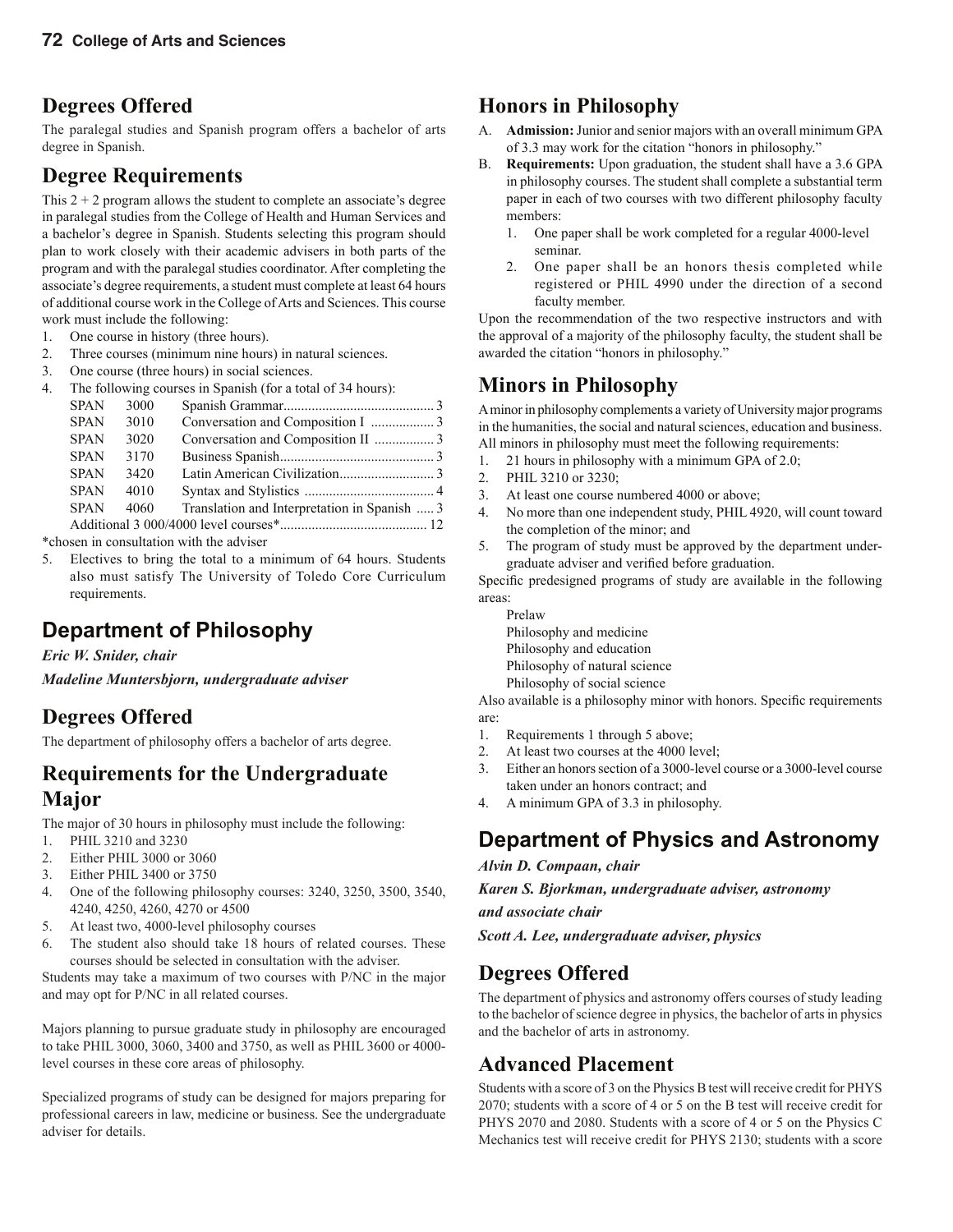### **Degrees Offered**

The paralegal studies and Spanish program offers a bachelor of arts degree in Spanish.

#### **Degree Requirements**

This  $2 + 2$  program allows the student to complete an associate's degree in paralegal studies from the College of Health and Human Services and a bachelor's degree in Spanish. Students selecting this program should plan to work closely with their academic advisers in both parts of the program and with the paralegal studies coordinator. After completing the associate's degree requirements, a student must complete at least 64 hours of additional course work in the College of Arts and Sciences. This course work must include the following:

- 1. One course in history (three hours).
- 2. Three courses (minimum nine hours) in natural sciences.
- 3. One course (three hours) in social sciences.
- 4. The following courses in Spanish (for a total of 34 hours):

| <b>SPAN</b> | 3000 |                                              |  |
|-------------|------|----------------------------------------------|--|
| <b>SPAN</b> | 3010 |                                              |  |
| <b>SPAN</b> | 3020 |                                              |  |
| <b>SPAN</b> | 3170 |                                              |  |
| <b>SPAN</b> | 3420 |                                              |  |
| <b>SPAN</b> | 4010 |                                              |  |
| <b>SPAN</b> | 4060 | Translation and Interpretation in Spanish  3 |  |
|             |      |                                              |  |
|             |      |                                              |  |

\*chosen in consultation with the adviser

5. Electives to bring the total to a minimum of 64 hours. Students also must satisfy The University of Toledo Core Curriculum requirements.

## **Department of Philosophy**

*Eric W. Snider, chair*

*Madeline Muntersbjorn, undergraduate adviser*

### **Degrees Offered**

The department of philosophy offers a bachelor of arts degree.

### **Requirements for the Undergraduate Major**

The major of 30 hours in philosophy must include the following:

- 1. PHIL 3210 and 3230
- 2. Either PHIL 3000 or 3060
- 3. Either PHIL 3400 or 3750
- 4. One of the following philosophy courses: 3240, 3250, 3500, 3540, 4240, 4250, 4260, 4270 or 4500
- 5. At least two, 4000-level philosophy courses
- 6. The student also should take 18 hours of related courses. These courses should be selected in consultation with the adviser.

Students may take a maximum of two courses with P/NC in the major and may opt for P/NC in all related courses.

Majors planning to pursue graduate study in philosophy are encouraged to take PHIL 3000, 3060, 3400 and 3750, as well as PHIL 3600 or 4000 level courses in these core areas of philosophy.

Specialized programs of study can be designed for majors preparing for professional careers in law, medicine or business. See the undergraduate adviser for details.

### **Honors in Philosophy**

- A. **Admission:** Junior and senior majors with an overall minimum GPA of 3.3 may work for the citation "honors in philosophy."
- B. **Requirements:** Upon graduation, the student shall have a 3.6 GPA in philosophy courses. The student shall complete a substantial term paper in each of two courses with two different philosophy faculty members:
	- 1. One paper shall be work completed for a regular 4000-level seminar.
	- 2. One paper shall be an honors thesis completed while registered or PHIL 4990 under the direction of a second faculty member.

Upon the recommendation of the two respective instructors and with the approval of a majority of the philosophy faculty, the student shall be awarded the citation "honors in philosophy."

### **Minors in Philosophy**

A minor in philosophy complements a variety of University major programs in the humanities, the social and natural sciences, education and business. All minors in philosophy must meet the following requirements:

- 1. 21 hours in philosophy with a minimum GPA of 2.0;
- 2. PHIL 3210 or 3230;
- 3. At least one course numbered 4000 or above;
- 4. No more than one independent study, PHIL 4920, will count toward the completion of the minor; and
- 5. The program of study must be approved by the department undergraduate adviser and verified before graduation.

Specific predesigned programs of study are available in the following areas:

Prelaw Philosophy and medicine Philosophy and education Philosophy of natural science Philosophy of social science

Also available is a philosophy minor with honors. Specific requirements are:

- 1. Requirements 1 through 5 above;
- 2. At least two courses at the 4000 level;
- 3. Either an honors section of a 3000-level course or a 3000-level course taken under an honors contract; and
- 4. A minimum GPA of 3.3 in philosophy.

### **Department of Physics and Astronomy**

*Alvin D. Compaan, chair*

*Karen S. Bjorkman, undergraduate adviser, astronomy* 

*and associate chair*

*Scott A. Lee, undergraduate adviser, physics*

### **Degrees Offered**

The department of physics and astronomy offers courses of study leading to the bachelor of science degree in physics, the bachelor of arts in physics and the bachelor of arts in astronomy.

### **Advanced Placement**

Students with a score of 3 on the Physics B test will receive credit for PHYS 2070; students with a score of 4 or 5 on the B test will receive credit for PHYS 2070 and 2080. Students with a score of 4 or 5 on the Physics C Mechanics test will receive credit for PHYS 2130; students with a score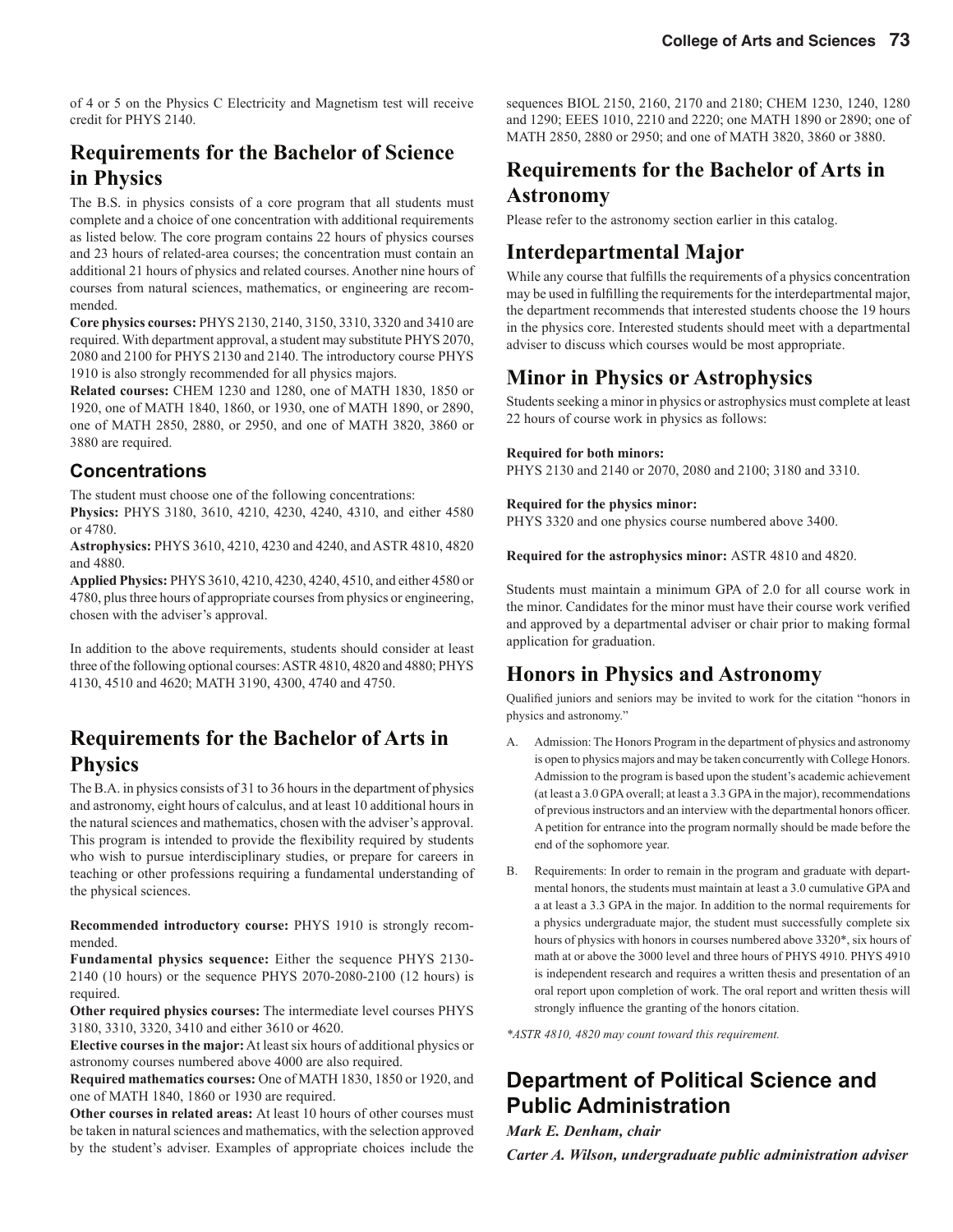of 4 or 5 on the Physics C Electricity and Magnetism test will receive credit for PHYS 2140.

### **Requirements for the Bachelor of Science in Physics**

The B.S. in physics consists of a core program that all students must complete and a choice of one concentration with additional requirements as listed below. The core program contains 22 hours of physics courses and 23 hours of related-area courses; the concentration must contain an additional 21 hours of physics and related courses. Another nine hours of courses from natural sciences, mathematics, or engineering are recommended.

**Core physics courses:** PHYS 2130, 2140, 3150, 3310, 3320 and 3410 are required. With department approval, a student may substitute PHYS 2070, 2080 and 2100 for PHYS 2130 and 2140. The introductory course PHYS 1910 is also strongly recommended for all physics majors.

**Related courses:** CHEM 1230 and 1280, one of MATH 1830, 1850 or 1920, one of MATH 1840, 1860, or 1930, one of MATH 1890, or 2890, one of MATH 2850, 2880, or 2950, and one of MATH 3820, 3860 or 3880 are required.

#### **Concentrations**

The student must choose one of the following concentrations:

**Physics:** PHYS 3180, 3610, 4210, 4230, 4240, 4310, and either 4580 or 4780.

**Astrophysics:** PHYS 3610, 4210, 4230 and 4240, and ASTR 4810, 4820 and 4880.

**Applied Physics:** PHYS 3610, 4210, 4230, 4240, 4510, and either 4580 or 4780, plus three hours of appropriate courses from physics or engineering, chosen with the adviser's approval.

In addition to the above requirements, students should consider at least three of the following optional courses: ASTR 4810, 4820 and 4880; PHYS 4130, 4510 and 4620; MATH 3190, 4300, 4740 and 4750.

#### **Requirements for the Bachelor of Arts in Physics**

The B.A. in physics consists of 31 to 36 hours in the department of physics and astronomy, eight hours of calculus, and at least 10 additional hours in the natural sciences and mathematics, chosen with the adviser's approval. This program is intended to provide the flexibility required by students who wish to pursue interdisciplinary studies, or prepare for careers in teaching or other professions requiring a fundamental understanding of the physical sciences.

**Recommended introductory course:** PHYS 1910 is strongly recommended.

**Fundamental physics sequence:** Either the sequence PHYS 2130- 2140 (10 hours) or the sequence PHYS 2070-2080-2100 (12 hours) is required.

**Other required physics courses:** The intermediate level courses PHYS 3180, 3310, 3320, 3410 and either 3610 or 4620.

**Elective courses in the major:** At least six hours of additional physics or astronomy courses numbered above 4000 are also required.

**Required mathematics courses:** One of MATH 1830, 1850 or 1920, and one of MATH 1840, 1860 or 1930 are required.

**Other courses in related areas:** At least 10 hours of other courses must be taken in natural sciences and mathematics, with the selection approved by the student's adviser. Examples of appropriate choices include the sequences BIOL 2150, 2160, 2170 and 2180; CHEM 1230, 1240, 1280 and 1290; EEES 1010, 2210 and 2220; one MATH 1890 or 2890; one of MATH 2850, 2880 or 2950; and one of MATH 3820, 3860 or 3880.

### **Requirements for the Bachelor of Arts in Astronomy**

Please refer to the astronomy section earlier in this catalog.

#### **Interdepartmental Major**

While any course that fulfills the requirements of a physics concentration may be used in fulfilling the requirements for the interdepartmental major, the department recommends that interested students choose the 19 hours in the physics core. Interested students should meet with a departmental adviser to discuss which courses would be most appropriate.

### **Minor in Physics or Astrophysics**

Students seeking a minor in physics or astrophysics must complete at least 22 hours of course work in physics as follows:

#### **Required for both minors:**

PHYS 2130 and 2140 or 2070, 2080 and 2100; 3180 and 3310.

#### **Required for the physics minor:**

PHYS 3320 and one physics course numbered above 3400.

**Required for the astrophysics minor:** ASTR 4810 and 4820.

Students must maintain a minimum GPA of 2.0 for all course work in the minor. Candidates for the minor must have their course work verified and approved by a departmental adviser or chair prior to making formal application for graduation.

### **Honors in Physics and Astronomy**

Qualified juniors and seniors may be invited to work for the citation "honors in physics and astronomy."

- A. Admission: The Honors Program in the department of physics and astronomy is open to physics majors and may be taken concurrently with College Honors. Admission to the program is based upon the student's academic achievement (at least a 3.0 GPA overall; at least a 3.3 GPA in the major), recommendations of previous instructors and an interview with the departmental honors officer. A petition for entrance into the program normally should be made before the end of the sophomore year.
- B. Requirements: In order to remain in the program and graduate with departmental honors, the students must maintain at least a 3.0 cumulative GPA and a at least a 3.3 GPA in the major. In addition to the normal requirements for a physics undergraduate major, the student must successfully complete six hours of physics with honors in courses numbered above 3320\*, six hours of math at or above the 3000 level and three hours of PHYS 4910. PHYS 4910 is independent research and requires a written thesis and presentation of an oral report upon completion of work. The oral report and written thesis will strongly influence the granting of the honors citation.

*\*ASTR 4810, 4820 may count toward this requirement.*

### **Department of Political Science and Public Administration**

*Mark E. Denham, chair*

*Carter A. Wilson, undergraduate public administration adviser*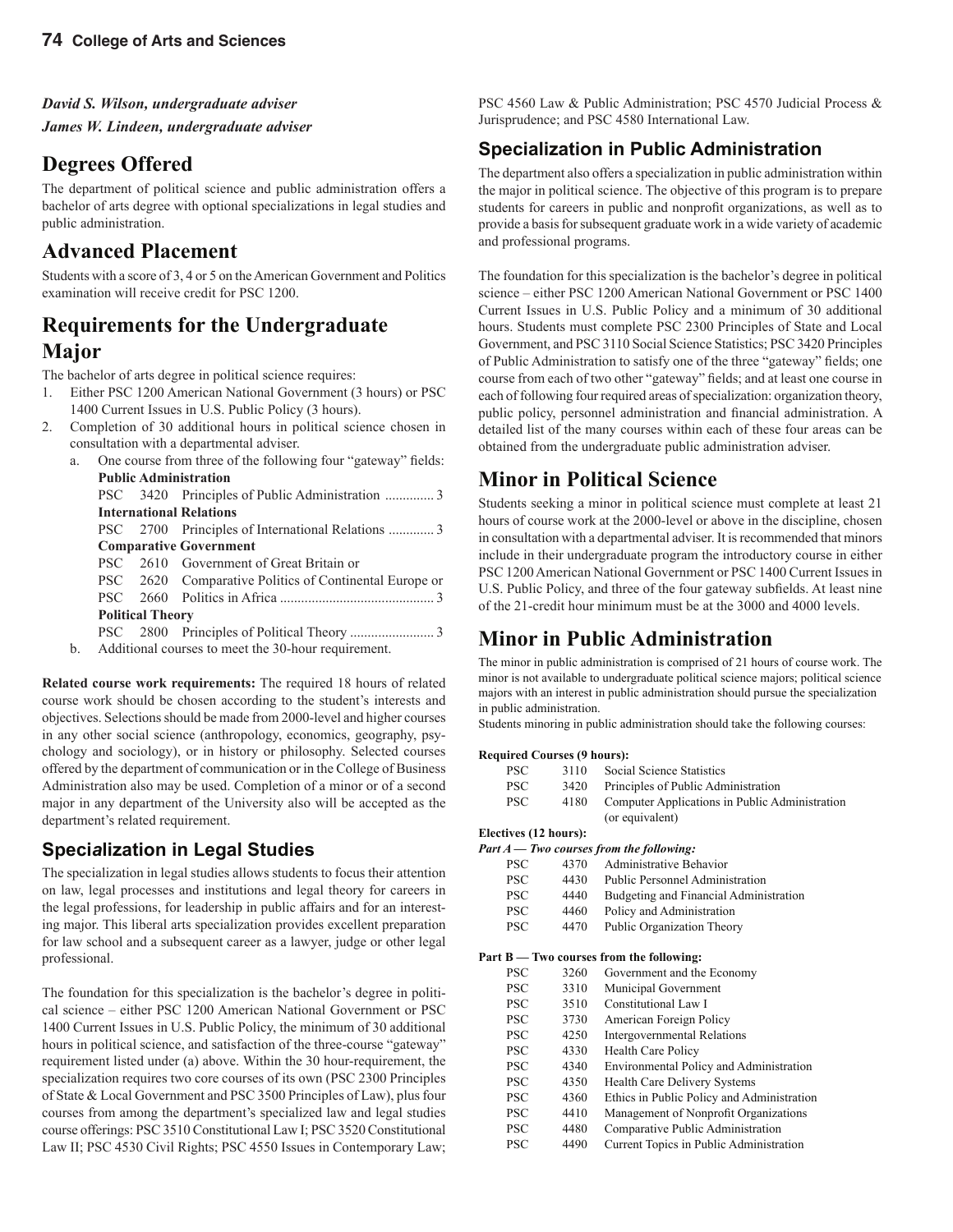#### *David S. Wilson, undergraduate adviser*

*James W. Lindeen, undergraduate adviser*

#### **Degrees Offered**

The department of political science and public administration offers a bachelor of arts degree with optional specializations in legal studies and public administration.

#### **Advanced Placement**

Students with a score of 3, 4 or 5 on the American Government and Politics examination will receive credit for PSC 1200.

#### **Requirements for the Undergraduate Major**

The bachelor of arts degree in political science requires:

- 1. Either PSC 1200 American National Government (3 hours) or PSC 1400 Current Issues in U.S. Public Policy (3 hours).
- 2. Completion of 30 additional hours in political science chosen in consultation with a departmental adviser.

| a. |                         | One course from three of the following four "gateway" fields: |
|----|-------------------------|---------------------------------------------------------------|
|    |                         | <b>Public Administration</b>                                  |
|    |                         | PSC 3420 Principles of Public Administration 3                |
|    |                         | <b>International Relations</b>                                |
|    |                         | PSC 2700 Principles of International Relations 3              |
|    |                         | <b>Comparative Government</b>                                 |
|    |                         | PSC 2610 Government of Great Britain or                       |
|    |                         | PSC 2620 Comparative Politics of Continental Europe or        |
|    |                         |                                                               |
|    | <b>Political Theory</b> |                                                               |
|    |                         |                                                               |
| ь. |                         | Additional courses to meet the 20 hour requirement            |

b. Additional courses to meet the 30-hour requirement.

**Related course work requirements:** The required 18 hours of related course work should be chosen according to the student's interests and objectives. Selections should be made from 2000-level and higher courses in any other social science (anthropology, economics, geography, psychology and sociology), or in history or philosophy. Selected courses offered by the department of communication or in the College of Business Administration also may be used. Completion of a minor or of a second major in any department of the University also will be accepted as the department's related requirement.

#### **Speci***a***lization in Legal Studies**

The specialization in legal studies allows students to focus their attention on law, legal processes and institutions and legal theory for careers in the legal professions, for leadership in public affairs and for an interesting major. This liberal arts specialization provides excellent preparation for law school and a subsequent career as a lawyer, judge or other legal professional.

The foundation for this specialization is the bachelor's degree in political science – either PSC 1200 American National Government or PSC 1400 Current Issues in U.S. Public Policy, the minimum of 30 additional hours in political science, and satisfaction of the three-course "gateway" requirement listed under (a) above. Within the 30 hour-requirement, the specialization requires two core courses of its own (PSC 2300 Principles of State & Local Government and PSC 3500 Principles of Law), plus four courses from among the department's specialized law and legal studies course offerings: PSC 3510 Constitutional Law I; PSC 3520 Constitutional Law II; PSC 4530 Civil Rights; PSC 4550 Issues in Contemporary Law;

PSC 4560 Law & Public Administration; PSC 4570 Judicial Process & Jurisprudence; and PSC 4580 International Law.

#### **Specialization in Public Administration**

The department also offers a specialization in public administration within the major in political science. The objective of this program is to prepare students for careers in public and nonprofit organizations, as well as to provide a basis for subsequent graduate work in a wide variety of academic and professional programs.

The foundation for this specialization is the bachelor's degree in political science – either PSC 1200 American National Government or PSC 1400 Current Issues in U.S. Public Policy and a minimum of 30 additional hours. Students must complete PSC 2300 Principles of State and Local Government, and PSC 3110 Social Science Statistics; PSC 3420 Principles of Public Administration to satisfy one of the three "gateway" fields; one course from each of two other "gateway" fields; and at least one course in each of following four required areas of specialization: organization theory, public policy, personnel administration and financial administration. A detailed list of the many courses within each of these four areas can be obtained from the undergraduate public administration adviser.

#### **Minor in Political Science**

Students seeking a minor in political science must complete at least 21 hours of course work at the 2000-level or above in the discipline, chosen in consultation with a departmental adviser. It is recommended that minors include in their undergraduate program the introductory course in either PSC 1200 American National Government or PSC 1400 Current Issues in U.S. Public Policy, and three of the four gateway subfields. At least nine of the 21-credit hour minimum must be at the 3000 and 4000 levels.

### **Minor in Public Administration**

The minor in public administration is comprised of 21 hours of course work. The minor is not available to undergraduate political science majors; political science majors with an interest in public administration should pursue the specialization in public administration.

Students minoring in public administration should take the following courses:

#### **Required Courses (9 hours):**

| PSC. | 3110 | Social Science Statistics                      |
|------|------|------------------------------------------------|
| PSC. | 3420 | Principles of Public Administration            |
| PSC. | 4180 | Computer Applications in Public Administration |
|      |      | (or equivalent)                                |

#### **Electives (12 hours):**

|            |      | Part A — Two courses from the following: |
|------------|------|------------------------------------------|
| <b>PSC</b> | 4370 | Administrative Behavior                  |
| <b>PSC</b> | 4430 | <b>Public Personnel Administration</b>   |
| <b>PSC</b> | 4440 | Budgeting and Financial Administration   |
| <b>PSC</b> | 4460 | Policy and Administration                |
| <b>PSC</b> | 4470 | Public Organization Theory               |

#### **Part B — Two courses from the following:**

| PSC        | 3260 | Government and the Economy                 |
|------------|------|--------------------------------------------|
| <b>PSC</b> | 3310 | Municipal Government                       |
| <b>PSC</b> | 3510 | Constitutional Law I                       |
| <b>PSC</b> | 3730 | American Foreign Policy                    |
| <b>PSC</b> | 4250 | Intergovernmental Relations                |
| <b>PSC</b> | 4330 | <b>Health Care Policy</b>                  |
| <b>PSC</b> | 4340 | Environmental Policy and Administration    |
| <b>PSC</b> | 4350 | Health Care Delivery Systems               |
| <b>PSC</b> | 4360 | Ethics in Public Policy and Administration |
| <b>PSC</b> | 4410 | Management of Nonprofit Organizations      |
| <b>PSC</b> | 4480 | Comparative Public Administration          |
| PSC        | 4490 | Current Topics in Public Administration    |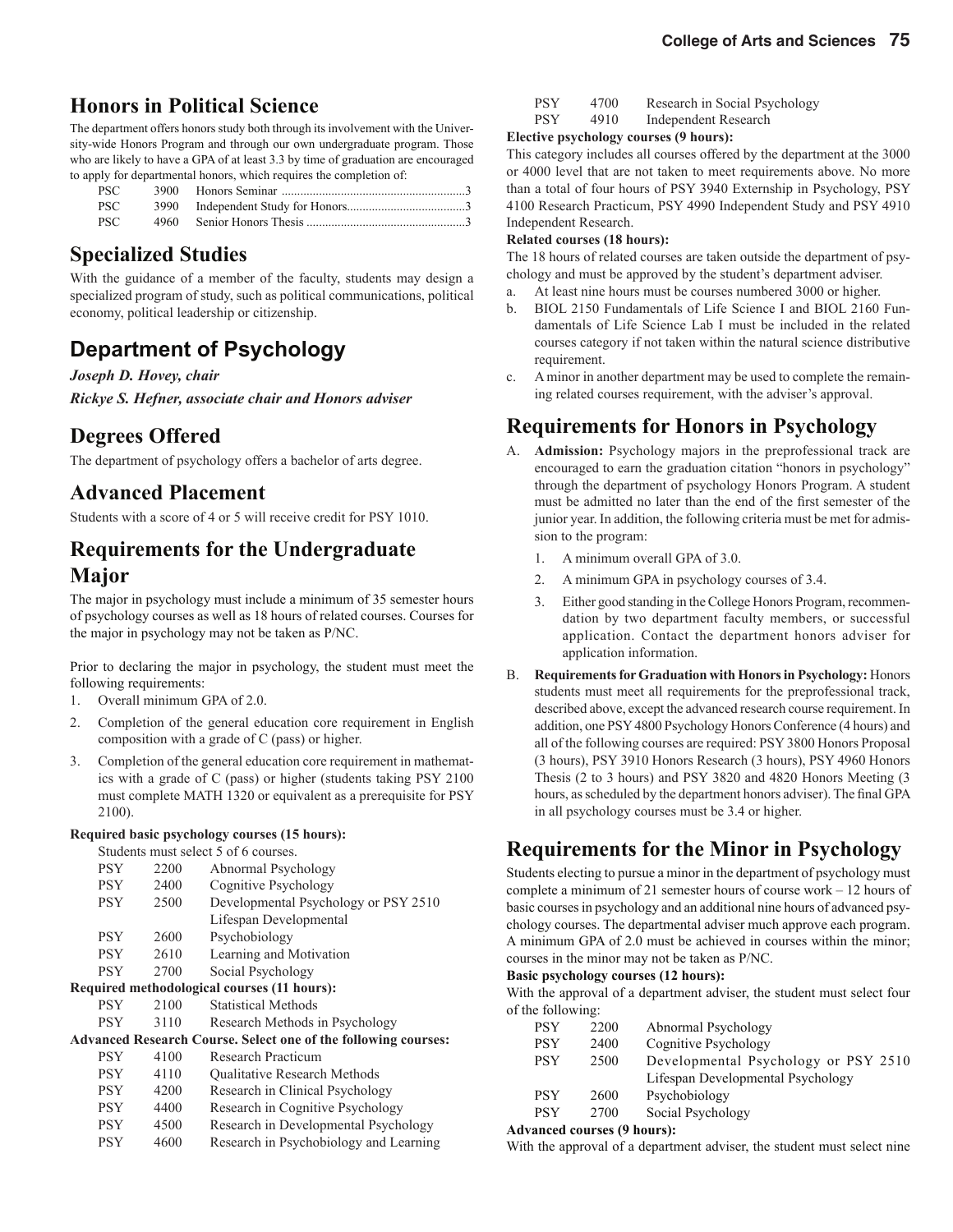#### **Honors in Political Science**

The department offers honors study both through its involvement with the University-wide Honors Program and through our own undergraduate program. Those who are likely to have a GPA of at least 3.3 by time of graduation are encouraged to apply for departmental honors, which requires the completion of:

| PSC  |  |
|------|--|
| PSC  |  |
| PSC. |  |

#### **Specialized Studies**

With the guidance of a member of the faculty, students may design a specialized program of study, such as political communications, political economy, political leadership or citizenship.

### **Department of Psychology**

#### *Joseph D. Hovey, chair*

*Rickye S. Hefner, associate chair and Honors adviser*

#### **Degrees Offered**

The department of psychology offers a bachelor of arts degree.

#### **Advanced Placement**

Students with a score of 4 or 5 will receive credit for PSY 1010.

#### **Requirements for the Undergraduate Major**

The major in psychology must include a minimum of 35 semester hours of psychology courses as well as 18 hours of related courses. Courses for the major in psychology may not be taken as P/NC.

Prior to declaring the major in psychology, the student must meet the following requirements:

- 1. Overall minimum GPA of 2.0.
- 2. Completion of the general education core requirement in English composition with a grade of C (pass) or higher.
- 3. Completion of the general education core requirement in mathematics with a grade of C (pass) or higher (students taking PSY 2100 must complete MATH 1320 or equivalent as a prerequisite for PSY 2100).

#### **Required basic psychology courses (15 hours):**

|            |      | Students must select 5 of 6 courses.                                  |
|------------|------|-----------------------------------------------------------------------|
| <b>PSY</b> | 2200 | Abnormal Psychology                                                   |
| <b>PSY</b> | 2400 | Cognitive Psychology                                                  |
| <b>PSY</b> | 2500 | Developmental Psychology or PSY 2510                                  |
|            |      | Lifespan Developmental                                                |
| <b>PSY</b> | 2600 | Psychobiology                                                         |
| <b>PSY</b> | 2610 | Learning and Motivation                                               |
| <b>PSY</b> | 2700 | Social Psychology                                                     |
|            |      | Required methodological courses (11 hours):                           |
| <b>PSY</b> | 2100 | <b>Statistical Methods</b>                                            |
| <b>PSY</b> | 3110 | Research Methods in Psychology                                        |
|            |      | <b>Advanced Research Course. Select one of the following courses:</b> |
| <b>PSY</b> | 4100 | <b>Research Practicum</b>                                             |
| <b>PSY</b> | 4110 | <b>Oualitative Research Methods</b>                                   |
| <b>PSY</b> | 4200 | Research in Clinical Psychology                                       |
| <b>PSY</b> | 4400 | Research in Cognitive Psychology                                      |
| <b>PSY</b> | 4500 | Research in Developmental Psychology                                  |
| PSY        | 4600 | Research in Psychobiology and Learning                                |

| <b>PSY</b> | 4700 | Research in Social Psychology |
|------------|------|-------------------------------|
|            |      |                               |

PSY 4910 Independent Research

#### **Elective psychology courses (9 hours):**

This category includes all courses offered by the department at the 3000 or 4000 level that are not taken to meet requirements above. No more than a total of four hours of PSY 3940 Externship in Psychology, PSY 4100 Research Practicum, PSY 4990 Independent Study and PSY 4910 Independent Research.

#### **Related courses (18 hours):**

The 18 hours of related courses are taken outside the department of psychology and must be approved by the student's department adviser.

- a. At least nine hours must be courses numbered 3000 or higher.
- b. BIOL 2150 Fundamentals of Life Science I and BIOL 2160 Fundamentals of Life Science Lab I must be included in the related courses category if not taken within the natural science distributive requirement.
- c. A minor in another department may be used to complete the remaining related courses requirement, with the adviser's approval.

### **Requirements for Honors in Psychology**

- A. **Admission:** Psychology majors in the preprofessional track are encouraged to earn the graduation citation "honors in psychology" through the department of psychology Honors Program. A student must be admitted no later than the end of the first semester of the junior year. In addition, the following criteria must be met for admission to the program:
	- 1. A minimum overall GPA of 3.0.
	- 2. A minimum GPA in psychology courses of 3.4.
	- 3. Either good standing in the College Honors Program, recommen dation by two department faculty members, or successful application. Contact the department honors adviser for application information.
- B. **Requirements for Graduation with Honors in Psychology:** Honors students must meet all requirements for the preprofessional track, described above, except the advanced research course requirement. In addition, one PSY 4800 Psychology Honors Conference (4 hours) and all of the following courses are required: PSY 3800 Honors Proposal (3 hours), PSY 3910 Honors Research (3 hours), PSY 4960 Honors Thesis (2 to 3 hours) and PSY 3820 and 4820 Honors Meeting (3 hours, as scheduled by the department honors adviser). The final GPA in all psychology courses must be 3.4 or higher.

### **Requirements for the Minor in Psychology**

Students electing to pursue a minor in the department of psychology must complete a minimum of 21 semester hours of course work – 12 hours of basic courses in psychology and an additional nine hours of advanced psychology courses. The departmental adviser much approve each program. A minimum GPA of 2.0 must be achieved in courses within the minor; courses in the minor may not be taken as P/NC.

#### **Basic psychology courses (12 hours):**

With the approval of a department adviser, the student must select four of the following:

| <b>PSY</b> | 2200 | Abnormal Psychology                  |
|------------|------|--------------------------------------|
| <b>PSY</b> | 2400 | Cognitive Psychology                 |
| <b>PSY</b> | 2500 | Developmental Psychology or PSY 2510 |
|            |      | Lifespan Developmental Psychology    |
| <b>PSY</b> | 2600 | Psychobiology                        |
| <b>PSY</b> | 2700 | Social Psychology                    |
|            |      |                                      |

#### **Advanced courses (9 hours):**

With the approval of a department adviser, the student must select nine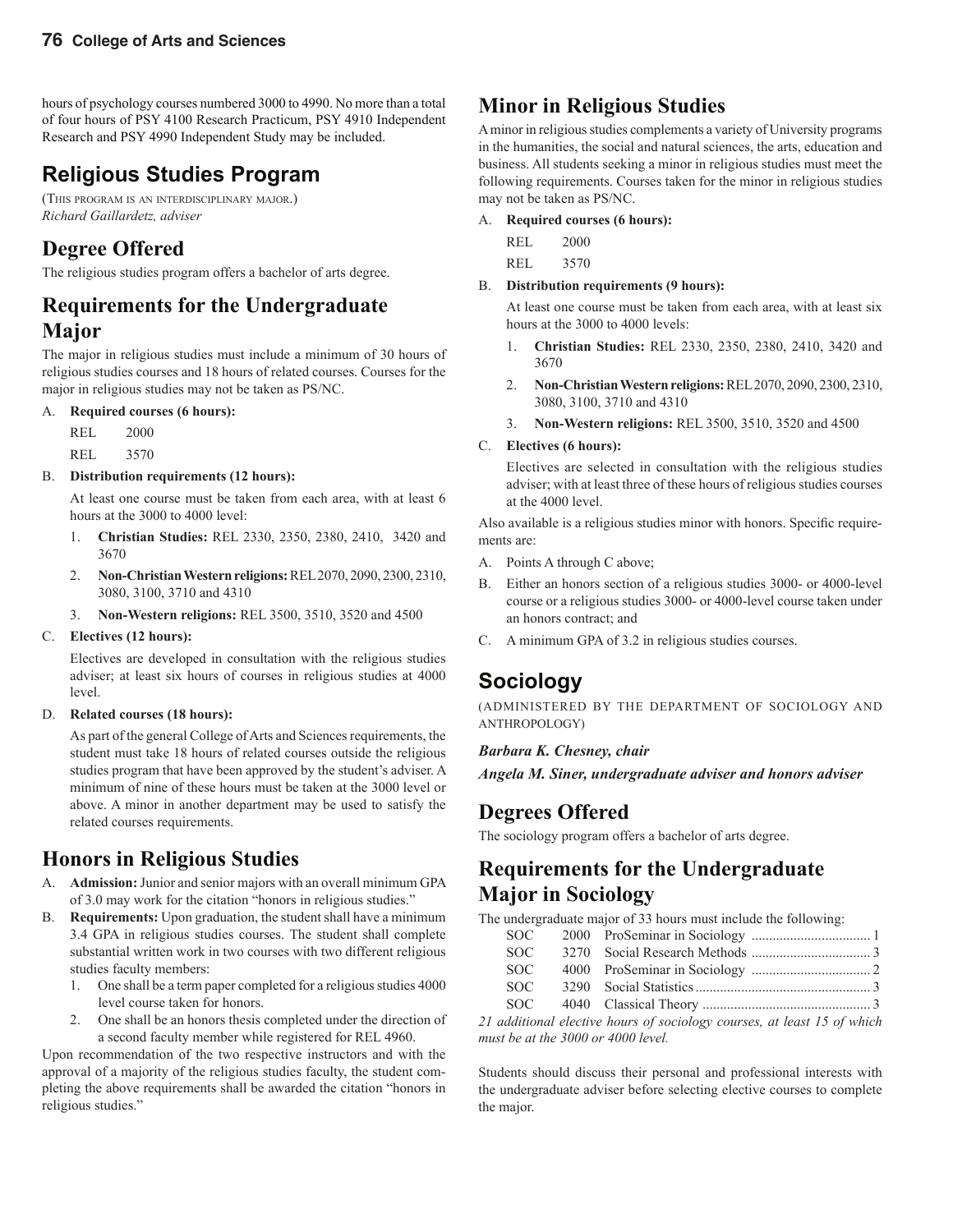hours of psychology courses numbered 3000 to 4990. No more than a total of four hours of PSY 4100 Research Practicum, PSY 4910 Independent Research and PSY 4990 Independent Study may be included.

## **Religious Studies Program**

(THIS PROGRAM IS AN INTERDISCIPLINARY MAJOR.) *Richard Gaillardetz, adviser*

### **Degree Offered**

The religious studies program offers a bachelor of arts degree.

#### **Requirements for the Undergraduate Major**

The major in religious studies must include a minimum of 30 hours of religious studies courses and 18 hours of related courses. Courses for the major in religious studies may not be taken as PS/NC.

#### A. **Required courses (6 hours):**

REL 2000

REL 3570

#### B. **Distribution requirements (12 hours):**

 At least one course must be taken from each area, with at least 6 hours at the 3000 to 4000 level:

- 1. **Christian Studies:** REL 2330, 2350, 2380, 2410, 3420 and 3670
- 2. **Non-Christian Western religions:** REL 2070, 2090, 2300, 2310, 3080, 3100, 3710 and 4310
- 3. **Non-Western religions:** REL 3500, 3510, 3520 and 4500

#### C. **Electives (12 hours):**

 Electives are developed in consultation with the religious studies adviser; at least six hours of courses in religious studies at 4000 level.

#### D. **Related courses (18 hours):**

 As part of the general College of Arts and Sciences requirements, the student must take 18 hours of related courses outside the religious studies program that have been approved by the student's adviser. A minimum of nine of these hours must be taken at the 3000 level or above. A minor in another department may be used to satisfy the related courses requirements.

### **Honors in Religious Studies**

- A. **Admission:** Junior and senior majors with an overall minimum GPA of 3.0 may work for the citation "honors in religious studies."
- B. **Requirements:** Upon graduation, the student shall have a minimum 3.4 GPA in religious studies courses. The student shall complete substantial written work in two courses with two different religious studies faculty members:
	- 1. One shall be a term paper completed for a religious studies 4000 level course taken for honors.
	- 2. One shall be an honors thesis completed under the direction of a second faculty member while registered for REL 4960.

Upon recommendation of the two respective instructors and with the approval of a majority of the religious studies faculty, the student completing the above requirements shall be awarded the citation "honors in religious studies."

### **Minor in Religious Studies**

A minor in religious studies complements a variety of University programs in the humanities, the social and natural sciences, the arts, education and business. All students seeking a minor in religious studies must meet the following requirements. Courses taken for the minor in religious studies may not be taken as PS/NC.

- A. **Required courses (6 hours):**
	- REL 2000
	- REL 3570
- B. **Distribution requirements (9 hours):**

 At least one course must be taken from each area, with at least six hours at the 3000 to 4000 levels:

- 1. **Christian Studies:** REL 2330, 2350, 2380, 2410, 3420 and 3670
- 2. **Non-Christian Western religions:** REL 2070, 2090, 2300, 2310, 3080, 3100, 3710 and 4310
- 3. **Non-Western religions:** REL 3500, 3510, 3520 and 4500

#### C. **Electives (6 hours):**

 Electives are selected in consultation with the religious studies adviser; with at least three of these hours of religious studies courses at the 4000 level.

Also available is a religious studies minor with honors. Specific requirements are:

- A. Points A through C above;
- B. Either an honors section of a religious studies 3000- or 4000-level course or a religious studies 3000- or 4000-level course taken under an honors contract; and
- C. A minimum GPA of 3.2 in religious studies courses.

### **Sociology**

(ADMINISTERED BY THE DEPARTMENT OF SOCIOLOGY AND ANTHROPOLOGY)

#### *Barbara K. Chesney, chair*

*Angela M. Siner, undergraduate adviser and honors adviser*

#### **Degrees Offered**

The sociology program offers a bachelor of arts degree.

#### **Requirements for the Undergraduate Major in Sociology**

The undergraduate major of 33 hours must include the following:

| SOC – |                                                                        |
|-------|------------------------------------------------------------------------|
| SOC - |                                                                        |
| SOC - |                                                                        |
| SOC – |                                                                        |
|       |                                                                        |
|       | 21 additional elective hours of sociology courses at legat 15 of which |

*21 additional elective hours of sociology courses, at least 15 of which must be at the 3000 or 4000 level.*

Students should discuss their personal and professional interests with the undergraduate adviser before selecting elective courses to complete the major.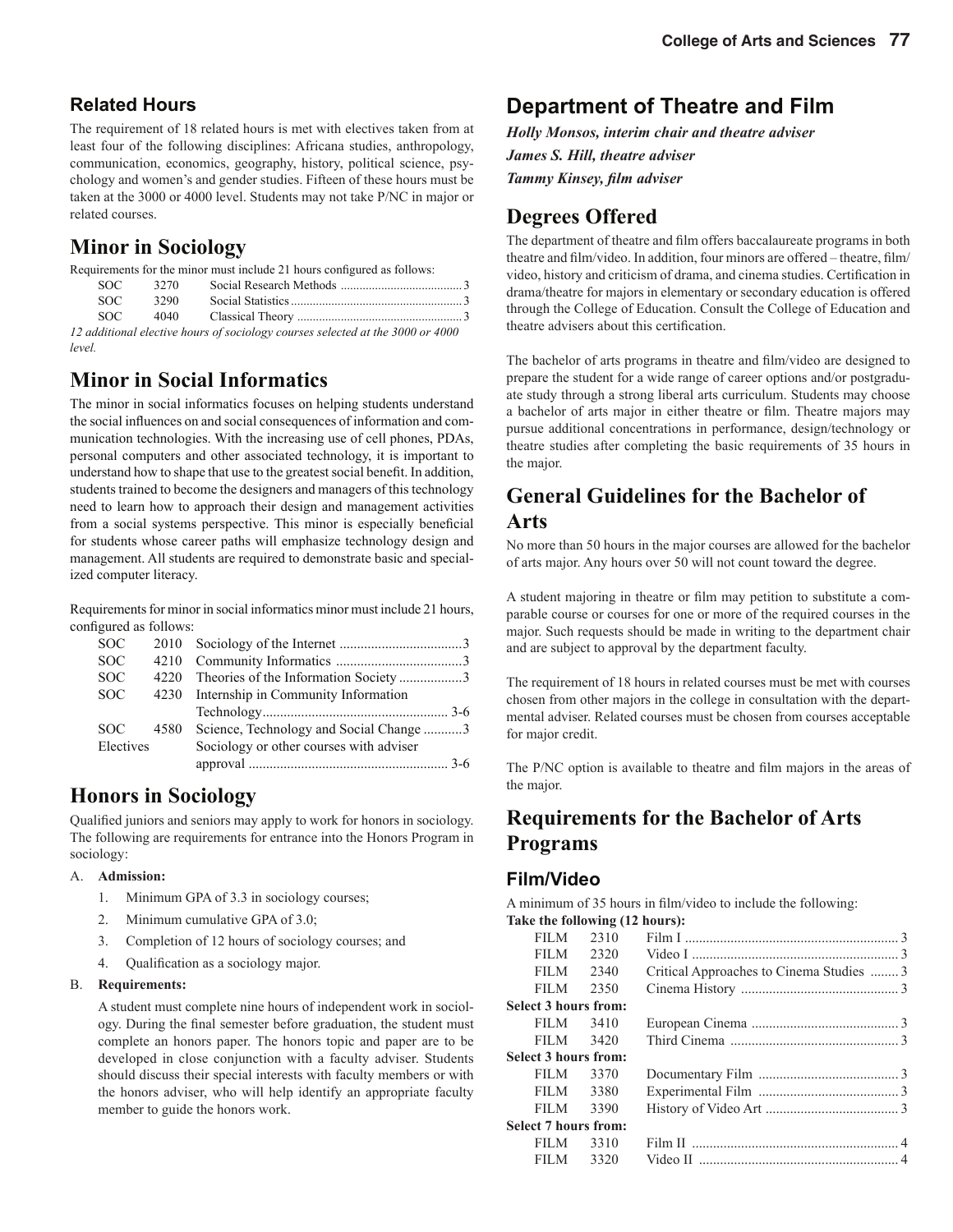#### **Related Hours**

The requirement of 18 related hours is met with electives taken from at least four of the following disciplines: Africana studies, anthropology, communication, economics, geography, history, political science, psychology and women's and gender studies. Fifteen of these hours must be taken at the 3000 or 4000 level. Students may not take P/NC in major or related courses.

### **Minor in Sociology**

|               |      | Requirements for the minor must include 21 hours configured as follows: |  |
|---------------|------|-------------------------------------------------------------------------|--|
| $\cap$ $\cap$ | 2270 | $0.10 - 1 M11$                                                          |  |

|  | SOC 3270 |                                                                                                                                                                                                                                                                                                             |  |
|--|----------|-------------------------------------------------------------------------------------------------------------------------------------------------------------------------------------------------------------------------------------------------------------------------------------------------------------|--|
|  |          |                                                                                                                                                                                                                                                                                                             |  |
|  |          |                                                                                                                                                                                                                                                                                                             |  |
|  |          | $\mathbf{a}$ , $\mathbf{b}$ , $\mathbf{c}$ , $\mathbf{c}$ , $\mathbf{c}$ , $\mathbf{c}$ , $\mathbf{c}$ , $\mathbf{c}$ , $\mathbf{c}$ , $\mathbf{c}$ , $\mathbf{c}$ , $\mathbf{c}$ , $\mathbf{c}$ , $\mathbf{c}$ , $\mathbf{c}$ , $\mathbf{c}$ , $\mathbf{c}$ , $\mathbf{c}$ , $\mathbf{c}$ , $\mathbf{c}$ , |  |

*12 additional elective hours of sociology courses selected at the 3000 or 4000 level.*

### **Minor in Social Informatics**

The minor in social informatics focuses on helping students understand the social influences on and social consequences of information and communication technologies. With the increasing use of cell phones, PDAs, personal computers and other associated technology, it is important to understand how to shape that use to the greatest social benefit. In addition, students trained to become the designers and managers of this technology need to learn how to approach their design and management activities from a social systems perspective. This minor is especially beneficial for students whose career paths will emphasize technology design and management. All students are required to demonstrate basic and specialized computer literacy.

Requirements for minor in social informatics minor must include 21 hours, configured as follows:

| <b>SOC</b> |           |                                         |  |
|------------|-----------|-----------------------------------------|--|
| <b>SOC</b> | 4210      |                                         |  |
| <b>SOC</b> | 4220      | Theories of the Information Society 3   |  |
| <b>SOC</b> | 4230      | Internship in Community Information     |  |
|            |           |                                         |  |
| SOC.       | 4580      | Science, Technology and Social Change 3 |  |
|            | Electives | Sociology or other courses with adviser |  |
|            |           |                                         |  |

### **Honors in Sociology**

Qualified juniors and seniors may apply to work for honors in sociology. The following are requirements for entrance into the Honors Program in sociology:

#### A. **Admission:**

- 1. Minimum GPA of 3.3 in sociology courses;
- 2. Minimum cumulative GPA of 3.0;
- 3. Completion of 12 hours of sociology courses; and
- 4. Qualification as a sociology major.

#### B. **Requirements:**

 A student must complete nine hours of independent work in sociology. During the final semester before graduation, the student must complete an honors paper. The honors topic and paper are to be developed in close conjunction with a faculty adviser. Students should discuss their special interests with faculty members or with the honors adviser, who will help identify an appropriate faculty member to guide the honors work.

### **Department of Theatre and Film**

*Holly Monsos, interim chair and theatre adviser James S. Hill, theatre adviser*  **Tammy Kinsey, film adviser** 

#### **Degrees Offered**

The department of theatre and film offers baccalaureate programs in both theatre and film/video. In addition, four minors are offered – theatre, film/ video, history and criticism of drama, and cinema studies. Certification in drama/theatre for majors in elementary or secondary education is offered through the College of Education. Consult the College of Education and theatre advisers about this certification.

The bachelor of arts programs in theatre and film/video are designed to prepare the student for a wide range of career options and/or postgraduate study through a strong liberal arts curriculum. Students may choose a bachelor of arts major in either theatre or film. Theatre majors may pursue additional concentrations in performance, design/technology or theatre studies after completing the basic requirements of 35 hours in the major.

### **General Guidelines for the Bachelor of Arts**

No more than 50 hours in the major courses are allowed for the bachelor of arts major. Any hours over 50 will not count toward the degree.

A student majoring in theatre or film may petition to substitute a comparable course or courses for one or more of the required courses in the major. Such requests should be made in writing to the department chair and are subject to approval by the department faculty.

The requirement of 18 hours in related courses must be met with courses chosen from other majors in the college in consultation with the departmental adviser. Related courses must be chosen from courses acceptable for major credit.

The P/NC option is available to theatre and film majors in the areas of the major.

#### **Requirements for the Bachelor of Arts Programs**

#### **Film/Video**

A minimum of 35 hours in film/video to include the following: **Take the following (12 hours):**

| <b>FILM</b>                 | 2310 |                                          |  |
|-----------------------------|------|------------------------------------------|--|
| <b>FILM</b>                 | 2320 |                                          |  |
| <b>FILM</b>                 | 2340 | Critical Approaches to Cinema Studies  3 |  |
| <b>FILM</b>                 | 2350 |                                          |  |
| <b>Select 3 hours from:</b> |      |                                          |  |
| FILM F                      | 3410 |                                          |  |
| <b>FILM</b>                 | 3420 |                                          |  |
| Select 3 hours from:        |      |                                          |  |
| FILM <b>FILM</b>            | 3370 |                                          |  |
| FILM 3380                   |      |                                          |  |
| <b>FILM</b>                 | 3390 |                                          |  |
| <b>Select 7 hours from:</b> |      |                                          |  |
| FILM                        | 3310 |                                          |  |
| FILM                        | 3320 |                                          |  |
|                             |      |                                          |  |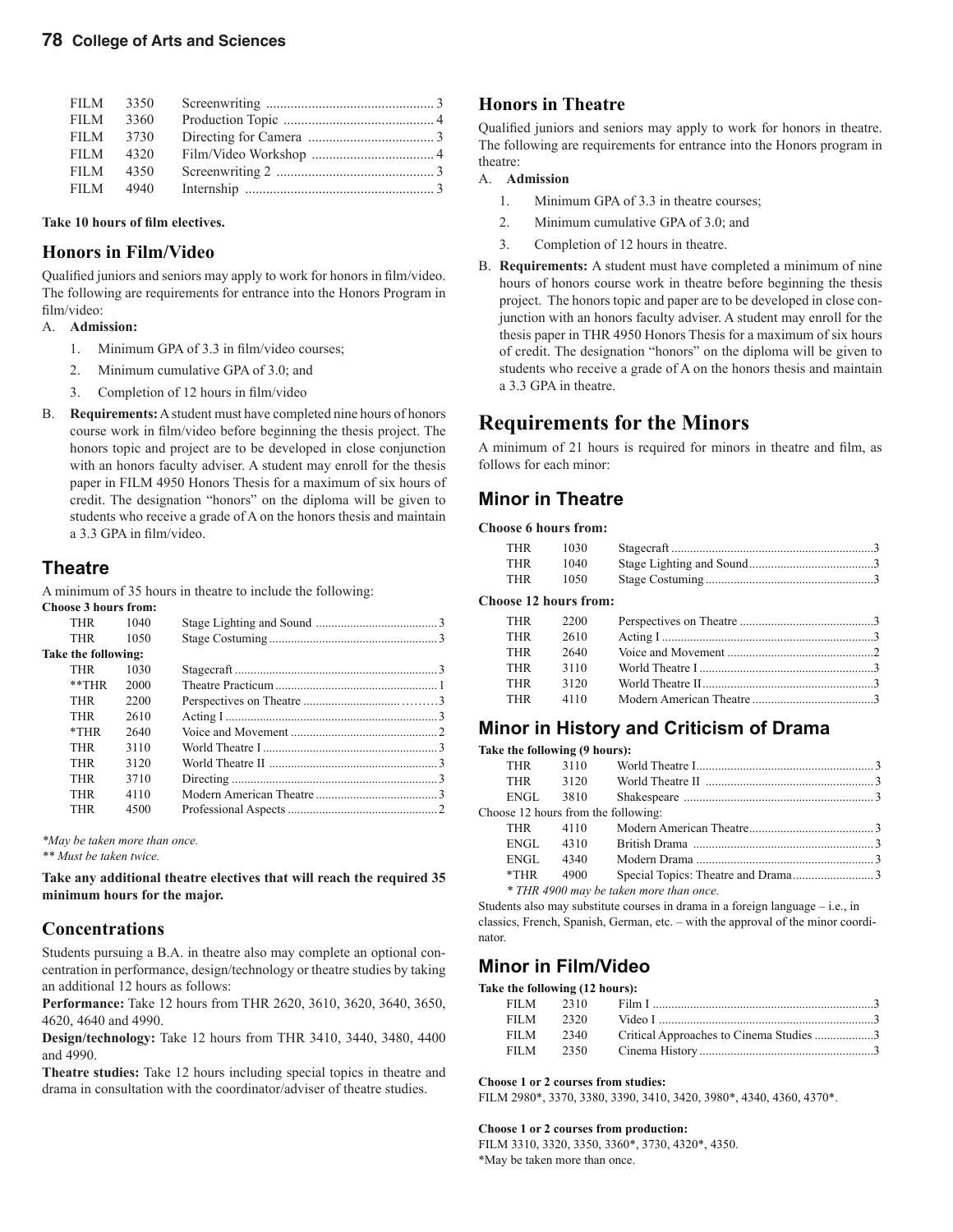| FILM - | 3350      |  |
|--------|-----------|--|
| FILM   | 3360      |  |
|        | FILM 3730 |  |
| FILM - | 4320      |  |
| FILM.  | 4350      |  |
|        | FILM 4940 |  |

Take 10 hours of film electives.

#### **Honors in Film/Video**

Qualified juniors and seniors may apply to work for honors in film/video. The following are requirements for entrance into the Honors Program in film/video:

#### A. **Admission:**

- 1. Minimum GPA of 3.3 in film/video courses;
- 2. Minimum cumulative GPA of 3.0; and
- 3. Completion of 12 hours in film/video
- B. **Requirements:** A student must have completed nine hours of honors course work in film/video before beginning the thesis project. The honors topic and project are to be developed in close conjunction with an honors faculty adviser. A student may enroll for the thesis paper in FILM 4950 Honors Thesis for a maximum of six hours of credit. The designation "honors" on the diploma will be given to students who receive a grade of A on the honors thesis and maintain a 3.3 GPA in film/video.

#### **Theatre**

A minimum of 35 hours in theatre to include the following:

**Choose 3 hours from:**

| THR                 | 1040 |  |
|---------------------|------|--|
| <b>THR</b>          | 1050 |  |
| Take the following: |      |  |
| <b>THR</b>          | 1030 |  |
| **THR               | 2000 |  |
| THR                 | 2200 |  |
| <b>THR</b>          | 2610 |  |
| $*$ THR             | 2640 |  |
| <b>THR</b>          | 3110 |  |
| THR                 | 3120 |  |
| THR                 | 3710 |  |
| THR                 | 4110 |  |
| THR                 | 4500 |  |
|                     |      |  |

*\*May be taken more than once.*

*\*\* Must be taken twice.*

**Take any additional theatre electives that will reach the required 35 minimum hours for the major.**

#### **Concentrations**

Students pursuing a B.A. in theatre also may complete an optional concentration in performance, design/technology or theatre studies by taking an additional 12 hours as follows:

**Performance:** Take 12 hours from THR 2620, 3610, 3620, 3640, 3650, 4620, 4640 and 4990.

**Design/technology:** Take 12 hours from THR 3410, 3440, 3480, 4400 and 4990.

**Theatre studies:** Take 12 hours including special topics in theatre and drama in consultation with the coordinator/adviser of theatre studies.

#### **Honors in Theatre**

Qualified juniors and seniors may apply to work for honors in theatre. The following are requirements for entrance into the Honors program in theatre:

#### A. **Admission**

- 1. Minimum GPA of 3.3 in theatre courses;
- 2. Minimum cumulative GPA of 3.0; and
- 3. Completion of 12 hours in theatre.
- B. **Requirements:** A student must have completed a minimum of nine hours of honors course work in theatre before beginning the thesis project. The honors topic and paper are to be developed in close conjunction with an honors faculty adviser. A student may enroll for the thesis paper in THR 4950 Honors Thesis for a maximum of six hours of credit. The designation "honors" on the diploma will be given to students who receive a grade of A on the honors thesis and maintain a 3.3 GPA in theatre.

#### **Requirements for the Minors**

A minimum of 21 hours is required for minors in theatre and film, as follows for each minor:

#### **Minor in Theatre**

#### **Choose 6 hours from:**

| 1030 |                              |
|------|------------------------------|
| 1040 |                              |
| 1050 |                              |
|      |                              |
| 2200 |                              |
| 2610 |                              |
| 2640 |                              |
| 3110 |                              |
|      | <b>Choose 12 hours from:</b> |

#### THR 3120 World Theatre II .......................................................3 THR 4110 Modern American Theatre .......................................3

#### **Minor in History and Criticism of Drama**

| Take the following (9 hours): |      |                                         |  |
|-------------------------------|------|-----------------------------------------|--|
| <b>THR</b>                    |      |                                         |  |
| <b>THR</b>                    | 3120 |                                         |  |
| ENGL                          | 3810 |                                         |  |
|                               |      | Choose 12 hours from the following:     |  |
| <b>THR</b>                    | 4110 |                                         |  |
| ENGL                          | 4310 |                                         |  |
| ENGL                          | 4340 |                                         |  |
| $*$ THR                       | 4900 |                                         |  |
|                               |      | * THR 4900 may be taken more than once. |  |
|                               |      |                                         |  |

Students also may substitute courses in drama in a foreign language – i.e., in classics, French, Spanish, German, etc. – with the approval of the minor coordinator.

#### **Minor in Film/Video**

#### **Take the following (12 hours):**

| FILM 2310     |      |                                                   |  |
|---------------|------|---------------------------------------------------|--|
| FILM 2320     |      |                                                   |  |
|               |      | FILM 2340 Critical Approaches to Cinema Studies 3 |  |
| FILM <b>M</b> | 2350 |                                                   |  |

#### **Choose 1 or 2 courses from studies:**

FILM 2980\*, 3370, 3380, 3390, 3410, 3420, 3980\*, 4340, 4360, 4370\*.

**Choose 1 or 2 courses from production:**

FILM 3310, 3320, 3350, 3360\*, 3730, 4320\*, 4350. \*May be taken more than once.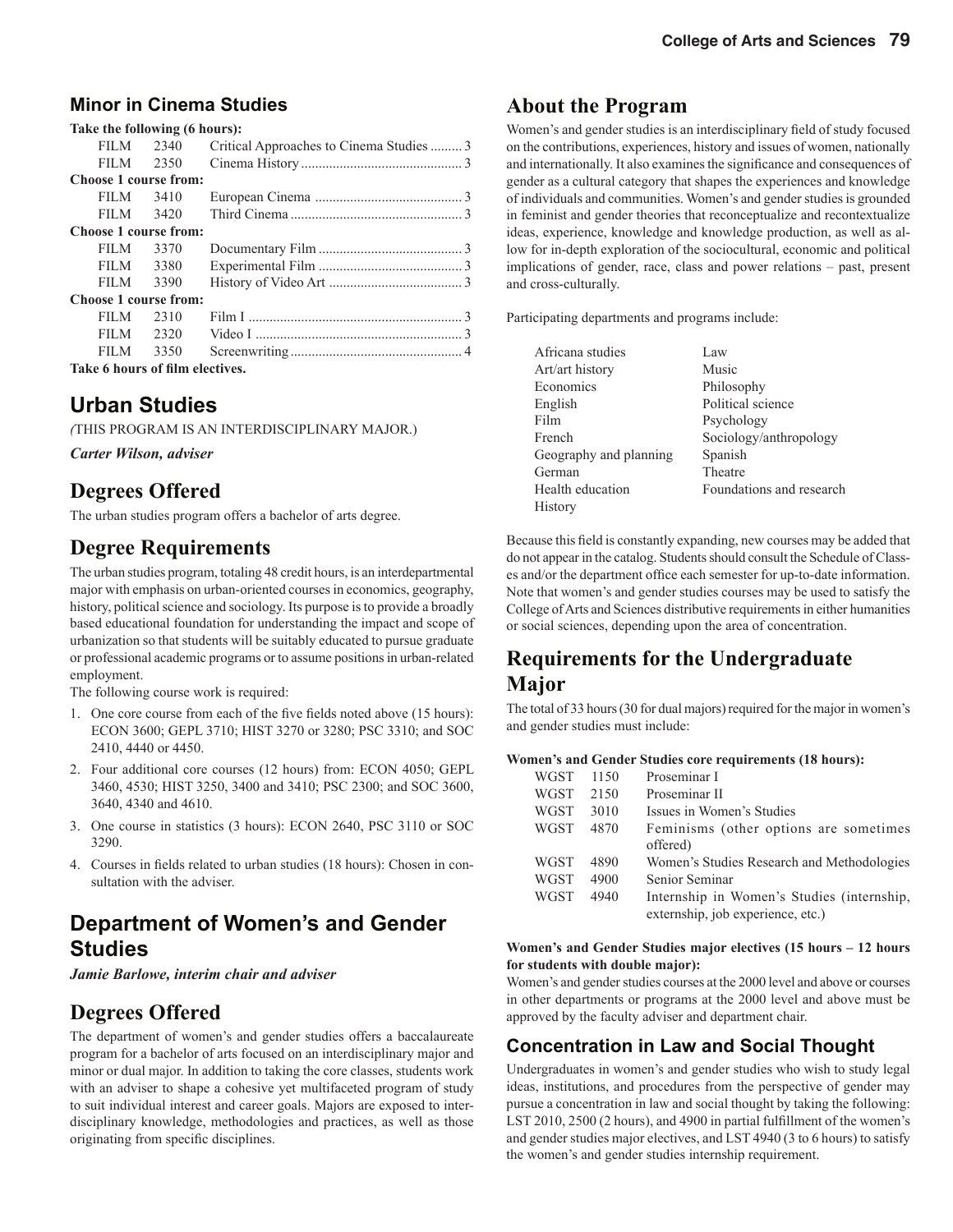#### **Minor in Cinema Studies**

|                                 | Take the following (6 hours): |                                          |  |  |  |
|---------------------------------|-------------------------------|------------------------------------------|--|--|--|
|                                 | FILM 2340                     | Critical Approaches to Cinema Studies  3 |  |  |  |
|                                 | FILM 2350                     |                                          |  |  |  |
| Choose 1 course from:           |                               |                                          |  |  |  |
| FILM <b>FILM</b>                | 3410                          |                                          |  |  |  |
| FILM                            | 3420                          |                                          |  |  |  |
| Choose 1 course from:           |                               |                                          |  |  |  |
| FILM <b>FILM</b>                | 3370                          |                                          |  |  |  |
| FILM <b>FILM</b>                | 3380                          |                                          |  |  |  |
| FILM <b>FILM</b>                | 3390                          |                                          |  |  |  |
| Choose 1 course from:           |                               |                                          |  |  |  |
| FILM -                          | 2310                          |                                          |  |  |  |
| <b>FILM</b>                     | 2320                          |                                          |  |  |  |
| FILM <b>FILM</b>                | 3350                          |                                          |  |  |  |
| Take 6 hours of film electives. |                               |                                          |  |  |  |

#### **Urban Studies**

*(*THIS PROGRAM IS AN INTERDISCIPLINARY MAJOR.)

*Carter Wilson, adviser*

#### **Degrees Offered**

The urban studies program offers a bachelor of arts degree.

#### **Degree Requirements**

The urban studies program, totaling 48 credit hours, is an interdepartmental major with emphasis on urban-oriented courses in economics, geography, history, political science and sociology. Its purpose is to provide a broadly based educational foundation for understanding the impact and scope of urbanization so that students will be suitably educated to pursue graduate or professional academic programs or to assume positions in urban-related employment.

The following course work is required:

- 1. One core course from each of the five fields noted above (15 hours): ECON 3600; GEPL 3710; HIST 3270 or 3280; PSC 3310; and SOC 2410, 4440 or 4450.
- 2. Four additional core courses (12 hours) from: ECON 4050; GEPL 3460, 4530; HIST 3250, 3400 and 3410; PSC 2300; and SOC 3600, 3640, 4340 and 4610.
- 3. One course in statistics (3 hours): ECON 2640, PSC 3110 or SOC 3290.
- 4. Courses in fields related to urban studies (18 hours): Chosen in consultation with the adviser.

### **Department of Women's and Gender Studies**

*Jamie Barlowe, interim chair and adviser* 

### **Degrees Offered**

The department of women's and gender studies offers a baccalaureate program for a bachelor of arts focused on an interdisciplinary major and minor or dual major. In addition to taking the core classes, students work with an adviser to shape a cohesive yet multifaceted program of study to suit individual interest and career goals. Majors are exposed to interdisciplinary knowledge, methodologies and practices, as well as those originating from specific disciplines.

#### **About the Program**

Women's and gender studies is an interdisciplinary field of study focused on the contributions, experiences, history and issues of women, nationally and internationally. It also examines the significance and consequences of gender as a cultural category that shapes the experiences and knowledge of individuals and communities. Women's and gender studies is grounded in feminist and gender theories that reconceptualize and recontextualize ideas, experience, knowledge and knowledge production, as well as allow for in-depth exploration of the sociocultural, economic and political implications of gender, race, class and power relations – past, present and cross-culturally.

Participating departments and programs include:

| Africana studies       | Law                      |
|------------------------|--------------------------|
| Art/art history        | Music                    |
| Economics              | Philosophy               |
| English                | Political science        |
| Film                   | Psychology               |
| French                 | Sociology/anthropology   |
| Geography and planning | Spanish                  |
| German                 | Theatre                  |
| Health education       | Foundations and research |
| History                |                          |

Because this field is constantly expanding, new courses may be added that do not appear in the catalog. Students should consult the Schedule of Classes and/or the department office each semester for up-to-date information. Note that women's and gender studies courses may be used to satisfy the College of Arts and Sciences distributive requirements in either humanities or social sciences, depending upon the area of concentration.

#### **Requirements for the Undergraduate Major**

The total of 33 hours (30 for dual majors) required for the major in women's and gender studies must include:

#### **Women's and Gender Studies core requirements (18 hours):**

| WGST | 1150 | Proseminar I                                       |
|------|------|----------------------------------------------------|
| WGST | 2150 | Proseminar II                                      |
| WGST | 3010 | Issues in Women's Studies                          |
| WGST | 4870 | Feminisms (other options are sometimes<br>offered) |
| WGST | 4890 | Women's Studies Research and Methodologies         |
| WGST | 4900 | Senior Seminar                                     |
| WGST | 4940 | Internship in Women's Studies (internship,         |
|      |      | externship, job experience, etc.)                  |

#### **Women's and Gender Studies major electives (15 hours – 12 hours for students with double major):**

Women's and gender studies courses at the 2000 level and above or courses in other departments or programs at the 2000 level and above must be approved by the faculty adviser and department chair.

#### **Concentration in Law and Social Thought**

Undergraduates in women's and gender studies who wish to study legal ideas, institutions, and procedures from the perspective of gender may pursue a concentration in law and social thought by taking the following: LST 2010, 2500 (2 hours), and 4900 in partial fulfillment of the women's and gender studies major electives, and LST 4940 (3 to 6 hours) to satisfy the women's and gender studies internship requirement.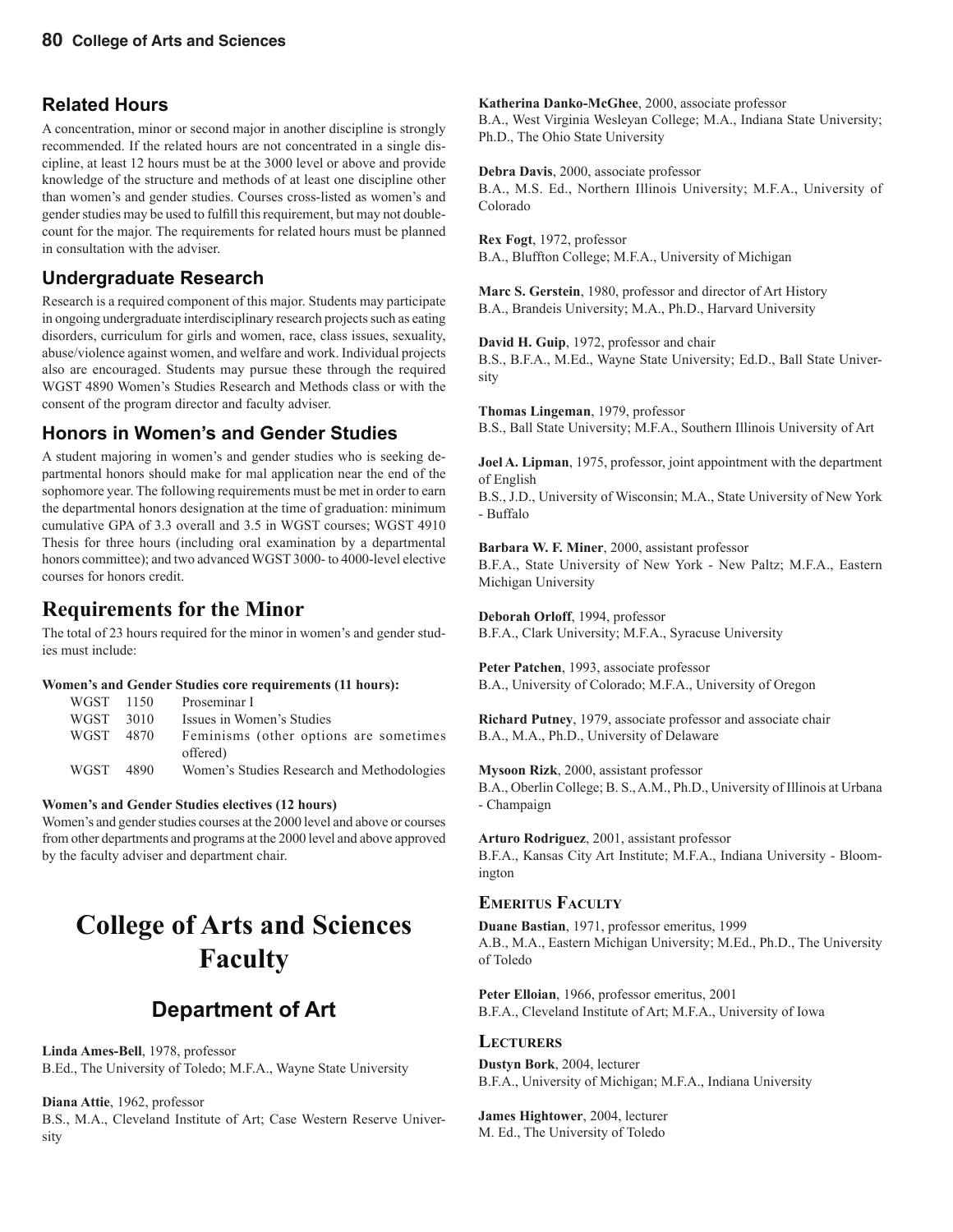#### **Related Hours**

A concentration, minor or second major in another discipline is strongly recommended. If the related hours are not concentrated in a single discipline, at least 12 hours must be at the 3000 level or above and provide knowledge of the structure and methods of at least one discipline other than women's and gender studies. Courses cross-listed as women's and gender studies may be used to fulfill this requirement, but may not doublecount for the major. The requirements for related hours must be planned in consultation with the adviser.

#### **Undergraduate Research**

Research is a required component of this major. Students may participate in ongoing undergraduate interdisciplinary research projects such as eating disorders, curriculum for girls and women, race, class issues, sexuality, abuse/violence against women, and welfare and work. Individual projects also are encouraged. Students may pursue these through the required WGST 4890 Women's Studies Research and Methods class or with the consent of the program director and faculty adviser.

#### **Honors in Women's and Gender Studies**

A student majoring in women's and gender studies who is seeking departmental honors should make for mal application near the end of the sophomore year. The following requirements must be met in order to earn the departmental honors designation at the time of graduation: minimum cumulative GPA of 3.3 overall and 3.5 in WGST courses; WGST 4910 Thesis for three hours (including oral examination by a departmental honors committee); and two advanced WGST 3000- to 4000-level elective courses for honors credit.

#### **Requirements for the Minor**

The total of 23 hours required for the minor in women's and gender studies must include:

#### **Women's and Gender Studies core requirements (11 hours):**

| WGST 1150   |      | Proseminar I                                        |
|-------------|------|-----------------------------------------------------|
| <b>WGST</b> | 3010 | Issues in Women's Studies                           |
| WGST        | 4870 | Feminisms (other options are sometimes)<br>offered) |
| <b>WGST</b> | 4890 | Women's Studies Research and Methodologies          |

#### **Women's and Gender Studies electives (12 hours)**

Women's and gender studies courses at the 2000 level and above or courses from other departments and programs at the 2000 level and above approved by the faculty adviser and department chair.

## **College of Arts and Sciences Faculty**

### **Department of Art**

**Linda Ames-Bell**, 1978, professor B.Ed., The University of Toledo; M.F.A., Wayne State University

**Diana Attie**, 1962, professor

B.S., M.A., Cleveland Institute of Art; Case Western Reserve University

**Katherina Danko-McGhee**, 2000, associate professor

B.A., West Virginia Wesleyan College; M.A., Indiana State University; Ph.D., The Ohio State University

**Debra Davis**, 2000, associate professor B.A., M.S. Ed., Northern Illinois University; M.F.A., University of Colorado

**Rex Fogt**, 1972, professor B.A., Bluffton College; M.F.A., University of Michigan

**Marc S. Gerstein**, 1980, professor and director of Art History B.A., Brandeis University; M.A., Ph.D., Harvard University

**David H. Guip**, 1972, professor and chair B.S., B.F.A., M.Ed., Wayne State University; Ed.D., Ball State University

**Thomas Lingeman**, 1979, professor B.S., Ball State University; M.F.A., Southern Illinois University of Art

**Joel A. Lipman**, 1975, professor, joint appointment with the department of English

B.S., J.D., University of Wisconsin; M.A., State University of New York - Buffalo

**Barbara W. F. Miner**, 2000, assistant professor B.F.A., State University of New York - New Paltz; M.F.A., Eastern Michigan University

**Deborah Orloff**, 1994, professor B.F.A., Clark University; M.F.A., Syracuse University

**Peter Patchen**, 1993, associate professor B.A., University of Colorado; M.F.A., University of Oregon

**Richard Putney**, 1979, associate professor and associate chair B.A., M.A., Ph.D., University of Delaware

**Mysoon Rizk**, 2000, assistant professor B.A., Oberlin College; B. S., A.M., Ph.D., University of Illinois at Urbana - Champaign

**Arturo Rodriguez**, 2001, assistant professor B.F.A., Kansas City Art Institute; M.F.A., Indiana University - Bloomington

#### **EMERITUS FACULTY**

**Duane Bastian**, 1971, professor emeritus, 1999 A.B., M.A., Eastern Michigan University; M.Ed., Ph.D., The University of Toledo

**Peter Elloian**, 1966, professor emeritus, 2001 B.F.A., Cleveland Institute of Art; M.F.A., University of Iowa

#### **LECTURERS**

**Dustyn Bork**, 2004, lecturer B.F.A., University of Michigan; M.F.A., Indiana University

**James Hightower**, 2004, lecturer M. Ed., The University of Toledo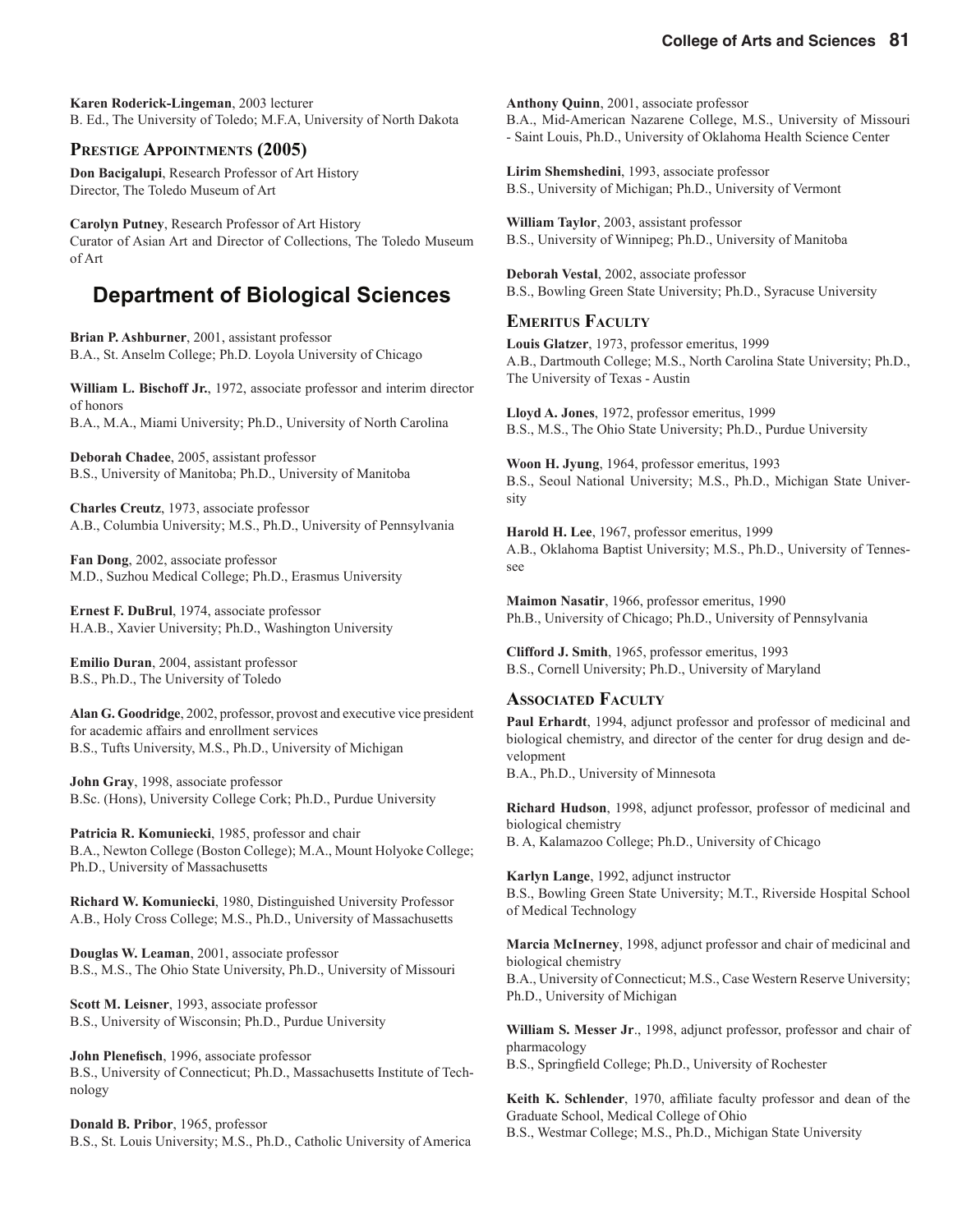**Karen Roderick-Lingeman**, 2003 lecturer B. Ed., The University of Toledo; M.F.A, University of North Dakota

#### **PRESTIGE APPOINTMENTS (2005)**

**Don Bacigalupi**, Research Professor of Art History Director, The Toledo Museum of Art

**Carolyn Putney**, Research Professor of Art History Curator of Asian Art and Director of Collections, The Toledo Museum of Art

### **Department of Biological Sciences**

**Brian P. Ashburner**, 2001, assistant professor B.A., St. Anselm College; Ph.D. Loyola University of Chicago

**William L. Bischoff Jr.**, 1972, associate professor and interim director of honors B.A., M.A., Miami University; Ph.D., University of North Carolina

**Deborah Chadee**, 2005, assistant professor B.S., University of Manitoba; Ph.D., University of Manitoba

**Charles Creutz**, 1973, associate professor A.B., Columbia University; M.S., Ph.D., University of Pennsylvania

**Fan Dong**, 2002, associate professor M.D., Suzhou Medical College; Ph.D., Erasmus University

**Ernest F. DuBrul**, 1974, associate professor H.A.B., Xavier University; Ph.D., Washington University

**Emilio Duran**, 2004, assistant professor B.S., Ph.D., The University of Toledo

**Alan G. Goodridge**, 2002, professor, provost and executive vice president for academic affairs and enrollment services B.S., Tufts University, M.S., Ph.D., University of Michigan

**John Gray**, 1998, associate professor B.Sc. (Hons), University College Cork; Ph.D., Purdue University

**Patricia R. Komuniecki**, 1985, professor and chair B.A., Newton College (Boston College); M.A., Mount Holyoke College; Ph.D., University of Massachusetts

**Richard W. Komuniecki**, 1980, Distinguished University Professor A.B., Holy Cross College; M.S., Ph.D., University of Massachusetts

**Douglas W. Leaman**, 2001, associate professor B.S., M.S., The Ohio State University, Ph.D., University of Missouri

**Scott M. Leisner**, 1993, associate professor B.S., University of Wisconsin; Ph.D., Purdue University

**John Plenefisch**, 1996, associate professor B.S., University of Connecticut; Ph.D., Massachusetts Institute of Technology

**Donald B. Pribor**, 1965, professor B.S., St. Louis University; M.S., Ph.D., Catholic University of America

**Anthony Quinn**, 2001, associate professor B.A., Mid-American Nazarene College, M.S., University of Missouri - Saint Louis, Ph.D., University of Oklahoma Health Science Center

**Lirim Shemshedini**, 1993, associate professor B.S., University of Michigan; Ph.D., University of Vermont

**William Taylor**, 2003, assistant professor B.S., University of Winnipeg; Ph.D., University of Manitoba

**Deborah Vestal**, 2002, associate professor B.S., Bowling Green State University; Ph.D., Syracuse University

#### **EMERITUS FACULTY**

**Louis Glatzer**, 1973, professor emeritus, 1999 A.B., Dartmouth College; M.S., North Carolina State University; Ph.D., The University of Texas - Austin

**Lloyd A. Jones**, 1972, professor emeritus, 1999 B.S., M.S., The Ohio State University; Ph.D., Purdue University

**Woon H. Jyung**, 1964, professor emeritus, 1993 B.S., Seoul National University; M.S., Ph.D., Michigan State University

**Harold H. Lee**, 1967, professor emeritus, 1999 A.B., Oklahoma Baptist University; M.S., Ph.D., University of Tennessee

**Maimon Nasatir**, 1966, professor emeritus, 1990 Ph.B., University of Chicago; Ph.D., University of Pennsylvania

**Clifford J. Smith**, 1965, professor emeritus, 1993 B.S., Cornell University; Ph.D., University of Maryland

#### **ASSOCIATED FACULTY**

**Paul Erhardt**, 1994, adjunct professor and professor of medicinal and biological chemistry, and director of the center for drug design and development B.A., Ph.D., University of Minnesota

**Richard Hudson**, 1998, adjunct professor, professor of medicinal and biological chemistry B. A, Kalamazoo College; Ph.D., University of Chicago

**Karlyn Lange**, 1992, adjunct instructor B.S., Bowling Green State University; M.T., Riverside Hospital School of Medical Technology

**Marcia McInerney**, 1998, adjunct professor and chair of medicinal and biological chemistry B.A., University of Connecticut; M.S., Case Western Reserve University; Ph.D., University of Michigan

**William S. Messer Jr**., 1998, adjunct professor, professor and chair of pharmacology

B.S., Springfield College; Ph.D., University of Rochester

Keith K. Schlender, 1970, affiliate faculty professor and dean of the Graduate School, Medical College of Ohio

B.S., Westmar College; M.S., Ph.D., Michigan State University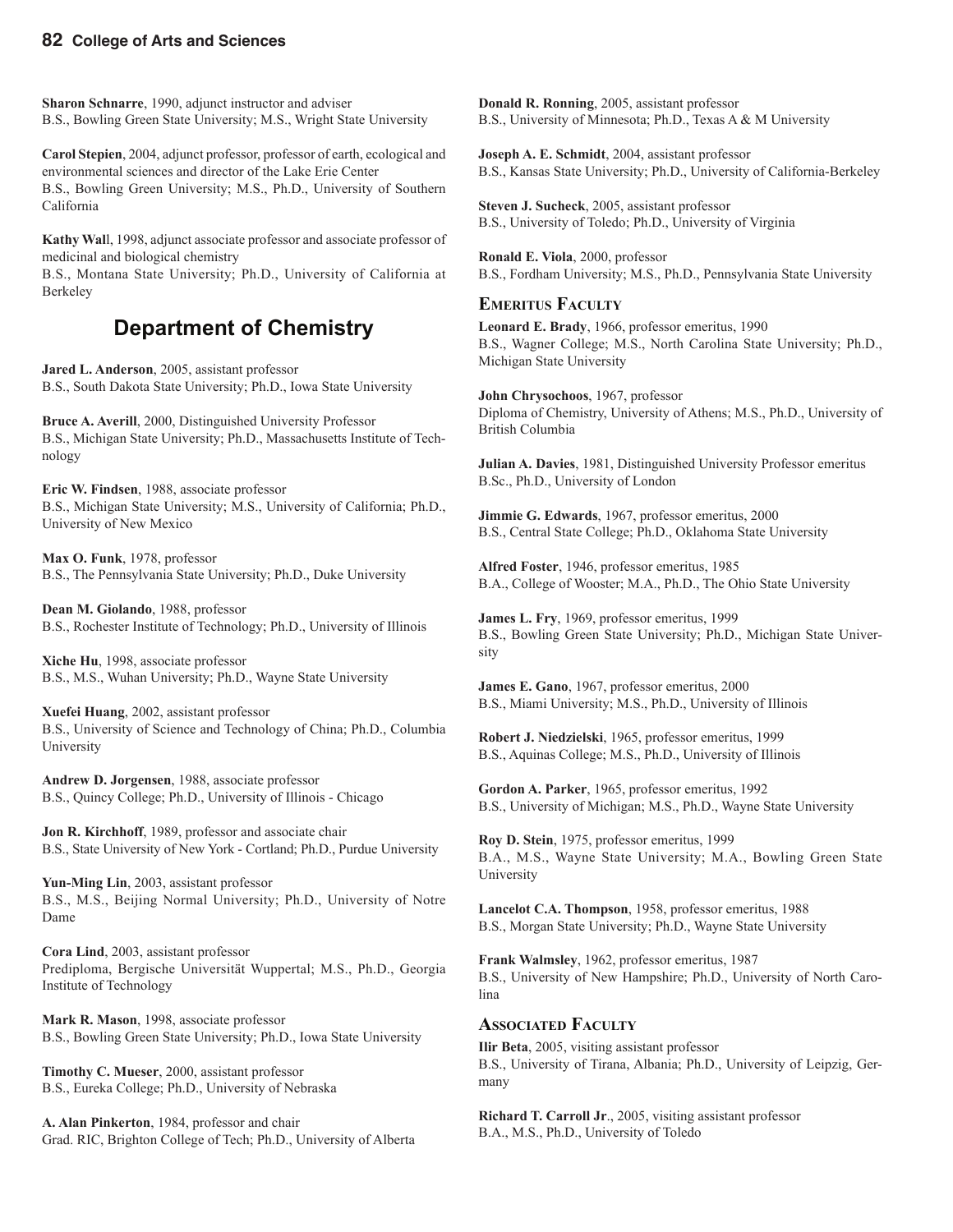**Sharon Schnarre**, 1990, adjunct instructor and adviser B.S., Bowling Green State University; M.S., Wright State University

**Carol Stepien**, 2004, adjunct professor, professor of earth, ecological and environmental sciences and director of the Lake Erie Center B.S., Bowling Green University; M.S., Ph.D., University of Southern California

**Kathy Wal**l, 1998, adjunct associate professor and associate professor of medicinal and biological chemistry

B.S., Montana State University; Ph.D., University of California at Berkeley

### **Department of Chemistry**

**Jared L. Anderson**, 2005, assistant professor B.S., South Dakota State University; Ph.D., Iowa State University

**Bruce A. Averill**, 2000, Distinguished University Professor B.S., Michigan State University; Ph.D., Massachusetts Institute of Technology

**Eric W. Findsen**, 1988, associate professor B.S., Michigan State University; M.S., University of California; Ph.D., University of New Mexico

**Max O. Funk**, 1978, professor B.S., The Pennsylvania State University; Ph.D., Duke University

**Dean M. Giolando**, 1988, professor B.S., Rochester Institute of Technology; Ph.D., University of Illinois

**Xiche Hu**, 1998, associate professor B.S., M.S., Wuhan University; Ph.D., Wayne State University

**Xuefei Huang**, 2002, assistant professor B.S., University of Science and Technology of China; Ph.D., Columbia University

**Andrew D. Jorgensen**, 1988, associate professor B.S., Quincy College; Ph.D., University of Illinois - Chicago

**Jon R. Kirchhoff**, 1989, professor and associate chair B.S., State University of New York - Cortland; Ph.D., Purdue University

**Yun-Ming Lin**, 2003, assistant professor B.S., M.S., Beijing Normal University; Ph.D., University of Notre Dame

**Cora Lind**, 2003, assistant professor Prediploma, Bergische Universität Wuppertal; M.S., Ph.D., Georgia Institute of Technology

**Mark R. Mason**, 1998, associate professor B.S., Bowling Green State University; Ph.D., Iowa State University

**Timothy C. Mueser**, 2000, assistant professor B.S., Eureka College; Ph.D., University of Nebraska

**A. Alan Pinkerton**, 1984, professor and chair Grad. RIC, Brighton College of Tech; Ph.D., University of Alberta

**Donald R. Ronning**, 2005, assistant professor B.S., University of Minnesota; Ph.D., Texas A & M University

**Joseph A. E. Schmidt**, 2004, assistant professor B.S., Kansas State University; Ph.D., University of California-Berkeley

**Steven J. Sucheck**, 2005, assistant professor B.S., University of Toledo; Ph.D., University of Virginia

**Ronald E. Viola**, 2000, professor B.S., Fordham University; M.S., Ph.D., Pennsylvania State University

#### **EMERITUS FACULTY**

**Leonard E. Brady**, 1966, professor emeritus, 1990 B.S., Wagner College; M.S., North Carolina State University; Ph.D., Michigan State University

**John Chrysochoos**, 1967, professor Diploma of Chemistry, University of Athens; M.S., Ph.D., University of British Columbia

**Julian A. Davies**, 1981, Distinguished University Professor emeritus B.Sc., Ph.D., University of London

**Jimmie G. Edwards**, 1967, professor emeritus, 2000 B.S., Central State College; Ph.D., Oklahoma State University

**Alfred Foster**, 1946, professor emeritus, 1985 B.A., College of Wooster; M.A., Ph.D., The Ohio State University

**James L. Fry**, 1969, professor emeritus, 1999 B.S., Bowling Green State University; Ph.D., Michigan State University

**James E. Gano**, 1967, professor emeritus, 2000 B.S., Miami University; M.S., Ph.D., University of Illinois

**Robert J. Niedzielski**, 1965, professor emeritus, 1999 B.S., Aquinas College; M.S., Ph.D., University of Illinois

**Gordon A. Parker**, 1965, professor emeritus, 1992 B.S., University of Michigan; M.S., Ph.D., Wayne State University

**Roy D. Stein**, 1975, professor emeritus, 1999 B.A., M.S., Wayne State University; M.A., Bowling Green State University

**Lancelot C.A. Thompson**, 1958, professor emeritus, 1988 B.S., Morgan State University; Ph.D., Wayne State University

**Frank Walmsley**, 1962, professor emeritus, 1987 B.S., University of New Hampshire; Ph.D., University of North Carolina

#### **ASSOCIATED FACULTY**

**Ilir Beta**, 2005, visiting assistant professor B.S., University of Tirana, Albania; Ph.D., University of Leipzig, Germany

**Richard T. Carroll Jr**., 2005, visiting assistant professor B.A., M.S., Ph.D., University of Toledo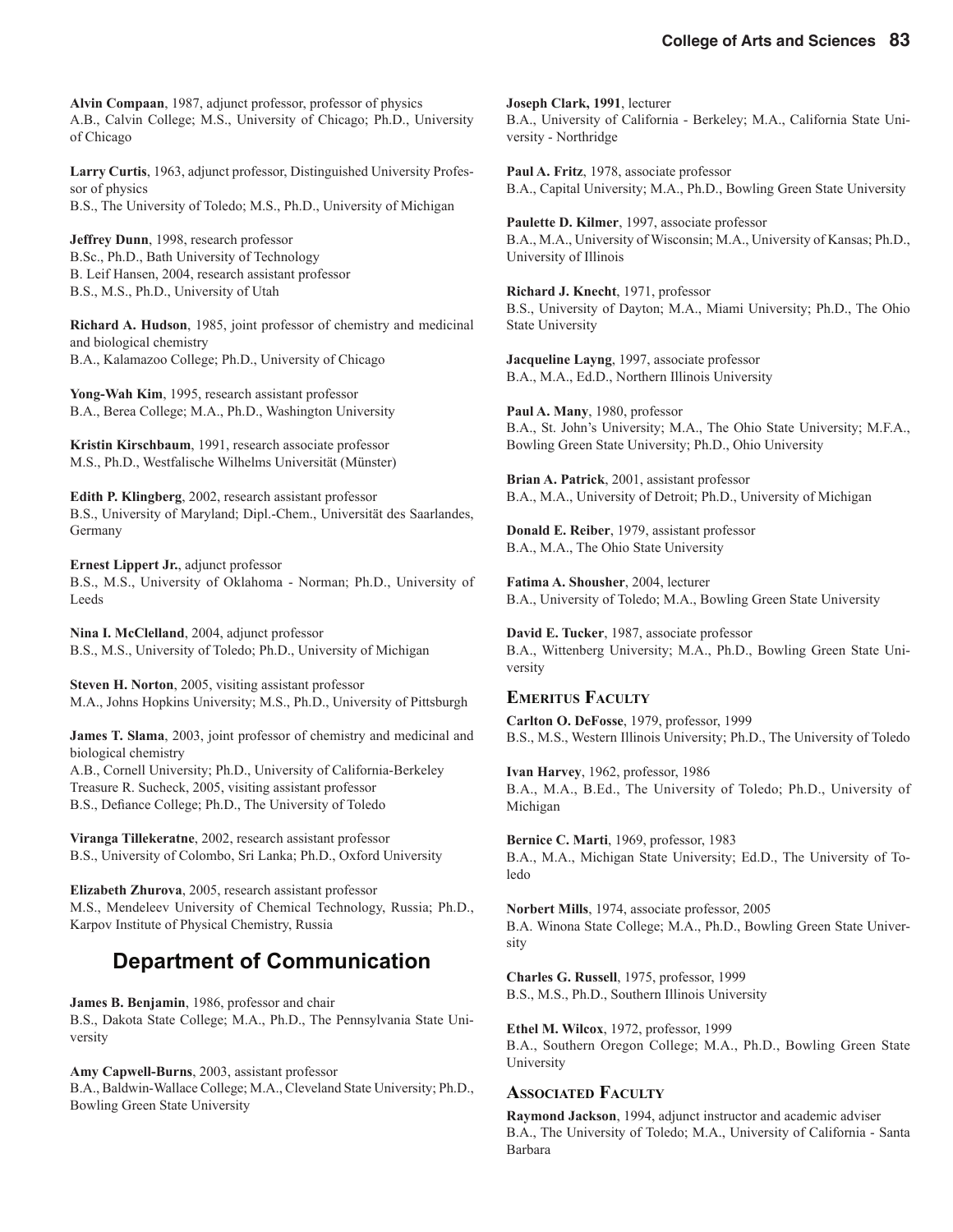**Alvin Compaan**, 1987, adjunct professor, professor of physics A.B., Calvin College; M.S., University of Chicago; Ph.D., University of Chicago

**Larry Curtis**, 1963, adjunct professor, Distinguished University Professor of physics B.S., The University of Toledo; M.S., Ph.D., University of Michigan

**Jeffrey Dunn**, 1998, research professor B.Sc., Ph.D., Bath University of Technology B. Leif Hansen, 2004, research assistant professor B.S., M.S., Ph.D., University of Utah

**Richard A. Hudson**, 1985, joint professor of chemistry and medicinal and biological chemistry B.A., Kalamazoo College; Ph.D., University of Chicago

**Yong-Wah Kim**, 1995, research assistant professor B.A., Berea College; M.A., Ph.D., Washington University

**Kristin Kirschbaum**, 1991, research associate professor M.S., Ph.D., Westfalische Wilhelms Universität (Münster)

**Edith P. Klingberg**, 2002, research assistant professor B.S., University of Maryland; Dipl.-Chem., Universität des Saarlandes, Germany

**Ernest Lippert Jr.**, adjunct professor B.S., M.S., University of Oklahoma - Norman; Ph.D., University of Leeds

**Nina I. McClelland**, 2004, adjunct professor B.S., M.S., University of Toledo; Ph.D., University of Michigan

**Steven H. Norton**, 2005, visiting assistant professor M.A., Johns Hopkins University; M.S., Ph.D., University of Pittsburgh

**James T. Slama**, 2003, joint professor of chemistry and medicinal and biological chemistry A.B., Cornell University; Ph.D., University of California-Berkeley Treasure R. Sucheck, 2005, visiting assistant professor B.S., Defiance College; Ph.D., The University of Toledo

**Viranga Tillekeratne**, 2002, research assistant professor B.S., University of Colombo, Sri Lanka; Ph.D., Oxford University

**Elizabeth Zhurova**, 2005, research assistant professor M.S., Mendeleev University of Chemical Technology, Russia; Ph.D., Karpov Institute of Physical Chemistry, Russia

### **Department of Communication**

**James B. Benjamin**, 1986, professor and chair B.S., Dakota State College; M.A., Ph.D., The Pennsylvania State University

**Amy Capwell-Burns**, 2003, assistant professor B.A., Baldwin-Wallace College; M.A., Cleveland State University; Ph.D., Bowling Green State University

**Joseph Clark, 1991**, lecturer B.A., University of California - Berkeley; M.A., California State University - Northridge

**Paul A. Fritz**, 1978, associate professor B.A., Capital University; M.A., Ph.D., Bowling Green State University

**Paulette D. Kilmer**, 1997, associate professor B.A., M.A., University of Wisconsin; M.A., University of Kansas; Ph.D., University of Illinois

**Richard J. Knecht**, 1971, professor B.S., University of Dayton; M.A., Miami University; Ph.D., The Ohio State University

**Jacqueline Layng**, 1997, associate professor B.A., M.A., Ed.D., Northern Illinois University

**Paul A. Many**, 1980, professor B.A., St. John's University; M.A., The Ohio State University; M.F.A., Bowling Green State University; Ph.D., Ohio University

**Brian A. Patrick**, 2001, assistant professor B.A., M.A., University of Detroit; Ph.D., University of Michigan

**Donald E. Reiber**, 1979, assistant professor B.A., M.A., The Ohio State University

**Fatima A. Shousher**, 2004, lecturer B.A., University of Toledo; M.A., Bowling Green State University

**David E. Tucker**, 1987, associate professor B.A., Wittenberg University; M.A., Ph.D., Bowling Green State University

#### **EMERITUS FACULTY**

**Carlton O. DeFosse**, 1979, professor, 1999 B.S., M.S., Western Illinois University; Ph.D., The University of Toledo

**Ivan Harvey**, 1962, professor, 1986 B.A., M.A., B.Ed., The University of Toledo; Ph.D., University of Michigan

**Bernice C. Marti**, 1969, professor, 1983 B.A., M.A., Michigan State University; Ed.D., The University of Toledo

**Norbert Mills**, 1974, associate professor, 2005 B.A. Winona State College; M.A., Ph.D., Bowling Green State University

**Charles G. Russell**, 1975, professor, 1999 B.S., M.S., Ph.D., Southern Illinois University

**Ethel M. Wilcox**, 1972, professor, 1999 B.A., Southern Oregon College; M.A., Ph.D., Bowling Green State University

#### **ASSOCIATED FACULTY**

**Raymond Jackson**, 1994, adjunct instructor and academic adviser B.A., The University of Toledo; M.A., University of California - Santa Barbara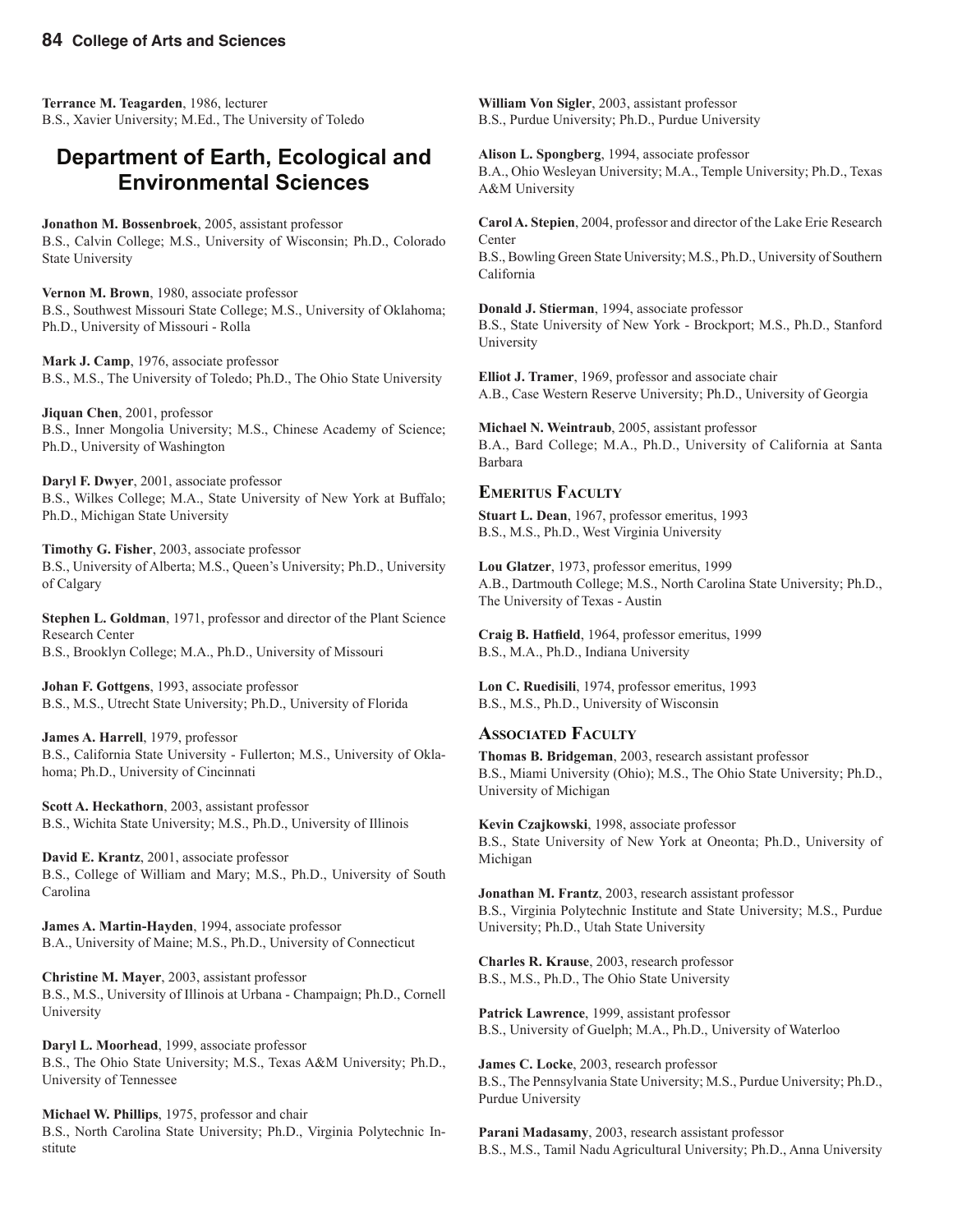**Terrance M. Teagarden**, 1986, lecturer B.S., Xavier University; M.Ed., The University of Toledo

#### **Department of Earth, Ecological and Environmental Sciences**

**Jonathon M. Bossenbroek**, 2005, assistant professor B.S., Calvin College; M.S., University of Wisconsin; Ph.D., Colorado State University

**Vernon M. Brown**, 1980, associate professor B.S., Southwest Missouri State College; M.S., University of Oklahoma; Ph.D., University of Missouri - Rolla

**Mark J. Camp**, 1976, associate professor B.S., M.S., The University of Toledo; Ph.D., The Ohio State University

**Jiquan Chen**, 2001, professor B.S., Inner Mongolia University; M.S., Chinese Academy of Science; Ph.D., University of Washington

**Daryl F. Dwyer**, 2001, associate professor B.S., Wilkes College; M.A., State University of New York at Buffalo; Ph.D., Michigan State University

**Timothy G. Fisher**, 2003, associate professor B.S., University of Alberta; M.S., Queen's University; Ph.D., University of Calgary

**Stephen L. Goldman**, 1971, professor and director of the Plant Science Research Center B.S., Brooklyn College; M.A., Ph.D., University of Missouri

**Johan F. Gottgens**, 1993, associate professor B.S., M.S., Utrecht State University; Ph.D., University of Florida

**James A. Harrell**, 1979, professor B.S., California State University - Fullerton; M.S., University of Oklahoma; Ph.D., University of Cincinnati

**Scott A. Heckathorn**, 2003, assistant professor B.S., Wichita State University; M.S., Ph.D., University of Illinois

**David E. Krantz**, 2001, associate professor B.S., College of William and Mary; M.S., Ph.D., University of South Carolina

**James A. Martin-Hayden**, 1994, associate professor B.A., University of Maine; M.S., Ph.D., University of Connecticut

**Christine M. Mayer**, 2003, assistant professor B.S., M.S., University of Illinois at Urbana - Champaign; Ph.D., Cornell University

**Daryl L. Moorhead**, 1999, associate professor B.S., The Ohio State University; M.S., Texas A&M University; Ph.D., University of Tennessee

**Michael W. Phillips**, 1975, professor and chair B.S., North Carolina State University; Ph.D., Virginia Polytechnic Institute

**William Von Sigler**, 2003, assistant professor B.S., Purdue University; Ph.D., Purdue University

**Alison L. Spongberg**, 1994, associate professor B.A., Ohio Wesleyan University; M.A., Temple University; Ph.D., Texas A&M University

**Carol A. Stepien**, 2004, professor and director of the Lake Erie Research **Center** B.S., Bowling Green State University; M.S., Ph.D., University of Southern California

**Donald J. Stierman**, 1994, associate professor B.S., State University of New York - Brockport; M.S., Ph.D., Stanford University

**Elliot J. Tramer**, 1969, professor and associate chair A.B., Case Western Reserve University; Ph.D., University of Georgia

**Michael N. Weintraub**, 2005, assistant professor B.A., Bard College; M.A., Ph.D., University of California at Santa Barbara

#### **EMERITUS FACULTY**

**Stuart L. Dean**, 1967, professor emeritus, 1993 B.S., M.S., Ph.D., West Virginia University

**Lou Glatzer**, 1973, professor emeritus, 1999 A.B., Dartmouth College; M.S., North Carolina State University; Ph.D., The University of Texas - Austin

Craig B. Hatfield, 1964, professor emeritus, 1999 B.S., M.A., Ph.D., Indiana University

**Lon C. Ruedisili**, 1974, professor emeritus, 1993 B.S., M.S., Ph.D., University of Wisconsin

#### **ASSOCIATED FACULTY**

**Thomas B. Bridgeman**, 2003, research assistant professor B.S., Miami University (Ohio); M.S., The Ohio State University; Ph.D., University of Michigan

**Kevin Czajkowski**, 1998, associate professor B.S., State University of New York at Oneonta; Ph.D., University of Michigan

**Jonathan M. Frantz**, 2003, research assistant professor B.S., Virginia Polytechnic Institute and State University; M.S., Purdue University; Ph.D., Utah State University

**Charles R. Krause**, 2003, research professor B.S., M.S., Ph.D., The Ohio State University

**Patrick Lawrence**, 1999, assistant professor B.S., University of Guelph; M.A., Ph.D., University of Waterloo

**James C. Locke**, 2003, research professor B.S., The Pennsylvania State University; M.S., Purdue University; Ph.D., Purdue University

**Parani Madasamy**, 2003, research assistant professor B.S., M.S., Tamil Nadu Agricultural University; Ph.D., Anna University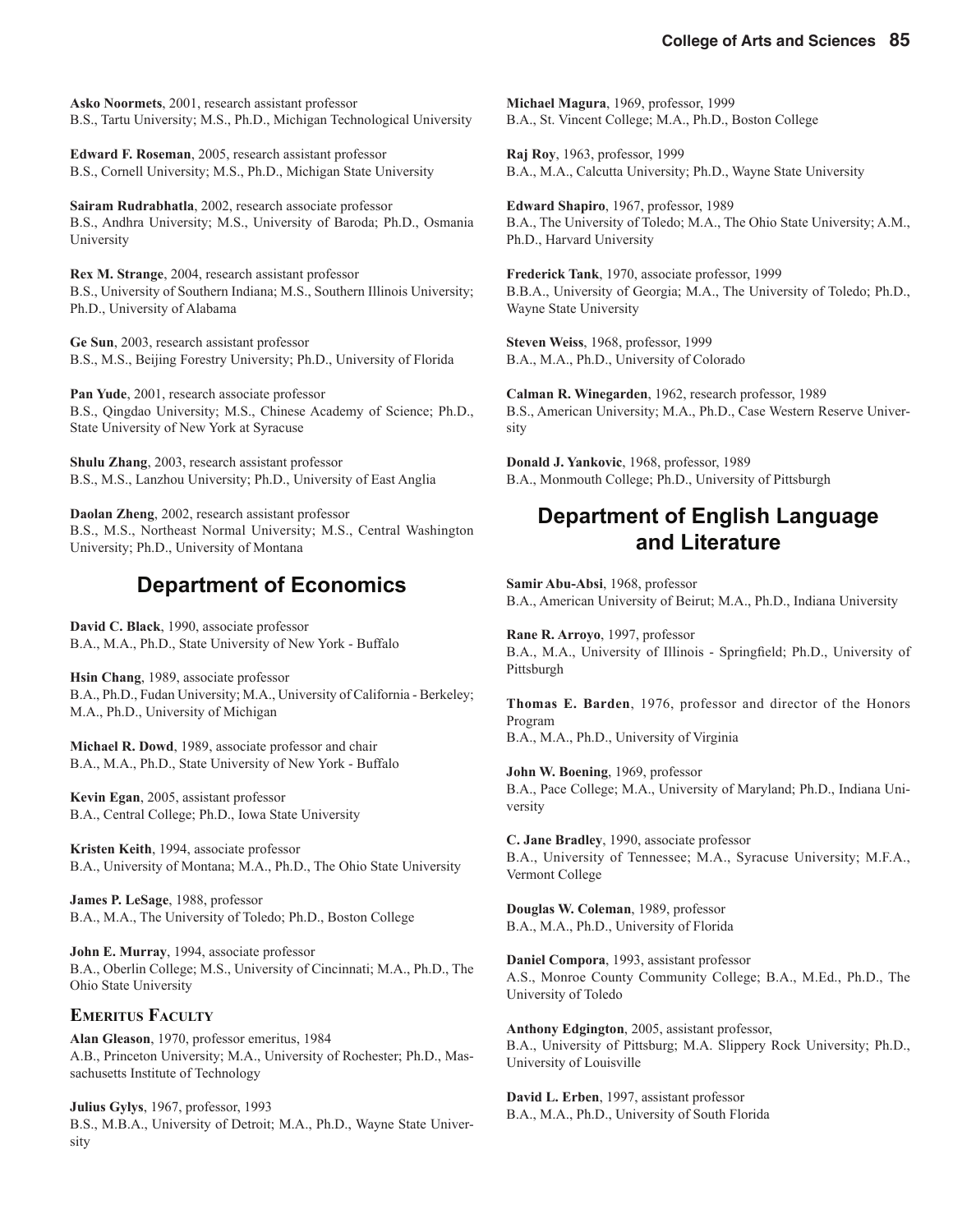**Asko Noormets**, 2001, research assistant professor B.S., Tartu University; M.S., Ph.D., Michigan Technological University

**Edward F. Roseman**, 2005, research assistant professor B.S., Cornell University; M.S., Ph.D., Michigan State University

**Sairam Rudrabhatla**, 2002, research associate professor B.S., Andhra University; M.S., University of Baroda; Ph.D., Osmania University

**Rex M. Strange**, 2004, research assistant professor B.S., University of Southern Indiana; M.S., Southern Illinois University; Ph.D., University of Alabama

**Ge Sun**, 2003, research assistant professor B.S., M.S., Beijing Forestry University; Ph.D., University of Florida

**Pan Yude**, 2001, research associate professor B.S., Qingdao University; M.S., Chinese Academy of Science; Ph.D., State University of New York at Syracuse

**Shulu Zhang**, 2003, research assistant professor B.S., M.S., Lanzhou University; Ph.D., University of East Anglia

**Daolan Zheng**, 2002, research assistant professor B.S., M.S., Northeast Normal University; M.S., Central Washington University; Ph.D., University of Montana

#### **Department of Economics**

**David C. Black**, 1990, associate professor B.A., M.A., Ph.D., State University of New York - Buffalo

**Hsin Chang**, 1989, associate professor B.A., Ph.D., Fudan University; M.A., University of California - Berkeley; M.A., Ph.D., University of Michigan

**Michael R. Dowd**, 1989, associate professor and chair B.A., M.A., Ph.D., State University of New York - Buffalo

**Kevin Egan**, 2005, assistant professor B.A., Central College; Ph.D., Iowa State University

**Kristen Keith**, 1994, associate professor B.A., University of Montana; M.A., Ph.D., The Ohio State University

**James P. LeSage**, 1988, professor B.A., M.A., The University of Toledo; Ph.D., Boston College

**John E. Murray**, 1994, associate professor B.A., Oberlin College; M.S., University of Cincinnati; M.A., Ph.D., The Ohio State University

#### **EMERITUS FACULTY**

**Alan Gleason**, 1970, professor emeritus, 1984 A.B., Princeton University; M.A., University of Rochester; Ph.D., Massachusetts Institute of Technology

**Julius Gylys**, 1967, professor, 1993 B.S., M.B.A., University of Detroit; M.A., Ph.D., Wayne State University

**Michael Magura**, 1969, professor, 1999 B.A., St. Vincent College; M.A., Ph.D., Boston College

**Raj Roy**, 1963, professor, 1999 B.A., M.A., Calcutta University; Ph.D., Wayne State University

**Edward Shapiro**, 1967, professor, 1989 B.A., The University of Toledo; M.A., The Ohio State University; A.M., Ph.D., Harvard University

**Frederick Tank**, 1970, associate professor, 1999 B.B.A., University of Georgia; M.A., The University of Toledo; Ph.D., Wayne State University

**Steven Weiss**, 1968, professor, 1999 B.A., M.A., Ph.D., University of Colorado

**Calman R. Winegarden**, 1962, research professor, 1989 B.S., American University; M.A., Ph.D., Case Western Reserve University

**Donald J. Yankovic**, 1968, professor, 1989 B.A., Monmouth College; Ph.D., University of Pittsburgh

#### **Department of English Language and Literature**

**Samir Abu-Absi**, 1968, professor B.A., American University of Beirut; M.A., Ph.D., Indiana University

**Rane R. Arroyo**, 1997, professor B.A., M.A., University of Illinois - Springfield; Ph.D., University of Pittsburgh

**Thomas E. Barden**, 1976, professor and director of the Honors Program B.A., M.A., Ph.D., University of Virginia

**John W. Boening**, 1969, professor B.A., Pace College; M.A., University of Maryland; Ph.D., Indiana University

**C. Jane Bradley**, 1990, associate professor B.A., University of Tennessee; M.A., Syracuse University; M.F.A., Vermont College

**Douglas W. Coleman**, 1989, professor B.A., M.A., Ph.D., University of Florida

**Daniel Compora**, 1993, assistant professor A.S., Monroe County Community College; B.A., M.Ed., Ph.D., The University of Toledo

**Anthony Edgington**, 2005, assistant professor, B.A., University of Pittsburg; M.A. Slippery Rock University; Ph.D., University of Louisville

**David L. Erben**, 1997, assistant professor B.A., M.A., Ph.D., University of South Florida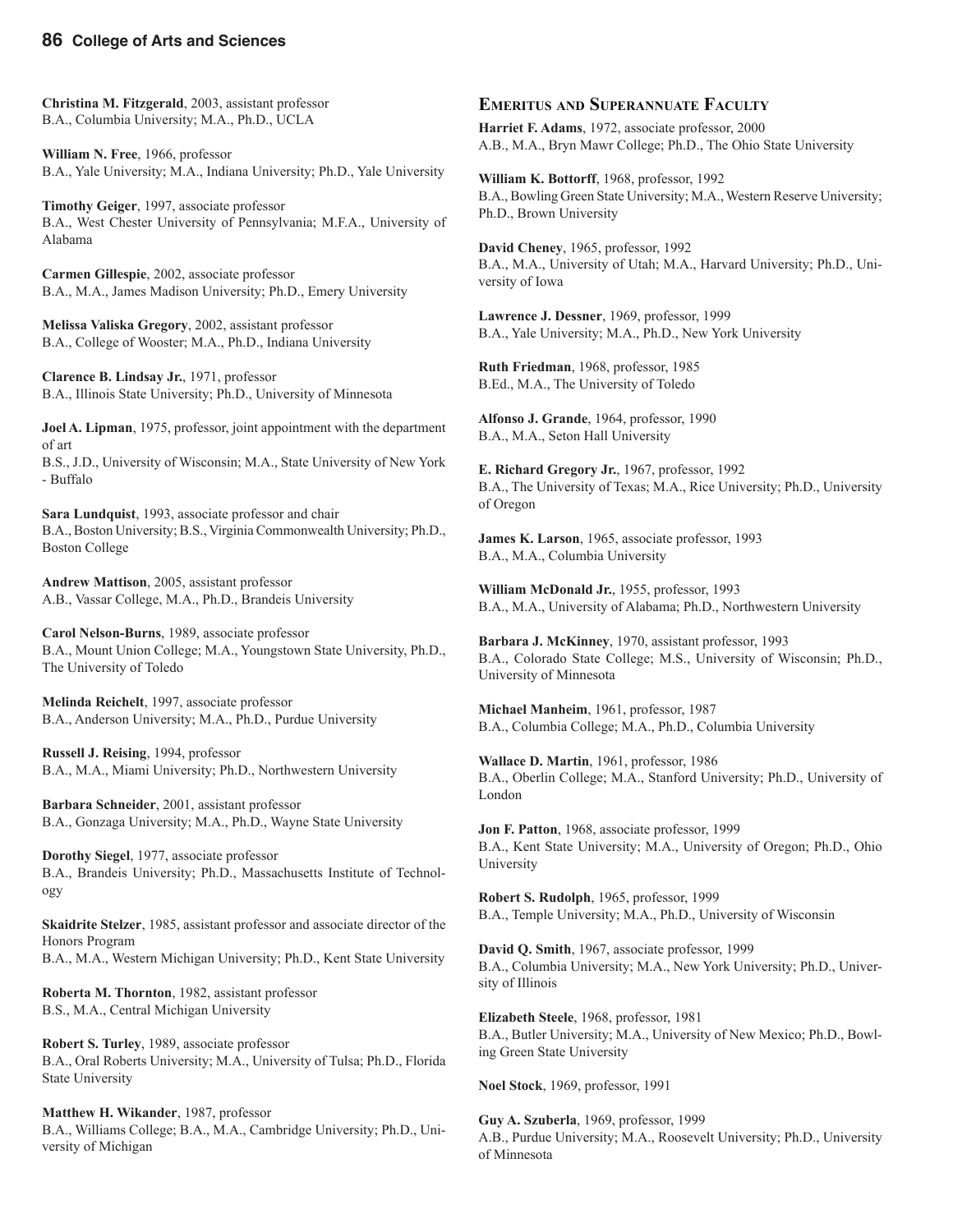**Christina M. Fitzgerald**, 2003, assistant professor B.A., Columbia University; M.A., Ph.D., UCLA

**William N. Free**, 1966, professor B.A., Yale University; M.A., Indiana University; Ph.D., Yale University

**Timothy Geiger**, 1997, associate professor B.A., West Chester University of Pennsylvania; M.F.A., University of Alabama

**Carmen Gillespie**, 2002, associate professor B.A., M.A., James Madison University; Ph.D., Emery University

**Melissa Valiska Gregory**, 2002, assistant professor B.A., College of Wooster; M.A., Ph.D., Indiana University

**Clarence B. Lindsay Jr.**, 1971, professor B.A., Illinois State University; Ph.D., University of Minnesota

**Joel A. Lipman**, 1975, professor, joint appointment with the department of art B.S., J.D., University of Wisconsin; M.A., State University of New York - Buffalo

**Sara Lundquist**, 1993, associate professor and chair B.A., Boston University; B.S., Virginia Commonwealth University; Ph.D., Boston College

**Andrew Mattison**, 2005, assistant professor A.B., Vassar College, M.A., Ph.D., Brandeis University

**Carol Nelson-Burns**, 1989, associate professor B.A., Mount Union College; M.A., Youngstown State University, Ph.D., The University of Toledo

**Melinda Reichelt**, 1997, associate professor B.A., Anderson University; M.A., Ph.D., Purdue University

**Russell J. Reising**, 1994, professor B.A., M.A., Miami University; Ph.D., Northwestern University

**Barbara Schneider**, 2001, assistant professor B.A., Gonzaga University; M.A., Ph.D., Wayne State University

**Dorothy Siegel**, 1977, associate professor B.A., Brandeis University; Ph.D., Massachusetts Institute of Technology

**Skaidrite Stelzer**, 1985, assistant professor and associate director of the Honors Program B.A., M.A., Western Michigan University; Ph.D., Kent State University

**Roberta M. Thornton**, 1982, assistant professor B.S., M.A., Central Michigan University

**Robert S. Turley**, 1989, associate professor B.A., Oral Roberts University; M.A., University of Tulsa; Ph.D., Florida State University

**Matthew H. Wikander**, 1987, professor B.A., Williams College; B.A., M.A., Cambridge University; Ph.D., University of Michigan

#### **EMERITUS AND SUPERANNUATE FACULTY**

**Harriet F. Adams**, 1972, associate professor, 2000 A.B., M.A., Bryn Mawr College; Ph.D., The Ohio State University

**William K. Bottorff**, 1968, professor, 1992 B.A., Bowling Green State University; M.A., Western Reserve University; Ph.D., Brown University

**David Cheney**, 1965, professor, 1992 B.A., M.A., University of Utah; M.A., Harvard University; Ph.D., University of Iowa

**Lawrence J. Dessner**, 1969, professor, 1999 B.A., Yale University; M.A., Ph.D., New York University

**Ruth Friedman**, 1968, professor, 1985 B.Ed., M.A., The University of Toledo

**Alfonso J. Grande**, 1964, professor, 1990 B.A., M.A., Seton Hall University

**E. Richard Gregory Jr.**, 1967, professor, 1992 B.A., The University of Texas; M.A., Rice University; Ph.D., University of Oregon

**James K. Larson**, 1965, associate professor, 1993 B.A., M.A., Columbia University

**William McDonald Jr.**, 1955, professor, 1993 B.A., M.A., University of Alabama; Ph.D., Northwestern University

**Barbara J. McKinney**, 1970, assistant professor, 1993 B.A., Colorado State College; M.S., University of Wisconsin; Ph.D., University of Minnesota

**Michael Manheim**, 1961, professor, 1987 B.A., Columbia College; M.A., Ph.D., Columbia University

**Wallace D. Martin**, 1961, professor, 1986 B.A., Oberlin College; M.A., Stanford University; Ph.D., University of London

**Jon F. Patton**, 1968, associate professor, 1999 B.A., Kent State University; M.A., University of Oregon; Ph.D., Ohio University

**Robert S. Rudolph**, 1965, professor, 1999 B.A., Temple University; M.A., Ph.D., University of Wisconsin

**David Q. Smith**, 1967, associate professor, 1999 B.A., Columbia University; M.A., New York University; Ph.D., University of Illinois

**Elizabeth Steele**, 1968, professor, 1981 B.A., Butler University; M.A., University of New Mexico; Ph.D., Bowling Green State University

**Noel Stock**, 1969, professor, 1991

**Guy A. Szuberla**, 1969, professor, 1999 A.B., Purdue University; M.A., Roosevelt University; Ph.D., University of Minnesota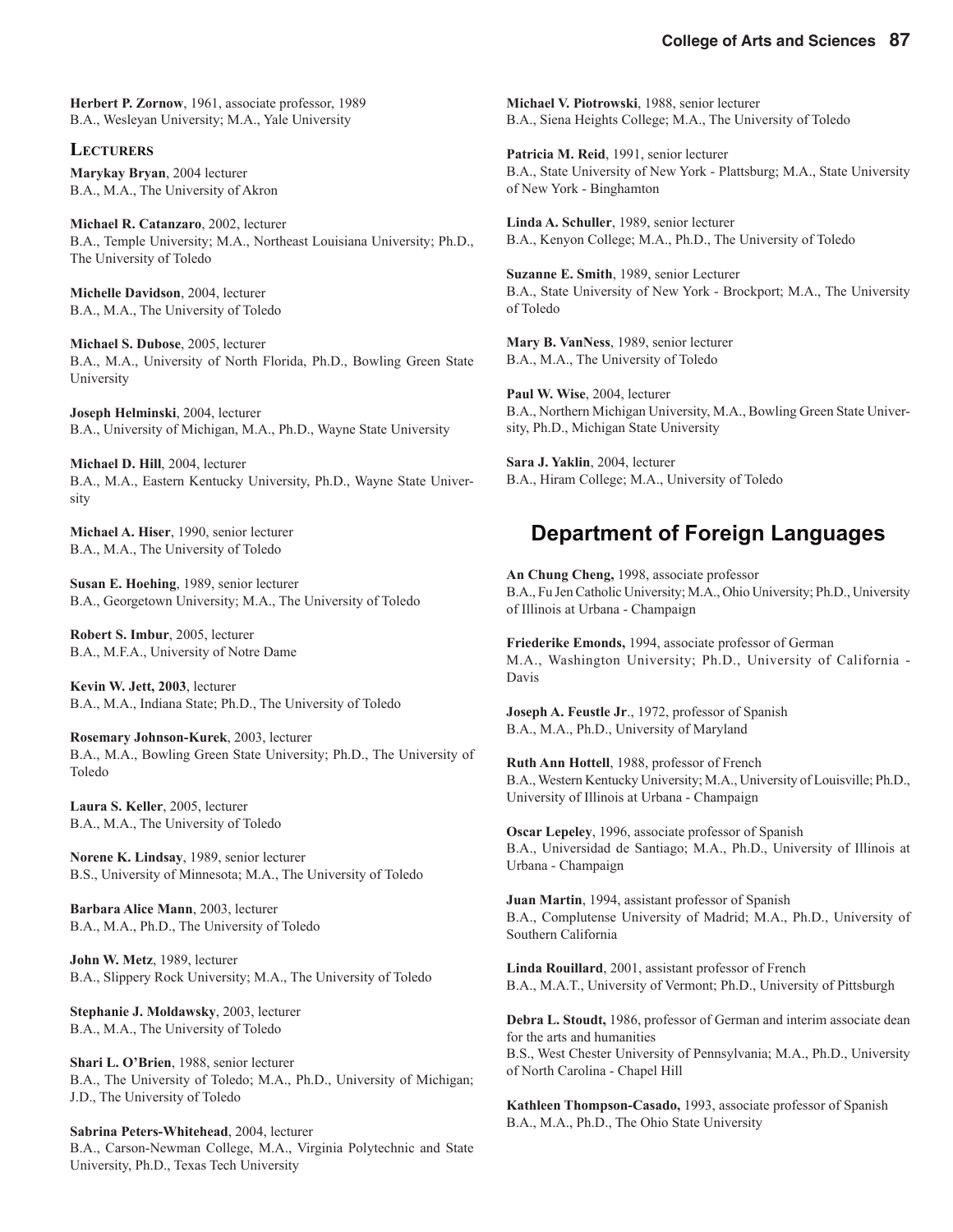**Herbert P. Zornow**, 1961, associate professor, 1989 B.A., Wesleyan University; M.A., Yale University

**LECTURERS Marykay Bryan**, 2004 lecturer B.A., M.A., The University of Akron

**Michael R. Catanzaro**, 2002, lecturer B.A., Temple University; M.A., Northeast Louisiana University; Ph.D., The University of Toledo

**Michelle Davidson**, 2004, lecturer B.A., M.A., The University of Toledo

**Michael S. Dubose**, 2005, lecturer B.A., M.A., University of North Florida, Ph.D., Bowling Green State University

**Joseph Helminski**, 2004, lecturer B.A., University of Michigan, M.A., Ph.D., Wayne State University

**Michael D. Hill**, 2004, lecturer B.A., M.A., Eastern Kentucky University, Ph.D., Wayne State University

**Michael A. Hiser**, 1990, senior lecturer B.A., M.A., The University of Toledo

**Susan E. Hoehing**, 1989, senior lecturer B.A., Georgetown University; M.A., The University of Toledo

**Robert S. Imbur**, 2005, lecturer B.A., M.F.A., University of Notre Dame

**Kevin W. Jett, 2003**, lecturer B.A., M.A., Indiana State; Ph.D., The University of Toledo

**Rosemary Johnson-Kurek**, 2003, lecturer B.A., M.A., Bowling Green State University; Ph.D., The University of Toledo

**Laura S. Keller**, 2005, lecturer B.A., M.A., The University of Toledo

**Norene K. Lindsay**, 1989, senior lecturer B.S., University of Minnesota; M.A., The University of Toledo

**Barbara Alice Mann**, 2003, lecturer B.A., M.A., Ph.D., The University of Toledo

**John W. Metz**, 1989, lecturer B.A., Slippery Rock University; M.A., The University of Toledo

**Stephanie J. Moldawsky**, 2003, lecturer B.A., M.A., The University of Toledo

**Shari L. O'Brien**, 1988, senior lecturer B.A., The University of Toledo; M.A., Ph.D., University of Michigan; J.D., The University of Toledo

**Sabrina Peters-Whitehead**, 2004, lecturer B.A., Carson-Newman College, M.A., Virginia Polytechnic and State University, Ph.D., Texas Tech University

**Michael V. Piotrowski**, 1988, senior lecturer B.A., Siena Heights College; M.A., The University of Toledo

**Patricia M. Reid**, 1991, senior lecturer B.A., State University of New York - Plattsburg; M.A., State University of New York - Binghamton

**Linda A. Schuller**, 1989, senior lecturer B.A., Kenyon College; M.A., Ph.D., The University of Toledo

**Suzanne E. Smith**, 1989, senior Lecturer B.A., State University of New York - Brockport; M.A., The University of Toledo

**Mary B. VanNess**, 1989, senior lecturer B.A., M.A., The University of Toledo

**Paul W. Wise**, 2004, lecturer B.A., Northern Michigan University, M.A., Bowling Green State University, Ph.D., Michigan State University

**Sara J. Yaklin**, 2004, lecturer B.A., Hiram College; M.A., University of Toledo

### **Department of Foreign Languages**

**An Chung Cheng,** 1998, associate professor B.A., Fu Jen Catholic University; M.A., Ohio University; Ph.D., University of Illinois at Urbana - Champaign

**Friederike Emonds,** 1994, associate professor of German M.A., Washington University; Ph.D., University of California - Davis

**Joseph A. Feustle Jr**., 1972, professor of Spanish B.A., M.A., Ph.D., University of Maryland

**Ruth Ann Hottell**, 1988, professor of French B.A., Western Kentucky University; M.A., University of Louisville; Ph.D., University of Illinois at Urbana - Champaign

**Oscar Lepeley**, 1996, associate professor of Spanish B.A., Universidad de Santiago; M.A., Ph.D., University of Illinois at Urbana - Champaign

**Juan Martin**, 1994, assistant professor of Spanish B.A., Complutense University of Madrid; M.A., Ph.D., University of Southern California

**Linda Rouillard**, 2001, assistant professor of French B.A., M.A.T., University of Vermont; Ph.D., University of Pittsburgh

**Debra L. Stoudt,** 1986, professor of German and interim associate dean for the arts and humanities B.S., West Chester University of Pennsylvania; M.A., Ph.D., University of North Carolina - Chapel Hill

**Kathleen Thompson-Casado,** 1993, associate professor of Spanish B.A., M.A., Ph.D., The Ohio State University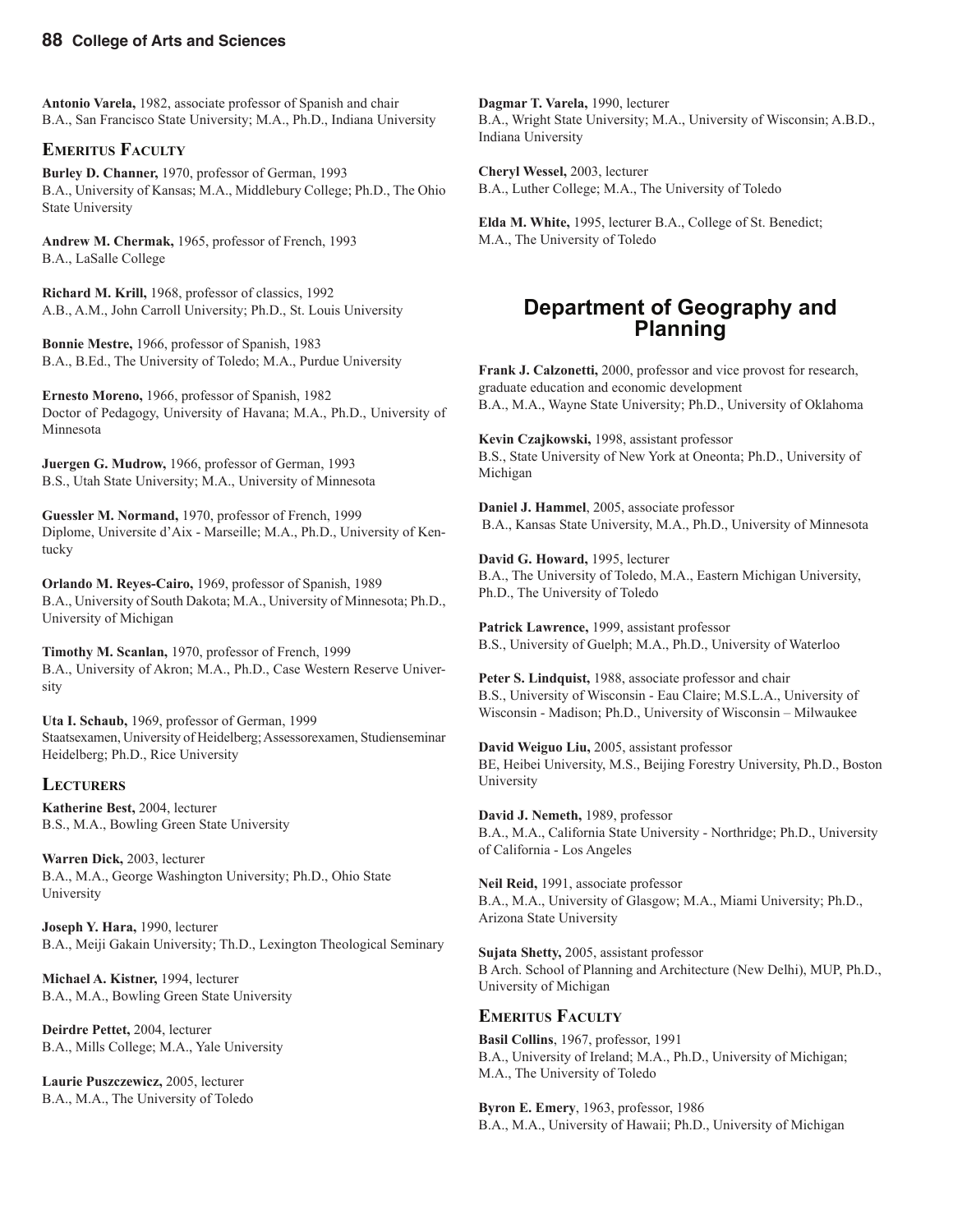**Antonio Varela,** 1982, associate professor of Spanish and chair B.A., San Francisco State University; M.A., Ph.D., Indiana University

#### **EMERITUS FACULTY**

**Burley D. Channer,** 1970, professor of German, 1993 B.A., University of Kansas; M.A., Middlebury College; Ph.D., The Ohio State University

**Andrew M. Chermak,** 1965, professor of French, 1993 B.A., LaSalle College

**Richard M. Krill,** 1968, professor of classics, 1992 A.B., A.M., John Carroll University; Ph.D., St. Louis University

**Bonnie Mestre,** 1966, professor of Spanish, 1983 B.A., B.Ed., The University of Toledo; M.A., Purdue University

**Ernesto Moreno,** 1966, professor of Spanish, 1982 Doctor of Pedagogy, University of Havana; M.A., Ph.D., University of Minnesota

**Juergen G. Mudrow,** 1966, professor of German, 1993 B.S., Utah State University; M.A., University of Minnesota

**Guessler M. Normand,** 1970, professor of French, 1999 Diplome, Universite d'Aix - Marseille; M.A., Ph.D., University of Kentucky

**Orlando M. Reyes-Cairo,** 1969, professor of Spanish, 1989 B.A., University of South Dakota; M.A., University of Minnesota; Ph.D., University of Michigan

**Timothy M. Scanlan,** 1970, professor of French, 1999 B.A., University of Akron; M.A., Ph.D., Case Western Reserve University

**Uta I. Schaub,** 1969, professor of German, 1999 Staatsexamen, University of Heidelberg; Assessorexamen, Studienseminar Heidelberg; Ph.D., Rice University

#### **LECTURERS**

**Katherine Best,** 2004, lecturer B.S., M.A., Bowling Green State University

**Warren Dick,** 2003, lecturer B.A., M.A., George Washington University; Ph.D., Ohio State University

**Joseph Y. Hara,** 1990, lecturer B.A., Meiji Gakain University; Th.D., Lexington Theological Seminary

**Michael A. Kistner,** 1994, lecturer B.A., M.A., Bowling Green State University

**Deirdre Pettet,** 2004, lecturer B.A., Mills College; M.A., Yale University

**Laurie Puszczewicz,** 2005, lecturer B.A., M.A., The University of Toledo

**Dagmar T. Varela,** 1990, lecturer B.A., Wright State University; M.A., University of Wisconsin; A.B.D., Indiana University

**Cheryl Wessel,** 2003, lecturer B.A., Luther College; M.A., The University of Toledo

**Elda M. White,** 1995, lecturer B.A., College of St. Benedict; M.A., The University of Toledo

#### **Department of Geography and Planning**

**Frank J. Calzonetti,** 2000, professor and vice provost for research, graduate education and economic development B.A., M.A., Wayne State University; Ph.D., University of Oklahoma

**Kevin Czajkowski,** 1998, assistant professor B.S., State University of New York at Oneonta; Ph.D., University of Michigan

**Daniel J. Hammel**, 2005, associate professor B.A., Kansas State University, M.A., Ph.D., University of Minnesota

**David G. Howard,** 1995, lecturer B.A., The University of Toledo, M.A., Eastern Michigan University, Ph.D., The University of Toledo

**Patrick Lawrence,** 1999, assistant professor B.S., University of Guelph; M.A., Ph.D., University of Waterloo

**Peter S. Lindquist,** 1988, associate professor and chair B.S., University of Wisconsin - Eau Claire; M.S.L.A., University of Wisconsin - Madison; Ph.D., University of Wisconsin – Milwaukee

**David Weiguo Liu,** 2005, assistant professor BE, Heibei University, M.S., Beijing Forestry University, Ph.D., Boston University

**David J. Nemeth,** 1989, professor B.A., M.A., California State University - Northridge; Ph.D., University of California - Los Angeles

**Neil Reid,** 1991, associate professor B.A., M.A., University of Glasgow; M.A., Miami University; Ph.D., Arizona State University

**Sujata Shetty,** 2005, assistant professor B Arch. School of Planning and Architecture (New Delhi), MUP, Ph.D., University of Michigan

#### **EMERITUS FACULTY**

**Basil Collins**, 1967, professor, 1991 B.A., University of Ireland; M.A., Ph.D., University of Michigan; M.A., The University of Toledo

**Byron E. Emery**, 1963, professor, 1986 B.A., M.A., University of Hawaii; Ph.D., University of Michigan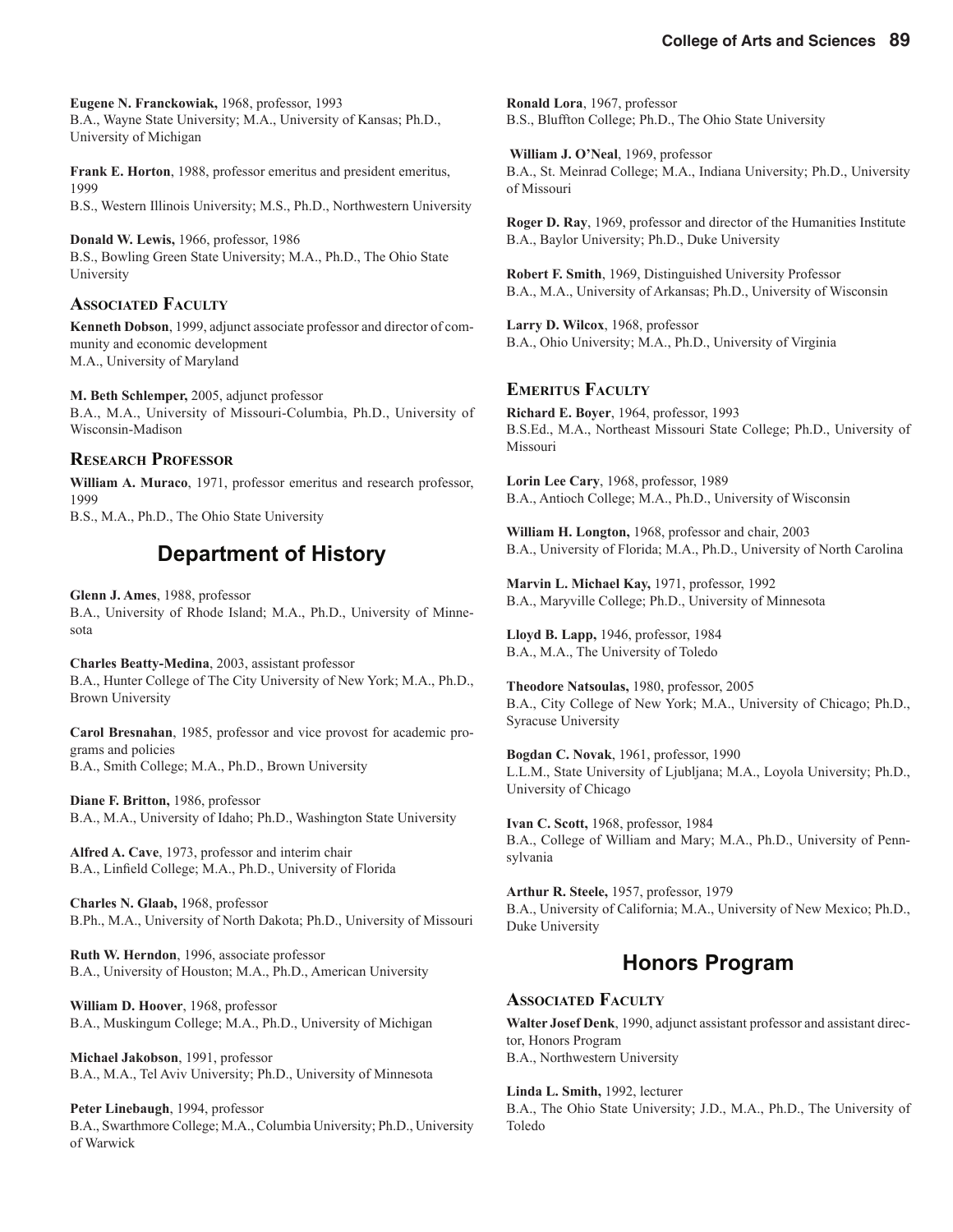**Eugene N. Franckowiak,** 1968, professor, 1993 B.A., Wayne State University; M.A., University of Kansas; Ph.D., University of Michigan

**Frank E. Horton**, 1988, professor emeritus and president emeritus, 1999 B.S., Western Illinois University; M.S., Ph.D., Northwestern University

**Donald W. Lewis,** 1966, professor, 1986 B.S., Bowling Green State University; M.A., Ph.D., The Ohio State University

#### **ASSOCIATED FACULTY**

**Kenneth Dobson**, 1999, adjunct associate professor and director of community and economic development M.A., University of Maryland

**M. Beth Schlemper,** 2005, adjunct professor B.A., M.A., University of Missouri-Columbia, Ph.D., University of Wisconsin-Madison

#### **RESEARCH PROFESSOR**

**William A. Muraco**, 1971, professor emeritus and research professor, 1999

B.S., M.A., Ph.D., The Ohio State University

### **Department of History**

**Glenn J. Ames**, 1988, professor B.A., University of Rhode Island; M.A., Ph.D., University of Minnesota

**Charles Beatty-Medina**, 2003, assistant professor B.A., Hunter College of The City University of New York; M.A., Ph.D., Brown University

**Carol Bresnahan**, 1985, professor and vice provost for academic programs and policies B.A., Smith College; M.A., Ph.D., Brown University

**Diane F. Britton,** 1986, professor B.A., M.A., University of Idaho; Ph.D., Washington State University

**Alfred A. Cave**, 1973, professor and interim chair B.A., Linfield College; M.A., Ph.D., University of Florida

**Charles N. Glaab,** 1968, professor B.Ph., M.A., University of North Dakota; Ph.D., University of Missouri

**Ruth W. Herndon**, 1996, associate professor B.A., University of Houston; M.A., Ph.D., American University

**William D. Hoover**, 1968, professor B.A., Muskingum College; M.A., Ph.D., University of Michigan

**Michael Jakobson**, 1991, professor B.A., M.A., Tel Aviv University; Ph.D., University of Minnesota

**Peter Linebaugh**, 1994, professor B.A., Swarthmore College; M.A., Columbia University; Ph.D., University of Warwick

**Ronald Lora**, 1967, professor B.S., Bluffton College; Ph.D., The Ohio State University

 **William J. O'Neal**, 1969, professor B.A., St. Meinrad College; M.A., Indiana University; Ph.D., University of Missouri

**Roger D. Ray**, 1969, professor and director of the Humanities Institute B.A., Baylor University; Ph.D., Duke University

**Robert F. Smith**, 1969, Distinguished University Professor B.A., M.A., University of Arkansas; Ph.D., University of Wisconsin

**Larry D. Wilcox**, 1968, professor B.A., Ohio University; M.A., Ph.D., University of Virginia

#### **EMERITUS FACULTY**

**Richard E. Boyer**, 1964, professor, 1993 B.S.Ed., M.A., Northeast Missouri State College; Ph.D., University of Missouri

**Lorin Lee Cary**, 1968, professor, 1989 B.A., Antioch College; M.A., Ph.D., University of Wisconsin

**William H. Longton,** 1968, professor and chair, 2003 B.A., University of Florida; M.A., Ph.D., University of North Carolina

**Marvin L. Michael Kay,** 1971, professor, 1992 B.A., Maryville College; Ph.D., University of Minnesota

**Lloyd B. Lapp,** 1946, professor, 1984 B.A., M.A., The University of Toledo

**Theodore Natsoulas,** 1980, professor, 2005 B.A., City College of New York; M.A., University of Chicago; Ph.D., Syracuse University

**Bogdan C. Novak**, 1961, professor, 1990 L.L.M., State University of Ljubljana; M.A., Loyola University; Ph.D., University of Chicago

**Ivan C. Scott,** 1968, professor, 1984 B.A., College of William and Mary; M.A., Ph.D., University of Pennsylvania

**Arthur R. Steele,** 1957, professor, 1979 B.A., University of California; M.A., University of New Mexico; Ph.D., Duke University

#### **Honors Program**

#### **ASSOCIATED FACULTY**

**Walter Josef Denk**, 1990, adjunct assistant professor and assistant director, Honors Program B.A., Northwestern University

**Linda L. Smith,** 1992, lecturer

B.A., The Ohio State University; J.D., M.A., Ph.D., The University of Toledo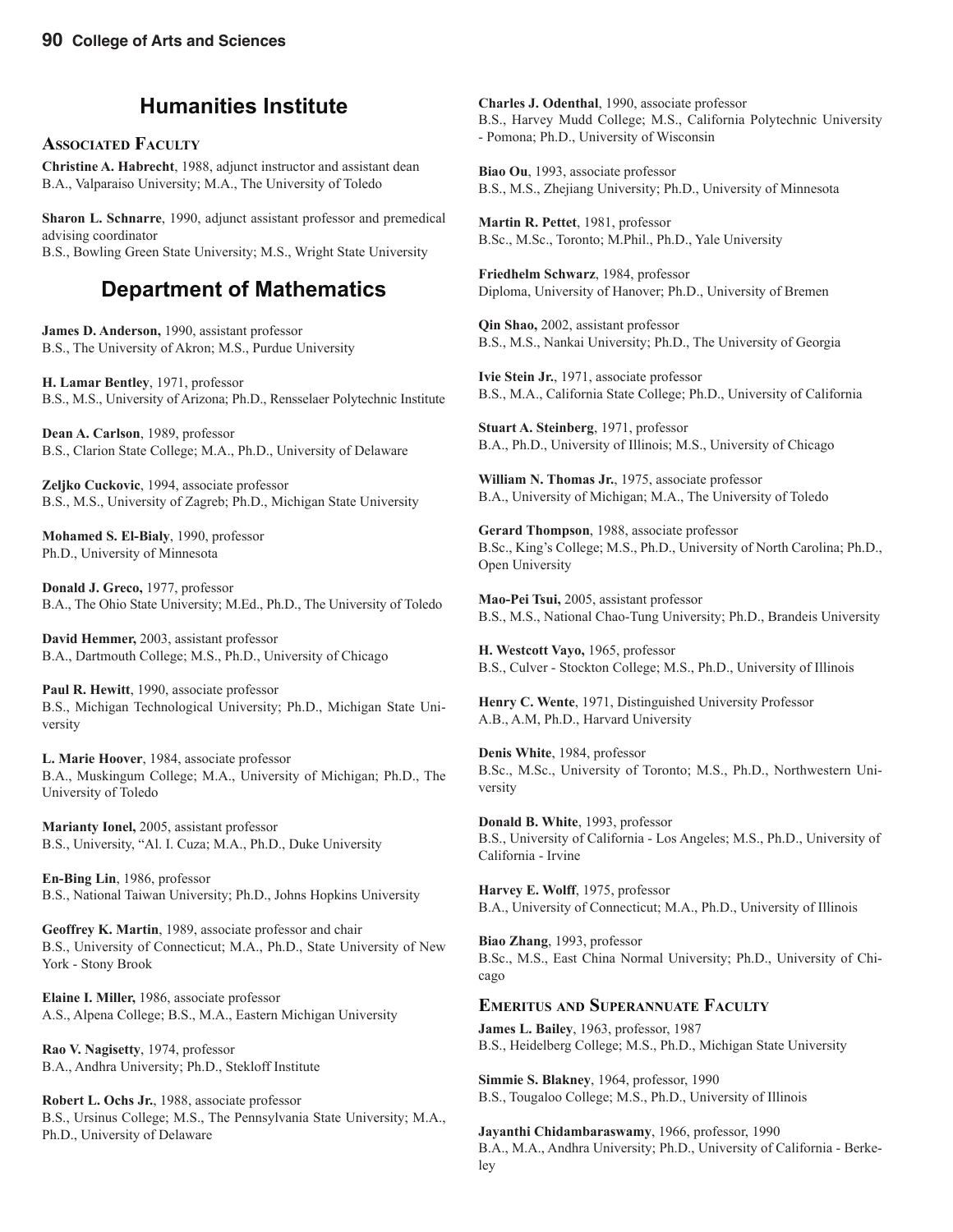#### **Humanities Institute**

#### **ASSOCIATED FACULTY**

**Christine A. Habrecht**, 1988, adjunct instructor and assistant dean B.A., Valparaiso University; M.A., The University of Toledo

**Sharon L. Schnarre**, 1990, adjunct assistant professor and premedical advising coordinator B.S., Bowling Green State University; M.S., Wright State University

### **Department of Mathematics**

**James D. Anderson,** 1990, assistant professor B.S., The University of Akron; M.S., Purdue University

**H. Lamar Bentley**, 1971, professor B.S., M.S., University of Arizona; Ph.D., Rensselaer Polytechnic Institute

**Dean A. Carlson**, 1989, professor B.S., Clarion State College; M.A., Ph.D., University of Delaware

**Zeljko Cuckovic**, 1994, associate professor B.S., M.S., University of Zagreb; Ph.D., Michigan State University

**Mohamed S. El-Bialy**, 1990, professor Ph.D., University of Minnesota

**Donald J. Greco,** 1977, professor B.A., The Ohio State University; M.Ed., Ph.D., The University of Toledo

**David Hemmer,** 2003, assistant professor B.A., Dartmouth College; M.S., Ph.D., University of Chicago

**Paul R. Hewitt**, 1990, associate professor B.S., Michigan Technological University; Ph.D., Michigan State University

**L. Marie Hoover**, 1984, associate professor B.A., Muskingum College; M.A., University of Michigan; Ph.D., The University of Toledo

**Marianty Ionel,** 2005, assistant professor B.S., University, "Al. I. Cuza; M.A., Ph.D., Duke University

**En-Bing Lin**, 1986, professor B.S., National Taiwan University; Ph.D., Johns Hopkins University

**Geoffrey K. Martin**, 1989, associate professor and chair B.S., University of Connecticut; M.A., Ph.D., State University of New York - Stony Brook

**Elaine I. Miller,** 1986, associate professor A.S., Alpena College; B.S., M.A., Eastern Michigan University

**Rao V. Nagisetty**, 1974, professor B.A., Andhra University; Ph.D., Stekloff Institute

**Robert L. Ochs Jr.**, 1988, associate professor B.S., Ursinus College; M.S., The Pennsylvania State University; M.A., Ph.D., University of Delaware

**Charles J. Odenthal**, 1990, associate professor B.S., Harvey Mudd College; M.S., California Polytechnic University - Pomona; Ph.D., University of Wisconsin

**Biao Ou**, 1993, associate professor B.S., M.S., Zhejiang University; Ph.D., University of Minnesota

**Martin R. Pettet**, 1981, professor B.Sc., M.Sc., Toronto; M.Phil., Ph.D., Yale University

**Friedhelm Schwarz**, 1984, professor Diploma, University of Hanover; Ph.D., University of Bremen

**Qin Shao,** 2002, assistant professor B.S., M.S., Nankai University; Ph.D., The University of Georgia

**Ivie Stein Jr.**, 1971, associate professor B.S., M.A., California State College; Ph.D., University of California

**Stuart A. Steinberg**, 1971, professor B.A., Ph.D., University of Illinois; M.S., University of Chicago

**William N. Thomas Jr.**, 1975, associate professor B.A., University of Michigan; M.A., The University of Toledo

**Gerard Thompson**, 1988, associate professor B.Sc., King's College; M.S., Ph.D., University of North Carolina; Ph.D., Open University

**Mao-Pei Tsui,** 2005, assistant professor B.S., M.S., National Chao-Tung University; Ph.D., Brandeis University

**H. Westcott Vayo,** 1965, professor B.S., Culver - Stockton College; M.S., Ph.D., University of Illinois

**Henry C. Wente**, 1971, Distinguished University Professor A.B., A.M, Ph.D., Harvard University

**Denis White**, 1984, professor B.Sc., M.Sc., University of Toronto; M.S., Ph.D., Northwestern University

**Donald B. White**, 1993, professor B.S., University of California - Los Angeles; M.S., Ph.D., University of California - Irvine

**Harvey E. Wolff**, 1975, professor B.A., University of Connecticut; M.A., Ph.D., University of Illinois

**Biao Zhang**, 1993, professor B.Sc., M.S., East China Normal University; Ph.D., University of Chicago

#### **EMERITUS AND SUPERANNUATE FACULTY**

**James L. Bailey**, 1963, professor, 1987 B.S., Heidelberg College; M.S., Ph.D., Michigan State University

**Simmie S. Blakney**, 1964, professor, 1990 B.S., Tougaloo College; M.S., Ph.D., University of Illinois

**Jayanthi Chidambaraswamy**, 1966, professor, 1990 B.A., M.A., Andhra University; Ph.D., University of California - Berkeley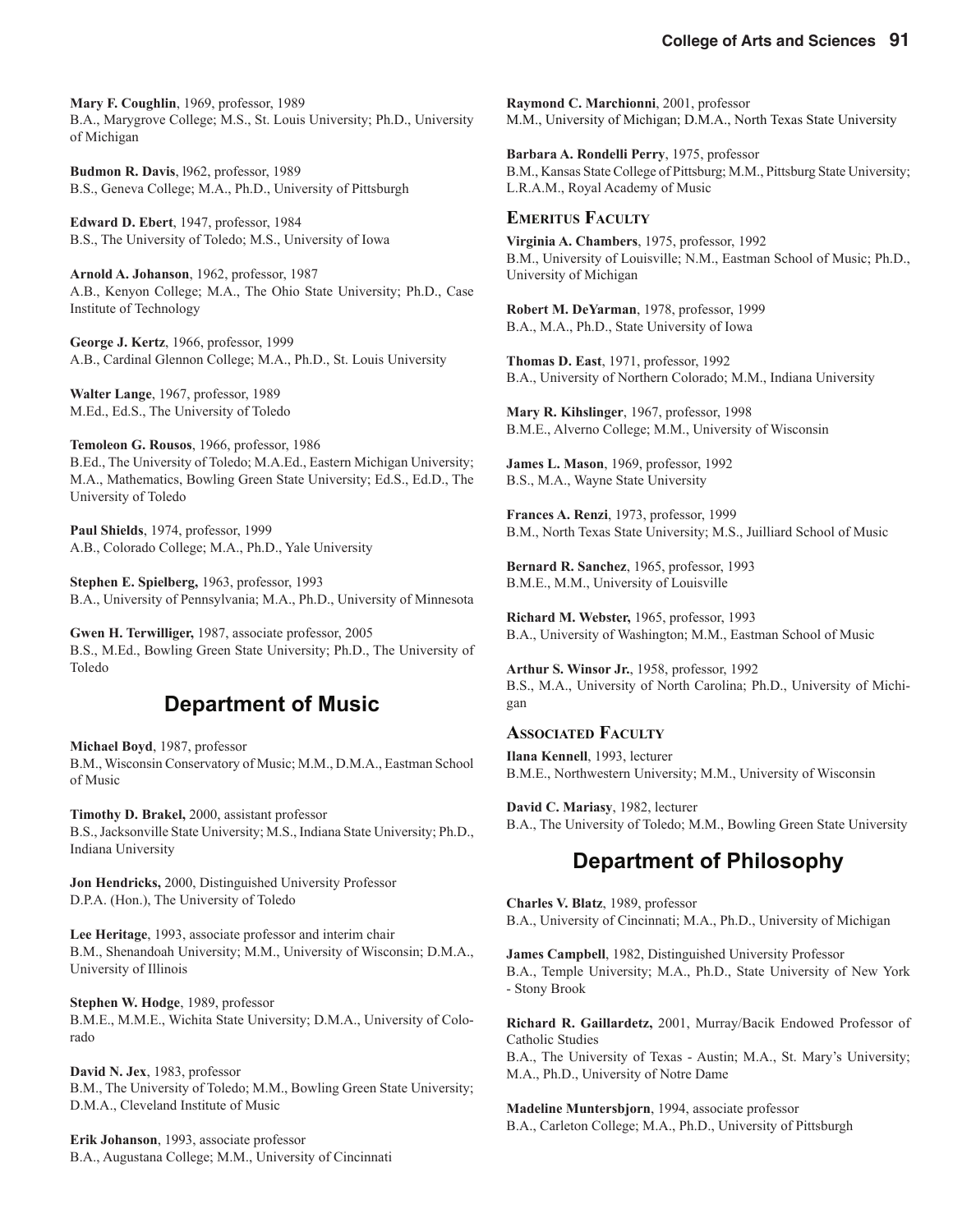**Mary F. Coughlin**, 1969, professor, 1989 B.A., Marygrove College; M.S., St. Louis University; Ph.D., University of Michigan

**Budmon R. Davis**, l962, professor, 1989 B.S., Geneva College; M.A., Ph.D., University of Pittsburgh

**Edward D. Ebert**, 1947, professor, 1984 B.S., The University of Toledo; M.S., University of Iowa

**Arnold A. Johanson**, 1962, professor, 1987 A.B., Kenyon College; M.A., The Ohio State University; Ph.D., Case Institute of Technology

**George J. Kertz**, 1966, professor, 1999 A.B., Cardinal Glennon College; M.A., Ph.D., St. Louis University

**Walter Lange**, 1967, professor, 1989 M.Ed., Ed.S., The University of Toledo

**Temoleon G. Rousos**, 1966, professor, 1986 B.Ed., The University of Toledo; M.A.Ed., Eastern Michigan University; M.A., Mathematics, Bowling Green State University; Ed.S., Ed.D., The University of Toledo

**Paul Shields**, 1974, professor, 1999 A.B., Colorado College; M.A., Ph.D., Yale University

**Stephen E. Spielberg,** 1963, professor, 1993 B.A., University of Pennsylvania; M.A., Ph.D., University of Minnesota

**Gwen H. Terwilliger,** 1987, associate professor, 2005 B.S., M.Ed., Bowling Green State University; Ph.D., The University of Toledo

#### **Department of Music**

**Michael Boyd**, 1987, professor B.M., Wisconsin Conservatory of Music; M.M., D.M.A., Eastman School of Music

**Timothy D. Brakel,** 2000, assistant professor B.S., Jacksonville State University; M.S., Indiana State University; Ph.D., Indiana University

**Jon Hendricks,** 2000, Distinguished University Professor D.P.A. (Hon.), The University of Toledo

**Lee Heritage**, 1993, associate professor and interim chair B.M., Shenandoah University; M.M., University of Wisconsin; D.M.A., University of Illinois

**Stephen W. Hodge**, 1989, professor B.M.E., M.M.E., Wichita State University; D.M.A., University of Colorado

**David N. Jex**, 1983, professor B.M., The University of Toledo; M.M., Bowling Green State University; D.M.A., Cleveland Institute of Music

**Erik Johanson**, 1993, associate professor B.A., Augustana College; M.M., University of Cincinnati **Raymond C. Marchionni**, 2001, professor M.M., University of Michigan; D.M.A., North Texas State University

**Barbara A. Rondelli Perry**, 1975, professor B.M., Kansas State College of Pittsburg; M.M., Pittsburg State University; L.R.A.M., Royal Academy of Music

#### **EMERITUS FACULTY**

**Virginia A. Chambers**, 1975, professor, 1992 B.M., University of Louisville; N.M., Eastman School of Music; Ph.D., University of Michigan

**Robert M. DeYarman**, 1978, professor, 1999 B.A., M.A., Ph.D., State University of Iowa

**Thomas D. East**, 1971, professor, 1992 B.A., University of Northern Colorado; M.M., Indiana University

**Mary R. Kihslinger**, 1967, professor, 1998 B.M.E., Alverno College; M.M., University of Wisconsin

**James L. Mason**, 1969, professor, 1992 B.S., M.A., Wayne State University

**Frances A. Renzi**, 1973, professor, 1999 B.M., North Texas State University; M.S., Juilliard School of Music

**Bernard R. Sanchez**, 1965, professor, 1993 B.M.E., M.M., University of Louisville

**Richard M. Webster,** 1965, professor, 1993 B.A., University of Washington; M.M., Eastman School of Music

**Arthur S. Winsor Jr.**, 1958, professor, 1992 B.S., M.A., University of North Carolina; Ph.D., University of Michigan

#### **ASSOCIATED FACULTY**

**Ilana Kennell**, 1993, lecturer B.M.E., Northwestern University; M.M., University of Wisconsin

**David C. Mariasy**, 1982, lecturer B.A., The University of Toledo; M.M., Bowling Green State University

### **Department of Philosophy**

**Charles V. Blatz**, 1989, professor B.A., University of Cincinnati; M.A., Ph.D., University of Michigan

**James Campbell**, 1982, Distinguished University Professor B.A., Temple University; M.A., Ph.D., State University of New York - Stony Brook

**Richard R. Gaillardetz,** 2001, Murray/Bacik Endowed Professor of Catholic Studies

B.A., The University of Texas - Austin; M.A., St. Mary's University; M.A., Ph.D., University of Notre Dame

**Madeline Muntersbjorn**, 1994, associate professor B.A., Carleton College; M.A., Ph.D., University of Pittsburgh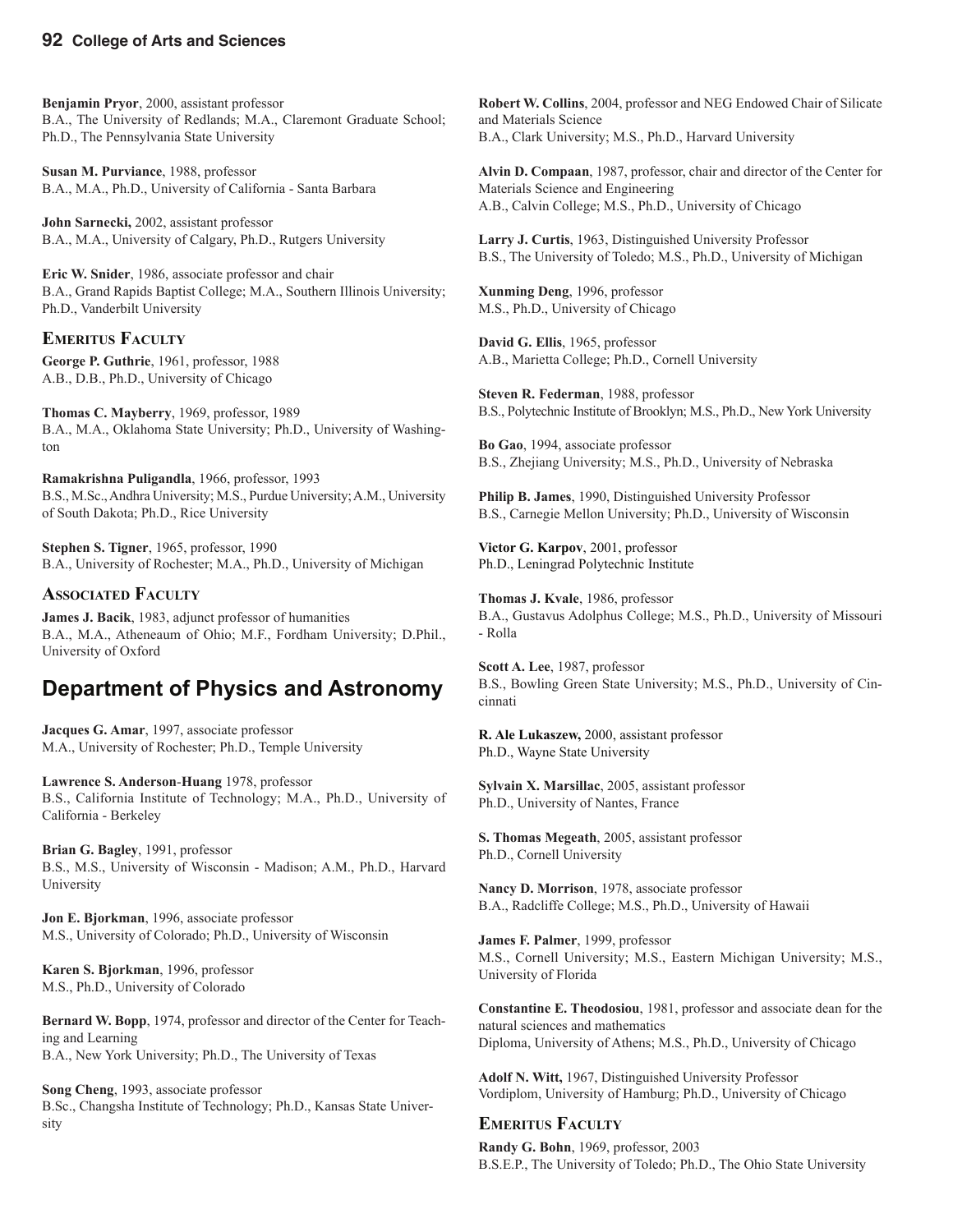**Benjamin Pryor**, 2000, assistant professor B.A., The University of Redlands; M.A., Claremont Graduate School; Ph.D., The Pennsylvania State University

**Susan M. Purviance**, 1988, professor B.A., M.A., Ph.D., University of California - Santa Barbara

**John Sarnecki,** 2002, assistant professor B.A., M.A., University of Calgary, Ph.D., Rutgers University

**Eric W. Snider**, 1986, associate professor and chair B.A., Grand Rapids Baptist College; M.A., Southern Illinois University; Ph.D., Vanderbilt University

#### **EMERITUS FACULTY**

**George P. Guthrie**, 1961, professor, 1988 A.B., D.B., Ph.D., University of Chicago

**Thomas C. Mayberry**, 1969, professor, 1989 B.A., M.A., Oklahoma State University; Ph.D., University of Washington

**Ramakrishna Puligandla**, 1966, professor, 1993 B.S., M.Sc., Andhra University; M.S., Purdue University; A.M., University of South Dakota; Ph.D., Rice University

**Stephen S. Tigner**, 1965, professor, 1990 B.A., University of Rochester; M.A., Ph.D., University of Michigan

#### **ASSOCIATED FACULTY**

**James J. Bacik**, 1983, adjunct professor of humanities B.A., M.A., Atheneaum of Ohio; M.F., Fordham University; D.Phil., University of Oxford

#### **Department of Physics and Astronomy**

**Jacques G. Amar**, 1997, associate professor M.A., University of Rochester; Ph.D., Temple University

**Lawrence S. Anderson**-**Huang** 1978, professor B.S., California Institute of Technology; M.A., Ph.D., University of California - Berkeley

**Brian G. Bagley**, 1991, professor B.S., M.S., University of Wisconsin - Madison; A.M., Ph.D., Harvard University

**Jon E. Bjorkman**, 1996, associate professor M.S., University of Colorado; Ph.D., University of Wisconsin

**Karen S. Bjorkman**, 1996, professor M.S., Ph.D., University of Colorado

**Bernard W. Bopp**, 1974, professor and director of the Center for Teaching and Learning B.A., New York University; Ph.D., The University of Texas

**Song Cheng**, 1993, associate professor B.Sc., Changsha Institute of Technology; Ph.D., Kansas State University

**Robert W. Collins**, 2004, professor and NEG Endowed Chair of Silicate and Materials Science B.A., Clark University; M.S., Ph.D., Harvard University

**Alvin D. Compaan**, 1987, professor, chair and director of the Center for Materials Science and Engineering A.B., Calvin College; M.S., Ph.D., University of Chicago

**Larry J. Curtis**, 1963, Distinguished University Professor B.S., The University of Toledo; M.S., Ph.D., University of Michigan

**Xunming Deng**, 1996, professor M.S., Ph.D., University of Chicago

**David G. Ellis**, 1965, professor A.B., Marietta College; Ph.D., Cornell University

**Steven R. Federman**, 1988, professor B.S., Polytechnic Institute of Brooklyn; M.S., Ph.D., New York University

**Bo Gao**, 1994, associate professor B.S., Zhejiang University; M.S., Ph.D., University of Nebraska

**Philip B. James**, 1990, Distinguished University Professor B.S., Carnegie Mellon University; Ph.D., University of Wisconsin

**Victor G. Karpov**, 2001, professor Ph.D., Leningrad Polytechnic Institute

**Thomas J. Kvale**, 1986, professor B.A., Gustavus Adolphus College; M.S., Ph.D., University of Missouri - Rolla

**Scott A. Lee**, 1987, professor B.S., Bowling Green State University; M.S., Ph.D., University of Cincinnati

**R. Ale Lukaszew,** 2000, assistant professor Ph.D., Wayne State University

**Sylvain X. Marsillac**, 2005, assistant professor Ph.D., University of Nantes, France

**S. Thomas Megeath**, 2005, assistant professor Ph.D., Cornell University

**Nancy D. Morrison**, 1978, associate professor B.A., Radcliffe College; M.S., Ph.D., University of Hawaii

**James F. Palmer**, 1999, professor M.S., Cornell University; M.S., Eastern Michigan University; M.S., University of Florida

**Constantine E. Theodosiou**, 1981, professor and associate dean for the natural sciences and mathematics Diploma, University of Athens; M.S., Ph.D., University of Chicago

**Adolf N. Witt,** 1967, Distinguished University Professor Vordiplom, University of Hamburg; Ph.D., University of Chicago

#### **EMERITUS FACULTY**

**Randy G. Bohn**, 1969, professor, 2003 B.S.E.P., The University of Toledo; Ph.D., The Ohio State University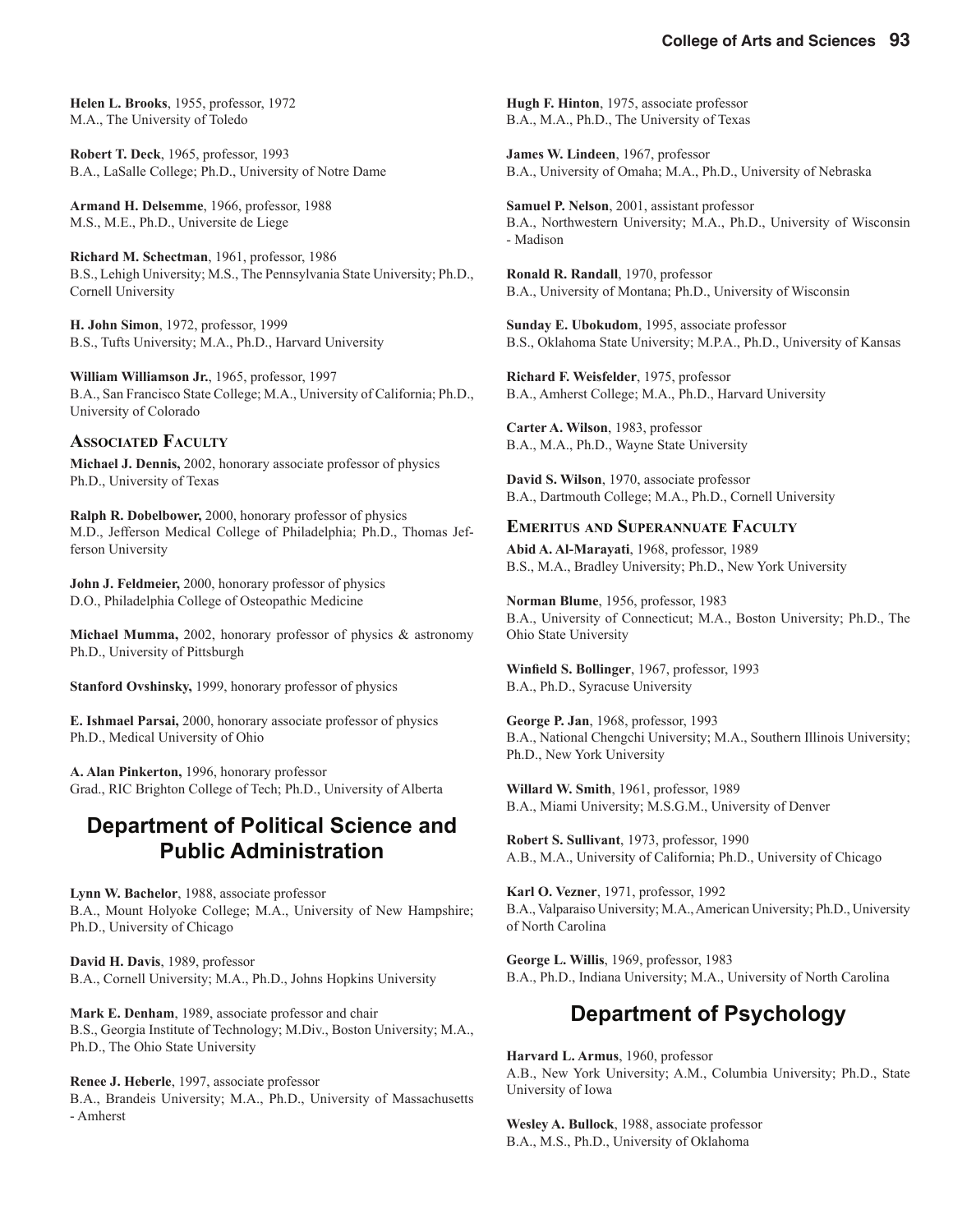**Helen L. Brooks**, 1955, professor, 1972 M.A., The University of Toledo

**Robert T. Deck**, 1965, professor, 1993 B.A., LaSalle College; Ph.D., University of Notre Dame

**Armand H. Delsemme**, 1966, professor, 1988 M.S., M.E., Ph.D., Universite de Liege

**Richard M. Schectman**, 1961, professor, 1986 B.S., Lehigh University; M.S., The Pennsylvania State University; Ph.D., Cornell University

**H. John Simon**, 1972, professor, 1999 B.S., Tufts University; M.A., Ph.D., Harvard University

**William Williamson Jr.**, 1965, professor, 1997 B.A., San Francisco State College; M.A., University of California; Ph.D., University of Colorado

#### **ASSOCIATED FACULTY**

**Michael J. Dennis,** 2002, honorary associate professor of physics Ph.D., University of Texas

**Ralph R. Dobelbower,** 2000, honorary professor of physics M.D., Jefferson Medical College of Philadelphia; Ph.D., Thomas Jefferson University

**John J. Feldmeier,** 2000, honorary professor of physics D.O., Philadelphia College of Osteopathic Medicine

**Michael Mumma,** 2002, honorary professor of physics & astronomy Ph.D., University of Pittsburgh

**Stanford Ovshinsky,** 1999, honorary professor of physics

**E. Ishmael Parsai,** 2000, honorary associate professor of physics Ph.D., Medical University of Ohio

**A. Alan Pinkerton,** 1996, honorary professor Grad., RIC Brighton College of Tech; Ph.D., University of Alberta

#### **Department of Political Science and Public Administration**

**Lynn W. Bachelor**, 1988, associate professor B.A., Mount Holyoke College; M.A., University of New Hampshire; Ph.D., University of Chicago

**David H. Davis**, 1989, professor B.A., Cornell University; M.A., Ph.D., Johns Hopkins University

**Mark E. Denham**, 1989, associate professor and chair B.S., Georgia Institute of Technology; M.Div., Boston University; M.A., Ph.D., The Ohio State University

**Renee J. Heberle**, 1997, associate professor B.A., Brandeis University; M.A., Ph.D., University of Massachusetts - Amherst

**Hugh F. Hinton**, 1975, associate professor B.A., M.A., Ph.D., The University of Texas

**James W. Lindeen**, 1967, professor B.A., University of Omaha; M.A., Ph.D., University of Nebraska

**Samuel P. Nelson**, 2001, assistant professor B.A., Northwestern University; M.A., Ph.D., University of Wisconsin - Madison

**Ronald R. Randall**, 1970, professor B.A., University of Montana; Ph.D., University of Wisconsin

**Sunday E. Ubokudom**, 1995, associate professor B.S., Oklahoma State University; M.P.A., Ph.D., University of Kansas

**Richard F. Weisfelder**, 1975, professor B.A., Amherst College; M.A., Ph.D., Harvard University

**Carter A. Wilson**, 1983, professor B.A., M.A., Ph.D., Wayne State University

**David S. Wilson**, 1970, associate professor B.A., Dartmouth College; M.A., Ph.D., Cornell University

#### **EMERITUS AND SUPERANNUATE FACULTY**

**Abid A. Al-Marayati**, 1968, professor, 1989 B.S., M.A., Bradley University; Ph.D., New York University

**Norman Blume**, 1956, professor, 1983 B.A., University of Connecticut; M.A., Boston University; Ph.D., The Ohio State University

Winfield S. Bollinger, 1967, professor, 1993 B.A., Ph.D., Syracuse University

**George P. Jan**, 1968, professor, 1993 B.A., National Chengchi University; M.A., Southern Illinois University; Ph.D., New York University

**Willard W. Smith**, 1961, professor, 1989 B.A., Miami University; M.S.G.M., University of Denver

**Robert S. Sullivant**, 1973, professor, 1990 A.B., M.A., University of California; Ph.D., University of Chicago

**Karl O. Vezner**, 1971, professor, 1992 B.A., Valparaiso University; M.A., American University; Ph.D., University of North Carolina

**George L. Willis**, 1969, professor, 1983 B.A., Ph.D., Indiana University; M.A., University of North Carolina

### **Department of Psychology**

**Harvard L. Armus**, 1960, professor A.B., New York University; A.M., Columbia University; Ph.D., State University of Iowa

**Wesley A. Bullock**, 1988, associate professor B.A., M.S., Ph.D., University of Oklahoma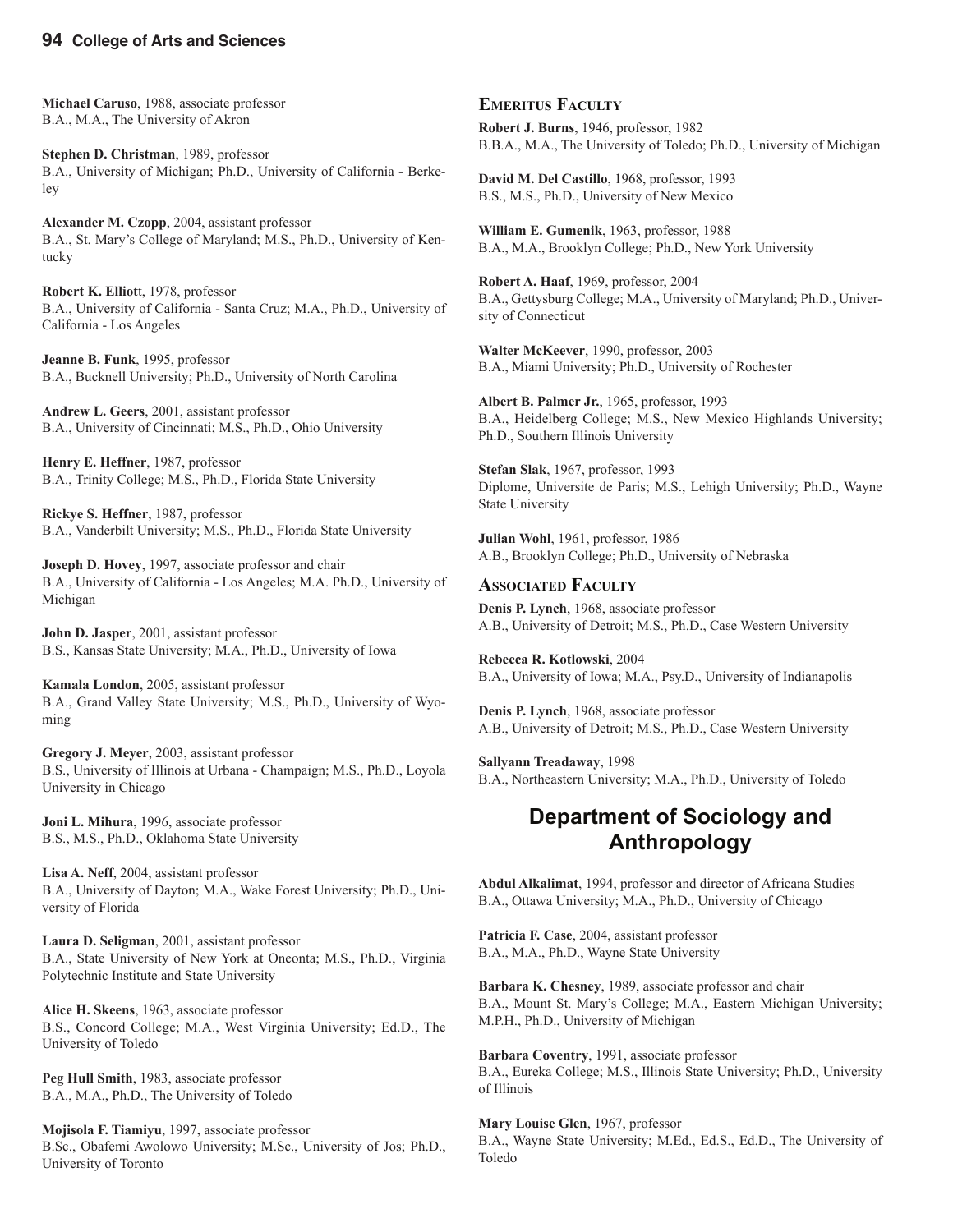**Michael Caruso**, 1988, associate professor B.A., M.A., The University of Akron

**Stephen D. Christman**, 1989, professor B.A., University of Michigan; Ph.D., University of California - Berkeley

**Alexander M. Czopp**, 2004, assistant professor B.A., St. Mary's College of Maryland; M.S., Ph.D., University of Kentucky

**Robert K. Elliot**t, 1978, professor B.A., University of California - Santa Cruz; M.A., Ph.D., University of California - Los Angeles

**Jeanne B. Funk**, 1995, professor B.A., Bucknell University; Ph.D., University of North Carolina

**Andrew L. Geers**, 2001, assistant professor B.A., University of Cincinnati; M.S., Ph.D., Ohio University

**Henry E. Heffner**, 1987, professor B.A., Trinity College; M.S., Ph.D., Florida State University

**Rickye S. Heffner**, 1987, professor B.A., Vanderbilt University; M.S., Ph.D., Florida State University

**Joseph D. Hovey**, 1997, associate professor and chair B.A., University of California - Los Angeles; M.A. Ph.D., University of Michigan

**John D. Jasper**, 2001, assistant professor B.S., Kansas State University; M.A., Ph.D., University of Iowa

**Kamala London**, 2005, assistant professor B.A., Grand Valley State University; M.S., Ph.D., University of Wyoming

**Gregory J. Meyer**, 2003, assistant professor B.S., University of Illinois at Urbana - Champaign; M.S., Ph.D., Loyola University in Chicago

**Joni L. Mihura**, 1996, associate professor B.S., M.S., Ph.D., Oklahoma State University

**Lisa A. Neff**, 2004, assistant professor B.A., University of Dayton; M.A., Wake Forest University; Ph.D., University of Florida

**Laura D. Seligman**, 2001, assistant professor B.A., State University of New York at Oneonta; M.S., Ph.D., Virginia Polytechnic Institute and State University

**Alice H. Skeens**, 1963, associate professor B.S., Concord College; M.A., West Virginia University; Ed.D., The University of Toledo

**Peg Hull Smith**, 1983, associate professor B.A., M.A., Ph.D., The University of Toledo

**Mojisola F. Tiamiyu**, 1997, associate professor B.Sc., Obafemi Awolowo University; M.Sc., University of Jos; Ph.D., University of Toronto

#### **EMERITUS FACULTY**

**Robert J. Burns**, 1946, professor, 1982 B.B.A., M.A., The University of Toledo; Ph.D., University of Michigan

**David M. Del Castillo**, 1968, professor, 1993 B.S., M.S., Ph.D., University of New Mexico

**William E. Gumenik**, 1963, professor, 1988 B.A., M.A., Brooklyn College; Ph.D., New York University

**Robert A. Haaf**, 1969, professor, 2004 B.A., Gettysburg College; M.A., University of Maryland; Ph.D., University of Connecticut

**Walter McKeever**, 1990, professor, 2003 B.A., Miami University; Ph.D., University of Rochester

**Albert B. Palmer Jr.**, 1965, professor, 1993 B.A., Heidelberg College; M.S., New Mexico Highlands University; Ph.D., Southern Illinois University

**Stefan Slak**, 1967, professor, 1993 Diplome, Universite de Paris; M.S., Lehigh University; Ph.D., Wayne State University

**Julian Wohl**, 1961, professor, 1986 A.B., Brooklyn College; Ph.D., University of Nebraska

#### **ASSOCIATED FACULTY**

**Denis P. Lynch**, 1968, associate professor A.B., University of Detroit; M.S., Ph.D., Case Western University

**Rebecca R. Kotlowski**, 2004 B.A., University of Iowa; M.A., Psy.D., University of Indianapolis

**Denis P. Lynch**, 1968, associate professor A.B., University of Detroit; M.S., Ph.D., Case Western University

**Sallyann Treadaway**, 1998 B.A., Northeastern University; M.A., Ph.D., University of Toledo

#### **Department of Sociology and Anthropology**

**Abdul Alkalimat**, 1994, professor and director of Africana Studies B.A., Ottawa University; M.A., Ph.D., University of Chicago

**Patricia F. Case**, 2004, assistant professor B.A., M.A., Ph.D., Wayne State University

**Barbara K. Chesney**, 1989, associate professor and chair B.A., Mount St. Mary's College; M.A., Eastern Michigan University; M.P.H., Ph.D., University of Michigan

**Barbara Coventry**, 1991, associate professor B.A., Eureka College; M.S., Illinois State University; Ph.D., University of Illinois

**Mary Louise Glen**, 1967, professor B.A., Wayne State University; M.Ed., Ed.S., Ed.D., The University of Toledo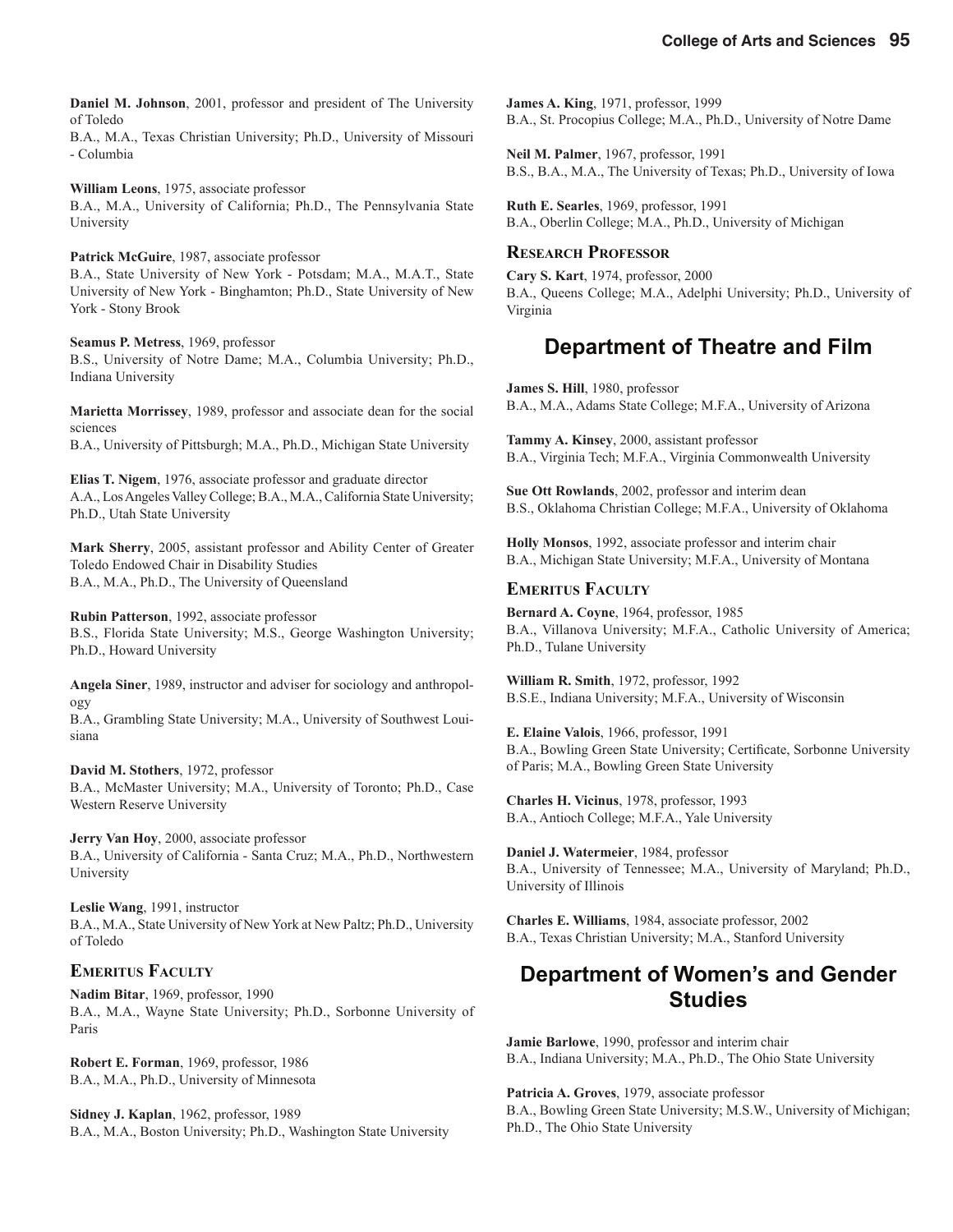of Toledo B.A., M.A., Texas Christian University; Ph.D., University of Missouri - Columbia

**William Leons**, 1975, associate professor B.A., M.A., University of California; Ph.D., The Pennsylvania State University

**Patrick McGuire**, 1987, associate professor

B.A., State University of New York - Potsdam; M.A., M.A.T., State University of New York - Binghamton; Ph.D., State University of New York - Stony Brook

**Seamus P. Metress**, 1969, professor B.S., University of Notre Dame; M.A., Columbia University; Ph.D., Indiana University

**Marietta Morrissey**, 1989, professor and associate dean for the social sciences

B.A., University of Pittsburgh; M.A., Ph.D., Michigan State University

**Elias T. Nigem**, 1976, associate professor and graduate director A.A., Los Angeles Valley College; B.A., M.A., California State University; Ph.D., Utah State University

**Mark Sherry**, 2005, assistant professor and Ability Center of Greater Toledo Endowed Chair in Disability Studies B.A., M.A., Ph.D., The University of Queensland

**Rubin Patterson**, 1992, associate professor B.S., Florida State University; M.S., George Washington University; Ph.D., Howard University

**Angela Siner**, 1989, instructor and adviser for sociology and anthropology B.A., Grambling State University; M.A., University of Southwest Loui-

siana

**David M. Stothers**, 1972, professor B.A., McMaster University; M.A., University of Toronto; Ph.D., Case Western Reserve University

**Jerry Van Hoy**, 2000, associate professor B.A., University of California - Santa Cruz; M.A., Ph.D., Northwestern University

**Leslie Wang**, 1991, instructor B.A., M.A., State University of New York at New Paltz; Ph.D., University of Toledo

#### **EMERITUS FACULTY**

**Nadim Bitar**, 1969, professor, 1990 B.A., M.A., Wayne State University; Ph.D., Sorbonne University of Paris

**Robert E. Forman**, 1969, professor, 1986 B.A., M.A., Ph.D., University of Minnesota

**Sidney J. Kaplan**, 1962, professor, 1989 B.A., M.A., Boston University; Ph.D., Washington State University **James A. King**, 1971, professor, 1999 B.A., St. Procopius College; M.A., Ph.D., University of Notre Dame

**Neil M. Palmer**, 1967, professor, 1991 B.S., B.A., M.A., The University of Texas; Ph.D., University of Iowa

**Ruth E. Searles**, 1969, professor, 1991 B.A., Oberlin College; M.A., Ph.D., University of Michigan

#### **RESEARCH PROFESSOR**

**Cary S. Kart**, 1974, professor, 2000 B.A., Queens College; M.A., Adelphi University; Ph.D., University of Virginia

### **Department of Theatre and Film**

**James S. Hill**, 1980, professor B.A., M.A., Adams State College; M.F.A., University of Arizona

**Tammy A. Kinsey**, 2000, assistant professor B.A., Virginia Tech; M.F.A., Virginia Commonwealth University

**Sue Ott Rowlands**, 2002, professor and interim dean B.S., Oklahoma Christian College; M.F.A., University of Oklahoma

**Holly Monsos**, 1992, associate professor and interim chair B.A., Michigan State University; M.F.A., University of Montana

#### **EMERITUS FACULTY**

**Bernard A. Coyne**, 1964, professor, 1985 B.A., Villanova University; M.F.A., Catholic University of America; Ph.D., Tulane University

**William R. Smith**, 1972, professor, 1992 B.S.E., Indiana University; M.F.A., University of Wisconsin

**E. Elaine Valois**, 1966, professor, 1991 B.A., Bowling Green State University; Certificate, Sorbonne University of Paris; M.A., Bowling Green State University

**Charles H. Vicinus**, 1978, professor, 1993 B.A., Antioch College; M.F.A., Yale University

**Daniel J. Watermeier**, 1984, professor B.A., University of Tennessee; M.A., University of Maryland; Ph.D., University of Illinois

**Charles E. Williams**, 1984, associate professor, 2002 B.A., Texas Christian University; M.A., Stanford University

### **Department of Women's and Gender Studies**

**Jamie Barlowe**, 1990, professor and interim chair B.A., Indiana University; M.A., Ph.D., The Ohio State University

**Patricia A. Groves**, 1979, associate professor B.A., Bowling Green State University; M.S.W., University of Michigan; Ph.D., The Ohio State University